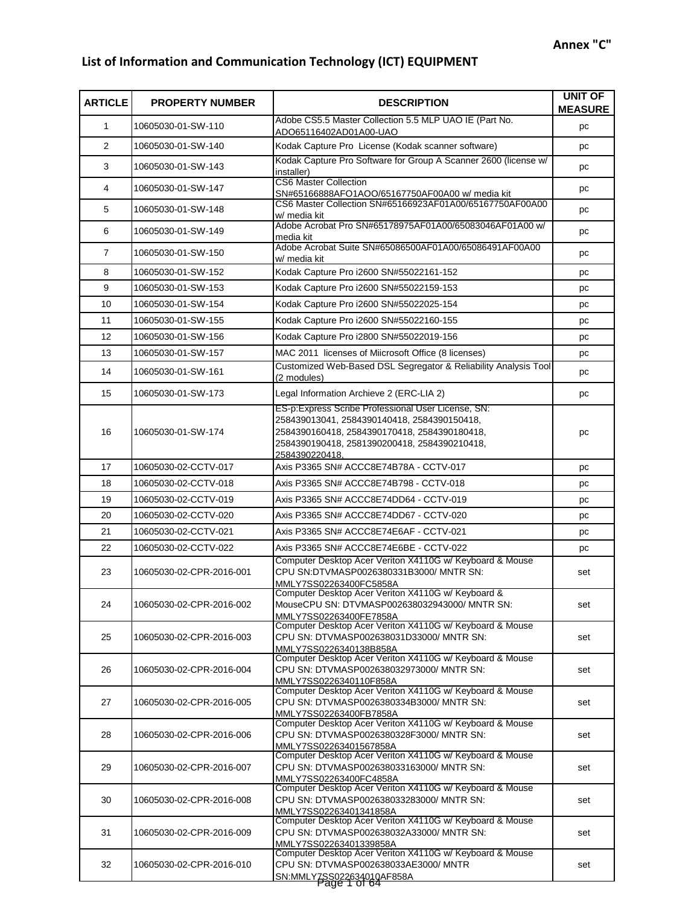## **List of Information and Communication Technology (ICT) EQUIPMENT**

| <b>ARTICLE</b> | <b>PROPERTY NUMBER</b>   | <b>DESCRIPTION</b>                                                                                                                                                                                                  | UNIT OF<br><b>MEASURE</b> |
|----------------|--------------------------|---------------------------------------------------------------------------------------------------------------------------------------------------------------------------------------------------------------------|---------------------------|
| $\mathbf{1}$   | 10605030-01-SW-110       | Adobe CS5.5 Master Collection 5.5 MLP UAO IE (Part No.<br>ADO65116402AD01A00-UAO                                                                                                                                    | pc                        |
| $\overline{2}$ | 10605030-01-SW-140       | Kodak Capture Pro License (Kodak scanner software)                                                                                                                                                                  | pc                        |
| 3              | 10605030-01-SW-143       | Kodak Capture Pro Software for Group A Scanner 2600 (license w/<br>installer)                                                                                                                                       | pc                        |
| 4              | 10605030-01-SW-147       | <b>CS6 Master Collection</b><br>SN#65166888AFO1AOO/65167750AF00A00 w/ media kit                                                                                                                                     | pc                        |
| 5              | 10605030-01-SW-148       | CS6 Master Collection SN#65166923AF01A00/65167750AF00A00<br>w/ media kit                                                                                                                                            | pc                        |
| 6              | 10605030-01-SW-149       | Adobe Acrobat Pro SN#65178975AF01A00/65083046AF01A00 w/<br>media kit                                                                                                                                                | pc                        |
| $\overline{7}$ | 10605030-01-SW-150       | Adobe Acrobat Suite SN#65086500AF01A00/65086491AF00A00<br>w/ media kit                                                                                                                                              | pc                        |
| 8              | 10605030-01-SW-152       | Kodak Capture Pro i2600 SN#55022161-152                                                                                                                                                                             | pc                        |
| 9              | 10605030-01-SW-153       | Kodak Capture Pro i2600 SN#55022159-153                                                                                                                                                                             | pc                        |
| 10             | 10605030-01-SW-154       | Kodak Capture Pro i2600 SN#55022025-154                                                                                                                                                                             | pc                        |
| 11             | 10605030-01-SW-155       | Kodak Capture Pro i2600 SN#55022160-155                                                                                                                                                                             | pc                        |
| 12             | 10605030-01-SW-156       | Kodak Capture Pro i2800 SN#55022019-156                                                                                                                                                                             | pc                        |
| 13             | 10605030-01-SW-157       | MAC 2011 licenses of Miicrosoft Office (8 licenses)                                                                                                                                                                 | pc                        |
| 14             | 10605030-01-SW-161       | Customized Web-Based DSL Segregator & Reliability Analysis Tool<br>(2 modules)                                                                                                                                      | pc                        |
| 15             | 10605030-01-SW-173       | Legal Information Archieve 2 (ERC-LIA 2)                                                                                                                                                                            | pc                        |
| 16             | 10605030-01-SW-174       | ES-p:Express Scribe Professional User License, SN:<br>258439013041, 2584390140418, 2584390150418,<br>2584390160418, 2584390170418, 2584390180418,<br>2584390190418, 2581390200418, 2584390210418,<br>2584390220418. | pc                        |
| 17             | 10605030-02-CCTV-017     | Axis P3365 SN# ACCC8E74B78A - CCTV-017                                                                                                                                                                              | pc                        |
| 18             | 10605030-02-CCTV-018     | Axis P3365 SN# ACCC8E74B798 - CCTV-018                                                                                                                                                                              | pc                        |
| 19             | 10605030-02-CCTV-019     | Axis P3365 SN# ACCC8E74DD64 - CCTV-019                                                                                                                                                                              | pc                        |
| 20             | 10605030-02-CCTV-020     | Axis P3365 SN# ACCC8E74DD67 - CCTV-020                                                                                                                                                                              | pc                        |
| 21             | 10605030-02-CCTV-021     | Axis P3365 SN# ACCC8E74E6AF - CCTV-021                                                                                                                                                                              | pc                        |
| 22             | 10605030-02-CCTV-022     |                                                                                                                                                                                                                     | pc                        |
| 23             | 10605030-02-CPR-2016-001 | Computer Desktop Acer Veriton X4110G w/ Keyboard & Mouse<br>CPU SN:DTVMASP0026380331B3000/ MNTR SN:<br>MMLY7SS02263400FC5858A                                                                                       | set                       |
| 24             | 10605030-02-CPR-2016-002 | Computer Desktop Acer Veriton X4110G w/ Keyboard &<br>MouseCPU SN: DTVMASP002638032943000/ MNTR SN:<br>MMLY7SS02263400FE7858A                                                                                       | set                       |
| 25             | 10605030-02-CPR-2016-003 | Computer Desktop Acer Veriton X4110G w/ Keyboard & Mouse<br>CPU SN: DTVMASP002638031D33000/ MNTR SN:<br>MMLY7SS0226340138B858A                                                                                      | set                       |
| 26             | 10605030-02-CPR-2016-004 | Computer Desktop Acer Veriton X4110G w/ Keyboard & Mouse<br>CPU SN: DTVMASP002638032973000/ MNTR SN:<br>MMLY7SS0226340110F858A                                                                                      | set                       |
| 27             | 10605030-02-CPR-2016-005 | Computer Desktop Acer Veriton X4110G w/ Keyboard & Mouse<br>CPU SN: DTVMASP0026380334B3000/ MNTR SN:<br>MMLY7SS02263400FB7858A                                                                                      | set                       |
| 28             | 10605030-02-CPR-2016-006 | Computer Desktop Acer Veriton X4110G w/ Keyboard & Mouse<br>CPU SN: DTVMASP0026380328F3000/ MNTR SN:<br>MMLY7SS02263401567858A                                                                                      | set                       |
| 29             | 10605030-02-CPR-2016-007 | Computer Desktop Acer Veriton X4110G w/ Keyboard & Mouse<br>CPU SN: DTVMASP002638033163000/ MNTR SN:<br>MMLY7SS02263400FC4858A                                                                                      | set                       |
| 30             | 10605030-02-CPR-2016-008 | Computer Desktop Acer Veriton X4110G w/ Keyboard & Mouse<br>CPU SN: DTVMASP002638033283000/ MNTR SN:<br>MMLY7SS02263401341858A                                                                                      | set                       |
| 31             | 10605030-02-CPR-2016-009 | Computer Desktop Acer Veriton X4110G w/ Keyboard & Mouse<br>CPU SN: DTVMASP002638032A33000/ MNTR SN:<br>MMLY7SS02263401339858A                                                                                      | set                       |
| 32             | 10605030-02-CPR-2016-010 | Computer Desktop Acer Veriton X4110G w/ Keyboard & Mouse<br>CPU SN: DTVMASP002638033AE3000/ MNTR<br>SN:MMLY7SS022634010AF858A                                                                                       | set                       |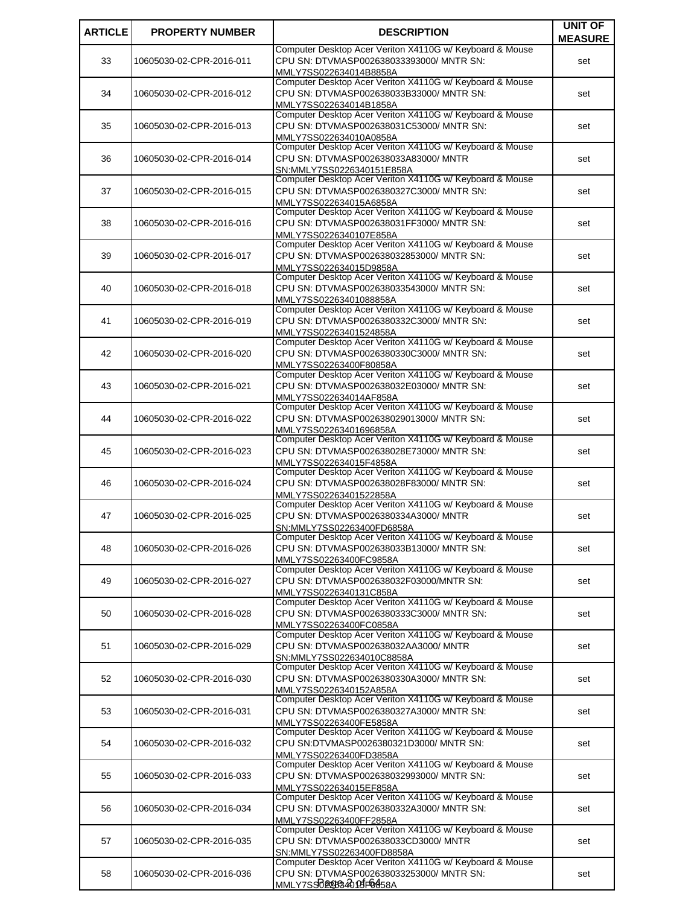| <b>ARTICLE</b> | <b>PROPERTY NUMBER</b>   | <b>DESCRIPTION</b>                                                                                   | <b>UNIT OF</b> |
|----------------|--------------------------|------------------------------------------------------------------------------------------------------|----------------|
|                |                          |                                                                                                      | <b>MEASURE</b> |
| 33             | 10605030-02-CPR-2016-011 | Computer Desktop Acer Veriton X4110G w/ Keyboard & Mouse<br>CPU SN: DTVMASP002638033393000/ MNTR SN: | set            |
|                |                          | MMLY7SS022634014B8858A                                                                               |                |
|                |                          | Computer Desktop Acer Veriton X4110G w/ Keyboard & Mouse                                             |                |
| 34             | 10605030-02-CPR-2016-012 | CPU SN: DTVMASP002638033B33000/ MNTR SN:                                                             | set            |
|                |                          | MMLY7SS022634014B1858A                                                                               |                |
| 35             | 10605030-02-CPR-2016-013 | Computer Desktop Acer Veriton X4110G w/ Keyboard & Mouse<br>CPU SN: DTVMASP002638031C53000/ MNTR SN: | set            |
|                |                          | MMLY7SS022634010A0858A                                                                               |                |
|                |                          | Computer Desktop Acer Veriton X4110G w/ Keyboard & Mouse                                             |                |
| 36             | 10605030-02-CPR-2016-014 | CPU SN: DTVMASP002638033A83000/ MNTR                                                                 | set            |
|                |                          | SN:MMLY7SS0226340151E858A<br>Computer Desktop Acer Veriton X4110G w/ Keyboard & Mouse                |                |
| 37             | 10605030-02-CPR-2016-015 | CPU SN: DTVMASP0026380327C3000/ MNTR SN:                                                             | set            |
|                |                          | MMLY7SS022634015A6858A                                                                               |                |
|                |                          | Computer Desktop Acer Veriton X4110G w/ Keyboard & Mouse                                             |                |
| 38             | 10605030-02-CPR-2016-016 | CPU SN: DTVMASP002638031FF3000/ MNTR SN:                                                             | set            |
|                |                          | MMLY7SS0226340107E858A<br>Computer Desktop Acer Veriton X4110G w/ Keyboard & Mouse                   |                |
| 39             | 10605030-02-CPR-2016-017 | CPU SN: DTVMASP002638032853000/ MNTR SN:                                                             | set            |
|                |                          | MMLY7SS022634015D9858A                                                                               |                |
|                |                          | Computer Desktop Acer Veriton X4110G w/ Keyboard & Mouse                                             |                |
| 40             | 10605030-02-CPR-2016-018 | CPU SN: DTVMASP002638033543000/ MNTR SN:<br>MMLY7SS02263401088858A                                   | set            |
|                |                          | Computer Desktop Acer Veriton X4110G w/ Keyboard & Mouse                                             |                |
| 41             | 10605030-02-CPR-2016-019 | CPU SN: DTVMASP0026380332C3000/ MNTR SN:                                                             | set            |
|                |                          | MMLY7SS02263401524858A                                                                               |                |
| 42             |                          | Computer Desktop Acer Veriton X4110G w/ Keyboard & Mouse<br>CPU SN: DTVMASP0026380330C3000/ MNTR SN: |                |
|                | 10605030-02-CPR-2016-020 | MMLY7SS02263400F80858A                                                                               | set            |
|                |                          | Computer Desktop Acer Veriton X4110G w/ Keyboard & Mouse                                             |                |
| 43             | 10605030-02-CPR-2016-021 | CPU SN: DTVMASP002638032E03000/ MNTR SN:                                                             | set            |
|                |                          | MMLY7SS022634014AF858A<br>Computer Desktop Acer Veriton X4110G w/ Keyboard & Mouse                   |                |
| 44             | 10605030-02-CPR-2016-022 | CPU SN: DTVMASP002638029013000/ MNTR SN:                                                             | set            |
|                |                          | MMLY7SS02263401696858A                                                                               |                |
|                |                          | Computer Desktop Acer Veriton X4110G w/ Keyboard & Mouse                                             |                |
| 45             | 10605030-02-CPR-2016-023 | CPU SN: DTVMASP002638028E73000/ MNTR SN:                                                             | set            |
|                |                          | MMLY7SS022634015F4858A<br>Computer Desktop Acer Veriton X4110G w/ Keyboard & Mouse                   |                |
| 46             | 10605030-02-CPR-2016-024 | CPU SN: DTVMASP002638028F83000/ MNTR SN:                                                             | set            |
|                |                          | MMLY7SS02263401522858A                                                                               |                |
|                |                          | Computer Desktop Acer Veriton X4110G w/ Keyboard & Mouse                                             |                |
| 47             | 10605030-02-CPR-2016-025 | CPU SN: DTVMASP0026380334A3000/ MNTR<br>SN:MMLY7SS02263400FD6858A                                    | set            |
|                |                          | Computer Desktop Acer Veriton X4110G w/ Keyboard & Mouse                                             |                |
| 48             | 10605030-02-CPR-2016-026 | CPU SN: DTVMASP002638033B13000/ MNTR SN:                                                             | set            |
|                |                          | MMLY7SS02263400FC9858A<br>Computer Desktop Acer Veriton X4110G w/ Keyboard & Mouse                   |                |
| 49             | 10605030-02-CPR-2016-027 | CPU SN: DTVMASP002638032F03000/MNTR SN:                                                              | set            |
|                |                          | MMLY7SS0226340131C858A                                                                               |                |
|                |                          | Computer Desktop Acer Veriton X4110G w/ Keyboard & Mouse                                             |                |
| 50             | 10605030-02-CPR-2016-028 | CPU SN: DTVMASP0026380333C3000/ MNTR SN:                                                             | set            |
|                |                          | MMLY7SS02263400FC0858A<br>Computer Desktop Acer Veriton X4110G w/ Keyboard & Mouse                   |                |
| 51             | 10605030-02-CPR-2016-029 | CPU SN: DTVMASP002638032AA3000/ MNTR                                                                 | set            |
|                |                          | SN:MMLY7SS022634010C8858A                                                                            |                |
|                |                          | Computer Desktop Acer Veriton X4110G w/ Keyboard & Mouse<br>CPU SN: DTVMASP0026380330A3000/ MNTR SN: |                |
| 52             | 10605030-02-CPR-2016-030 | MMLY7SS0226340152A858A                                                                               | set            |
|                |                          | Computer Desktop Acer Veriton X4110G w/ Keyboard & Mouse                                             |                |
| 53             | 10605030-02-CPR-2016-031 | CPU SN: DTVMASP0026380327A3000/ MNTR SN:                                                             | set            |
|                |                          | MMLY7SS02263400FE5858A<br>Computer Desktop Acer Veriton X4110G w/ Keyboard & Mouse                   |                |
| 54             | 10605030-02-CPR-2016-032 | CPU SN:DTVMASP0026380321D3000/ MNTR SN:                                                              | set            |
|                |                          | MMLY7SS02263400FD3858A                                                                               |                |
|                |                          | Computer Desktop Acer Veriton X4110G w/ Keyboard & Mouse                                             |                |
| 55             | 10605030-02-CPR-2016-033 | CPU SN: DTVMASP002638032993000/ MNTR SN:                                                             | set            |
|                |                          | MMLY7SS022634015EF858A<br>Computer Desktop Acer Veriton X4110G w/ Keyboard & Mouse                   |                |
| 56             | 10605030-02-CPR-2016-034 | CPU SN: DTVMASP0026380332A3000/ MNTR SN:                                                             | set            |
|                |                          | MMLY7SS02263400FF2858A                                                                               |                |
|                |                          | Computer Desktop Acer Veriton X4110G w/ Keyboard & Mouse                                             |                |
| 57             | 10605030-02-CPR-2016-035 | CPU SN: DTVMASP002638033CD3000/ MNTR<br>SN:MMLY7SS02263400FD8858A                                    | set            |
|                |                          | Computer Desktop Acer Veriton X4110G w/ Keyboard & Mouse                                             |                |
| 58             | 10605030-02-CPR-2016-036 | CPU SN: DTVMASP002638033253000/ MNTR SN:                                                             | set            |
|                |                          | MMLY7SSD220B20 PJF0858A                                                                              |                |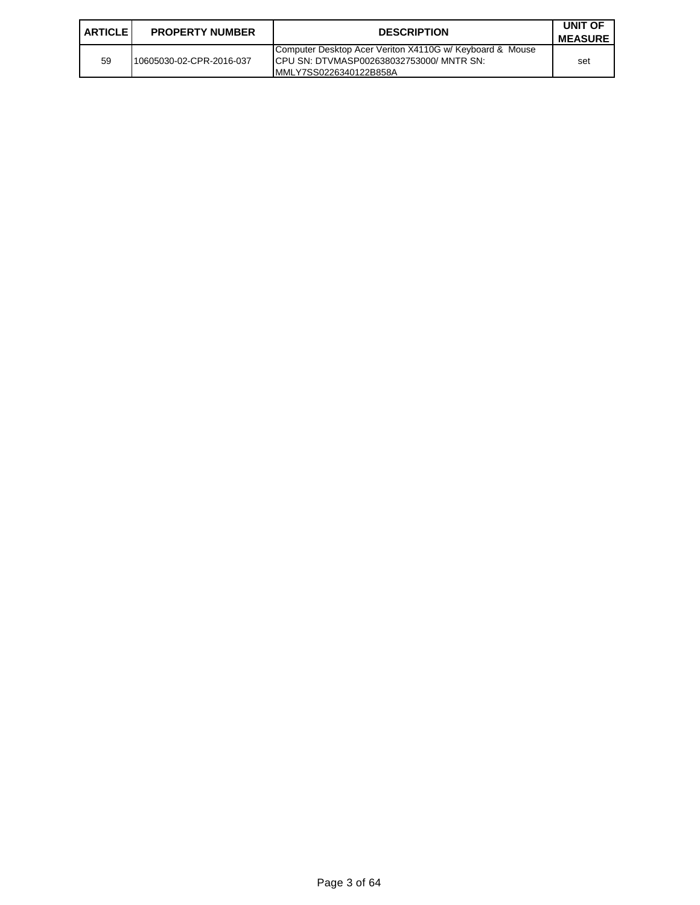| <b>ARTICLE I</b> | <b>PROPERTY NUMBER</b>   | <b>DESCRIPTION</b>                                                                                                              | UNIT OF<br><b>MEASURE</b> |
|------------------|--------------------------|---------------------------------------------------------------------------------------------------------------------------------|---------------------------|
| 59               | 10605030-02-CPR-2016-037 | Computer Desktop Acer Veriton X4110G w/ Keyboard & Mouse<br>ICPU SN: DTVMASP002638032753000/ MNTR SN:<br>MMLY7SS0226340122B858A | set                       |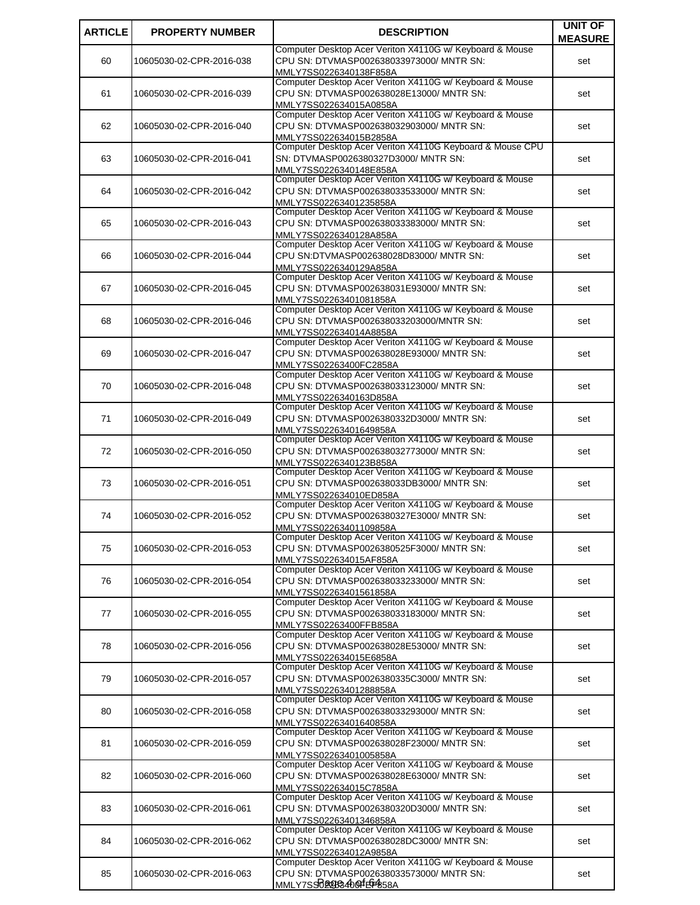| <b>ARTICLE</b> | <b>PROPERTY NUMBER</b>   | <b>DESCRIPTION</b>                                                                                   | <b>UNIT OF</b> |
|----------------|--------------------------|------------------------------------------------------------------------------------------------------|----------------|
|                |                          |                                                                                                      | <b>MEASURE</b> |
| 60             | 10605030-02-CPR-2016-038 | Computer Desktop Acer Veriton X4110G w/ Keyboard & Mouse<br>CPU SN: DTVMASP002638033973000/ MNTR SN: | set            |
|                |                          | MMLY7SS0226340138F858A                                                                               |                |
|                |                          | Computer Desktop Acer Veriton X4110G w/ Keyboard & Mouse                                             |                |
| 61             | 10605030-02-CPR-2016-039 | CPU SN: DTVMASP002638028E13000/ MNTR SN:                                                             | set            |
|                |                          | MMLY7SS022634015A0858A                                                                               |                |
| 62             | 10605030-02-CPR-2016-040 | Computer Desktop Acer Veriton X4110G w/ Keyboard & Mouse<br>CPU SN: DTVMASP002638032903000/ MNTR SN: | set            |
|                |                          | MMLY7SS022634015B2858A                                                                               |                |
|                |                          | Computer Desktop Acer Veriton X4110G Keyboard & Mouse CPU                                            |                |
| 63             | 10605030-02-CPR-2016-041 | SN: DTVMASP0026380327D3000/ MNTR SN:                                                                 | set            |
|                |                          | MMLY7SS0226340148E858A<br>Computer Desktop Acer Veriton X4110G w/ Keyboard & Mouse                   |                |
| 64             | 10605030-02-CPR-2016-042 | CPU SN: DTVMASP002638033533000/ MNTR SN:                                                             | set            |
|                |                          | MMLY7SS02263401235858A                                                                               |                |
|                |                          | Computer Desktop Acer Veriton X4110G w/ Keyboard & Mouse                                             |                |
| 65             | 10605030-02-CPR-2016-043 | CPU SN: DTVMASP002638033383000/ MNTR SN:                                                             | set            |
|                |                          | MMLY7SS0226340128A858A<br>Computer Desktop Acer Veriton X4110G w/ Keyboard & Mouse                   |                |
| 66             | 10605030-02-CPR-2016-044 | CPU SN:DTVMASP002638028D83000/ MNTR SN:                                                              | set            |
|                |                          | MMLY7SS0226340129A858A                                                                               |                |
|                |                          | Computer Desktop Acer Veriton X4110G w/ Keyboard & Mouse                                             |                |
| 67             | 10605030-02-CPR-2016-045 | CPU SN: DTVMASP002638031E93000/ MNTR SN:                                                             | set            |
|                |                          | MMLY7SS02263401081858A<br>Computer Desktop Acer Veriton X4110G w/ Keyboard & Mouse                   |                |
| 68             | 10605030-02-CPR-2016-046 | CPU SN: DTVMASP002638033203000/MNTR SN:                                                              | set            |
|                |                          | MMLY7SS022634014A8858A                                                                               |                |
|                |                          | Computer Desktop Acer Veriton X4110G w/ Keyboard & Mouse                                             |                |
| 69             | 10605030-02-CPR-2016-047 | CPU SN: DTVMASP002638028E93000/ MNTR SN:                                                             | set            |
|                |                          | MMLY7SS02263400FC2858A<br>Computer Desktop Acer Veriton X4110G w/ Keyboard & Mouse                   |                |
| 70             | 10605030-02-CPR-2016-048 | CPU SN: DTVMASP002638033123000/ MNTR SN:                                                             | set            |
|                |                          | MMLY7SS0226340163D858A                                                                               |                |
|                |                          | Computer Desktop Acer Veriton X4110G w/ Keyboard & Mouse                                             |                |
| 71             | 10605030-02-CPR-2016-049 | CPU SN: DTVMASP0026380332D3000/ MNTR SN:<br>MMLY7SS02263401649858A                                   | set            |
|                |                          | Computer Desktop Acer Veriton X4110G w/ Keyboard & Mouse                                             |                |
| 72             | 10605030-02-CPR-2016-050 | CPU SN: DTVMASP002638032773000/ MNTR SN:                                                             | set            |
|                |                          | MMLY7SS0226340123B858A                                                                               |                |
| 73             | 10605030-02-CPR-2016-051 | Computer Desktop Acer Veriton X4110G w/ Keyboard & Mouse<br>CPU SN: DTVMASP002638033DB3000/ MNTR SN: | set            |
|                |                          | MMLY7SS022634010ED858A                                                                               |                |
|                |                          | Computer Desktop Acer Veriton X4110G w/ Keyboard & Mouse                                             |                |
| 74             | 10605030-02-CPR-2016-052 | CPU SN: DTVMASP0026380327E3000/ MNTR SN:                                                             | set            |
|                |                          | MMLY7SS02263401109858A<br>Computer Desktop Acer Veriton X4110G w/ Keyboard & Mouse                   |                |
| 75             | 10605030-02-CPR-2016-053 | CPU SN: DTVMASP0026380525F3000/ MNTR SN:                                                             | set            |
|                |                          | MMLY7SS022634015AF858A                                                                               |                |
|                |                          | Computer Desktop Acer Veriton X4110G w/ Keyboard & Mouse                                             |                |
| 76             | 10605030-02-CPR-2016-054 | CPU SN: DTVMASP002638033233000/ MNTR SN:                                                             | set            |
|                |                          | MMLY7SS02263401561858A<br>Computer Desktop Acer Veriton X4110G w/ Keyboard & Mouse                   |                |
| 77             | 10605030-02-CPR-2016-055 | CPU SN: DTVMASP002638033183000/ MNTR SN:                                                             | set            |
|                |                          | MMLY7SS02263400FFB858A                                                                               |                |
|                |                          | Computer Desktop Acer Veriton X4110G w/ Keyboard & Mouse<br>CPU SN: DTVMASP002638028E53000/ MNTR SN: |                |
| 78             | 10605030-02-CPR-2016-056 | MMLY7SS022634015E6858A                                                                               | set            |
|                |                          | Computer Desktop Acer Veriton X4110G w/ Keyboard & Mouse                                             |                |
| 79             | 10605030-02-CPR-2016-057 | CPU SN: DTVMASP0026380335C3000/ MNTR SN:                                                             | set            |
|                |                          | MMLY7SS02263401288858A                                                                               |                |
| 80             | 10605030-02-CPR-2016-058 | Computer Desktop Acer Veriton X4110G w/ Keyboard & Mouse<br>CPU SN: DTVMASP002638033293000/ MNTR SN: | set            |
|                |                          | MMLY7SS02263401640858A                                                                               |                |
|                |                          | Computer Desktop Acer Veriton X4110G w/ Keyboard & Mouse                                             |                |
| 81             | 10605030-02-CPR-2016-059 | CPU SN: DTVMASP002638028F23000/ MNTR SN:                                                             | set            |
|                |                          | MMLY7SS02263401005858A                                                                               |                |
| 82             | 10605030-02-CPR-2016-060 | Computer Desktop Acer Veriton X4110G w/ Keyboard & Mouse<br>CPU SN: DTVMASP002638028E63000/ MNTR SN: | set            |
|                |                          | MMLY7SS022634015C7858A                                                                               |                |
|                |                          | Computer Desktop Acer Veriton X4110G w/ Keyboard & Mouse                                             |                |
| 83             | 10605030-02-CPR-2016-061 | CPU SN: DTVMASP0026380320D3000/ MNTR SN:                                                             | set            |
|                |                          | MMLY7SS02263401346858A<br>Computer Desktop Acer Veriton X4110G w/ Keyboard & Mouse                   |                |
| 84             | 10605030-02-CPR-2016-062 | CPU SN: DTVMASP002638028DC3000/ MNTR SN:                                                             | set            |
|                |                          | MMLY7SS022634012A9858A                                                                               |                |
|                |                          | Computer Desktop Acer Veriton X4110G w/ Keyboard & Mouse                                             |                |
| 85             | 10605030-02-CPR-2016-063 | CPU SN: DTVMASP002638033573000/ MNTR SN:<br>MMLY7SSD2283400FEF4858A                                  | set            |
|                |                          |                                                                                                      |                |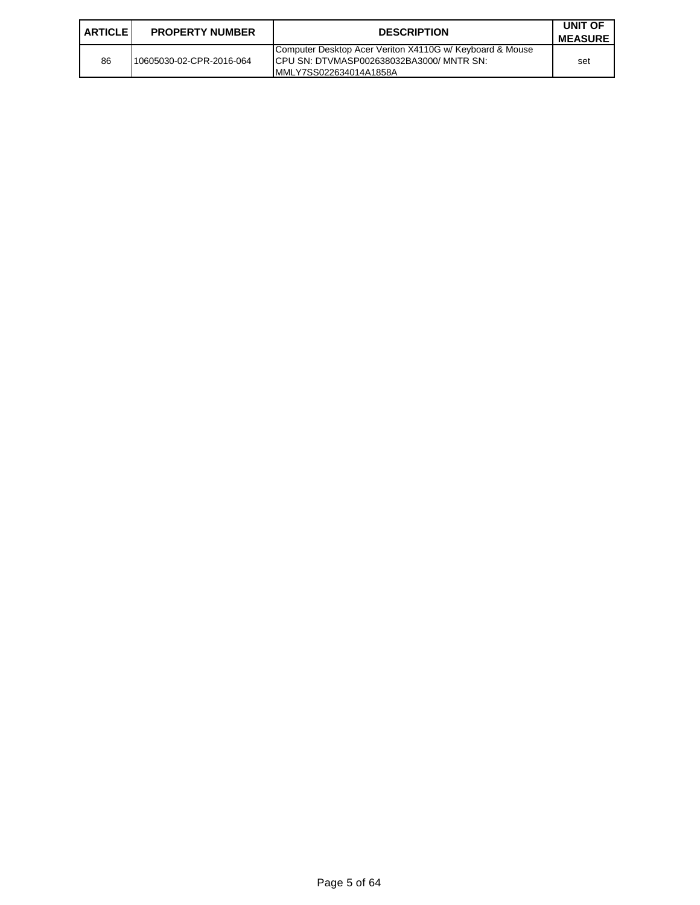| <b>ARTICLE I</b> | <b>PROPERTY NUMBER</b>   | <b>DESCRIPTION</b>                                                                                                               | UNIT OF<br><b>MEASURE</b> |
|------------------|--------------------------|----------------------------------------------------------------------------------------------------------------------------------|---------------------------|
| 86               | 10605030-02-CPR-2016-064 | Computer Desktop Acer Veriton X4110G w/ Keyboard & Mouse<br>ICPU SN: DTVMASP002638032BA3000/ MNTR SN:<br>IMMLY7SS022634014A1858A | set                       |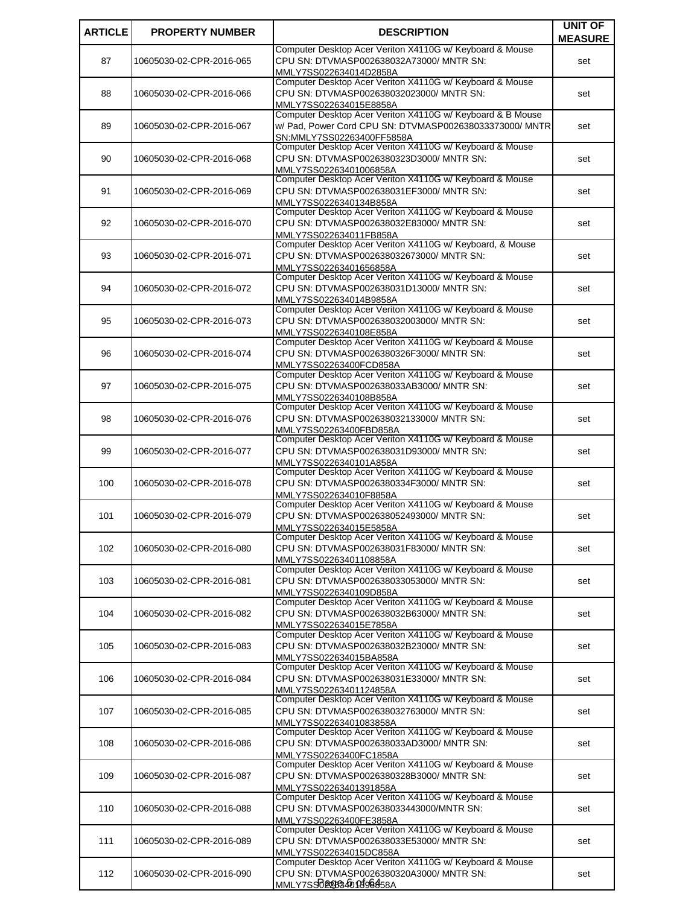| <b>ARTICLE</b> | <b>PROPERTY NUMBER</b>   | <b>DESCRIPTION</b>                                                                                   | <b>UNIT OF</b> |
|----------------|--------------------------|------------------------------------------------------------------------------------------------------|----------------|
|                |                          |                                                                                                      | <b>MEASURE</b> |
| 87             | 10605030-02-CPR-2016-065 | Computer Desktop Acer Veriton X4110G w/ Keyboard & Mouse<br>CPU SN: DTVMASP002638032A73000/ MNTR SN: | set            |
|                |                          | MMLY7SS022634014D2858A                                                                               |                |
|                |                          | Computer Desktop Acer Veriton X4110G w/ Keyboard & Mouse                                             |                |
| 88             | 10605030-02-CPR-2016-066 | CPU SN: DTVMASP002638032023000/ MNTR SN:                                                             | set            |
|                |                          | MMLY7SS022634015E8858A<br>Computer Desktop Acer Veriton X4110G w/ Keyboard & B Mouse                 |                |
| 89             | 10605030-02-CPR-2016-067 | w/ Pad, Power Cord CPU SN: DTVMASP002638033373000/ MNTR                                              | set            |
|                |                          | SN:MMLY7SS02263400FF5858A                                                                            |                |
|                |                          | Computer Desktop Acer Veriton X4110G w/ Keyboard & Mouse                                             |                |
| 90             | 10605030-02-CPR-2016-068 | CPU SN: DTVMASP0026380323D3000/ MNTR SN:                                                             | set            |
|                |                          | MMLY7SS02263401006858A<br>Computer Desktop Acer Veriton X4110G w/ Keyboard & Mouse                   |                |
| 91             | 10605030-02-CPR-2016-069 | CPU SN: DTVMASP002638031EF3000/ MNTR SN:                                                             | set            |
|                |                          | MMLY7SS0226340134B858A                                                                               |                |
|                |                          | Computer Desktop Acer Veriton X4110G w/ Keyboard & Mouse                                             |                |
| 92             | 10605030-02-CPR-2016-070 | CPU SN: DTVMASP002638032E83000/ MNTR SN:                                                             | set            |
|                |                          | MMLY7SS022634011FB858A<br>Computer Desktop Acer Veriton X4110G w/ Keyboard, & Mouse                  |                |
| 93             | 10605030-02-CPR-2016-071 | CPU SN: DTVMASP002638032673000/ MNTR SN:                                                             | set            |
|                |                          | MMLY7SS02263401656858A                                                                               |                |
|                |                          | Computer Desktop Acer Veriton X4110G w/ Keyboard & Mouse                                             |                |
| 94             | 10605030-02-CPR-2016-072 | CPU SN: DTVMASP002638031D13000/ MNTR SN:<br>MMLY7SS022634014B9858A                                   | set            |
|                |                          | Computer Desktop Acer Veriton X4110G w/ Keyboard & Mouse                                             |                |
| 95             | 10605030-02-CPR-2016-073 | CPU SN: DTVMASP002638032003000/ MNTR SN:                                                             | set            |
|                |                          | MMLY7SS0226340108E858A                                                                               |                |
| 96             |                          | Computer Desktop Acer Veriton X4110G w/ Keyboard & Mouse<br>CPU SN: DTVMASP0026380326F3000/ MNTR SN: |                |
|                | 10605030-02-CPR-2016-074 | MMLY7SS02263400FCD858A                                                                               | set            |
|                |                          | Computer Desktop Acer Veriton X4110G w/ Keyboard & Mouse                                             |                |
| 97             | 10605030-02-CPR-2016-075 | CPU SN: DTVMASP002638033AB3000/ MNTR SN:                                                             | set            |
|                |                          | MMLY7SS0226340108B858A<br>Computer Desktop Acer Veriton X4110G w/ Keyboard & Mouse                   |                |
| 98             | 10605030-02-CPR-2016-076 | CPU SN: DTVMASP002638032133000/ MNTR SN:                                                             | set            |
|                |                          | MMLY7SS02263400FBD858A                                                                               |                |
|                |                          | Computer Desktop Acer Veriton X4110G w/ Keyboard & Mouse                                             |                |
| 99             | 10605030-02-CPR-2016-077 | CPU SN: DTVMASP002638031D93000/ MNTR SN:                                                             | set            |
|                |                          | MMLY7SS0226340101A858A<br>Computer Desktop Acer Veriton X4110G w/ Keyboard & Mouse                   |                |
| 100            | 10605030-02-CPR-2016-078 | CPU SN: DTVMASP0026380334F3000/ MNTR SN:                                                             | set            |
|                |                          | MMLY7SS022634010F8858A                                                                               |                |
|                |                          | Computer Desktop Acer Veriton X4110G w/ Keyboard & Mouse                                             |                |
| 101            | 10605030-02-CPR-2016-079 | CPU SN: DTVMASP002638052493000/ MNTR SN:<br>MMLY7SS022634015E5858A                                   | set            |
|                |                          | Computer Desktop Acer Veriton X4110G w/ Keyboard & Mouse                                             |                |
| 102            | 10605030-02-CPR-2016-080 | CPU SN: DTVMASP002638031F83000/ MNTR SN:                                                             | set            |
|                |                          | MMLY7SS02263401108858A                                                                               |                |
|                |                          | Computer Desktop Acer Veriton X4110G w/ Keyboard & Mouse<br>CPU SN: DTVMASP002638033053000/ MNTR SN: |                |
| 103            | 10605030-02-CPR-2016-081 | MMLY7SS0226340109D858A                                                                               | set            |
|                |                          | Computer Desktop Acer Veriton X4110G w/ Keyboard & Mouse                                             |                |
| 104            | 10605030-02-CPR-2016-082 | CPU SN: DTVMASP002638032B63000/ MNTR SN:                                                             | set            |
|                |                          | MMLY7SS022634015E7858A<br>Computer Desktop Acer Veriton X4110G w/ Keyboard & Mouse                   |                |
| 105            | 10605030-02-CPR-2016-083 | CPU SN: DTVMASP002638032B23000/ MNTR SN:                                                             | set            |
|                |                          | MMLY7SS022634015BA858A                                                                               |                |
|                |                          | Computer Desktop Acer Veriton X4110G w/ Keyboard & Mouse                                             |                |
| 106            | 10605030-02-CPR-2016-084 | CPU SN: DTVMASP002638031E33000/ MNTR SN:                                                             | set            |
|                |                          | MMLY7SS02263401124858A<br>Computer Desktop Acer Veriton X4110G w/ Keyboard & Mouse                   |                |
| 107            | 10605030-02-CPR-2016-085 | CPU SN: DTVMASP002638032763000/ MNTR SN:                                                             | set            |
|                |                          | MMLY7SS02263401083858A                                                                               |                |
|                |                          | Computer Desktop Acer Veriton X4110G w/ Keyboard & Mouse                                             |                |
| 108            | 10605030-02-CPR-2016-086 | CPU SN: DTVMASP002638033AD3000/ MNTR SN:                                                             | set            |
|                |                          | MMLY7SS02263400FC1858A<br>Computer Desktop Acer Veriton X4110G w/ Keyboard & Mouse                   |                |
| 109            | 10605030-02-CPR-2016-087 | CPU SN: DTVMASP0026380328B3000/ MNTR SN:                                                             | set            |
|                |                          | MMLY7SS02263401391858A                                                                               |                |
|                |                          | Computer Desktop Acer Veriton X4110G w/ Keyboard & Mouse                                             |                |
| 110            | 10605030-02-CPR-2016-088 | CPU SN: DTVMASP002638033443000/MNTR SN:<br>MMLY7SS02263400FE3858A                                    | set            |
|                |                          | Computer Desktop Acer Veriton X4110G w/ Keyboard & Mouse                                             |                |
| 111            | 10605030-02-CPR-2016-089 | CPU SN: DTVMASP002638033E53000/ MNTR SN:                                                             | set            |
|                |                          | MMLY7SS022634015DC858A<br>Computer Desktop Acer Veriton X4110G w/ Keyboard & Mouse                   |                |
| 112            | 10605030-02-CPR-2016-090 | CPU SN: DTVMASP0026380320A3000/ MNTR SN:                                                             | set            |
|                |                          | MMLY7SSTO20BG40P598458A                                                                              |                |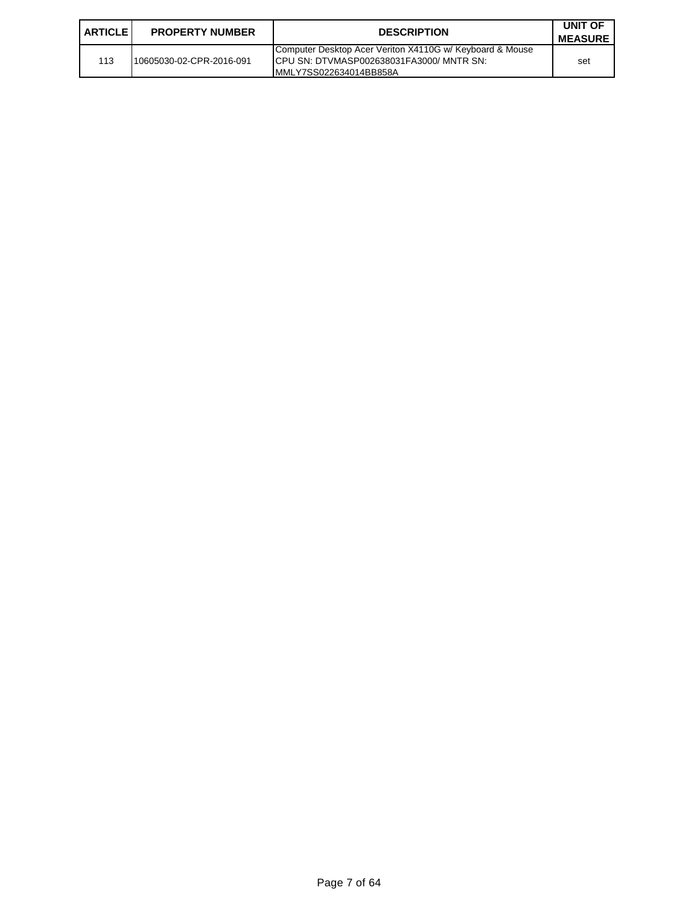| <b>ARTICLE I</b> | <b>PROPERTY NUMBER</b>   | <b>DESCRIPTION</b>                                                                                                               | UNIT OF<br><b>MEASURE</b> |
|------------------|--------------------------|----------------------------------------------------------------------------------------------------------------------------------|---------------------------|
| 113              | 10605030-02-CPR-2016-091 | Computer Desktop Acer Veriton X4110G w/ Keyboard & Mouse<br>ICPU SN: DTVMASP002638031FA3000/ MNTR SN:<br>IMMLY7SS022634014BB858A | set                       |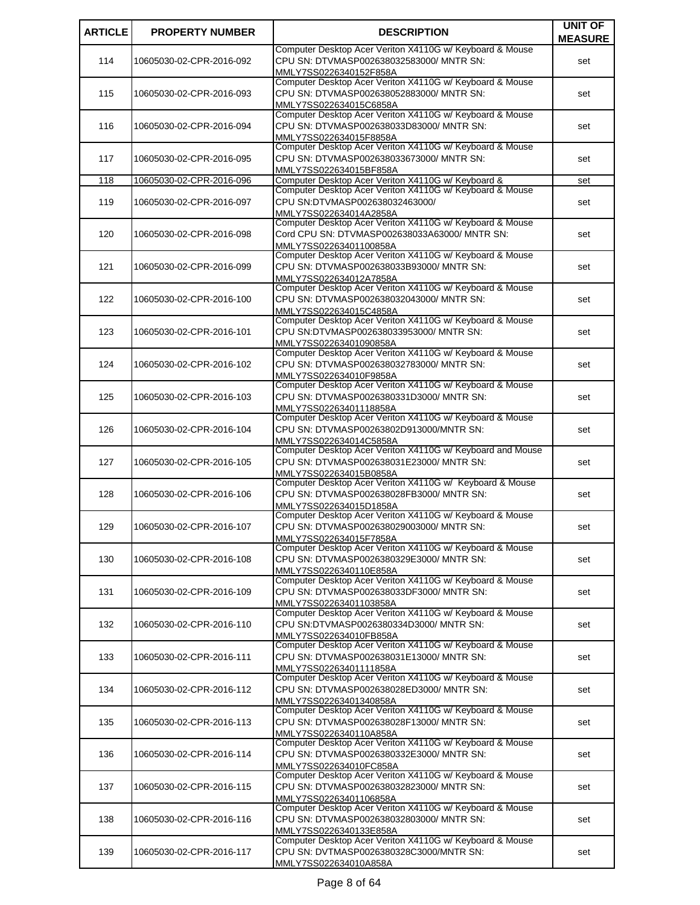| <b>ARTICLE</b> | <b>PROPERTY NUMBER</b>   | <b>DESCRIPTION</b>                                                                                                                  | <b>UNIT OF</b> |
|----------------|--------------------------|-------------------------------------------------------------------------------------------------------------------------------------|----------------|
|                |                          |                                                                                                                                     | <b>MEASURE</b> |
| 114            | 10605030-02-CPR-2016-092 | Computer Desktop Acer Veriton X4110G w/ Keyboard & Mouse<br>CPU SN: DTVMASP002638032583000/ MNTR SN:<br>MMLY7SS0226340152F858A      | set            |
| 115            | 10605030-02-CPR-2016-093 | Computer Desktop Acer Veriton X4110G w/ Keyboard & Mouse<br>CPU SN: DTVMASP002638052883000/ MNTR SN:<br>MMLY7SS022634015C6858A      | set            |
| 116            | 10605030-02-CPR-2016-094 | Computer Desktop Acer Veriton X4110G w/ Keyboard & Mouse<br>CPU SN: DTVMASP002638033D83000/ MNTR SN:<br>MMLY7SS022634015F8858A      | set            |
| 117            | 10605030-02-CPR-2016-095 | Computer Desktop Acer Veriton X4110G w/ Keyboard & Mouse<br>CPU SN: DTVMASP002638033673000/ MNTR SN:<br>MMLY7SS022634015BF858A      | set            |
| 118            | 10605030-02-CPR-2016-096 | Computer Desktop Acer Veriton X4110G w/ Keyboard &                                                                                  | set            |
| 119            | 10605030-02-CPR-2016-097 | Computer Desktop Acer Veriton X4110G w/ Keyboard & Mouse<br>CPU SN:DTVMASP002638032463000/<br>MMLY7SS022634014A2858A                | set            |
| 120            | 10605030-02-CPR-2016-098 | Computer Desktop Acer Veriton X4110G w/ Keyboard & Mouse<br>Cord CPU SN: DTVMASP002638033A63000/ MNTR SN:<br>MMLY7SS02263401100858A | set            |
| 121            | 10605030-02-CPR-2016-099 | Computer Desktop Acer Veriton X4110G w/ Keyboard & Mouse<br>CPU SN: DTVMASP002638033B93000/ MNTR SN:<br>MMLY7SS022634012A7858A      | set            |
| 122            | 10605030-02-CPR-2016-100 | Computer Desktop Acer Veriton X4110G w/ Keyboard & Mouse<br>CPU SN: DTVMASP002638032043000/ MNTR SN:<br>MMLY7SS022634015C4858A      | set            |
| 123            | 10605030-02-CPR-2016-101 | Computer Desktop Acer Veriton X4110G w/ Keyboard & Mouse<br>CPU SN:DTVMASP002638033953000/ MNTR SN:<br>MMLY7SS02263401090858A       | set            |
| 124            | 10605030-02-CPR-2016-102 | Computer Desktop Acer Veriton X4110G w/ Keyboard & Mouse<br>CPU SN: DTVMASP002638032783000/ MNTR SN:<br>MMLY7SS022634010F9858A      | set            |
| 125            | 10605030-02-CPR-2016-103 | Computer Desktop Acer Veriton X4110G w/ Keyboard & Mouse<br>CPU SN: DTVMASP0026380331D3000/ MNTR SN:<br>MMLY7SS02263401118858A      | set            |
| 126            | 10605030-02-CPR-2016-104 | Computer Desktop Acer Veriton X4110G w/ Keyboard & Mouse<br>CPU SN: DTVMASP00263802D913000/MNTR SN:<br>MMLY7SS022634014C5858A       | set            |
| 127            | 10605030-02-CPR-2016-105 | Computer Desktop Acer Veriton X4110G w/ Keyboard and Mouse<br>CPU SN: DTVMASP002638031E23000/ MNTR SN:<br>MMLY7SS022634015B0858A    | set            |
| 128            | 10605030-02-CPR-2016-106 | Computer Desktop Acer Veriton X4110G w/ Keyboard & Mouse<br>CPU SN: DTVMASP002638028FB3000/ MNTR SN:<br>MMLY7SS022634015D1858A      | set            |
| 129            | 10605030-02-CPR-2016-107 | Computer Desktop Acer Veriton X4110G w/ Keyboard & Mouse<br>CPU SN: DTVMASP002638029003000/ MNTR SN:<br>MMLY7SS022634015F7858A      | set            |
| 130            | 10605030-02-CPR-2016-108 | Computer Desktop Acer Veriton X4110G w/ Keyboard & Mouse<br>CPU SN: DTVMASP0026380329E3000/ MNTR SN:<br>MMLY7SS0226340110E858A      | set            |
| 131            | 10605030-02-CPR-2016-109 | Computer Desktop Acer Veriton X4110G w/ Keyboard & Mouse<br>CPU SN: DTVMASP002638033DF3000/ MNTR SN:<br>MMLY7SS02263401103858A      | set            |
| 132            | 10605030-02-CPR-2016-110 | Computer Desktop Acer Veriton X4110G w/ Keyboard & Mouse<br>CPU SN:DTVMASP0026380334D3000/ MNTR SN:<br>MMLY7SS022634010FB858A       | set            |
| 133            | 10605030-02-CPR-2016-111 | Computer Desktop Acer Veriton X4110G w/ Keyboard & Mouse<br>CPU SN: DTVMASP002638031E13000/ MNTR SN:<br>MMLY7SS02263401111858A      | set            |
| 134            | 10605030-02-CPR-2016-112 | Computer Desktop Acer Veriton X4110G w/ Keyboard & Mouse<br>CPU SN: DTVMASP002638028ED3000/ MNTR SN:<br>MMLY7SS02263401340858A      | set            |
| 135            | 10605030-02-CPR-2016-113 | Computer Desktop Acer Veriton X4110G w/ Keyboard & Mouse<br>CPU SN: DTVMASP002638028F13000/ MNTR SN:<br>MMLY7SS0226340110A858A      | set            |
| 136            | 10605030-02-CPR-2016-114 | Computer Desktop Acer Veriton X4110G w/ Keyboard & Mouse<br>CPU SN: DTVMASP0026380332E3000/ MNTR SN:<br>MMLY7SS022634010FC858A      | set            |
| 137            | 10605030-02-CPR-2016-115 | Computer Desktop Acer Veriton X4110G w/ Keyboard & Mouse<br>CPU SN: DTVMASP002638032823000/ MNTR SN:<br>MMLY7SS02263401106858A      | set            |
| 138            | 10605030-02-CPR-2016-116 | Computer Desktop Acer Veriton X4110G w/ Keyboard & Mouse<br>CPU SN: DTVMASP002638032803000/ MNTR SN:<br>MMLY7SS0226340133E858A      | set            |
| 139            | 10605030-02-CPR-2016-117 | Computer Desktop Acer Veriton X4110G w/ Keyboard & Mouse<br>CPU SN: DVTMASP0026380328C3000/MNTR SN:<br>MMLY7SS022634010A858A        | set            |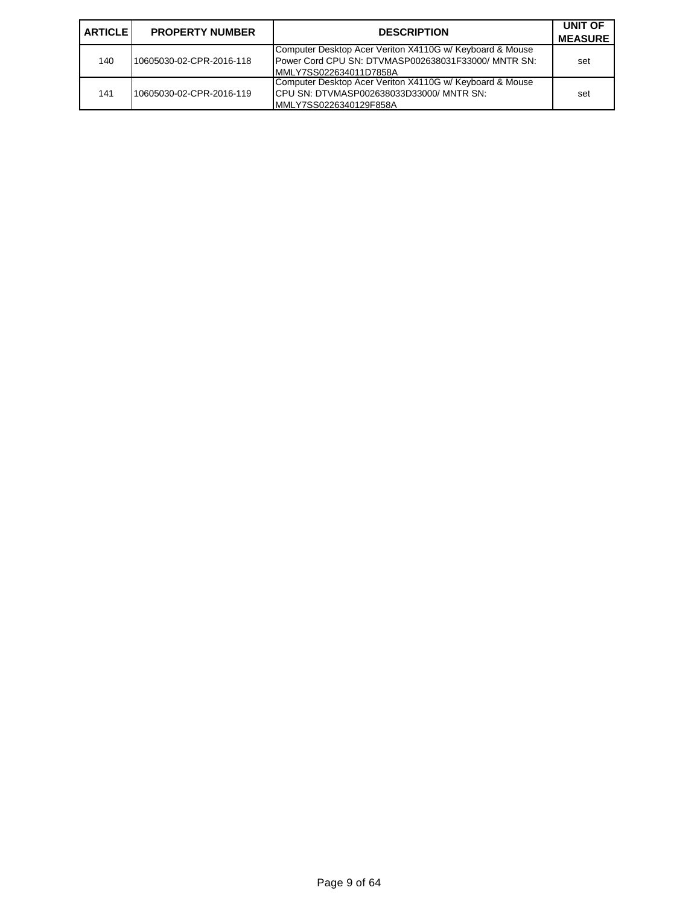| I ARTICLE I | <b>PROPERTY NUMBER</b>   | <b>DESCRIPTION</b>                                                                                                                        | UNIT OF<br><b>MEASURE</b> |
|-------------|--------------------------|-------------------------------------------------------------------------------------------------------------------------------------------|---------------------------|
| 140         | 10605030-02-CPR-2016-118 | Computer Desktop Acer Veriton X4110G w/ Keyboard & Mouse<br>Power Cord CPU SN: DTVMASP002638031F33000/ MNTR SN:<br>MMLY7SS022634011D7858A | set                       |
| 141         | 10605030-02-CPR-2016-119 | Computer Desktop Acer Veriton X4110G w/ Keyboard & Mouse<br>ICPU SN: DTVMASP002638033D33000/MNTR SN:<br>MMLY7SS0226340129F858A            | set                       |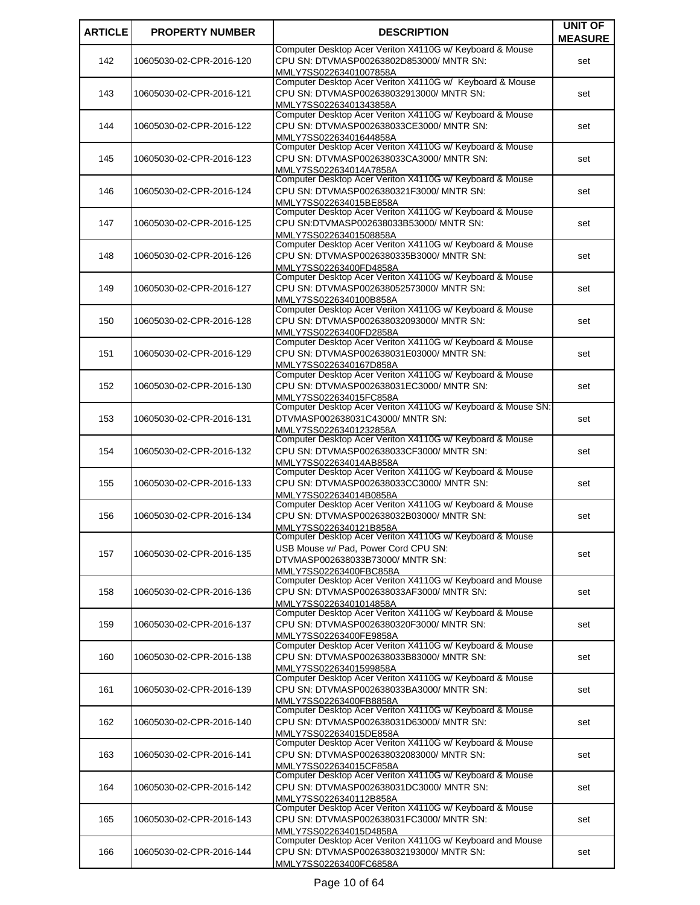| <b>ARTICLE</b> | <b>PROPERTY NUMBER</b>   | <b>DESCRIPTION</b>                                                                                   | <b>UNIT OF</b> |
|----------------|--------------------------|------------------------------------------------------------------------------------------------------|----------------|
|                |                          | Computer Desktop Acer Veriton X4110G w/ Keyboard & Mouse                                             | <b>MEASURE</b> |
| 142            | 10605030-02-CPR-2016-120 | CPU SN: DTVMASP00263802D853000/ MNTR SN:                                                             | set            |
|                |                          | MMLY7SS02263401007858A                                                                               |                |
|                |                          | Computer Desktop Acer Veriton X4110G w/ Keyboard & Mouse                                             |                |
| 143            | 10605030-02-CPR-2016-121 | CPU SN: DTVMASP002638032913000/ MNTR SN:                                                             | set            |
|                |                          | MMLY7SS02263401343858A<br>Computer Desktop Acer Veriton X4110G w/ Keyboard & Mouse                   |                |
| 144            | 10605030-02-CPR-2016-122 | CPU SN: DTVMASP002638033CE3000/ MNTR SN:                                                             | set            |
|                |                          | MMLY7SS02263401644858A                                                                               |                |
|                |                          | Computer Desktop Acer Veriton X4110G w/ Keyboard & Mouse                                             |                |
| 145            | 10605030-02-CPR-2016-123 | CPU SN: DTVMASP002638033CA3000/ MNTR SN:                                                             | set            |
|                |                          | MMLY7SS022634014A7858A<br>Computer Desktop Acer Veriton X4110G w/ Keyboard & Mouse                   |                |
| 146            | 10605030-02-CPR-2016-124 | CPU SN: DTVMASP0026380321F3000/ MNTR SN:                                                             | set            |
|                |                          | MMLY7SS022634015BE858A                                                                               |                |
|                |                          | Computer Desktop Acer Veriton X4110G w/ Keyboard & Mouse                                             |                |
| 147            | 10605030-02-CPR-2016-125 | CPU SN:DTVMASP002638033B53000/ MNTR SN:                                                              | set            |
|                |                          | MMLY7SS02263401508858A<br>Computer Desktop Acer Veriton X4110G w/ Keyboard & Mouse                   |                |
| 148            | 10605030-02-CPR-2016-126 | CPU SN: DTVMASP0026380335B3000/ MNTR SN:                                                             | set            |
|                |                          | MMLY7SS02263400FD4858A                                                                               |                |
|                |                          | Computer Desktop Acer Veriton X4110G w/ Keyboard & Mouse                                             |                |
| 149            | 10605030-02-CPR-2016-127 | CPU SN: DTVMASP002638052573000/ MNTR SN:                                                             | set            |
|                |                          | MMLY7SS0226340100B858A<br>Computer Desktop Acer Veriton X4110G w/ Keyboard & Mouse                   |                |
| 150            | 10605030-02-CPR-2016-128 | CPU SN: DTVMASP002638032093000/ MNTR SN:                                                             | set            |
|                |                          | MMLY7SS02263400FD2858A                                                                               |                |
|                |                          | Computer Desktop Acer Veriton X4110G w/ Keyboard & Mouse                                             |                |
| 151            | 10605030-02-CPR-2016-129 | CPU SN: DTVMASP002638031E03000/ MNTR SN:                                                             | set            |
|                |                          | MMLY7SS0226340167D858A                                                                               |                |
| 152            | 10605030-02-CPR-2016-130 | Computer Desktop Acer Veriton X4110G w/ Keyboard & Mouse<br>CPU SN: DTVMASP002638031EC3000/ MNTR SN: | set            |
|                |                          | MMLY7SS022634015FC858A                                                                               |                |
|                |                          | Computer Desktop Acer Veriton X4110G w/ Keyboard & Mouse SN:                                         |                |
| 153            | 10605030-02-CPR-2016-131 | DTVMASP002638031C43000/ MNTR SN:                                                                     | set            |
|                |                          | MMLY7SS02263401232858A                                                                               |                |
| 154            | 10605030-02-CPR-2016-132 | Computer Desktop Acer Veriton X4110G w/ Keyboard & Mouse<br>CPU SN: DTVMASP002638033CF3000/ MNTR SN: | set            |
|                |                          | MMLY7SS022634014AB858A                                                                               |                |
|                |                          | Computer Desktop Acer Veriton X4110G w/ Keyboard & Mouse                                             |                |
| 155            | 10605030-02-CPR-2016-133 | CPU SN: DTVMASP002638033CC3000/ MNTR SN:                                                             | set            |
|                |                          | MMLY7SS022634014B0858A                                                                               |                |
| 156            | 10605030-02-CPR-2016-134 | Computer Desktop Acer Veriton X4110G w/ Keyboard & Mouse<br>CPU SN: DTVMASP002638032B03000/ MNTR SN: |                |
|                |                          | MMLY7SS0226340121B858A                                                                               | set            |
|                |                          | Computer Desktop Acer Veriton X4110G w/ Keyboard & Mouse                                             |                |
| 157            | 10605030-02-CPR-2016-135 | USB Mouse w/ Pad, Power Cord CPU SN:                                                                 | set            |
|                |                          | DTVMASP002638033B73000/ MNTR SN:                                                                     |                |
|                |                          | MMLY7SS02263400FBC858A<br>Computer Desktop Acer Veriton X4110G w/ Keyboard and Mouse                 |                |
| 158            | 10605030-02-CPR-2016-136 | CPU SN: DTVMASP002638033AF3000/ MNTR SN:                                                             | set            |
|                |                          | MMLY7SS02263401014858A                                                                               |                |
|                |                          | Computer Desktop Acer Veriton X4110G w/ Keyboard & Mouse                                             |                |
| 159            | 10605030-02-CPR-2016-137 | CPU SN: DTVMASP0026380320F3000/ MNTR SN:                                                             | set            |
|                |                          | MMLY7SS02263400FE9858A<br>Computer Desktop Acer Veriton X4110G w/ Keyboard & Mouse                   |                |
| 160            | 10605030-02-CPR-2016-138 | CPU SN: DTVMASP002638033B83000/ MNTR SN:                                                             | set            |
|                |                          | MMLY7SS02263401599858A                                                                               |                |
|                |                          | Computer Desktop Acer Veriton X4110G w/ Keyboard & Mouse                                             |                |
| 161            | 10605030-02-CPR-2016-139 | CPU SN: DTVMASP002638033BA3000/ MNTR SN:                                                             | set            |
|                |                          | MMLY7SS02263400FB8858A<br>Computer Desktop Acer Veriton X4110G w/ Keyboard & Mouse                   |                |
| 162            | 10605030-02-CPR-2016-140 | CPU SN: DTVMASP002638031D63000/ MNTR SN:                                                             | set            |
|                |                          | MMLY7SS022634015DE858A                                                                               |                |
|                |                          | Computer Desktop Acer Veriton X4110G w/ Keyboard & Mouse                                             |                |
| 163            | 10605030-02-CPR-2016-141 | CPU SN: DTVMASP002638032083000/ MNTR SN:                                                             | set            |
|                |                          | MMLY7SS022634015CF858A<br>Computer Desktop Acer Veriton X4110G w/ Keyboard & Mouse                   |                |
| 164            | 10605030-02-CPR-2016-142 | CPU SN: DTVMASP002638031DC3000/ MNTR SN:                                                             | set            |
|                |                          | MMLY7SS0226340112B858A                                                                               |                |
|                |                          | Computer Desktop Acer Veriton X4110G w/ Keyboard & Mouse                                             |                |
| 165            | 10605030-02-CPR-2016-143 | CPU SN: DTVMASP002638031FC3000/ MNTR SN:                                                             | set            |
|                |                          | MMLY7SS022634015D4858A<br>Computer Desktop Acer Veriton X4110G w/ Keyboard and Mouse                 |                |
| 166            | 10605030-02-CPR-2016-144 | CPU SN: DTVMASP002638032193000/ MNTR SN:                                                             | set            |
|                |                          | MMLY7SS02263400FC6858A                                                                               |                |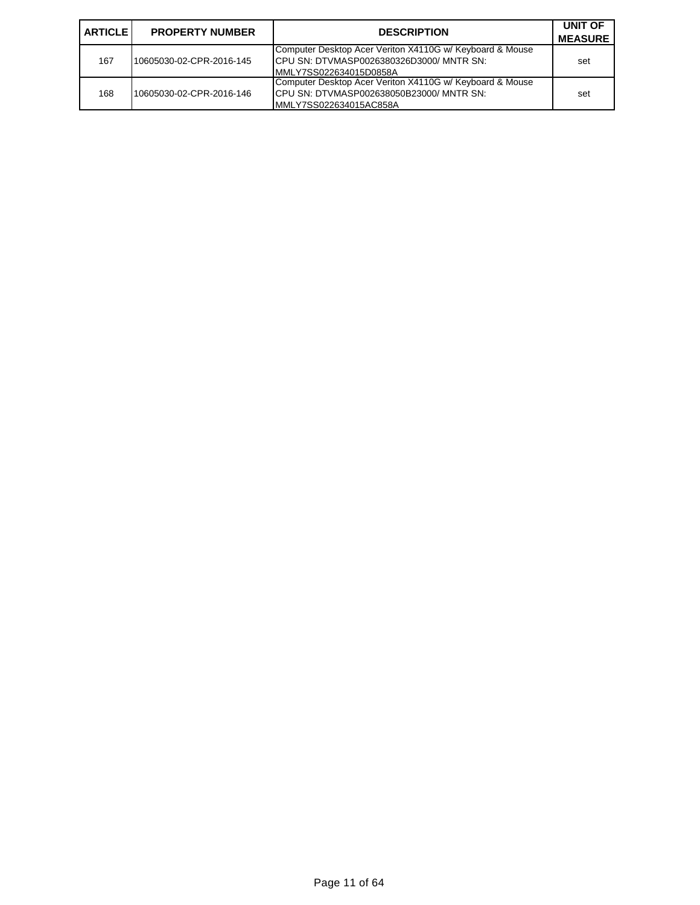| I ARTICLE I | <b>PROPERTY NUMBER</b>   | <b>DESCRIPTION</b>                                                                                                             | UNIT OF<br><b>MEASURE</b> |
|-------------|--------------------------|--------------------------------------------------------------------------------------------------------------------------------|---------------------------|
| 167         | 10605030-02-CPR-2016-145 | Computer Desktop Acer Veriton X4110G w/ Keyboard & Mouse<br>ICPU SN: DTVMASP0026380326D3000/MNTR SN:<br>MMLY7SS022634015D0858A | set                       |
| 168         | 10605030-02-CPR-2016-146 | Computer Desktop Acer Veriton X4110G w/ Keyboard & Mouse<br>ICPU SN: DTVMASP002638050B23000/MNTR SN:<br>MMLY7SS022634015AC858A | set                       |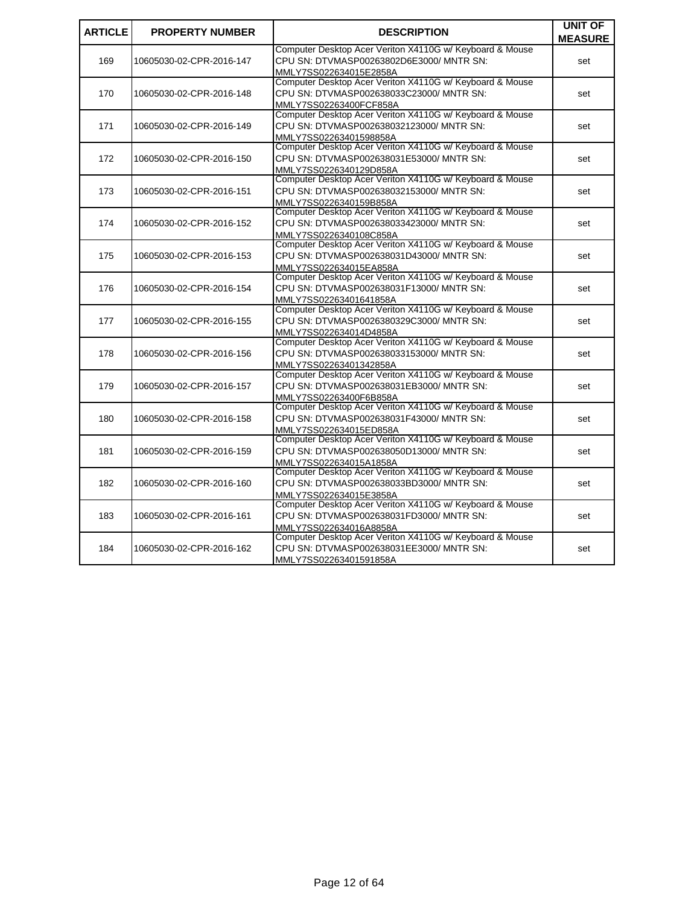| <b>ARTICLE</b> |                          |                                                          | UNIT OF        |
|----------------|--------------------------|----------------------------------------------------------|----------------|
|                | <b>PROPERTY NUMBER</b>   | <b>DESCRIPTION</b>                                       | <b>MEASURE</b> |
|                |                          | Computer Desktop Acer Veriton X4110G w/ Keyboard & Mouse |                |
| 169            | 10605030-02-CPR-2016-147 | CPU SN: DTVMASP00263802D6E3000/ MNTR SN:                 | set            |
|                |                          | MMLY7SS022634015E2858A                                   |                |
|                |                          | Computer Desktop Acer Veriton X4110G w/ Keyboard & Mouse |                |
| 170            | 10605030-02-CPR-2016-148 | CPU SN: DTVMASP002638033C23000/ MNTR SN:                 | set            |
|                |                          | MMLY7SS02263400FCF858A                                   |                |
|                |                          | Computer Desktop Acer Veriton X4110G w/ Keyboard & Mouse |                |
| 171            | 10605030-02-CPR-2016-149 | CPU SN: DTVMASP002638032123000/ MNTR SN:                 | set            |
|                |                          | MMLY7SS02263401598858A                                   |                |
|                |                          | Computer Desktop Acer Veriton X4110G w/ Keyboard & Mouse |                |
| 172            | 10605030-02-CPR-2016-150 | CPU SN: DTVMASP002638031E53000/ MNTR SN:                 | set            |
|                |                          | MMLY7SS0226340129D858A                                   |                |
|                |                          | Computer Desktop Acer Veriton X4110G w/ Keyboard & Mouse |                |
| 173            | 10605030-02-CPR-2016-151 | CPU SN: DTVMASP002638032153000/ MNTR SN:                 | set            |
|                |                          | MMLY7SS0226340159B858A                                   |                |
|                |                          | Computer Desktop Acer Veriton X4110G w/ Keyboard & Mouse |                |
| 174            | 10605030-02-CPR-2016-152 | CPU SN: DTVMASP002638033423000/ MNTR SN:                 | set            |
|                |                          | MMLY7SS0226340108C858A                                   |                |
|                |                          | Computer Desktop Acer Veriton X4110G w/ Keyboard & Mouse |                |
| 175            | 10605030-02-CPR-2016-153 | CPU SN: DTVMASP002638031D43000/ MNTR SN:                 | set            |
|                |                          | MMLY7SS022634015EA858A                                   |                |
|                |                          | Computer Desktop Acer Veriton X4110G w/ Keyboard & Mouse |                |
| 176            | 10605030-02-CPR-2016-154 | CPU SN: DTVMASP002638031F13000/ MNTR SN:                 | set            |
|                |                          | MMLY7SS02263401641858A                                   |                |
|                |                          | Computer Desktop Acer Veriton X4110G w/ Keyboard & Mouse |                |
| 177            | 10605030-02-CPR-2016-155 | CPU SN: DTVMASP0026380329C3000/ MNTR SN:                 | set            |
|                |                          | MMLY7SS022634014D4858A                                   |                |
|                |                          | Computer Desktop Acer Veriton X4110G w/ Keyboard & Mouse |                |
| 178            | 10605030-02-CPR-2016-156 | CPU SN: DTVMASP002638033153000/ MNTR SN:                 | set            |
|                |                          | MMLY7SS02263401342858A                                   |                |
|                |                          | Computer Desktop Acer Veriton X4110G w/ Keyboard & Mouse |                |
| 179            | 10605030-02-CPR-2016-157 | CPU SN: DTVMASP002638031EB3000/ MNTR SN:                 | set            |
|                |                          | MMLY7SS02263400F6B858A                                   |                |
|                |                          | Computer Desktop Acer Veriton X4110G w/ Keyboard & Mouse |                |
| 180            | 10605030-02-CPR-2016-158 | CPU SN: DTVMASP002638031F43000/ MNTR SN:                 | set            |
|                |                          | MMLY7SS022634015ED858A                                   |                |
|                |                          | Computer Desktop Acer Veriton X4110G w/ Keyboard & Mouse |                |
| 181            | 10605030-02-CPR-2016-159 | CPU SN: DTVMASP002638050D13000/ MNTR SN:                 | set            |
|                |                          | MMLY7SS022634015A1858A                                   |                |
|                |                          | Computer Desktop Acer Veriton X4110G w/ Keyboard & Mouse |                |
| 182            | 10605030-02-CPR-2016-160 | CPU SN: DTVMASP002638033BD3000/ MNTR SN:                 | set            |
|                |                          | MMLY7SS022634015E3858A                                   |                |
|                |                          | Computer Desktop Acer Veriton X4110G w/ Keyboard & Mouse |                |
| 183            | 10605030-02-CPR-2016-161 | CPU SN: DTVMASP002638031FD3000/ MNTR SN:                 | set            |
|                |                          | MMLY7SS022634016A8858A                                   |                |
|                |                          | Computer Desktop Acer Veriton X4110G w/ Keyboard & Mouse |                |
| 184            | 10605030-02-CPR-2016-162 | CPU SN: DTVMASP002638031EE3000/ MNTR SN:                 | set            |
|                |                          | MMLY7SS02263401591858A                                   |                |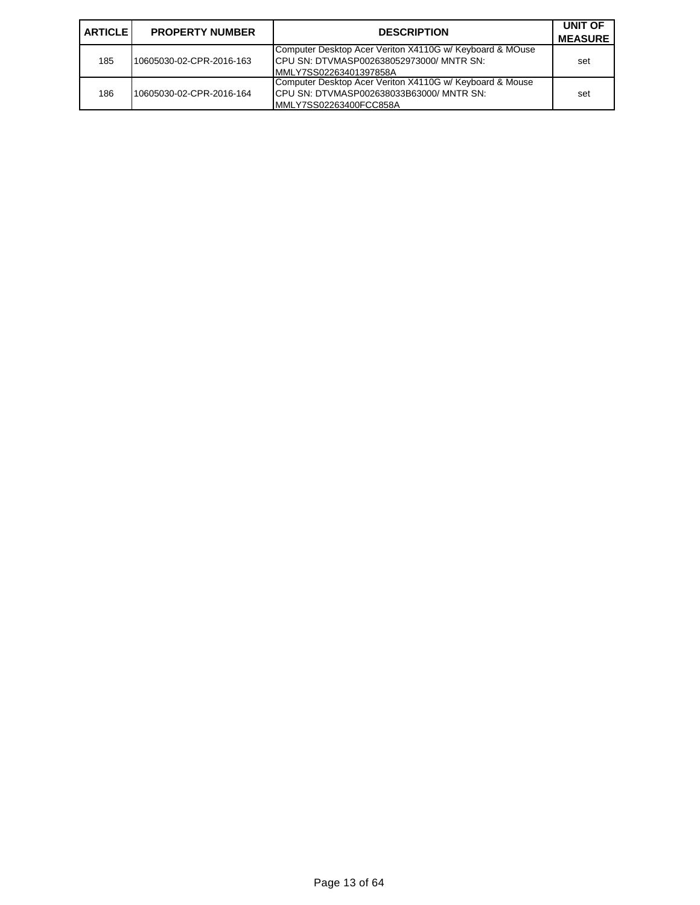| I ARTICLE I | <b>PROPERTY NUMBER</b>   | <b>DESCRIPTION</b>                                                                                                              | UNIT OF<br><b>MEASURE</b> |
|-------------|--------------------------|---------------------------------------------------------------------------------------------------------------------------------|---------------------------|
| 185         | 10605030-02-CPR-2016-163 | Computer Desktop Acer Veriton X4110G w/ Keyboard & MOuse<br>ICPU SN: DTVMASP002638052973000/ MNTR SN:<br>MMLY7SS02263401397858A | set                       |
| 186         | 10605030-02-CPR-2016-164 | Computer Desktop Acer Veriton X4110G w/ Keyboard & Mouse<br>ICPU SN: DTVMASP002638033B63000/MNTR SN:<br>MMLY7SS02263400FCC858A  | set                       |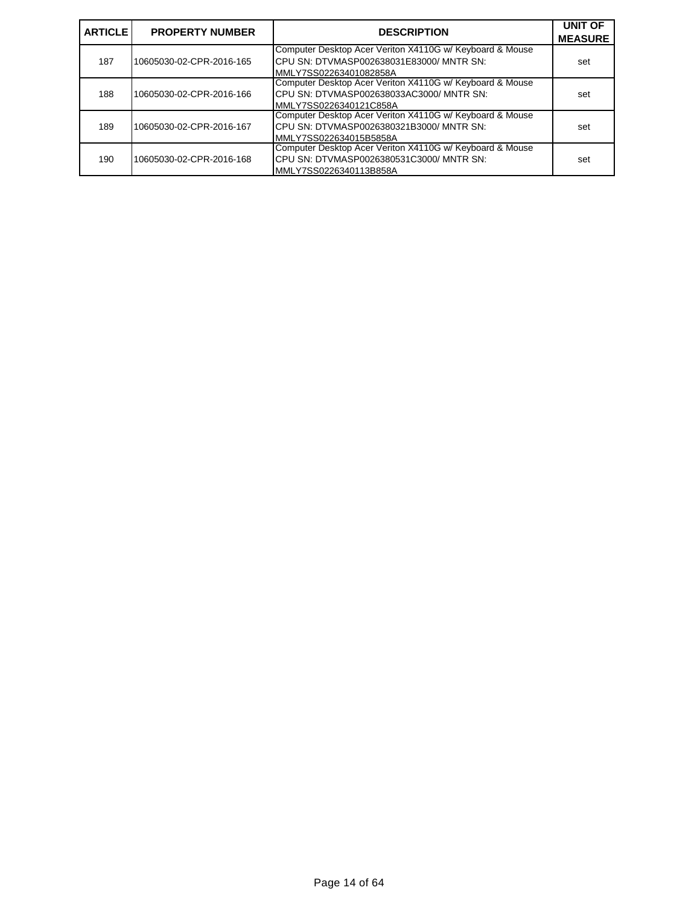| <b>ARTICLE</b> | <b>PROPERTY NUMBER</b>   | <b>DESCRIPTION</b>                                                                                                              | <b>UNIT OF</b><br><b>MEASURE</b> |
|----------------|--------------------------|---------------------------------------------------------------------------------------------------------------------------------|----------------------------------|
| 187            | 10605030-02-CPR-2016-165 | Computer Desktop Acer Veriton X4110G w/ Keyboard & Mouse<br>ICPU SN: DTVMASP002638031E83000/ MNTR SN:<br>MMLY7SS02263401082858A | set                              |
| 188            | 10605030-02-CPR-2016-166 | Computer Desktop Acer Veriton X4110G w/ Keyboard & Mouse<br>ICPU SN: DTVMASP002638033AC3000/ MNTR SN:<br>MMLY7SS0226340121C858A | set                              |
| 189            | 10605030-02-CPR-2016-167 | Computer Desktop Acer Veriton X4110G w/ Keyboard & Mouse<br>CPU SN: DTVMASP0026380321B3000/ MNTR SN:<br>MMLY7SS022634015B5858A  | set                              |
| 190            | 10605030-02-CPR-2016-168 | Computer Desktop Acer Veriton X4110G w/ Keyboard & Mouse<br>CPU SN: DTVMASP0026380531C3000/ MNTR SN:<br>MMLY7SS0226340113B858A  | set                              |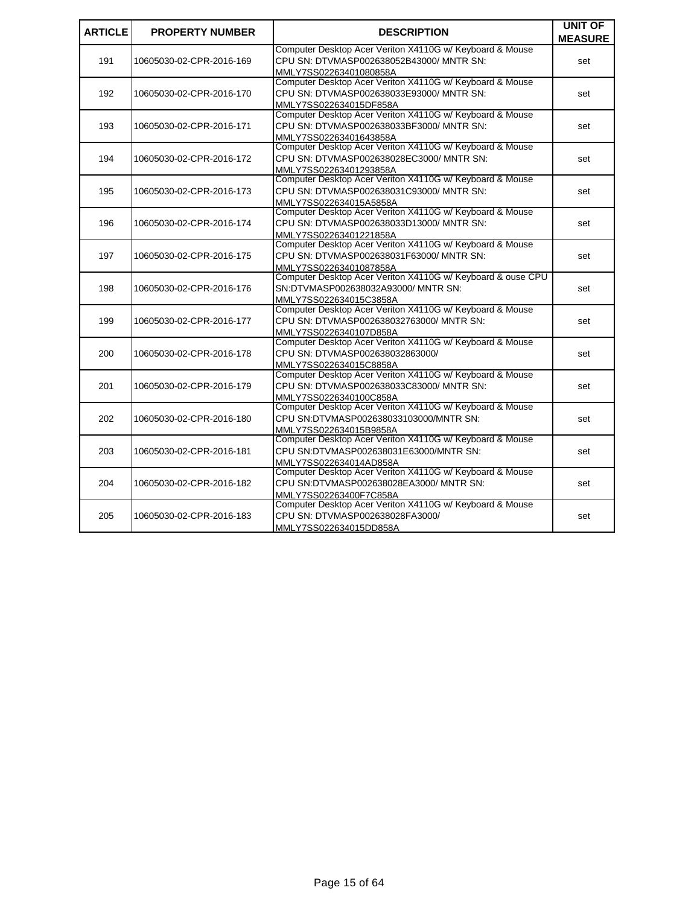| <b>ARTICLE</b> | <b>PROPERTY NUMBER</b>   | <b>DESCRIPTION</b>                                                                                                             | <b>UNIT OF</b><br><b>MEASURE</b> |
|----------------|--------------------------|--------------------------------------------------------------------------------------------------------------------------------|----------------------------------|
| 191            | 10605030-02-CPR-2016-169 | Computer Desktop Acer Veriton X4110G w/ Keyboard & Mouse<br>CPU SN: DTVMASP002638052B43000/ MNTR SN:<br>MMLY7SS02263401080858A | set                              |
| 192            | 10605030-02-CPR-2016-170 | Computer Desktop Acer Veriton X4110G w/ Keyboard & Mouse<br>CPU SN: DTVMASP002638033E93000/ MNTR SN:<br>MMLY7SS022634015DF858A | set                              |
| 193            | 10605030-02-CPR-2016-171 | Computer Desktop Acer Veriton X4110G w/ Keyboard & Mouse<br>CPU SN: DTVMASP002638033BF3000/ MNTR SN:<br>MMLY7SS02263401643858A | set                              |
| 194            | 10605030-02-CPR-2016-172 | Computer Desktop Acer Veriton X4110G w/ Keyboard & Mouse<br>CPU SN: DTVMASP002638028EC3000/ MNTR SN:<br>MMLY7SS02263401293858A | set                              |
| 195            | 10605030-02-CPR-2016-173 | Computer Desktop Acer Veriton X4110G w/ Keyboard & Mouse<br>CPU SN: DTVMASP002638031C93000/ MNTR SN:<br>MMLY7SS022634015A5858A | set                              |
| 196            | 10605030-02-CPR-2016-174 | Computer Desktop Acer Veriton X4110G w/ Keyboard & Mouse<br>CPU SN: DTVMASP002638033D13000/ MNTR SN:<br>MMLY7SS02263401221858A | set                              |
| 197            | 10605030-02-CPR-2016-175 | Computer Desktop Acer Veriton X4110G w/ Keyboard & Mouse<br>CPU SN: DTVMASP002638031F63000/ MNTR SN:<br>MMLY7SS02263401087858A | set                              |
| 198            | 10605030-02-CPR-2016-176 | Computer Desktop Acer Veriton X4110G w/ Keyboard & ouse CPU<br>SN:DTVMASP002638032A93000/ MNTR SN:<br>MMLY7SS022634015C3858A   | set                              |
| 199            | 10605030-02-CPR-2016-177 | Computer Desktop Acer Veriton X4110G w/ Keyboard & Mouse<br>CPU SN: DTVMASP002638032763000/ MNTR SN:<br>MMLY7SS0226340107D858A | set                              |
| 200            | 10605030-02-CPR-2016-178 | Computer Desktop Acer Veriton X4110G w/ Keyboard & Mouse<br>CPU SN: DTVMASP002638032863000/<br>MMLY7SS022634015C8858A          | set                              |
| 201            | 10605030-02-CPR-2016-179 | Computer Desktop Acer Veriton X4110G w/ Keyboard & Mouse<br>CPU SN: DTVMASP002638033C83000/ MNTR SN:<br>MMLY7SS0226340100C858A | set                              |
| 202            | 10605030-02-CPR-2016-180 | Computer Desktop Acer Veriton X4110G w/ Keyboard & Mouse<br>CPU SN:DTVMASP002638033103000/MNTR SN:<br>MMLY7SS022634015B9858A   | set                              |
| 203            | 10605030-02-CPR-2016-181 | Computer Desktop Acer Veriton X4110G w/ Keyboard & Mouse<br>CPU SN:DTVMASP002638031E63000/MNTR SN:<br>MMLY7SS022634014AD858A   | set                              |
| 204            | 10605030-02-CPR-2016-182 | Computer Desktop Acer Veriton X4110G w/ Keyboard & Mouse<br>CPU SN:DTVMASP002638028EA3000/ MNTR SN:<br>MMLY7SS02263400F7C858A  | set                              |
| 205            | 10605030-02-CPR-2016-183 | Computer Desktop Acer Veriton X4110G w/ Keyboard & Mouse<br>CPU SN: DTVMASP002638028FA3000/<br>MMLY7SS022634015DD858A          | set                              |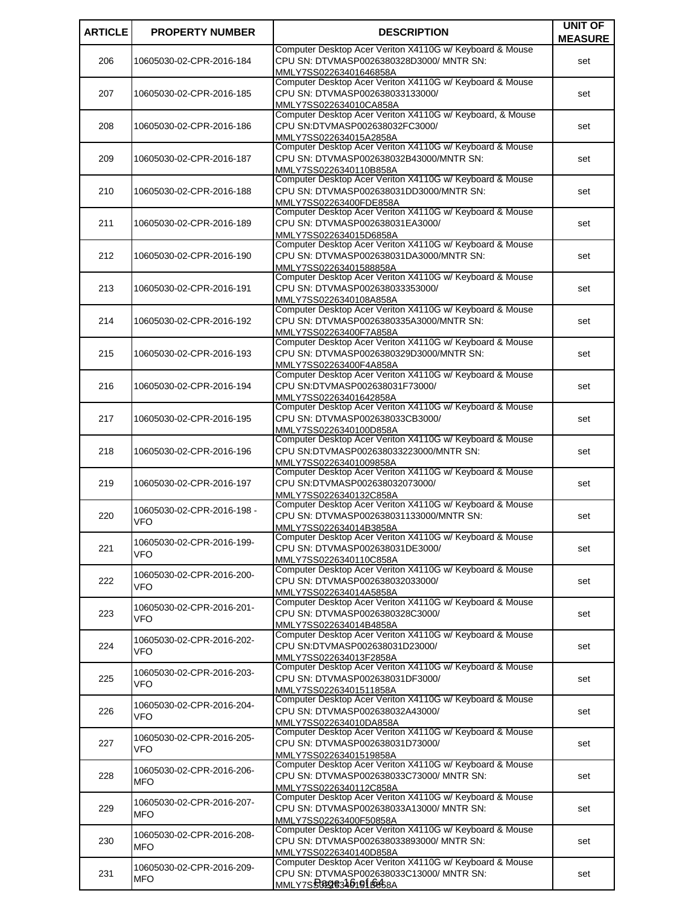| <b>ARTICLE</b> | <b>PROPERTY NUMBER</b>            | <b>DESCRIPTION</b>                                                                                   | <b>UNIT OF</b> |
|----------------|-----------------------------------|------------------------------------------------------------------------------------------------------|----------------|
|                |                                   |                                                                                                      | <b>MEASURE</b> |
| 206            | 10605030-02-CPR-2016-184          | Computer Desktop Acer Veriton X4110G w/ Keyboard & Mouse<br>CPU SN: DTVMASP0026380328D3000/ MNTR SN: | set            |
|                |                                   | MMLY7SS02263401646858A                                                                               |                |
|                |                                   | Computer Desktop Acer Veriton X4110G w/ Keyboard & Mouse                                             |                |
| 207            | 10605030-02-CPR-2016-185          | CPU SN: DTVMASP002638033133000/                                                                      | set            |
|                |                                   | MMLY7SS022634010CA858A                                                                               |                |
| 208            | 10605030-02-CPR-2016-186          | Computer Desktop Acer Veriton X4110G w/ Keyboard, & Mouse<br>CPU SN:DTVMASP002638032FC3000/          | set            |
|                |                                   | MMLY7SS022634015A2858A                                                                               |                |
|                |                                   | Computer Desktop Acer Veriton X4110G w/ Keyboard & Mouse                                             |                |
| 209            | 10605030-02-CPR-2016-187          | CPU SN: DTVMASP002638032B43000/MNTR SN:                                                              | set            |
|                |                                   | MMLY7SS0226340110B858A<br>Computer Desktop Acer Veriton X4110G w/ Keyboard & Mouse                   |                |
| 210            | 10605030-02-CPR-2016-188          | CPU SN: DTVMASP002638031DD3000/MNTR SN:                                                              | set            |
|                |                                   | MMLY7SS02263400FDE858A                                                                               |                |
|                |                                   | Computer Desktop Acer Veriton X4110G w/ Keyboard & Mouse                                             |                |
| 211            | 10605030-02-CPR-2016-189          | CPU SN: DTVMASP002638031EA3000/                                                                      | set            |
|                |                                   | MMLY7SS022634015D6858A<br>Computer Desktop Acer Veriton X4110G w/ Keyboard & Mouse                   |                |
| 212            | 10605030-02-CPR-2016-190          | CPU SN: DTVMASP002638031DA3000/MNTR SN:                                                              | set            |
|                |                                   | MMLY7SS02263401588858A                                                                               |                |
|                |                                   | Computer Desktop Acer Veriton X4110G w/ Keyboard & Mouse                                             |                |
| 213            | 10605030-02-CPR-2016-191          | CPU SN: DTVMASP002638033353000/                                                                      | set            |
|                |                                   | MMLY7SS0226340108A858A<br>Computer Desktop Acer Veriton X4110G w/ Keyboard & Mouse                   |                |
| 214            | 10605030-02-CPR-2016-192          | CPU SN: DTVMASP0026380335A3000/MNTR SN:                                                              | set            |
|                |                                   | MMLY7SS02263400F7A858A                                                                               |                |
|                |                                   | Computer Desktop Acer Veriton X4110G w/ Keyboard & Mouse                                             |                |
| 215            | 10605030-02-CPR-2016-193          | CPU SN: DTVMASP0026380329D3000/MNTR SN:                                                              | set            |
|                |                                   | MMLY7SS02263400F4A858A<br>Computer Desktop Acer Veriton X4110G w/ Keyboard & Mouse                   |                |
| 216            | 10605030-02-CPR-2016-194          | CPU SN:DTVMASP002638031F73000/                                                                       | set            |
|                |                                   | MMLY7SS02263401642858A                                                                               |                |
|                |                                   | Computer Desktop Acer Veriton X4110G w/ Keyboard & Mouse                                             |                |
| 217            | 10605030-02-CPR-2016-195          | CPU SN: DTVMASP002638033CB3000/                                                                      | set            |
|                |                                   | MMLY7SS0226340100D858A<br>Computer Desktop Acer Veriton X4110G w/ Keyboard & Mouse                   |                |
| 218            | 10605030-02-CPR-2016-196          | CPU SN:DTVMASP002638033223000/MNTR SN:                                                               | set            |
|                |                                   | MMLY7SS02263401009858A                                                                               |                |
|                |                                   | Computer Desktop Acer Veriton X4110G w/ Keyboard & Mouse                                             |                |
| 219            | 10605030-02-CPR-2016-197          | CPU SN:DTVMASP002638032073000/<br>MMLY7SS0226340132C858A                                             | set            |
|                |                                   | Computer Desktop Acer Veriton X4110G w/ Keyboard & Mouse                                             |                |
| 220            | 10605030-02-CPR-2016-198 -<br>VFO | CPU SN: DTVMASP002638031133000/MNTR SN:                                                              | set            |
|                |                                   | MMLY7SS022634014B3858A                                                                               |                |
| 221            | 10605030-02-CPR-2016-199-         | Computer Desktop Acer Veriton X4110G w/ Keyboard & Mouse<br>CPU SN: DTVMASP002638031DE3000/          |                |
|                | VFO                               | MMLY7SS0226340110C858A                                                                               | set            |
|                |                                   | Computer Desktop Acer Veriton X4110G w/ Keyboard & Mouse                                             |                |
| 222            | 10605030-02-CPR-2016-200-<br>VFO  | CPU SN: DTVMASP002638032033000/                                                                      | set            |
|                |                                   | MMLY7SS022634014A5858A                                                                               |                |
| 223            | 10605030-02-CPR-2016-201-         | Computer Desktop Acer Veriton X4110G w/ Keyboard & Mouse<br>CPU SN: DTVMASP0026380328C3000/          | set            |
|                | VFO                               | MMLY7SS022634014B4858A                                                                               |                |
|                | 10605030-02-CPR-2016-202-         | Computer Desktop Acer Veriton X4110G w/ Keyboard & Mouse                                             |                |
| 224            | VFO                               | CPU SN:DTVMASP002638031D23000/                                                                       | set            |
|                |                                   | MMLY7SS022634013F2858A<br>Computer Desktop Acer Veriton X4110G w/ Keyboard & Mouse                   |                |
| 225            | 10605030-02-CPR-2016-203-         | CPU SN: DTVMASP002638031DF3000/                                                                      | set            |
|                | VFO                               | MMLY7SS02263401511858A                                                                               |                |
|                | 10605030-02-CPR-2016-204-         | Computer Desktop Acer Veriton X4110G w/ Keyboard & Mouse                                             |                |
| 226            | VFO                               | CPU SN: DTVMASP002638032A43000/                                                                      | set            |
|                |                                   | MMLY7SS022634010DA858A<br>Computer Desktop Acer Veriton X4110G w/ Keyboard & Mouse                   |                |
| 227            | 10605030-02-CPR-2016-205-         | CPU SN: DTVMASP002638031D73000/                                                                      | set            |
|                | VFO                               | MMLY7SS02263401519858A                                                                               |                |
|                | 10605030-02-CPR-2016-206-         | Computer Desktop Acer Veriton X4110G w/ Keyboard & Mouse                                             |                |
| 228            | MFO                               | CPU SN: DTVMASP002638033C73000/ MNTR SN:                                                             | set            |
|                |                                   | MMLY7SS0226340112C858A<br>Computer Desktop Acer Veriton X4110G w/ Keyboard & Mouse                   |                |
| 229            | 10605030-02-CPR-2016-207-         | CPU SN: DTVMASP002638033A13000/ MNTR SN:                                                             | set            |
|                | MFO                               | MMLY7SS02263400F50858A                                                                               |                |
|                | 10605030-02-CPR-2016-208-         | Computer Desktop Acer Veriton X4110G w/ Keyboard & Mouse                                             |                |
| 230            | MFO                               | CPU SN: DTVMASP002638033893000/ MNTR SN:                                                             | set            |
|                |                                   | MMLY7SS0226340140D858A<br>Computer Desktop Acer Veriton X4110G w/ Keyboard & Mouse                   |                |
| 231            | 10605030-02-CPR-2016-209-         | CPU SN: DTVMASP002638033C13000/ MNTR SN:                                                             | set            |
|                | MFO                               | <u>MMLY7SS@Q@34619{B&amp;\$8A</u>                                                                    |                |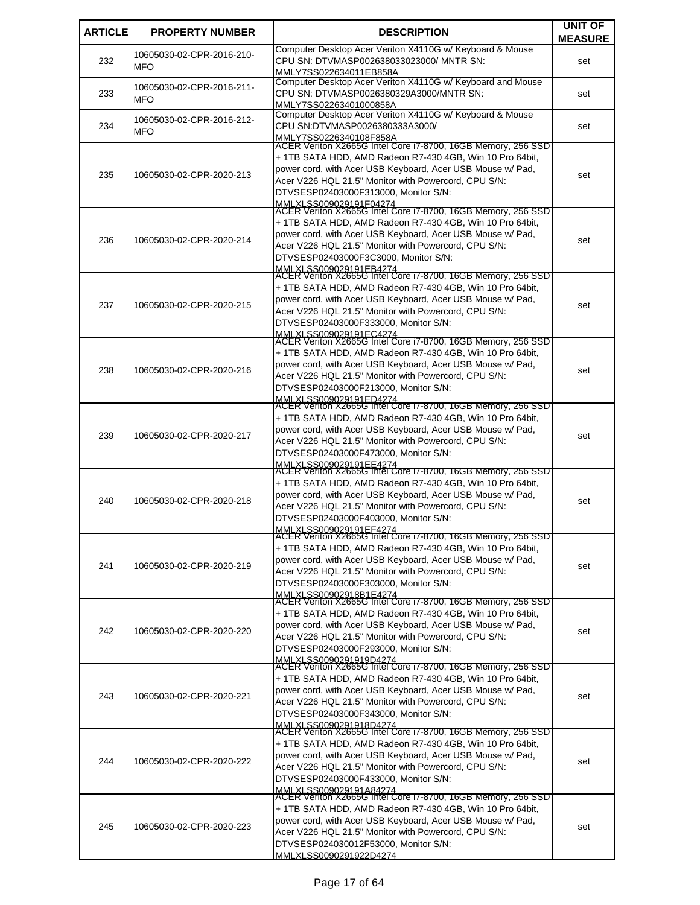| <b>ARTICLE</b> | <b>PROPERTY NUMBER</b>                  | <b>DESCRIPTION</b>                                                                                                 | <b>UNIT OF</b> |
|----------------|-----------------------------------------|--------------------------------------------------------------------------------------------------------------------|----------------|
|                |                                         |                                                                                                                    | <b>MEASURE</b> |
|                | 10605030-02-CPR-2016-210-               | Computer Desktop Acer Veriton X4110G w/ Keyboard & Mouse                                                           |                |
| 232            | <b>MFO</b>                              | CPU SN: DTVMASP002638033023000/ MNTR SN:<br>MMLY7SS022634011EB858A                                                 | set            |
|                |                                         | Computer Desktop Acer Veriton X4110G w/ Keyboard and Mouse                                                         |                |
| 233            | 10605030-02-CPR-2016-211-<br><b>MFO</b> | CPU SN: DTVMASP0026380329A3000/MNTR SN:                                                                            | set            |
|                |                                         | MMLY7SS02263401000858A                                                                                             |                |
|                | 10605030-02-CPR-2016-212-               | Computer Desktop Acer Veriton X4110G w/ Keyboard & Mouse                                                           |                |
| 234            | <b>MFO</b>                              | CPU SN:DTVMASP0026380333A3000/                                                                                     | set            |
|                |                                         | MMLY7SS0226340108F858A<br>ACER Veriton X2665G Intel Core i7-8700, 16GB Memory, 256 SSD                             |                |
|                |                                         | + 1TB SATA HDD, AMD Radeon R7-430 4GB, Win 10 Pro 64bit,                                                           |                |
|                |                                         | power cord, with Acer USB Keyboard, Acer USB Mouse w/ Pad,                                                         |                |
| 235            | 10605030-02-CPR-2020-213                | Acer V226 HQL 21.5" Monitor with Powercord, CPU S/N:                                                               | set            |
|                |                                         | DTVSESP02403000F313000, Monitor S/N:                                                                               |                |
|                |                                         | MMLXLSS009029191F04274<br>ACER Veriton X2665G Intel Core i7-8700, 16GB Memory, 256 SSD                             |                |
|                |                                         | + 1TB SATA HDD, AMD Radeon R7-430 4GB, Win 10 Pro 64bit,                                                           |                |
|                |                                         | power cord, with Acer USB Keyboard, Acer USB Mouse w/ Pad,                                                         |                |
| 236            | 10605030-02-CPR-2020-214                | Acer V226 HQL 21.5" Monitor with Powercord, CPU S/N:                                                               | set            |
|                |                                         | DTVSESP02403000F3C3000, Monitor S/N:                                                                               |                |
|                |                                         | MMLXLSS009029191EB4274<br>ACER Veriton X2665G Intel Core i7-8700, 16GB Memory, 256 SSD                             |                |
|                |                                         |                                                                                                                    |                |
|                |                                         | + 1TB SATA HDD, AMD Radeon R7-430 4GB, Win 10 Pro 64bit,                                                           |                |
| 237            | 10605030-02-CPR-2020-215                | power cord, with Acer USB Keyboard, Acer USB Mouse w/ Pad,<br>Acer V226 HQL 21.5" Monitor with Powercord, CPU S/N: | set            |
|                |                                         | DTVSESP02403000F333000, Monitor S/N:                                                                               |                |
|                |                                         |                                                                                                                    |                |
|                |                                         | MMLXLSS009029191EC4274<br>ACER Veriton X2665G Intel Core i7-8700, 16GB Memory, 256 SSD                             |                |
|                |                                         | + 1TB SATA HDD, AMD Radeon R7-430 4GB, Win 10 Pro 64bit,                                                           |                |
| 238            | 10605030-02-CPR-2020-216                | power cord, with Acer USB Keyboard, Acer USB Mouse w/ Pad,                                                         | set            |
|                |                                         | Acer V226 HQL 21.5" Monitor with Powercord, CPU S/N:                                                               |                |
|                |                                         | DTVSESP02403000F213000, Monitor S/N:                                                                               |                |
|                |                                         | MMLXLSS009029191ED4274<br>ACER Veriton X2665G Intel Core i7-8700, 16GB Memory, 256 SSD                             |                |
|                |                                         | + 1TB SATA HDD, AMD Radeon R7-430 4GB, Win 10 Pro 64bit,                                                           |                |
| 239            | 10605030-02-CPR-2020-217                | power cord, with Acer USB Keyboard, Acer USB Mouse w/ Pad,                                                         | set            |
|                |                                         | Acer V226 HQL 21.5" Monitor with Powercord, CPU S/N:                                                               |                |
|                |                                         | DTVSESP02403000F473000, Monitor S/N:                                                                               |                |
|                |                                         | MMLXLSS009029191EE4274<br>ACER Veriton X2665G Intel Core i7-8700, 16GB Memory, 256 SSD                             |                |
|                |                                         | + 1TB SATA HDD, AMD Radeon R7-430 4GB, Win 10 Pro 64bit,                                                           |                |
|                |                                         | power cord, with Acer USB Keyboard, Acer USB Mouse w/ Pad,                                                         |                |
| 240            | 10605030-02-CPR-2020-218                | Acer V226 HQL 21.5" Monitor with Powercord, CPU S/N:                                                               | set            |
|                |                                         | DTVSESP02403000F403000, Monitor S/N:                                                                               |                |
|                |                                         | MMLXLSS009029191EF4274<br>ACER Veriton X2665G Intel Core 17-8700, 16GB Memory, 256 SSD                             |                |
|                |                                         | + 1TB SATA HDD, AMD Radeon R7-430 4GB, Win 10 Pro 64bit,                                                           |                |
|                |                                         | power cord, with Acer USB Keyboard, Acer USB Mouse w/ Pad,                                                         |                |
| 241            | 10605030-02-CPR-2020-219                | Acer V226 HQL 21.5" Monitor with Powercord. CPU S/N:                                                               | set            |
|                |                                         | DTVSESP02403000F303000, Monitor S/N:                                                                               |                |
|                |                                         | MMLXLSS00902918B1E4274<br>ACER Veriton X2665G Intel Core i7-8700, 16GB Memory, 256 SSD                             |                |
|                |                                         | + 1TB SATA HDD, AMD Radeon R7-430 4GB, Win 10 Pro 64bit,                                                           |                |
|                |                                         | power cord, with Acer USB Keyboard, Acer USB Mouse w/ Pad,                                                         |                |
| 242            | 10605030-02-CPR-2020-220                | Acer V226 HQL 21.5" Monitor with Powercord, CPU S/N:                                                               | set            |
|                |                                         | DTVSESP02403000F293000, Monitor S/N:                                                                               |                |
|                |                                         | MMLXLSS0090291919D4274<br>ACER Veriton X2665G Intel Core i7-8700, 16GB Memory, 256 SSD                             |                |
|                |                                         |                                                                                                                    |                |
|                |                                         | + 1TB SATA HDD, AMD Radeon R7-430 4GB, Win 10 Pro 64bit,                                                           |                |
| 243            | 10605030-02-CPR-2020-221                | power cord, with Acer USB Keyboard, Acer USB Mouse w/ Pad,<br>Acer V226 HQL 21.5" Monitor with Powercord, CPU S/N: | set            |
|                |                                         | DTVSESP02403000F343000, Monitor S/N:                                                                               |                |
|                |                                         |                                                                                                                    |                |
|                |                                         | MMLXLSS0090291918D4274<br>ACER Veriton X2665G Intel Core i7-8700, 16GB Memory, 256 SSD                             |                |
|                |                                         | + 1TB SATA HDD, AMD Radeon R7-430 4GB, Win 10 Pro 64bit,                                                           |                |
| 244            | 10605030-02-CPR-2020-222                | power cord, with Acer USB Keyboard, Acer USB Mouse w/ Pad,                                                         | set            |
|                |                                         | Acer V226 HQL 21.5" Monitor with Powercord, CPU S/N:                                                               |                |
|                |                                         | DTVSESP02403000F433000, Monitor S/N:                                                                               |                |
|                |                                         | MMLXLSS009029191A84274<br>ACER Veriton X2665G Intel Core i7-8700, 16GB Memory, 256 SSD                             |                |
|                |                                         | + 1TB SATA HDD, AMD Radeon R7-430 4GB, Win 10 Pro 64bit,                                                           |                |
| 245            | 10605030-02-CPR-2020-223                | power cord, with Acer USB Keyboard, Acer USB Mouse w/ Pad,                                                         | set            |
|                |                                         | Acer V226 HQL 21.5" Monitor with Powercord, CPU S/N:                                                               |                |
|                |                                         | DTVSESP024030012F53000, Monitor S/N:                                                                               |                |
|                |                                         | MMLXLSS0090291922D4274                                                                                             |                |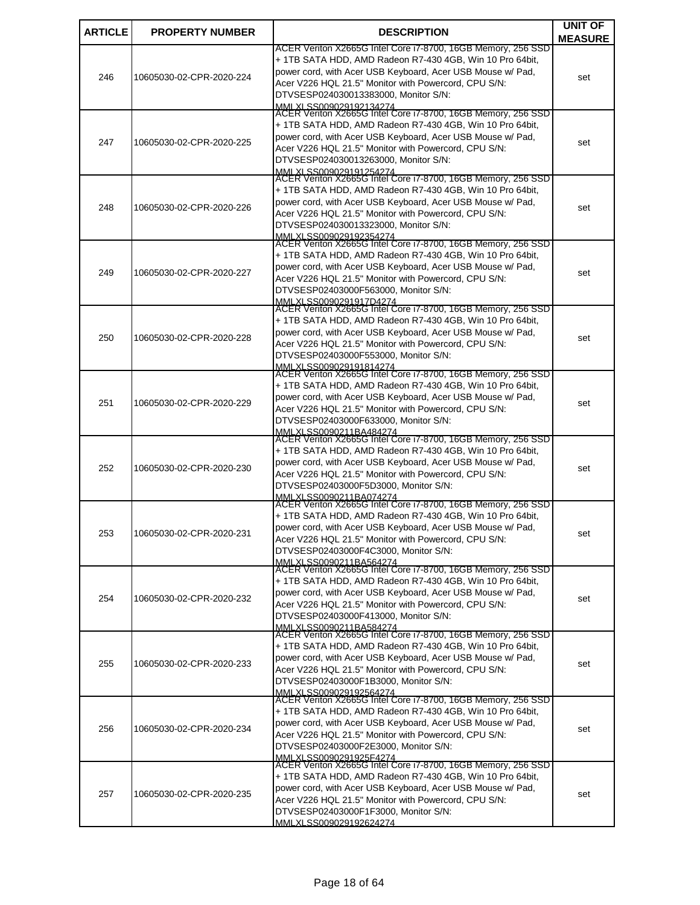| <b>ARTICLE</b> | <b>PROPERTY NUMBER</b>   | <b>DESCRIPTION</b>                                                                                                       | <b>UNIT OF</b> |
|----------------|--------------------------|--------------------------------------------------------------------------------------------------------------------------|----------------|
|                |                          | ACER Veriton X2665G Intel Core i7-8700, 16GB Memory, 256 SSD                                                             | <b>MEASURE</b> |
|                |                          | + 1TB SATA HDD, AMD Radeon R7-430 4GB, Win 10 Pro 64bit,                                                                 |                |
| 246            | 10605030-02-CPR-2020-224 | power cord, with Acer USB Keyboard, Acer USB Mouse w/ Pad,                                                               | set            |
|                |                          | Acer V226 HQL 21.5" Monitor with Powercord, CPU S/N:<br>DTVSESP024030013383000, Monitor S/N:                             |                |
|                |                          | MMLXLSS009029192134274<br>ACER Veriton X2665G Intel Core i7-8700, 16GB Memory, 256 SSD                                   |                |
|                |                          | + 1TB SATA HDD, AMD Radeon R7-430 4GB, Win 10 Pro 64bit,                                                                 |                |
|                |                          | power cord, with Acer USB Keyboard, Acer USB Mouse w/ Pad,                                                               |                |
| 247            | 10605030-02-CPR-2020-225 | Acer V226 HQL 21.5" Monitor with Powercord, CPU S/N:                                                                     | set            |
|                |                          | DTVSESP024030013263000, Monitor S/N:<br>MMLXLSS009029191254274                                                           |                |
|                |                          | ACER Veriton X2665G Intel Core i7-8700, 16GB Memory, 256 SSD                                                             |                |
|                |                          | + 1TB SATA HDD, AMD Radeon R7-430 4GB, Win 10 Pro 64bit,                                                                 |                |
| 248            | 10605030-02-CPR-2020-226 | power cord, with Acer USB Keyboard, Acer USB Mouse w/ Pad,<br>Acer V226 HQL 21.5" Monitor with Powercord, CPU S/N:       | set            |
|                |                          | DTVSESP024030013323000, Monitor S/N:                                                                                     |                |
|                |                          | MMLXLSS009029192354274<br>ACER Veriton X2665G Intel Core i7-8700, 16GB Memory, 256 SSD                                   |                |
|                |                          | + 1TB SATA HDD, AMD Radeon R7-430 4GB, Win 10 Pro 64bit,                                                                 |                |
| 249            | 10605030-02-CPR-2020-227 | power cord, with Acer USB Keyboard, Acer USB Mouse w/ Pad,                                                               | set            |
|                |                          | Acer V226 HQL 21.5" Monitor with Powercord, CPU S/N:                                                                     |                |
|                |                          | DTVSESP02403000F563000, Monitor S/N:<br>MMLXLSS0090291917D4274                                                           |                |
|                |                          | ACER Veriton X2665G Intel Core i7-8700, 16GB Memory, 256 SSD                                                             |                |
|                |                          | + 1TB SATA HDD, AMD Radeon R7-430 4GB, Win 10 Pro 64bit,<br>power cord, with Acer USB Keyboard, Acer USB Mouse w/ Pad,   |                |
| 250            | 10605030-02-CPR-2020-228 | Acer V226 HQL 21.5" Monitor with Powercord, CPU S/N:                                                                     | set            |
|                |                          | DTVSESP02403000F553000, Monitor S/N:                                                                                     |                |
|                |                          | MMLXLSS009029191814274<br> ACER Veriton X2665G Intel Core i7-8700, 16GB Memory, 256 SSD                                  |                |
|                |                          | + 1TB SATA HDD, AMD Radeon R7-430 4GB, Win 10 Pro 64bit,                                                                 |                |
| 251            | 10605030-02-CPR-2020-229 | power cord, with Acer USB Keyboard, Acer USB Mouse w/ Pad,                                                               | set            |
|                |                          | Acer V226 HQL 21.5" Monitor with Powercord, CPU S/N:<br>DTVSESP02403000F633000, Monitor S/N:                             |                |
|                |                          | MMLXLSS0090211BA484274                                                                                                   |                |
|                |                          | ACER Veriton X2665G Intel Core i7-8700, 16GB Memory, 256 SSD<br>+ 1TB SATA HDD, AMD Radeon R7-430 4GB, Win 10 Pro 64bit, |                |
| 252            | 10605030-02-CPR-2020-230 | power cord, with Acer USB Keyboard, Acer USB Mouse w/ Pad,                                                               |                |
|                |                          | Acer V226 HQL 21.5" Monitor with Powercord, CPU S/N:                                                                     | set            |
|                |                          | DTVSESP02403000F5D3000, Monitor S/N:<br>MMI XI SS0090211BA074274                                                         |                |
|                |                          | ACER Veriton X2665G Intel Core i7-8700, 16GB Memory, 256 SSD                                                             |                |
|                |                          | + 1TB SATA HDD, AMD Radeon R7-430 4GB, Win 10 Pro 64bit,<br>power cord, with Acer USB Keyboard, Acer USB Mouse w/ Pad,   |                |
| 253            | 10605030-02-CPR-2020-231 | Acer V226 HQL 21.5" Monitor with Powercord, CPU S/N:                                                                     | set            |
|                |                          | DTVSESP02403000F4C3000, Monitor S/N:                                                                                     |                |
|                |                          | MMI XI SS0090211BA564274<br>ACER Veriton X2665G Intel Core i7-8700, 16GB Memory, 256 SSD                                 |                |
|                |                          | + 1TB SATA HDD, AMD Radeon R7-430 4GB, Win 10 Pro 64bit,                                                                 |                |
| 254            | 10605030-02-CPR-2020-232 | power cord, with Acer USB Keyboard, Acer USB Mouse w/ Pad,                                                               | set            |
|                |                          | Acer V226 HQL 21.5" Monitor with Powercord, CPU S/N:<br>DTVSESP02403000F413000, Monitor S/N:                             |                |
|                |                          | MMLXLSS0090211BA584274<br>ACER Veriton X2665G Intel Core i7-8700, 16GB Memory, 256 SSD                                   |                |
|                |                          | + 1TB SATA HDD, AMD Radeon R7-430 4GB, Win 10 Pro 64bit,                                                                 |                |
|                |                          | power cord, with Acer USB Keyboard, Acer USB Mouse w/ Pad,                                                               |                |
| 255            | 10605030-02-CPR-2020-233 | Acer V226 HQL 21.5" Monitor with Powercord, CPU S/N:                                                                     | set            |
|                |                          | DTVSESP02403000F1B3000, Monitor S/N:<br>MMI XI SS009029192564274                                                         |                |
|                |                          | ACER Veriton X2665G Intel Core i7-8700, 16GB Memory, 256 SSD                                                             |                |
|                |                          | + 1TB SATA HDD, AMD Radeon R7-430 4GB, Win 10 Pro 64bit,                                                                 |                |
| 256            | 10605030-02-CPR-2020-234 | power cord, with Acer USB Keyboard, Acer USB Mouse w/ Pad,<br>Acer V226 HQL 21.5" Monitor with Powercord, CPU S/N:       | set            |
|                |                          | DTVSESP02403000F2E3000, Monitor S/N:                                                                                     |                |
|                |                          | MMLXI SS0090291925F4274<br>ACER Veriton X2665G Intel Core i7-8700, 16GB Memory, 256 SSD                                  |                |
|                |                          | + 1TB SATA HDD, AMD Radeon R7-430 4GB, Win 10 Pro 64bit,                                                                 |                |
| 257            | 10605030-02-CPR-2020-235 | power cord, with Acer USB Keyboard, Acer USB Mouse w/ Pad,                                                               | set            |
|                |                          | Acer V226 HQL 21.5" Monitor with Powercord, CPU S/N:<br>DTVSESP02403000F1F3000, Monitor S/N:                             |                |
|                |                          | MMI XI SS009029192624274                                                                                                 |                |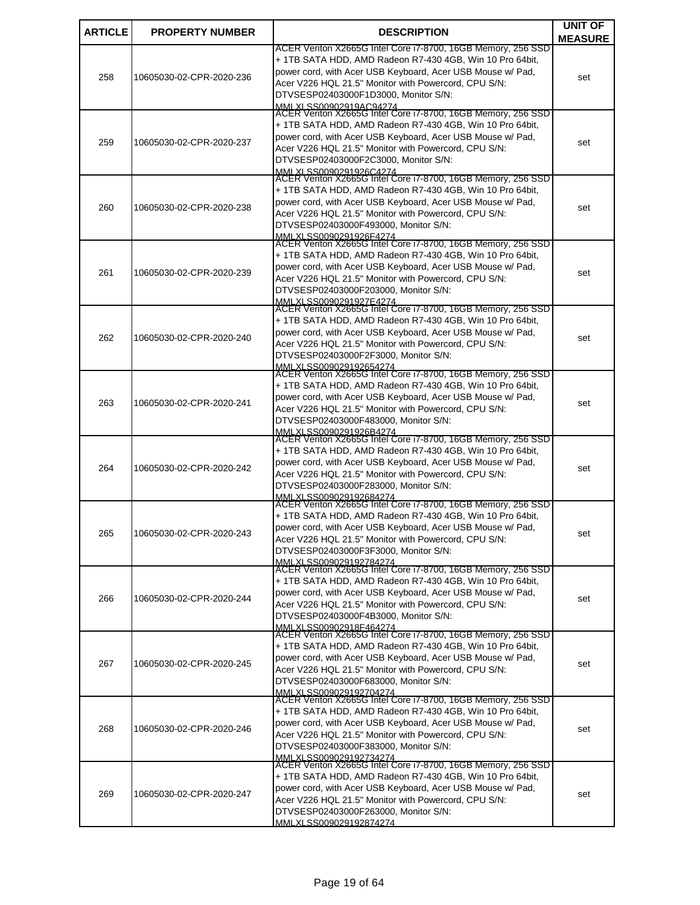| <b>ARTICLE</b> | <b>PROPERTY NUMBER</b>   | <b>DESCRIPTION</b>                                                                                                       | <b>UNIT OF</b> |
|----------------|--------------------------|--------------------------------------------------------------------------------------------------------------------------|----------------|
|                |                          | ACER Veriton X2665G Intel Core i7-8700, 16GB Memory, 256 SSD                                                             | <b>MEASURE</b> |
|                |                          | + 1TB SATA HDD, AMD Radeon R7-430 4GB, Win 10 Pro 64bit,                                                                 |                |
| 258            | 10605030-02-CPR-2020-236 | power cord, with Acer USB Keyboard, Acer USB Mouse w/ Pad,                                                               | set            |
|                |                          | Acer V226 HQL 21.5" Monitor with Powercord, CPU S/N:<br>DTVSESP02403000F1D3000, Monitor S/N:                             |                |
|                |                          | MMLXLSS00902919AC94274                                                                                                   |                |
|                |                          | ACER Veriton X2665G Intel Core i7-8700, 16GB Memory, 256 SSD<br>+ 1TB SATA HDD, AMD Radeon R7-430 4GB, Win 10 Pro 64bit, |                |
|                |                          | power cord, with Acer USB Keyboard, Acer USB Mouse w/ Pad,                                                               |                |
| 259            | 10605030-02-CPR-2020-237 | Acer V226 HQL 21.5" Monitor with Powercord, CPU S/N:                                                                     | set            |
|                |                          | DTVSESP02403000F2C3000, Monitor S/N:<br>MMLXLSS0090291926C4274                                                           |                |
|                |                          | ACER Veriton X2665G Intel Core i7-8700, 16GB Memory, 256 SSD                                                             |                |
|                |                          | + 1TB SATA HDD, AMD Radeon R7-430 4GB, Win 10 Pro 64bit,                                                                 |                |
| 260            | 10605030-02-CPR-2020-238 | power cord, with Acer USB Keyboard, Acer USB Mouse w/ Pad,<br>Acer V226 HQL 21.5" Monitor with Powercord, CPU S/N:       | set            |
|                |                          | DTVSESP02403000F493000, Monitor S/N:                                                                                     |                |
|                |                          | MMLXLSS0090291926F4274<br>ACER Veriton X2665G Intel Core i7-8700, 16GB Memory, 256 SSD                                   |                |
|                |                          | + 1TB SATA HDD, AMD Radeon R7-430 4GB, Win 10 Pro 64bit,                                                                 |                |
| 261            | 10605030-02-CPR-2020-239 | power cord, with Acer USB Keyboard, Acer USB Mouse w/ Pad,                                                               | set            |
|                |                          | Acer V226 HQL 21.5" Monitor with Powercord, CPU S/N:                                                                     |                |
|                |                          | DTVSESP02403000F203000, Monitor S/N:<br>MMLXLSS0090291927E4274                                                           |                |
|                |                          | ACER Veriton X2665G Intel Core i7-8700, 16GB Memory, 256 SSD                                                             |                |
|                |                          | + 1TB SATA HDD, AMD Radeon R7-430 4GB, Win 10 Pro 64bit,                                                                 |                |
| 262            | 10605030-02-CPR-2020-240 | power cord, with Acer USB Keyboard, Acer USB Mouse w/ Pad,<br>Acer V226 HQL 21.5" Monitor with Powercord, CPU S/N:       | set            |
|                |                          | DTVSESP02403000F2F3000, Monitor S/N:                                                                                     |                |
|                |                          | MMLXLSS009029192654274<br> ACER Veriton X2665G Intel Core i7-8700, 16GB Memory, 256 SSD                                  |                |
|                |                          | + 1TB SATA HDD, AMD Radeon R7-430 4GB, Win 10 Pro 64bit,                                                                 |                |
| 263            | 10605030-02-CPR-2020-241 | power cord, with Acer USB Keyboard, Acer USB Mouse w/ Pad,                                                               | set            |
|                |                          | Acer V226 HQL 21.5" Monitor with Powercord, CPU S/N:                                                                     |                |
|                |                          | DTVSESP02403000F483000, Monitor S/N:<br>MMLXLSS0090291926B4274                                                           |                |
|                |                          | ACER Veriton X2665G Intel Core i7-8700, 16GB Memory, 256 SSD                                                             |                |
|                |                          | + 1TB SATA HDD, AMD Radeon R7-430 4GB, Win 10 Pro 64bit,<br>power cord, with Acer USB Keyboard, Acer USB Mouse w/ Pad,   |                |
| 264            | 10605030-02-CPR-2020-242 | Acer V226 HQL 21.5" Monitor with Powercord, CPU S/N:                                                                     | set            |
|                |                          | DTVSESP02403000F283000. Monitor S/N:                                                                                     |                |
|                |                          | MMI XI SS009029192684274<br>ACER Veriton X2665G Intel Core i7-8700, 16GB Memory, 256 SSD                                 |                |
|                |                          | + 1TB SATA HDD, AMD Radeon R7-430 4GB, Win 10 Pro 64bit,                                                                 |                |
| 265            | 10605030-02-CPR-2020-243 | power cord, with Acer USB Keyboard, Acer USB Mouse w/ Pad,                                                               | set            |
|                |                          | Acer V226 HQL 21.5" Monitor with Powercord, CPU S/N:<br>DTVSESP02403000F3F3000, Monitor S/N:                             |                |
|                |                          | MMI XI SS009029192784274                                                                                                 |                |
|                |                          | ACER Veriton X2665G Intel Core i7-8700, 16GB Memory, 256 SSD<br>+ 1TB SATA HDD, AMD Radeon R7-430 4GB, Win 10 Pro 64bit, |                |
|                |                          | power cord, with Acer USB Keyboard, Acer USB Mouse w/ Pad,                                                               |                |
| 266            | 10605030-02-CPR-2020-244 | Acer V226 HQL 21.5" Monitor with Powercord, CPU S/N:                                                                     | set            |
|                |                          | DTVSESP02403000F4B3000. Monitor S/N:                                                                                     |                |
|                |                          | MMLXLSS00902918E464274<br>ACER Veriton X2665G Intel Core i7-8700, 16GB Memory, 256 SSD                                   |                |
|                |                          | + 1TB SATA HDD, AMD Radeon R7-430 4GB, Win 10 Pro 64bit,                                                                 |                |
| 267            | 10605030-02-CPR-2020-245 | power cord, with Acer USB Keyboard, Acer USB Mouse w/ Pad,<br>Acer V226 HQL 21.5" Monitor with Powercord, CPU S/N:       | set            |
|                |                          | DTVSESP02403000F683000, Monitor S/N:                                                                                     |                |
|                |                          | MMI XI SS009029192704274<br>ACER Veriton X2665G Intel Core i7-8700, 16GB Memory, 256 SSD                                 |                |
|                |                          | + 1TB SATA HDD, AMD Radeon R7-430 4GB, Win 10 Pro 64bit,                                                                 |                |
| 268            | 10605030-02-CPR-2020-246 | power cord, with Acer USB Keyboard, Acer USB Mouse w/ Pad,                                                               | set            |
|                |                          | Acer V226 HQL 21.5" Monitor with Powercord, CPU S/N:<br>DTVSESP02403000F383000, Monitor S/N:                             |                |
|                |                          |                                                                                                                          |                |
|                |                          | MMLXI SS009029192734274<br>ACER Veriton X2665G Intel Core i7-8700, 16GB Memory, 256 SSD                                  |                |
|                |                          | + 1TB SATA HDD, AMD Radeon R7-430 4GB, Win 10 Pro 64bit,<br>power cord, with Acer USB Keyboard, Acer USB Mouse w/ Pad,   |                |
| 269            | 10605030-02-CPR-2020-247 | Acer V226 HQL 21.5" Monitor with Powercord, CPU S/N:                                                                     | set            |
|                |                          | DTVSESP02403000F263000, Monitor S/N:                                                                                     |                |
|                |                          | MMI XI SS009029192874274                                                                                                 |                |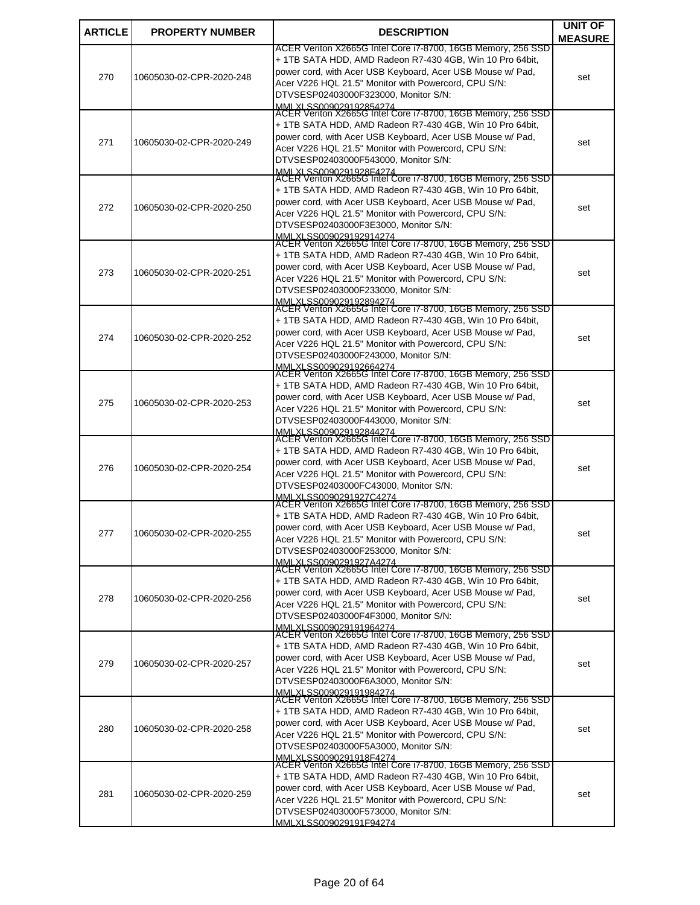| <b>ARTICLE</b> | <b>PROPERTY NUMBER</b>   | <b>DESCRIPTION</b>                                                                                                       | <b>UNIT OF</b> |
|----------------|--------------------------|--------------------------------------------------------------------------------------------------------------------------|----------------|
|                |                          | ACER Veriton X2665G Intel Core i7-8700, 16GB Memory, 256 SSD                                                             | <b>MEASURE</b> |
|                |                          | + 1TB SATA HDD, AMD Radeon R7-430 4GB, Win 10 Pro 64bit,                                                                 |                |
| 270            | 10605030-02-CPR-2020-248 | power cord, with Acer USB Keyboard, Acer USB Mouse w/ Pad,                                                               | set            |
|                |                          | Acer V226 HQL 21.5" Monitor with Powercord, CPU S/N:                                                                     |                |
|                |                          | DTVSESP02403000F323000, Monitor S/N:                                                                                     |                |
|                |                          | MMLXLSS009029192854274<br>ACER Veriton X2665G Intel Core i7-8700, 16GB Memory, 256 SSD                                   |                |
|                |                          | + 1TB SATA HDD, AMD Radeon R7-430 4GB, Win 10 Pro 64bit,                                                                 |                |
| 271            | 10605030-02-CPR-2020-249 | power cord, with Acer USB Keyboard, Acer USB Mouse w/ Pad,<br>Acer V226 HQL 21.5" Monitor with Powercord, CPU S/N:       | set            |
|                |                          | DTVSESP02403000F543000, Monitor S/N:                                                                                     |                |
|                |                          | MMLXLSS0090291928F4274                                                                                                   |                |
|                |                          | ACER Veriton X2665G Intel Core i7-8700, 16GB Memory, 256 SSD<br>+ 1TB SATA HDD, AMD Radeon R7-430 4GB, Win 10 Pro 64bit, |                |
|                |                          | power cord, with Acer USB Keyboard, Acer USB Mouse w/ Pad,                                                               |                |
| 272            | 10605030-02-CPR-2020-250 | Acer V226 HQL 21.5" Monitor with Powercord, CPU S/N:                                                                     | set            |
|                |                          | DTVSESP02403000F3E3000, Monitor S/N:                                                                                     |                |
|                |                          | MMLXLSS009029192914274<br>ACER Veriton X2665G Intel Core i7-8700, 16GB Memory, 256 SSD                                   |                |
|                |                          | + 1TB SATA HDD, AMD Radeon R7-430 4GB, Win 10 Pro 64bit,                                                                 |                |
| 273            | 10605030-02-CPR-2020-251 | power cord, with Acer USB Keyboard, Acer USB Mouse w/ Pad,                                                               | set            |
|                |                          | Acer V226 HQL 21.5" Monitor with Powercord, CPU S/N:                                                                     |                |
|                |                          | DTVSESP02403000F233000, Monitor S/N:                                                                                     |                |
|                |                          | MMLXLSS009029192894274<br>ACER Veriton X2665G Intel Core i7-8700, 16GB Memory, 256 SSD                                   |                |
|                |                          | + 1TB SATA HDD, AMD Radeon R7-430 4GB, Win 10 Pro 64bit,                                                                 |                |
| 274            | 10605030-02-CPR-2020-252 | power cord, with Acer USB Keyboard, Acer USB Mouse w/ Pad,                                                               | set            |
|                |                          | Acer V226 HQL 21.5" Monitor with Powercord, CPU S/N:<br>DTVSESP02403000F243000, Monitor S/N:                             |                |
|                |                          |                                                                                                                          |                |
|                |                          | MMLXLSS009029192664274<br>ACER Veriton X2665G Intel Core i7-8700, 16GB Memory, 256 SSD                                   |                |
|                |                          | + 1TB SATA HDD, AMD Radeon R7-430 4GB, Win 10 Pro 64bit,                                                                 |                |
| 275            | 10605030-02-CPR-2020-253 | power cord, with Acer USB Keyboard, Acer USB Mouse w/ Pad,<br>Acer V226 HQL 21.5" Monitor with Powercord, CPU S/N:       | set            |
|                |                          | DTVSESP02403000F443000, Monitor S/N:                                                                                     |                |
|                |                          | MMLXLSS009029192844274<br>ACER Veriton X2665G Intel Core i7-8700, 16GB Memory, 256 SSD                                   |                |
|                |                          | + 1TB SATA HDD, AMD Radeon R7-430 4GB, Win 10 Pro 64bit,                                                                 |                |
|                |                          | power cord, with Acer USB Keyboard, Acer USB Mouse w/ Pad,                                                               |                |
| 276            | 10605030-02-CPR-2020-254 | Acer V226 HQL 21.5" Monitor with Powercord, CPU S/N:                                                                     | set            |
|                |                          | DTVSESP02403000FC43000, Monitor S/N:                                                                                     |                |
|                |                          | MMLXLSS0090291927C4274<br>ACER Veriton X2665G Intel Core i7-8700, 16GB Memory, 256 SSD                                   |                |
|                |                          | + 1TB SATA HDD, AMD Radeon R7-430 4GB, Win 10 Pro 64bit,                                                                 |                |
| 277            | 10605030-02-CPR-2020-255 | power cord, with Acer USB Keyboard, Acer USB Mouse w/ Pad,                                                               | set            |
|                |                          | Acer V226 HQL 21.5" Monitor with Powercord, CPU S/N:<br>DTVSESP02403000F253000, Monitor S/N:                             |                |
|                |                          | MMI XI SS0090291927A4274                                                                                                 |                |
|                |                          | ACER Veriton X2665G Intel Core i7-8700, 16GB Memory, 256 SSD                                                             |                |
|                |                          | + 1TB SATA HDD, AMD Radeon R7-430 4GB, Win 10 Pro 64bit,<br>power cord, with Acer USB Keyboard, Acer USB Mouse w/ Pad,   |                |
| 278            | 10605030-02-CPR-2020-256 | Acer V226 HQL 21.5" Monitor with Powercord, CPU S/N:                                                                     | set            |
|                |                          | DTVSESP02403000F4F3000, Monitor S/N:                                                                                     |                |
|                |                          | MMLXI SS009029191964274<br>ACER Veriton X2665G Intel Core i7-8700, 16GB Memory, 256 SSD                                  |                |
|                |                          | + 1TB SATA HDD, AMD Radeon R7-430 4GB, Win 10 Pro 64bit,                                                                 |                |
|                |                          | power cord, with Acer USB Keyboard, Acer USB Mouse w/ Pad,                                                               |                |
| 279            | 10605030-02-CPR-2020-257 | Acer V226 HQL 21.5" Monitor with Powercord, CPU S/N:                                                                     | set            |
|                |                          | DTVSESP02403000F6A3000, Monitor S/N:                                                                                     |                |
|                |                          | MMI XI SS009029191984274<br>ACER Veriton X2665G Intel Core i7-8700, 16GB Memory, 256 SSD                                 |                |
|                |                          | + 1TB SATA HDD, AMD Radeon R7-430 4GB, Win 10 Pro 64bit,                                                                 |                |
| 280            | 10605030-02-CPR-2020-258 | power cord, with Acer USB Keyboard, Acer USB Mouse w/ Pad,                                                               | set            |
|                |                          | Acer V226 HQL 21.5" Monitor with Powercord, CPU S/N:<br>DTVSESP02403000F5A3000, Monitor S/N:                             |                |
|                |                          |                                                                                                                          |                |
|                |                          | MMLXLSS0090291918F4274<br>ACER Veriton X2665G Intel Core i7-8700, 16GB Memory, 256 SSD                                   |                |
|                |                          | + 1TB SATA HDD, AMD Radeon R7-430 4GB, Win 10 Pro 64bit,                                                                 |                |
| 281            | 10605030-02-CPR-2020-259 | power cord, with Acer USB Keyboard, Acer USB Mouse w/ Pad,<br>Acer V226 HQL 21.5" Monitor with Powercord, CPU S/N:       | set            |
|                |                          | DTVSESP02403000F573000, Monitor S/N:                                                                                     |                |
|                |                          | MMI XI SS009029191F94274                                                                                                 |                |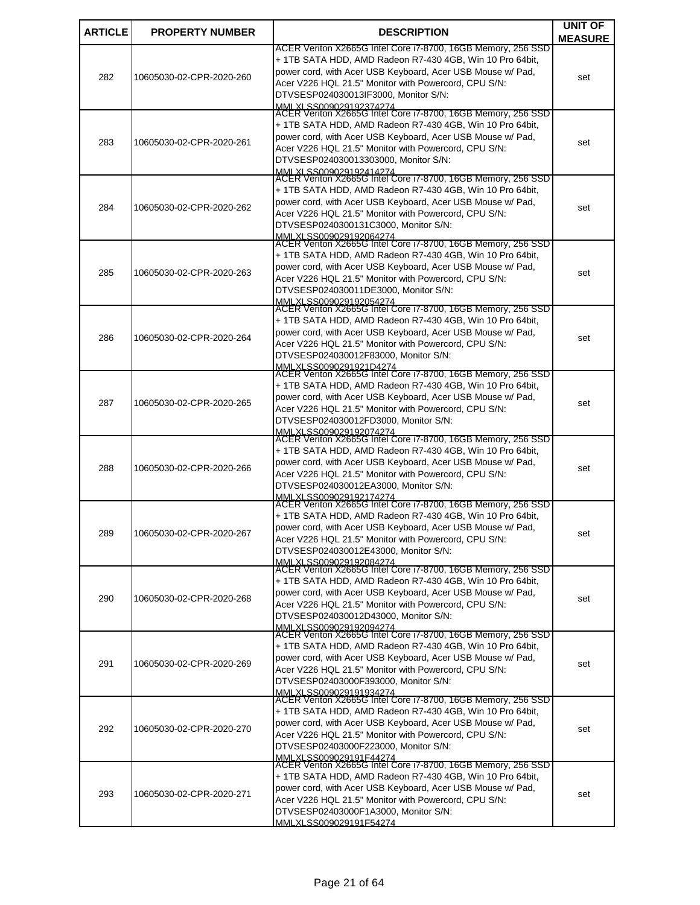| <b>ARTICLE</b> | <b>PROPERTY NUMBER</b>   | <b>DESCRIPTION</b>                                                                                                       | <b>UNIT OF</b> |
|----------------|--------------------------|--------------------------------------------------------------------------------------------------------------------------|----------------|
|                |                          | ACER Veriton X2665G Intel Core i7-8700, 16GB Memory, 256 SSD                                                             | <b>MEASURE</b> |
| 282            | 10605030-02-CPR-2020-260 | + 1TB SATA HDD, AMD Radeon R7-430 4GB, Win 10 Pro 64bit,                                                                 |                |
|                |                          | power cord, with Acer USB Keyboard, Acer USB Mouse w/ Pad,                                                               | set            |
|                |                          | Acer V226 HQL 21.5" Monitor with Powercord, CPU S/N:<br>DTVSESP024030013IF3000, Monitor S/N:                             |                |
|                |                          | MMLXLSS009029192374274<br> ACER Veriton X2665G Intel Core i7-8700, 16GB Memory, 256 SSD                                  |                |
|                |                          |                                                                                                                          |                |
|                |                          | + 1TB SATA HDD, AMD Radeon R7-430 4GB, Win 10 Pro 64bit,<br>power cord, with Acer USB Keyboard, Acer USB Mouse w/ Pad,   |                |
| 283            | 10605030-02-CPR-2020-261 | Acer V226 HQL 21.5" Monitor with Powercord, CPU S/N:                                                                     | set            |
|                |                          | DTVSESP024030013303000, Monitor S/N:                                                                                     |                |
|                |                          | MMLXLSS009029192414274<br>ACER Veriton X2665G Intel Core i7-8700, 16GB Memory, 256 SSD                                   |                |
|                |                          | + 1TB SATA HDD, AMD Radeon R7-430 4GB, Win 10 Pro 64bit,                                                                 |                |
| 284            | 10605030-02-CPR-2020-262 | power cord, with Acer USB Keyboard, Acer USB Mouse w/ Pad,                                                               | set            |
|                |                          | Acer V226 HQL 21.5" Monitor with Powercord, CPU S/N:<br>DTVSESP0240300131C3000, Monitor S/N:                             |                |
|                |                          | MMLXLSS009029192064274<br>ACER Veriton X2665G Intel Core i7-8700, 16GB Memory, 256 SSD                                   |                |
|                |                          | + 1TB SATA HDD, AMD Radeon R7-430 4GB, Win 10 Pro 64bit,                                                                 |                |
|                |                          | power cord, with Acer USB Keyboard, Acer USB Mouse w/ Pad,                                                               |                |
| 285            | 10605030-02-CPR-2020-263 | Acer V226 HQL 21.5" Monitor with Powercord, CPU S/N:                                                                     | set            |
|                |                          | DTVSESP024030011DE3000, Monitor S/N:                                                                                     |                |
|                |                          | MMLXLSS009029192054274<br>ACER Veriton X2665G Intel Core i7-8700, 16GB Memory, 256 SSD                                   |                |
|                |                          | + 1TB SATA HDD, AMD Radeon R7-430 4GB, Win 10 Pro 64bit,                                                                 |                |
| 286            | 10605030-02-CPR-2020-264 | power cord, with Acer USB Keyboard, Acer USB Mouse w/ Pad,                                                               | set            |
|                |                          | Acer V226 HQL 21.5" Monitor with Powercord, CPU S/N:<br>DTVSESP024030012F83000, Monitor S/N:                             |                |
|                |                          |                                                                                                                          |                |
|                |                          | MMLXLSS0090291921D4274<br>ACER Veriton X2665G Intel Core i7-8700, 16GB Memory, 256 SSD                                   |                |
|                |                          | + 1TB SATA HDD, AMD Radeon R7-430 4GB, Win 10 Pro 64bit,<br>power cord, with Acer USB Keyboard, Acer USB Mouse w/ Pad,   |                |
| 287            | 10605030-02-CPR-2020-265 | Acer V226 HQL 21.5" Monitor with Powercord, CPU S/N:                                                                     | set            |
|                |                          | DTVSESP024030012FD3000, Monitor S/N:                                                                                     |                |
|                |                          | MMLXLSS009029192074274<br>ACER Veriton X2665G Intel Core i7-8700, 16GB Memory, 256 SSD                                   |                |
|                |                          | + 1TB SATA HDD, AMD Radeon R7-430 4GB, Win 10 Pro 64bit,                                                                 |                |
| 288            | 10605030-02-CPR-2020-266 | power cord, with Acer USB Keyboard, Acer USB Mouse w/ Pad,                                                               | set            |
|                |                          | Acer V226 HQL 21.5" Monitor with Powercord, CPU S/N:<br>DTVSESP024030012EA3000, Monitor S/N:                             |                |
|                |                          | MMI XI SS009029192174274                                                                                                 |                |
|                |                          | ACER Veriton X2665G Intel Core i7-8700, 16GB Memory, 256 SSD<br>+ 1TB SATA HDD, AMD Radeon R7-430 4GB, Win 10 Pro 64bit, |                |
|                |                          | power cord, with Acer USB Keyboard, Acer USB Mouse w/ Pad,                                                               |                |
| 289            | 10605030-02-CPR-2020-267 | Acer V226 HQL 21.5" Monitor with Powercord, CPU S/N:                                                                     | set            |
|                |                          | DTVSESP024030012E43000, Monitor S/N:                                                                                     |                |
|                |                          | MMI XI SS009029192084274<br>ACER Veriton X2665G Intel Core i7-8700, 16GB Memory, 256 SSD                                 |                |
|                |                          | + 1TB SATA HDD, AMD Radeon R7-430 4GB, Win 10 Pro 64bit,                                                                 |                |
| 290            | 10605030-02-CPR-2020-268 | power cord, with Acer USB Keyboard, Acer USB Mouse w/ Pad,<br>Acer V226 HQL 21.5" Monitor with Powercord, CPU S/N:       | set            |
|                |                          | DTVSESP024030012D43000, Monitor S/N:                                                                                     |                |
|                |                          | MMLXI SS009029192094274<br>ACER Veriton X2665G Intel Core i7-8700, 16GB Memory, 256 SSD                                  |                |
|                |                          | + 1TB SATA HDD, AMD Radeon R7-430 4GB, Win 10 Pro 64bit,                                                                 |                |
|                |                          | power cord, with Acer USB Keyboard, Acer USB Mouse w/ Pad,                                                               |                |
| 291            | 10605030-02-CPR-2020-269 | Acer V226 HQL 21.5" Monitor with Powercord, CPU S/N:                                                                     | set            |
|                |                          | DTVSESP02403000F393000, Monitor S/N:                                                                                     |                |
|                |                          | MMI XI SS009029191934274<br>ACER Veriton X2665G Intel Core i7-8700, 16GB Memory, 256 SSD                                 |                |
|                |                          | + 1TB SATA HDD, AMD Radeon R7-430 4GB, Win 10 Pro 64bit,                                                                 |                |
| 292            | 10605030-02-CPR-2020-270 | power cord, with Acer USB Keyboard, Acer USB Mouse w/ Pad,<br>Acer V226 HQL 21.5" Monitor with Powercord, CPU S/N:       | set            |
|                |                          | DTVSESP02403000F223000, Monitor S/N:                                                                                     |                |
|                |                          | MMLXLSS009029191E44274<br>ACER Veriton X2665G Intel Core i7-8700, 16GB Memory, 256 SSD                                   |                |
|                |                          | + 1TB SATA HDD, AMD Radeon R7-430 4GB, Win 10 Pro 64bit,                                                                 |                |
| 293            | 10605030-02-CPR-2020-271 | power cord, with Acer USB Keyboard, Acer USB Mouse w/ Pad,                                                               |                |
|                |                          | Acer V226 HQL 21.5" Monitor with Powercord, CPU S/N:                                                                     | set            |
|                |                          | DTVSESP02403000F1A3000, Monitor S/N:                                                                                     |                |
|                |                          | MMI XI SS009029191F54274                                                                                                 |                |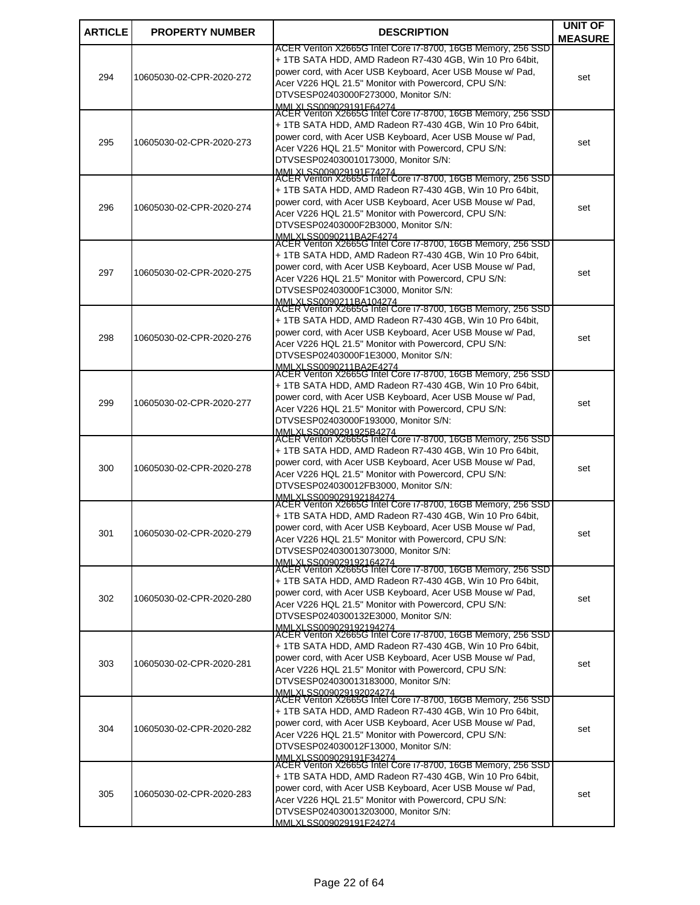| <b>ARTICLE</b> | <b>PROPERTY NUMBER</b>   | <b>DESCRIPTION</b>                                                                                                       | <b>UNIT OF</b> |
|----------------|--------------------------|--------------------------------------------------------------------------------------------------------------------------|----------------|
|                |                          | ACER Veriton X2665G Intel Core i7-8700, 16GB Memory, 256 SSD                                                             | <b>MEASURE</b> |
|                |                          | + 1TB SATA HDD, AMD Radeon R7-430 4GB, Win 10 Pro 64bit,                                                                 |                |
| 294            | 10605030-02-CPR-2020-272 | power cord, with Acer USB Keyboard, Acer USB Mouse w/ Pad,                                                               | set            |
|                |                          | Acer V226 HQL 21.5" Monitor with Powercord, CPU S/N:<br>DTVSESP02403000F273000, Monitor S/N:                             |                |
|                |                          | MMLXLSS009029191F64274<br>ACER Veriton X2665G Intel Core i7-8700, 16GB Memory, 256 SSD                                   |                |
|                |                          | + 1TB SATA HDD, AMD Radeon R7-430 4GB, Win 10 Pro 64bit,                                                                 |                |
|                |                          | power cord, with Acer USB Keyboard, Acer USB Mouse w/ Pad,                                                               |                |
| 295            | 10605030-02-CPR-2020-273 | Acer V226 HQL 21.5" Monitor with Powercord, CPU S/N:                                                                     | set            |
|                |                          | DTVSESP024030010173000, Monitor S/N:<br>MMLXLSS009029191F74274                                                           |                |
|                |                          | ACER Veriton X2665G Intel Core i7-8700, 16GB Memory, 256 SSD                                                             |                |
|                |                          | + 1TB SATA HDD, AMD Radeon R7-430 4GB, Win 10 Pro 64bit,                                                                 |                |
| 296            | 10605030-02-CPR-2020-274 | power cord, with Acer USB Keyboard, Acer USB Mouse w/ Pad,<br>Acer V226 HQL 21.5" Monitor with Powercord, CPU S/N:       | set            |
|                |                          | DTVSESP02403000F2B3000, Monitor S/N:                                                                                     |                |
|                |                          | MMLXLSS0090211BA2F4274<br>ACER Veriton X2665G Intel Core i7-8700, 16GB Memory, 256 SSD                                   |                |
|                |                          | + 1TB SATA HDD, AMD Radeon R7-430 4GB, Win 10 Pro 64bit,                                                                 |                |
| 297            | 10605030-02-CPR-2020-275 | power cord, with Acer USB Keyboard, Acer USB Mouse w/ Pad,                                                               | set            |
|                |                          | Acer V226 HQL 21.5" Monitor with Powercord, CPU S/N:                                                                     |                |
|                |                          | DTVSESP02403000F1C3000, Monitor S/N:                                                                                     |                |
|                |                          | MMLXLSS0090211BA104274<br>ACER Veriton X2665G Intel Core i7-8700, 16GB Memory, 256 SSD                                   |                |
|                |                          | + 1TB SATA HDD, AMD Radeon R7-430 4GB, Win 10 Pro 64bit,                                                                 |                |
| 298            | 10605030-02-CPR-2020-276 | power cord, with Acer USB Keyboard, Acer USB Mouse w/ Pad,<br>Acer V226 HQL 21.5" Monitor with Powercord, CPU S/N:       | set            |
|                |                          | DTVSESP02403000F1E3000, Monitor S/N:                                                                                     |                |
|                |                          | MMLXLSS0090211BA2E4274<br>ACER Veriton X2665G Intel Core i7-8700, 16GB Memory, 256 SSD                                   |                |
|                |                          | + 1TB SATA HDD, AMD Radeon R7-430 4GB, Win 10 Pro 64bit,                                                                 |                |
| 299            | 10605030-02-CPR-2020-277 | power cord, with Acer USB Keyboard, Acer USB Mouse w/ Pad,                                                               | set            |
|                |                          | Acer V226 HQL 21.5" Monitor with Powercord, CPU S/N:                                                                     |                |
|                |                          | DTVSESP02403000F193000, Monitor S/N:<br>MMLXLSS0090291925B4274                                                           |                |
|                |                          | ACER Veriton X2665G Intel Core i7-8700, 16GB Memory, 256 SSD                                                             |                |
|                |                          | + 1TB SATA HDD, AMD Radeon R7-430 4GB, Win 10 Pro 64bit,<br>power cord, with Acer USB Keyboard, Acer USB Mouse w/ Pad,   |                |
| 300            | 10605030-02-CPR-2020-278 | Acer V226 HQL 21.5" Monitor with Powercord, CPU S/N:                                                                     | set            |
|                |                          | DTVSESP024030012FB3000, Monitor S/N:                                                                                     |                |
|                |                          | MMI XI SS009029192184274<br>ACER Veriton X2665G Intel Core i7-8700, 16GB Memory, 256 SSD                                 |                |
|                |                          | + 1TB SATA HDD, AMD Radeon R7-430 4GB, Win 10 Pro 64bit,                                                                 |                |
| 301            | 10605030-02-CPR-2020-279 | power cord, with Acer USB Keyboard, Acer USB Mouse w/ Pad,                                                               | set            |
|                |                          | Acer V226 HQL 21.5" Monitor with Powercord, CPU S/N:<br>DTVSESP024030013073000, Monitor S/N:                             |                |
|                |                          | MMI XI SS009029192164274                                                                                                 |                |
|                |                          | ACER Veriton X2665G Intel Core i7-8700, 16GB Memory, 256 SSD<br>+ 1TB SATA HDD, AMD Radeon R7-430 4GB, Win 10 Pro 64bit, |                |
|                |                          | power cord, with Acer USB Keyboard, Acer USB Mouse w/ Pad,                                                               |                |
| 302            | 10605030-02-CPR-2020-280 | Acer V226 HQL 21.5" Monitor with Powercord, CPU S/N:                                                                     | set            |
|                |                          | DTVSESP0240300132E3000, Monitor S/N:                                                                                     |                |
|                |                          | MMLXI SS009029192194274<br>ACER Veriton X2665G Intel Core i7-8700, 16GB Memory, 256 SSD                                  |                |
|                |                          | + 1TB SATA HDD, AMD Radeon R7-430 4GB, Win 10 Pro 64bit,                                                                 |                |
| 303            | 10605030-02-CPR-2020-281 | power cord, with Acer USB Keyboard, Acer USB Mouse w/ Pad,<br>Acer V226 HQL 21.5" Monitor with Powercord, CPU S/N:       | set            |
|                |                          | DTVSESP024030013183000, Monitor S/N:                                                                                     |                |
|                |                          | MMI XI SS009029192024274<br>ACER Veriton X2665G Intel Core i7-8700, 16GB Memory, 256 SSD                                 |                |
|                |                          | + 1TB SATA HDD, AMD Radeon R7-430 4GB, Win 10 Pro 64bit,                                                                 |                |
| 304            | 10605030-02-CPR-2020-282 | power cord, with Acer USB Keyboard, Acer USB Mouse w/ Pad,                                                               | set            |
|                |                          | Acer V226 HQL 21.5" Monitor with Powercord, CPU S/N:<br>DTVSESP024030012F13000, Monitor S/N:                             |                |
|                |                          |                                                                                                                          |                |
|                |                          | MMLXLSS009029191F34274<br>ACER Veriton X2665G Intel Core i7-8700, 16GB Memory, 256 SSD                                   |                |
|                |                          | + 1TB SATA HDD, AMD Radeon R7-430 4GB, Win 10 Pro 64bit,<br>power cord, with Acer USB Keyboard, Acer USB Mouse w/ Pad,   |                |
| 305            | 10605030-02-CPR-2020-283 | Acer V226 HQL 21.5" Monitor with Powercord, CPU S/N:                                                                     | set            |
|                |                          | DTVSESP024030013203000, Monitor S/N:                                                                                     |                |
|                |                          | MMI XI SS009029191F24274                                                                                                 |                |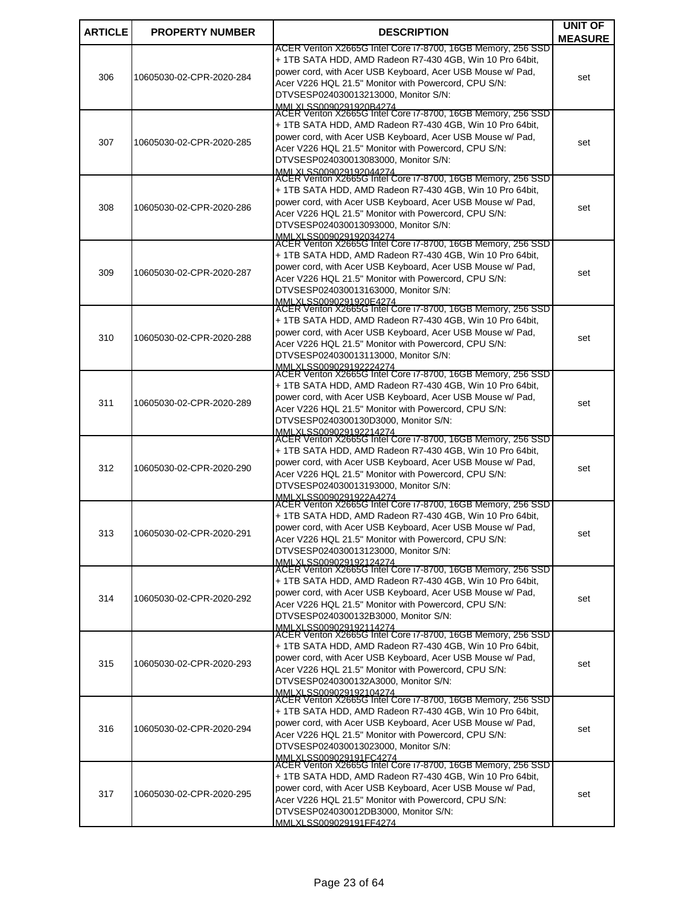| <b>ARTICLE</b> | <b>PROPERTY NUMBER</b>   | <b>DESCRIPTION</b>                                                                                                       | <b>UNIT OF</b> |
|----------------|--------------------------|--------------------------------------------------------------------------------------------------------------------------|----------------|
|                |                          | ACER Veriton X2665G Intel Core i7-8700, 16GB Memory, 256 SSD                                                             | <b>MEASURE</b> |
|                |                          | + 1TB SATA HDD, AMD Radeon R7-430 4GB, Win 10 Pro 64bit,                                                                 |                |
| 306            | 10605030-02-CPR-2020-284 | power cord, with Acer USB Keyboard, Acer USB Mouse w/ Pad,                                                               | set            |
|                |                          | Acer V226 HQL 21.5" Monitor with Powercord, CPU S/N:                                                                     |                |
|                |                          | DTVSESP024030013213000, Monitor S/N:<br>MMLXLSS0090291920B4274                                                           |                |
|                |                          | ACER Veriton X2665G Intel Core i7-8700, 16GB Memory, 256 SSD                                                             |                |
|                |                          | + 1TB SATA HDD, AMD Radeon R7-430 4GB, Win 10 Pro 64bit,                                                                 |                |
| 307            | 10605030-02-CPR-2020-285 | power cord, with Acer USB Keyboard, Acer USB Mouse w/ Pad,<br>Acer V226 HQL 21.5" Monitor with Powercord, CPU S/N:       | set            |
|                |                          | DTVSESP024030013083000, Monitor S/N:                                                                                     |                |
|                |                          | MMLXLSS009029192044274<br>ACER Veriton X2665G Intel Core i7-8700, 16GB Memory, 256 SSD                                   |                |
|                |                          | + 1TB SATA HDD, AMD Radeon R7-430 4GB, Win 10 Pro 64bit,                                                                 |                |
|                |                          | power cord, with Acer USB Keyboard, Acer USB Mouse w/ Pad,                                                               |                |
| 308            | 10605030-02-CPR-2020-286 | Acer V226 HQL 21.5" Monitor with Powercord, CPU S/N:                                                                     | set            |
|                |                          | DTVSESP024030013093000, Monitor S/N:                                                                                     |                |
|                |                          | MMLXLSS009029192034274<br>ACER Veriton X2665G Intel Core i7-8700, 16GB Memory, 256 SSD                                   |                |
|                |                          | + 1TB SATA HDD, AMD Radeon R7-430 4GB, Win 10 Pro 64bit,                                                                 |                |
| 309            | 10605030-02-CPR-2020-287 | power cord, with Acer USB Keyboard, Acer USB Mouse w/ Pad,                                                               | set            |
|                |                          | Acer V226 HQL 21.5" Monitor with Powercord, CPU S/N:                                                                     |                |
|                |                          | DTVSESP024030013163000. Monitor S/N:<br>MMLXLSS0090291920E4274                                                           |                |
|                |                          | ACER Veriton X2665G Intel Core i7-8700, 16GB Memory, 256 SSD                                                             |                |
|                |                          | + 1TB SATA HDD, AMD Radeon R7-430 4GB, Win 10 Pro 64bit,                                                                 |                |
| 310            | 10605030-02-CPR-2020-288 | power cord, with Acer USB Keyboard, Acer USB Mouse w/ Pad,<br>Acer V226 HQL 21.5" Monitor with Powercord, CPU S/N:       | set            |
|                |                          | DTVSESP024030013113000, Monitor S/N:                                                                                     |                |
|                |                          | MMLXLSS009029192224274<br>ACER Veriton X2665G Intel Core i7-8700, 16GB Memory, 256 SSD                                   |                |
|                |                          |                                                                                                                          |                |
|                |                          | + 1TB SATA HDD, AMD Radeon R7-430 4GB, Win 10 Pro 64bit,<br>power cord, with Acer USB Keyboard, Acer USB Mouse w/ Pad,   |                |
| 311            | 10605030-02-CPR-2020-289 | Acer V226 HQL 21.5" Monitor with Powercord, CPU S/N:                                                                     | set            |
|                |                          | DTVSESP0240300130D3000, Monitor S/N:                                                                                     |                |
|                |                          | MMLXLSS009029192214274<br>ACER Veriton X2665G Intel Core i7-8700, 16GB Memory, 256 SSD                                   |                |
|                |                          | + 1TB SATA HDD, AMD Radeon R7-430 4GB, Win 10 Pro 64bit,                                                                 |                |
| 312            | 10605030-02-CPR-2020-290 | power cord, with Acer USB Keyboard, Acer USB Mouse w/ Pad,                                                               | set            |
|                |                          | Acer V226 HQL 21.5" Monitor with Powercord, CPU S/N:                                                                     |                |
|                |                          | DTVSESP024030013193000. Monitor S/N:<br>MMLXLSS0090291922A4274                                                           |                |
|                |                          | ACER Veriton X2665G Intel Core i7-8700, 16GB Memory, 256 SSD                                                             |                |
|                |                          | + 1TB SATA HDD, AMD Radeon R7-430 4GB, Win 10 Pro 64bit,                                                                 |                |
| 313            | 10605030-02-CPR-2020-291 | power cord, with Acer USB Keyboard, Acer USB Mouse w/ Pad,<br>Acer V226 HQL 21.5" Monitor with Powercord, CPU S/N:       | set            |
|                |                          | DTVSESP024030013123000, Monitor S/N:                                                                                     |                |
|                |                          | MMI XI SS009029192124274                                                                                                 |                |
|                |                          | ACER Veriton X2665G Intel Core i7-8700, 16GB Memory, 256 SSD<br>+ 1TB SATA HDD, AMD Radeon R7-430 4GB, Win 10 Pro 64bit, |                |
|                |                          | power cord, with Acer USB Keyboard, Acer USB Mouse w/ Pad,                                                               |                |
| 314            | 10605030-02-CPR-2020-292 | Acer V226 HQL 21.5" Monitor with Powercord, CPU S/N:                                                                     | set            |
|                |                          | DTVSESP0240300132B3000, Monitor S/N:                                                                                     |                |
|                |                          | MMLXI SS009029192114274<br>ACER Veriton X2665G Intel Core i7-8700, 16GB Memory, 256 SSD                                  |                |
|                |                          | + 1TB SATA HDD, AMD Radeon R7-430 4GB, Win 10 Pro 64bit,                                                                 |                |
| 315            | 10605030-02-CPR-2020-293 | power cord, with Acer USB Keyboard, Acer USB Mouse w/ Pad,                                                               | set            |
|                |                          | Acer V226 HQL 21.5" Monitor with Powercord, CPU S/N:                                                                     |                |
|                |                          | DTVSESP0240300132A3000, Monitor S/N:                                                                                     |                |
|                |                          | MMLXLSS009029192104274<br>ACER Veriton X2665G Intel Core i7-8700, 16GB Memory, 256 SSD                                   |                |
|                |                          | + 1TB SATA HDD, AMD Radeon R7-430 4GB, Win 10 Pro 64bit,                                                                 |                |
| 316            | 10605030-02-CPR-2020-294 | power cord, with Acer USB Keyboard, Acer USB Mouse w/ Pad,                                                               | set            |
|                |                          | Acer V226 HQL 21.5" Monitor with Powercord, CPU S/N:<br>DTVSESP024030013023000, Monitor S/N:                             |                |
|                |                          | MMLXI SS009029191FC4274<br>ACER Veriton X2665G Intel Core i7-8700, 16GB Memory, 256 SSD                                  |                |
|                |                          |                                                                                                                          |                |
|                |                          | + 1TB SATA HDD, AMD Radeon R7-430 4GB, Win 10 Pro 64bit,<br>power cord, with Acer USB Keyboard, Acer USB Mouse w/ Pad,   |                |
| 317            | 10605030-02-CPR-2020-295 | Acer V226 HQL 21.5" Monitor with Powercord, CPU S/N:                                                                     | set            |
|                |                          | DTVSESP024030012DB3000, Monitor S/N:                                                                                     |                |
|                |                          | MMI XI SS009029191FF4274                                                                                                 |                |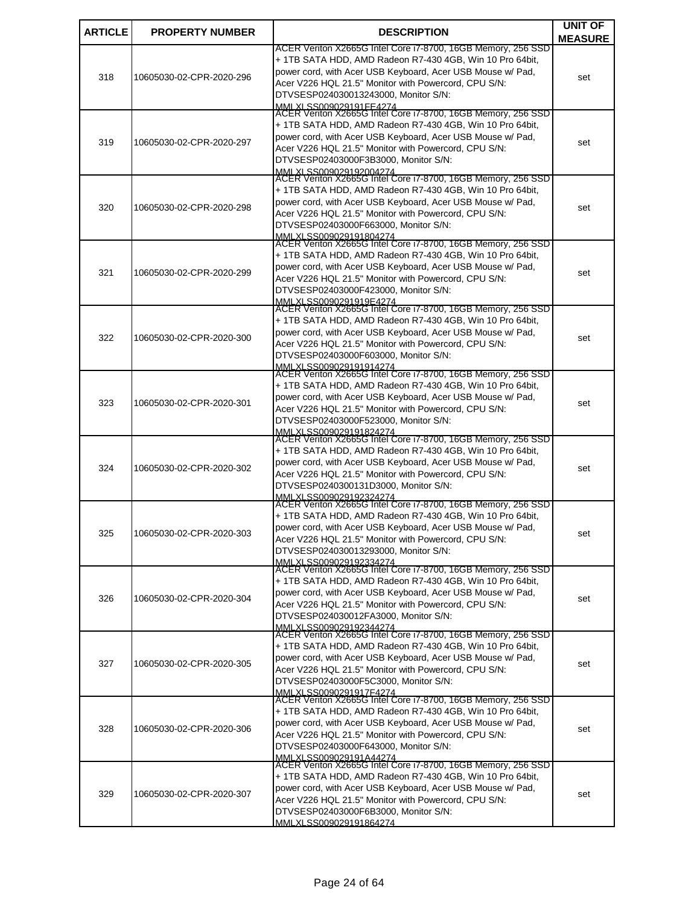| <b>ARTICLE</b> | <b>PROPERTY NUMBER</b>   | <b>DESCRIPTION</b>                                                                                                       | <b>UNIT OF</b> |
|----------------|--------------------------|--------------------------------------------------------------------------------------------------------------------------|----------------|
|                |                          | ACER Veriton X2665G Intel Core i7-8700, 16GB Memory, 256 SSD                                                             | <b>MEASURE</b> |
| 318            | 10605030-02-CPR-2020-296 | + 1TB SATA HDD, AMD Radeon R7-430 4GB, Win 10 Pro 64bit,                                                                 |                |
|                |                          | power cord, with Acer USB Keyboard, Acer USB Mouse w/ Pad,                                                               | set            |
|                |                          | Acer V226 HQL 21.5" Monitor with Powercord, CPU S/N:<br>DTVSESP024030013243000, Monitor S/N:                             |                |
|                |                          | MMLXLSS009029191FE4274                                                                                                   |                |
|                |                          | ACER Veriton X2665G Intel Core i7-8700, 16GB Memory, 256 SSD                                                             |                |
|                |                          | + 1TB SATA HDD, AMD Radeon R7-430 4GB, Win 10 Pro 64bit,<br>power cord, with Acer USB Keyboard, Acer USB Mouse w/ Pad,   |                |
| 319            | 10605030-02-CPR-2020-297 | Acer V226 HQL 21.5" Monitor with Powercord, CPU S/N:                                                                     | set            |
|                |                          | DTVSESP02403000F3B3000, Monitor S/N:                                                                                     |                |
|                |                          | MMLXLSS009029192004274<br>ACER Veriton X2665G Intel Core i7-8700, 16GB Memory, 256 SSD                                   |                |
|                |                          | + 1TB SATA HDD, AMD Radeon R7-430 4GB, Win 10 Pro 64bit,                                                                 |                |
| 320            | 10605030-02-CPR-2020-298 | power cord, with Acer USB Keyboard, Acer USB Mouse w/ Pad,                                                               | set            |
|                |                          | Acer V226 HQL 21.5" Monitor with Powercord, CPU S/N:                                                                     |                |
|                |                          | DTVSESP02403000F663000, Monitor S/N:                                                                                     |                |
|                |                          | MMLXLSS009029191804274<br>ACER Veriton X2665G Intel Core i7-8700, 16GB Memory, 256 SSD                                   |                |
|                |                          | + 1TB SATA HDD, AMD Radeon R7-430 4GB, Win 10 Pro 64bit,                                                                 |                |
| 321            | 10605030-02-CPR-2020-299 | power cord, with Acer USB Keyboard, Acer USB Mouse w/ Pad,<br>Acer V226 HQL 21.5" Monitor with Powercord, CPU S/N:       | set            |
|                |                          | DTVSESP02403000F423000, Monitor S/N:                                                                                     |                |
|                |                          | MMLXLSS0090291919E4274<br>ACER Veriton X2665G Intel Core i7-8700, 16GB Memory, 256 SSD                                   |                |
|                |                          | + 1TB SATA HDD, AMD Radeon R7-430 4GB, Win 10 Pro 64bit,                                                                 |                |
| 322            |                          | power cord, with Acer USB Keyboard, Acer USB Mouse w/ Pad,                                                               |                |
|                | 10605030-02-CPR-2020-300 | Acer V226 HQL 21.5" Monitor with Powercord, CPU S/N:                                                                     | set            |
|                |                          | DTVSESP02403000F603000, Monitor S/N:                                                                                     |                |
|                |                          | MMLXLSS009029191914274<br>ACER Veriton X2665G Intel Core i7-8700, 16GB Memory, 256 SSD                                   |                |
|                |                          | + 1TB SATA HDD, AMD Radeon R7-430 4GB, Win 10 Pro 64bit,                                                                 |                |
| 323            | 10605030-02-CPR-2020-301 | power cord, with Acer USB Keyboard, Acer USB Mouse w/ Pad,                                                               | set            |
|                |                          | Acer V226 HQL 21.5" Monitor with Powercord, CPU S/N:<br>DTVSESP02403000F523000, Monitor S/N:                             |                |
|                |                          | MMLXLSS009029191824274<br>ACER Veriton X2665G Intel Core i7-8700, 16GB Memory, 256 SSD                                   |                |
|                |                          | + 1TB SATA HDD, AMD Radeon R7-430 4GB, Win 10 Pro 64bit,                                                                 |                |
|                |                          | power cord, with Acer USB Keyboard, Acer USB Mouse w/ Pad,                                                               |                |
| 324            | 10605030-02-CPR-2020-302 | Acer V226 HQL 21.5" Monitor with Powercord, CPU S/N:                                                                     | set            |
|                |                          | DTVSESP0240300131D3000, Monitor S/N:<br>MMI XI SS009029192324274                                                         |                |
|                |                          | ACER Veriton X2665G Intel Core i7-8700, 16GB Memory, 256 SSD                                                             |                |
|                |                          | + 1TB SATA HDD, AMD Radeon R7-430 4GB, Win 10 Pro 64bit,                                                                 |                |
| 325            | 10605030-02-CPR-2020-303 | power cord, with Acer USB Keyboard, Acer USB Mouse w/ Pad,<br>Acer V226 HQL 21.5" Monitor with Powercord, CPU S/N:       | set            |
|                |                          | DTVSESP024030013293000, Monitor S/N:                                                                                     |                |
|                |                          | MMI XI SS009029192334274                                                                                                 |                |
|                |                          | ACER Veriton X2665G Intel Core i7-8700, 16GB Memory, 256 SSD<br>+ 1TB SATA HDD, AMD Radeon R7-430 4GB, Win 10 Pro 64bit, |                |
| 326            |                          | power cord, with Acer USB Keyboard, Acer USB Mouse w/ Pad,                                                               |                |
|                | 10605030-02-CPR-2020-304 | Acer V226 HQL 21.5" Monitor with Powercord, CPU S/N:                                                                     | set            |
|                |                          | DTVSESP024030012FA3000, Monitor S/N:                                                                                     |                |
|                |                          | MMLXI SS009029192344274<br>ACER Veriton X2665G Intel Core i7-8700, 16GB Memory, 256 SSD                                  |                |
|                |                          | + 1TB SATA HDD, AMD Radeon R7-430 4GB, Win 10 Pro 64bit,                                                                 |                |
| 327            | 10605030-02-CPR-2020-305 | power cord, with Acer USB Keyboard, Acer USB Mouse w/ Pad,<br>Acer V226 HQL 21.5" Monitor with Powercord, CPU S/N:       | set            |
|                |                          | DTVSESP02403000F5C3000, Monitor S/N:                                                                                     |                |
|                |                          | MMI XI SS0090291917F4274                                                                                                 |                |
|                |                          | ACER Veriton X2665G Intel Core i7-8700, 16GB Memory, 256 SSD<br>+ 1TB SATA HDD, AMD Radeon R7-430 4GB, Win 10 Pro 64bit, |                |
| 328            | 10605030-02-CPR-2020-306 | power cord, with Acer USB Keyboard, Acer USB Mouse w/ Pad,                                                               | set            |
|                |                          | Acer V226 HQL 21.5" Monitor with Powercord, CPU S/N:                                                                     |                |
|                |                          | DTVSESP02403000F643000, Monitor S/N:                                                                                     |                |
|                |                          | MMLXI SS009029191A44274<br>ACER Veriton X2665G Intel Core i7-8700, 16GB Memory, 256 SSD                                  |                |
|                |                          | + 1TB SATA HDD, AMD Radeon R7-430 4GB, Win 10 Pro 64bit,                                                                 |                |
| 329            | 10605030-02-CPR-2020-307 | power cord, with Acer USB Keyboard, Acer USB Mouse w/ Pad,<br>Acer V226 HQL 21.5" Monitor with Powercord, CPU S/N:       | set            |
|                |                          | DTVSESP02403000F6B3000, Monitor S/N:                                                                                     |                |
|                |                          | MMI XI SS009029191864274                                                                                                 |                |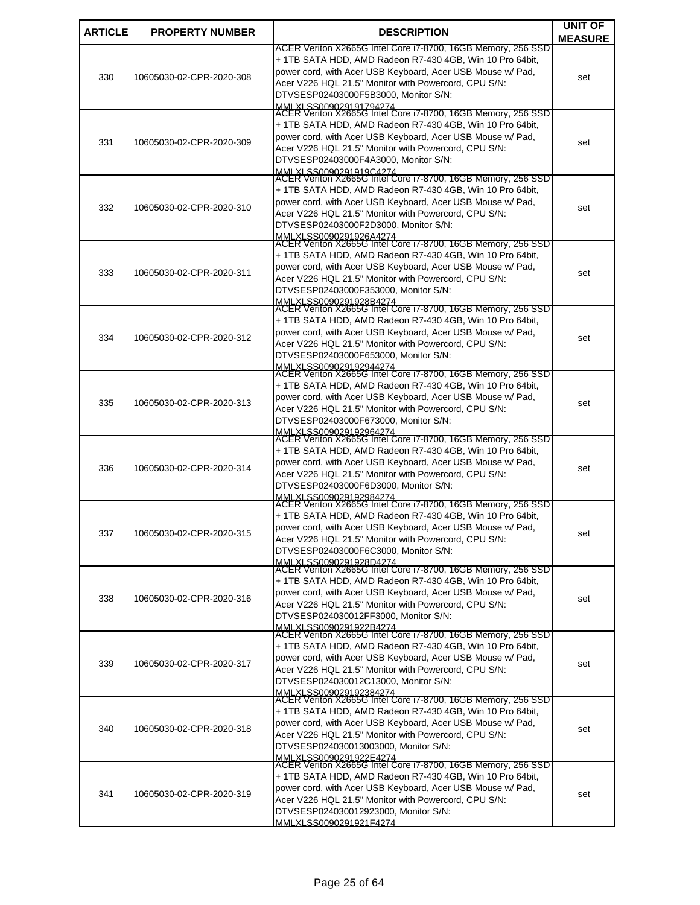| <b>ARTICLE</b> | <b>PROPERTY NUMBER</b>   | <b>DESCRIPTION</b>                                                                                                       | <b>UNIT OF</b> |
|----------------|--------------------------|--------------------------------------------------------------------------------------------------------------------------|----------------|
|                |                          | ACER Veriton X2665G Intel Core i7-8700, 16GB Memory, 256 SSD                                                             | <b>MEASURE</b> |
|                |                          | + 1TB SATA HDD, AMD Radeon R7-430 4GB, Win 10 Pro 64bit,                                                                 |                |
| 330            | 10605030-02-CPR-2020-308 | power cord, with Acer USB Keyboard, Acer USB Mouse w/ Pad,                                                               | set            |
|                |                          | Acer V226 HQL 21.5" Monitor with Powercord, CPU S/N:<br>DTVSESP02403000F5B3000, Monitor S/N:                             |                |
|                |                          | MMLXLSS009029191794274<br>ACER Veriton X2665G Intel Core i7-8700, 16GB Memory, 256 SSD                                   |                |
|                |                          | + 1TB SATA HDD, AMD Radeon R7-430 4GB, Win 10 Pro 64bit,                                                                 |                |
|                |                          | power cord, with Acer USB Keyboard, Acer USB Mouse w/ Pad,                                                               |                |
| 331            | 10605030-02-CPR-2020-309 | Acer V226 HQL 21.5" Monitor with Powercord, CPU S/N:                                                                     | set            |
|                |                          | DTVSESP02403000F4A3000, Monitor S/N:<br>MMLXLSS0090291919C4274                                                           |                |
|                |                          | ACER Veriton X2665G Intel Core i7-8700, 16GB Memory, 256 SSD                                                             |                |
|                |                          | + 1TB SATA HDD, AMD Radeon R7-430 4GB, Win 10 Pro 64bit,                                                                 |                |
| 332            | 10605030-02-CPR-2020-310 | power cord, with Acer USB Keyboard, Acer USB Mouse w/ Pad,<br>Acer V226 HQL 21.5" Monitor with Powercord, CPU S/N:       | set            |
|                |                          | DTVSESP02403000F2D3000, Monitor S/N:                                                                                     |                |
|                |                          | MMLXLSS0090291926A4274<br>ACER Veriton X2665G Intel Core i7-8700, 16GB Memory, 256 SSD                                   |                |
|                |                          | + 1TB SATA HDD, AMD Radeon R7-430 4GB, Win 10 Pro 64bit,                                                                 |                |
| 333            | 10605030-02-CPR-2020-311 | power cord, with Acer USB Keyboard, Acer USB Mouse w/ Pad,                                                               | set            |
|                |                          | Acer V226 HQL 21.5" Monitor with Powercord, CPU S/N:                                                                     |                |
|                |                          | DTVSESP02403000F353000, Monitor S/N:<br>MMLXLSS0090291928B4274                                                           |                |
|                |                          | ACER Veriton X2665G Intel Core i7-8700, 16GB Memory, 256 SSD                                                             |                |
|                |                          | + 1TB SATA HDD, AMD Radeon R7-430 4GB, Win 10 Pro 64bit,                                                                 |                |
| 334            | 10605030-02-CPR-2020-312 | power cord, with Acer USB Keyboard, Acer USB Mouse w/ Pad,<br>Acer V226 HQL 21.5" Monitor with Powercord, CPU S/N:       | set            |
|                |                          | DTVSESP02403000F653000, Monitor S/N:                                                                                     |                |
|                |                          | MMLXLSS009029192944274<br> ACER Veriton X2665G Intel Core i7-8700, 16GB Memory, 256 SSD                                  |                |
|                |                          | + 1TB SATA HDD, AMD Radeon R7-430 4GB, Win 10 Pro 64bit,                                                                 |                |
| 335            | 10605030-02-CPR-2020-313 | power cord, with Acer USB Keyboard, Acer USB Mouse w/ Pad,                                                               | set            |
|                |                          | Acer V226 HQL 21.5" Monitor with Powercord, CPU S/N:                                                                     |                |
|                |                          | DTVSESP02403000F673000, Monitor S/N:<br>MMLXLSS009029192964274                                                           |                |
|                |                          | ACER Veriton X2665G Intel Core i7-8700, 16GB Memory, 256 SSD                                                             |                |
|                |                          | + 1TB SATA HDD, AMD Radeon R7-430 4GB, Win 10 Pro 64bit,<br>power cord, with Acer USB Keyboard, Acer USB Mouse w/ Pad,   |                |
| 336            | 10605030-02-CPR-2020-314 | Acer V226 HQL 21.5" Monitor with Powercord, CPU S/N:                                                                     | set            |
|                |                          | DTVSESP02403000F6D3000, Monitor S/N:                                                                                     |                |
|                |                          | MMI XI SS009029192984274<br>ACER Veriton X2665G Intel Core i7-8700, 16GB Memory, 256 SSD                                 |                |
|                |                          | + 1TB SATA HDD, AMD Radeon R7-430 4GB, Win 10 Pro 64bit,                                                                 |                |
| 337            | 10605030-02-CPR-2020-315 | power cord, with Acer USB Keyboard, Acer USB Mouse w/ Pad,                                                               | set            |
|                |                          | Acer V226 HQL 21.5" Monitor with Powercord, CPU S/N:<br>DTVSESP02403000F6C3000, Monitor S/N:                             |                |
|                |                          | MMI XI SS0090291928D4274                                                                                                 |                |
|                |                          | ACER Veriton X2665G Intel Core i7-8700, 16GB Memory, 256 SSD<br>+ 1TB SATA HDD, AMD Radeon R7-430 4GB, Win 10 Pro 64bit, |                |
|                |                          | power cord, with Acer USB Keyboard, Acer USB Mouse w/ Pad,                                                               |                |
| 338            | 10605030-02-CPR-2020-316 | Acer V226 HQL 21.5" Monitor with Powercord, CPU S/N:                                                                     | set            |
|                |                          | DTVSESP024030012FF3000, Monitor S/N:                                                                                     |                |
|                |                          | MMLXI SS0090291922B4274<br>ACER Veriton X2665G Intel Core i7-8700, 16GB Memory, 256 SSD                                  |                |
|                |                          | + 1TB SATA HDD, AMD Radeon R7-430 4GB, Win 10 Pro 64bit,                                                                 |                |
| 339            | 10605030-02-CPR-2020-317 | power cord, with Acer USB Keyboard, Acer USB Mouse w/ Pad,<br>Acer V226 HQL 21.5" Monitor with Powercord, CPU S/N:       | set            |
|                |                          | DTVSESP024030012C13000, Monitor S/N:                                                                                     |                |
|                |                          | MMI XI SS009029192384274<br>ACER Veriton X2665G Intel Core i7-8700, 16GB Memory, 256 SSD                                 |                |
|                |                          | + 1TB SATA HDD, AMD Radeon R7-430 4GB, Win 10 Pro 64bit,                                                                 |                |
| 340            | 10605030-02-CPR-2020-318 | power cord, with Acer USB Keyboard, Acer USB Mouse w/ Pad,                                                               | set            |
|                |                          | Acer V226 HQL 21.5" Monitor with Powercord, CPU S/N:                                                                     |                |
|                |                          | DTVSESP024030013003000, Monitor S/N:<br>MMI XI SS0090291922F4274                                                         |                |
|                |                          | ACER Veriton X2665G Intel Core i7-8700, 16GB Memory, 256 SSD                                                             |                |
|                |                          | + 1TB SATA HDD, AMD Radeon R7-430 4GB, Win 10 Pro 64bit,<br>power cord, with Acer USB Keyboard, Acer USB Mouse w/ Pad,   |                |
| 341            | 10605030-02-CPR-2020-319 | Acer V226 HQL 21.5" Monitor with Powercord, CPU S/N:                                                                     | set            |
|                |                          | DTVSESP024030012923000, Monitor S/N:                                                                                     |                |
|                |                          | MMI XI SS0090291921F4274                                                                                                 |                |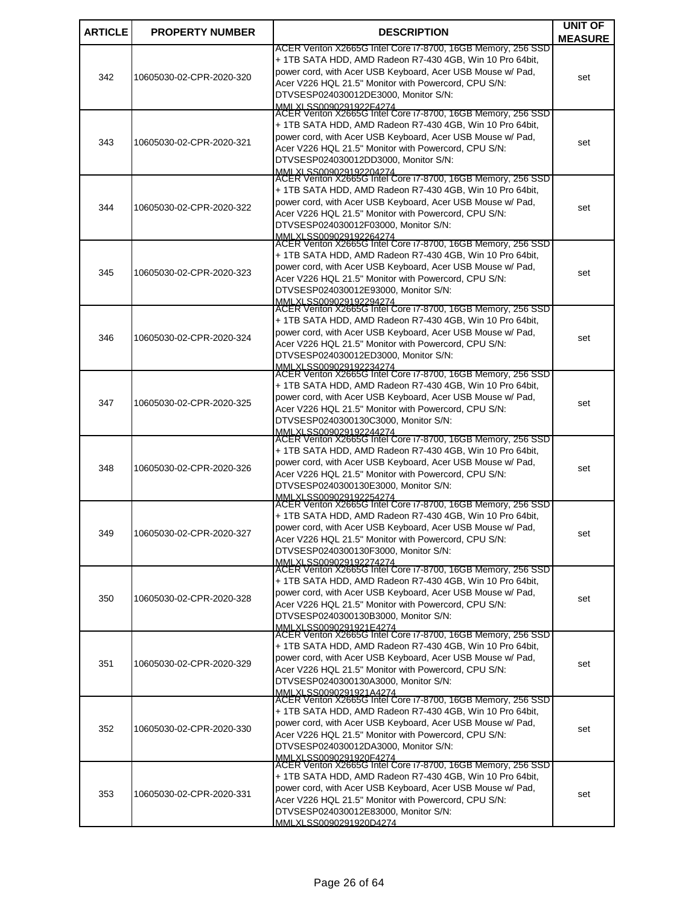| <b>ARTICLE</b> | <b>PROPERTY NUMBER</b>   | <b>DESCRIPTION</b>                                                                                                       | <b>UNIT OF</b> |
|----------------|--------------------------|--------------------------------------------------------------------------------------------------------------------------|----------------|
|                |                          | ACER Veriton X2665G Intel Core i7-8700, 16GB Memory, 256 SSD                                                             | <b>MEASURE</b> |
|                |                          | + 1TB SATA HDD, AMD Radeon R7-430 4GB, Win 10 Pro 64bit,                                                                 |                |
| 342            | 10605030-02-CPR-2020-320 | power cord, with Acer USB Keyboard, Acer USB Mouse w/ Pad,                                                               | set            |
|                |                          | Acer V226 HQL 21.5" Monitor with Powercord, CPU S/N:<br>DTVSESP024030012DE3000, Monitor S/N:                             |                |
|                |                          | MMLXLSS0090291922F4274                                                                                                   |                |
|                |                          | ACER Veriton X2665G Intel Core i7-8700, 16GB Memory, 256 SSD                                                             |                |
|                |                          | + 1TB SATA HDD, AMD Radeon R7-430 4GB, Win 10 Pro 64bit,<br>power cord, with Acer USB Keyboard, Acer USB Mouse w/ Pad,   |                |
| 343            | 10605030-02-CPR-2020-321 | Acer V226 HQL 21.5" Monitor with Powercord, CPU S/N:                                                                     | set            |
|                |                          | DTVSESP024030012DD3000, Monitor S/N:                                                                                     |                |
|                |                          | MMLXLSS009029192204274<br>ACER Veriton X2665G Intel Core i7-8700, 16GB Memory, 256 SSD                                   |                |
|                |                          | + 1TB SATA HDD, AMD Radeon R7-430 4GB, Win 10 Pro 64bit,                                                                 |                |
| 344            | 10605030-02-CPR-2020-322 | power cord, with Acer USB Keyboard, Acer USB Mouse w/ Pad,                                                               | set            |
|                |                          | Acer V226 HQL 21.5" Monitor with Powercord, CPU S/N:                                                                     |                |
|                |                          | DTVSESP024030012F03000, Monitor S/N:                                                                                     |                |
|                |                          | MMLXLSS009029192264274<br>ACER Veriton X2665G Intel Core i7-8700, 16GB Memory, 256 SSD                                   |                |
|                |                          | + 1TB SATA HDD, AMD Radeon R7-430 4GB, Win 10 Pro 64bit,                                                                 |                |
| 345            | 10605030-02-CPR-2020-323 | power cord, with Acer USB Keyboard, Acer USB Mouse w/ Pad,<br>Acer V226 HQL 21.5" Monitor with Powercord, CPU S/N:       | set            |
|                |                          | DTVSESP024030012E93000, Monitor S/N:                                                                                     |                |
|                |                          | MMLXLSS009029192294274<br>ACER Veriton X2665G Intel Core i7-8700, 16GB Memory, 256 SSD                                   |                |
|                |                          | + 1TB SATA HDD, AMD Radeon R7-430 4GB, Win 10 Pro 64bit,                                                                 |                |
| 346            | 10605030-02-CPR-2020-324 | power cord, with Acer USB Keyboard, Acer USB Mouse w/ Pad,                                                               |                |
|                |                          | Acer V226 HQL 21.5" Monitor with Powercord, CPU S/N:                                                                     | set            |
|                |                          | DTVSESP024030012ED3000, Monitor S/N:                                                                                     |                |
|                |                          | MMLXLSS009029192234274<br>ACER Veriton X2665G Intel Core i7-8700, 16GB Memory, 256 SSD                                   |                |
|                |                          | + 1TB SATA HDD, AMD Radeon R7-430 4GB, Win 10 Pro 64bit,                                                                 |                |
| 347            | 10605030-02-CPR-2020-325 | power cord, with Acer USB Keyboard, Acer USB Mouse w/ Pad,                                                               | set            |
|                |                          | Acer V226 HQL 21.5" Monitor with Powercord, CPU S/N:<br>DTVSESP0240300130C3000, Monitor S/N:                             |                |
|                |                          | MMLXLSS009029192244274<br>ACER Veriton X2665G Intel Core i7-8700, 16GB Memory, 256 SSD                                   |                |
|                |                          | + 1TB SATA HDD, AMD Radeon R7-430 4GB, Win 10 Pro 64bit,                                                                 |                |
|                |                          | power cord, with Acer USB Keyboard, Acer USB Mouse w/ Pad,                                                               |                |
| 348            | 10605030-02-CPR-2020-326 | Acer V226 HQL 21.5" Monitor with Powercord, CPU S/N:                                                                     | set            |
|                |                          | DTVSESP0240300130E3000. Monitor S/N:<br>MMI XI SS009029192254274                                                         |                |
|                |                          | ACER Veriton X2665G Intel Core i7-8700, 16GB Memory, 256 SSD                                                             |                |
|                |                          | + 1TB SATA HDD, AMD Radeon R7-430 4GB, Win 10 Pro 64bit,                                                                 |                |
| 349            | 10605030-02-CPR-2020-327 | power cord, with Acer USB Keyboard, Acer USB Mouse w/ Pad,<br>Acer V226 HQL 21.5" Monitor with Powercord, CPU S/N:       | set            |
|                |                          | DTVSESP0240300130F3000, Monitor S/N:                                                                                     |                |
|                |                          | MMI XI SS009029192274274                                                                                                 |                |
|                |                          | ACER Veriton X2665G Intel Core i7-8700, 16GB Memory, 256 SSD<br>+ 1TB SATA HDD, AMD Radeon R7-430 4GB, Win 10 Pro 64bit, |                |
|                |                          | power cord, with Acer USB Keyboard, Acer USB Mouse w/ Pad,                                                               |                |
| 350            | 10605030-02-CPR-2020-328 | Acer V226 HQL 21.5" Monitor with Powercord, CPU S/N:                                                                     | set            |
|                |                          | DTVSESP0240300130B3000, Monitor S/N:                                                                                     |                |
|                |                          | MMLXLSS0090291921E4274<br>ACER Veriton X2665G Intel Core i7-8700, 16GB Memory, 256 SSD                                   |                |
|                |                          | + 1TB SATA HDD, AMD Radeon R7-430 4GB, Win 10 Pro 64bit,                                                                 |                |
| 351            | 10605030-02-CPR-2020-329 | power cord, with Acer USB Keyboard, Acer USB Mouse w/ Pad,<br>Acer V226 HQL 21.5" Monitor with Powercord, CPU S/N:       | set            |
|                |                          | DTVSESP0240300130A3000, Monitor S/N:                                                                                     |                |
|                |                          | MMLXLSS0090291921A4274<br>ACER Veriton X2665G Intel Core i7-8700, 16GB Memory, 256 SSD                                   |                |
|                |                          | + 1TB SATA HDD, AMD Radeon R7-430 4GB, Win 10 Pro 64bit,                                                                 |                |
| 352            | 10605030-02-CPR-2020-330 | power cord, with Acer USB Keyboard, Acer USB Mouse w/ Pad,                                                               |                |
|                |                          | Acer V226 HQL 21.5" Monitor with Powercord, CPU S/N:                                                                     | set            |
|                |                          | DTVSESP024030012DA3000, Monitor S/N:                                                                                     |                |
|                |                          | MMLXLSS0090291920F4274<br>ACER Veriton X2665G Intel Core i7-8700, 16GB Memory, 256 SSD                                   |                |
|                |                          | + 1TB SATA HDD, AMD Radeon R7-430 4GB, Win 10 Pro 64bit,                                                                 |                |
| 353            | 10605030-02-CPR-2020-331 | power cord, with Acer USB Keyboard, Acer USB Mouse w/ Pad,<br>Acer V226 HQL 21.5" Monitor with Powercord, CPU S/N:       | set            |
|                |                          | DTVSESP024030012E83000, Monitor S/N:                                                                                     |                |
|                |                          | MMI XI SS0090291920D4274                                                                                                 |                |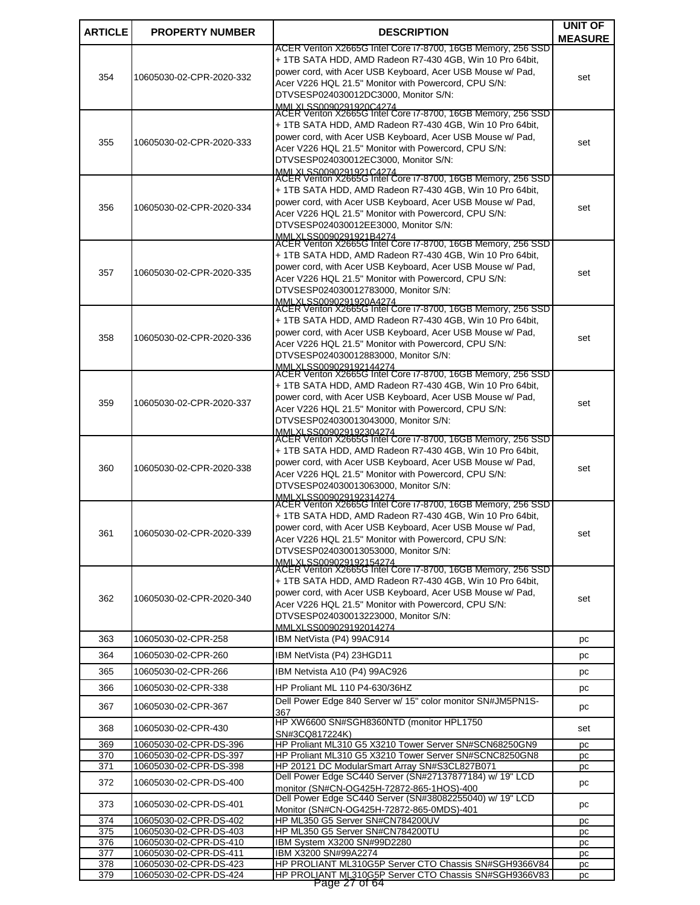| <b>ARTICLE</b><br><b>PROPERTY NUMBER</b><br><b>DESCRIPTION</b><br>ACER Veriton X2665G Intel Core i7-8700, 16GB Memory, 256 SSD<br>+ 1TB SATA HDD, AMD Radeon R7-430 4GB, Win 10 Pro 64bit,<br>power cord, with Acer USB Keyboard, Acer USB Mouse w/ Pad,<br>354<br>10605030-02-CPR-2020-332<br>Acer V226 HQL 21.5" Monitor with Powercord, CPU S/N:<br>DTVSESP024030012DC3000, Monitor S/N:<br>MMLXLSS0090291920C4274<br>ACER Veriton X2665G Intel Core i7-8700, 16GB Memory, 256 SSD | <b>MEASURE</b><br>set |
|---------------------------------------------------------------------------------------------------------------------------------------------------------------------------------------------------------------------------------------------------------------------------------------------------------------------------------------------------------------------------------------------------------------------------------------------------------------------------------------|-----------------------|
|                                                                                                                                                                                                                                                                                                                                                                                                                                                                                       |                       |
|                                                                                                                                                                                                                                                                                                                                                                                                                                                                                       |                       |
|                                                                                                                                                                                                                                                                                                                                                                                                                                                                                       |                       |
|                                                                                                                                                                                                                                                                                                                                                                                                                                                                                       |                       |
|                                                                                                                                                                                                                                                                                                                                                                                                                                                                                       |                       |
|                                                                                                                                                                                                                                                                                                                                                                                                                                                                                       |                       |
| + 1TB SATA HDD, AMD Radeon R7-430 4GB, Win 10 Pro 64bit,                                                                                                                                                                                                                                                                                                                                                                                                                              |                       |
| power cord, with Acer USB Keyboard, Acer USB Mouse w/ Pad,                                                                                                                                                                                                                                                                                                                                                                                                                            |                       |
| 355<br>10605030-02-CPR-2020-333<br>Acer V226 HQL 21.5" Monitor with Powercord, CPU S/N:                                                                                                                                                                                                                                                                                                                                                                                               | set                   |
| DTVSESP024030012EC3000, Monitor S/N:                                                                                                                                                                                                                                                                                                                                                                                                                                                  |                       |
| MMLXLSS0090291921C4274<br>ACER Veriton X2665G Intel Core i7-8700, 16GB Memory, 256 SSD                                                                                                                                                                                                                                                                                                                                                                                                |                       |
| + 1TB SATA HDD, AMD Radeon R7-430 4GB, Win 10 Pro 64bit,                                                                                                                                                                                                                                                                                                                                                                                                                              |                       |
| power cord, with Acer USB Keyboard, Acer USB Mouse w/ Pad,                                                                                                                                                                                                                                                                                                                                                                                                                            |                       |
| 356<br>10605030-02-CPR-2020-334<br>Acer V226 HQL 21.5" Monitor with Powercord, CPU S/N:                                                                                                                                                                                                                                                                                                                                                                                               | set                   |
| DTVSESP024030012EE3000, Monitor S/N:                                                                                                                                                                                                                                                                                                                                                                                                                                                  |                       |
| MMLXLSS0090291921B4274                                                                                                                                                                                                                                                                                                                                                                                                                                                                |                       |
| ACER Veriton X2665G Intel Core i7-8700, 16GB Memory, 256 SSD<br>+ 1TB SATA HDD, AMD Radeon R7-430 4GB, Win 10 Pro 64bit,                                                                                                                                                                                                                                                                                                                                                              |                       |
| power cord, with Acer USB Keyboard, Acer USB Mouse w/ Pad,                                                                                                                                                                                                                                                                                                                                                                                                                            |                       |
| 357<br>10605030-02-CPR-2020-335<br>Acer V226 HQL 21.5" Monitor with Powercord, CPU S/N:                                                                                                                                                                                                                                                                                                                                                                                               | set                   |
| DTVSESP024030012783000, Monitor S/N:                                                                                                                                                                                                                                                                                                                                                                                                                                                  |                       |
| MMLXLSS0090291920A4274<br>ACER Veriton X2665G Intel Core i7-8700, 16GB Memory, 256 SSD                                                                                                                                                                                                                                                                                                                                                                                                |                       |
|                                                                                                                                                                                                                                                                                                                                                                                                                                                                                       |                       |
| + 1TB SATA HDD, AMD Radeon R7-430 4GB, Win 10 Pro 64bit,<br>power cord, with Acer USB Keyboard, Acer USB Mouse w/ Pad,                                                                                                                                                                                                                                                                                                                                                                |                       |
| 358<br>10605030-02-CPR-2020-336<br>Acer V226 HQL 21.5" Monitor with Powercord, CPU S/N:                                                                                                                                                                                                                                                                                                                                                                                               | set                   |
| DTVSESP024030012883000, Monitor S/N:                                                                                                                                                                                                                                                                                                                                                                                                                                                  |                       |
| MMLXLSS009029192144274<br>ACER Veriton X2665G Intel Core i7-8700, 16GB Memory, 256 SSD                                                                                                                                                                                                                                                                                                                                                                                                |                       |
|                                                                                                                                                                                                                                                                                                                                                                                                                                                                                       |                       |
| + 1TB SATA HDD, AMD Radeon R7-430 4GB, Win 10 Pro 64bit,<br>power cord, with Acer USB Keyboard, Acer USB Mouse w/ Pad,                                                                                                                                                                                                                                                                                                                                                                |                       |
| 359<br>10605030-02-CPR-2020-337<br>Acer V226 HQL 21.5" Monitor with Powercord, CPU S/N:                                                                                                                                                                                                                                                                                                                                                                                               | set                   |
| DTVSESP024030013043000, Monitor S/N:                                                                                                                                                                                                                                                                                                                                                                                                                                                  |                       |
| MMLXLSS009029192304274                                                                                                                                                                                                                                                                                                                                                                                                                                                                |                       |
| ACER Veriton X2665G Intel Core i7-8700, 16GB Memory, 256 SSD                                                                                                                                                                                                                                                                                                                                                                                                                          |                       |
| + 1TB SATA HDD, AMD Radeon R7-430 4GB, Win 10 Pro 64bit,                                                                                                                                                                                                                                                                                                                                                                                                                              |                       |
| power cord, with Acer USB Keyboard, Acer USB Mouse w/ Pad,<br>360<br>10605030-02-CPR-2020-338                                                                                                                                                                                                                                                                                                                                                                                         | set                   |
| Acer V226 HQL 21.5" Monitor with Powercord, CPU S/N:<br>DTVSESP024030013063000, Monitor S/N:                                                                                                                                                                                                                                                                                                                                                                                          |                       |
| MMLXLSS009029192314274                                                                                                                                                                                                                                                                                                                                                                                                                                                                |                       |
| ACER Veriton X2665G Intel Core i7-8700, 16GB Memory, 256 SSD                                                                                                                                                                                                                                                                                                                                                                                                                          |                       |
| + 1TB SATA HDD, AMD Radeon R7-430 4GB, Win 10 Pro 64bit,                                                                                                                                                                                                                                                                                                                                                                                                                              |                       |
| power cord, with Acer USB Keyboard, Acer USB Mouse w/ Pad,<br>10605030-02-CPR-2020-339<br>361                                                                                                                                                                                                                                                                                                                                                                                         | set                   |
| Acer V226 HQL 21.5" Monitor with Powercord, CPU S/N:<br>DTVSESP024030013053000, Monitor S/N:                                                                                                                                                                                                                                                                                                                                                                                          |                       |
| MMI XI SS009029192154274                                                                                                                                                                                                                                                                                                                                                                                                                                                              |                       |
| ACER Veriton X2665G Intel Core i7-8700, 16GB Memory, 256 SSD                                                                                                                                                                                                                                                                                                                                                                                                                          |                       |
| + 1TB SATA HDD, AMD Radeon R7-430 4GB, Win 10 Pro 64bit,                                                                                                                                                                                                                                                                                                                                                                                                                              |                       |
| power cord, with Acer USB Keyboard, Acer USB Mouse w/ Pad,<br>362<br>10605030-02-CPR-2020-340                                                                                                                                                                                                                                                                                                                                                                                         | set                   |
| Acer V226 HQL 21.5" Monitor with Powercord, CPU S/N:<br>DTVSESP024030013223000, Monitor S/N:                                                                                                                                                                                                                                                                                                                                                                                          |                       |
| MMI XI SS009029192014274                                                                                                                                                                                                                                                                                                                                                                                                                                                              |                       |
| IBM NetVista (P4) 99AC914<br>363<br>10605030-02-CPR-258                                                                                                                                                                                                                                                                                                                                                                                                                               | рc                    |
| 364<br>IBM NetVista (P4) 23HGD11<br>10605030-02-CPR-260                                                                                                                                                                                                                                                                                                                                                                                                                               |                       |
|                                                                                                                                                                                                                                                                                                                                                                                                                                                                                       | pc                    |
| 365<br>10605030-02-CPR-266<br>IBM Netvista A10 (P4) 99AC926                                                                                                                                                                                                                                                                                                                                                                                                                           | pc                    |
| 366<br>10605030-02-CPR-338<br>HP Proliant ML 110 P4-630/36HZ                                                                                                                                                                                                                                                                                                                                                                                                                          | pc                    |
| Dell Power Edge 840 Server w/ 15" color monitor SN#JM5PN1S-<br>367<br>10605030-02-CPR-367                                                                                                                                                                                                                                                                                                                                                                                             |                       |
| 367                                                                                                                                                                                                                                                                                                                                                                                                                                                                                   | pc                    |
| HP XW6600 SN#SGH8360NTD (monitor HPL1750<br>368<br>10605030-02-CPR-430                                                                                                                                                                                                                                                                                                                                                                                                                | set                   |
| SN#3CQ817224K)<br>HP Proliant ML310 G5 X3210 Tower Server SN#SCN68250GN9<br>369<br>10605030-02-CPR-DS-396                                                                                                                                                                                                                                                                                                                                                                             | pc                    |
| 370<br>10605030-02-CPR-DS-397<br>HP Proliant ML310 G5 X3210 Tower Server SN#SCNC8250GN8                                                                                                                                                                                                                                                                                                                                                                                               | pc                    |
| HP 20121 DC ModularSmart Array SN#S3CL827B071<br>371<br>10605030-02-CPR-DS-398                                                                                                                                                                                                                                                                                                                                                                                                        | рc                    |
| Dell Power Edge SC440 Server (SN#27137877184) w/ 19" LCD<br>372<br>10605030-02-CPR-DS-400                                                                                                                                                                                                                                                                                                                                                                                             | рc                    |
| monitor (SN#CN-OG425H-72872-865-1HOS)-400                                                                                                                                                                                                                                                                                                                                                                                                                                             |                       |
| Dell Power Edge SC440 Server (SN#38082255040) w/ 19" LCD<br>373<br>10605030-02-CPR-DS-401                                                                                                                                                                                                                                                                                                                                                                                             | pc                    |
| Monitor (SN#CN-OG425H-72872-865-0MDS)-401<br>HP ML350 G5 Server SN#CN784200UV<br>374<br>10605030-02-CPR-DS-402                                                                                                                                                                                                                                                                                                                                                                        | pc                    |
| HP ML350 G5 Server SN#CN784200TU<br>375<br>10605030-02-CPR-DS-403                                                                                                                                                                                                                                                                                                                                                                                                                     | pc                    |
| 10605030-02-CPR-DS-410<br>IBM System X3200 SN#99D2280<br>376                                                                                                                                                                                                                                                                                                                                                                                                                          | рc                    |
| 10605030-02-CPR-DS-411<br>IBM X3200 SN#99A2274<br>377                                                                                                                                                                                                                                                                                                                                                                                                                                 | pc                    |
| HP PROLIANT ML310G5P Server CTO Chassis SN#SGH9366V84<br>378<br>10605030-02-CPR-DS-423                                                                                                                                                                                                                                                                                                                                                                                                | pc                    |
| 379<br>10605030-02-CPR-DS-424<br>HP PROLIANT ML310G5P Server CTO Chassis SN#SGH9366V83<br>Page 27 of 64                                                                                                                                                                                                                                                                                                                                                                               | pc                    |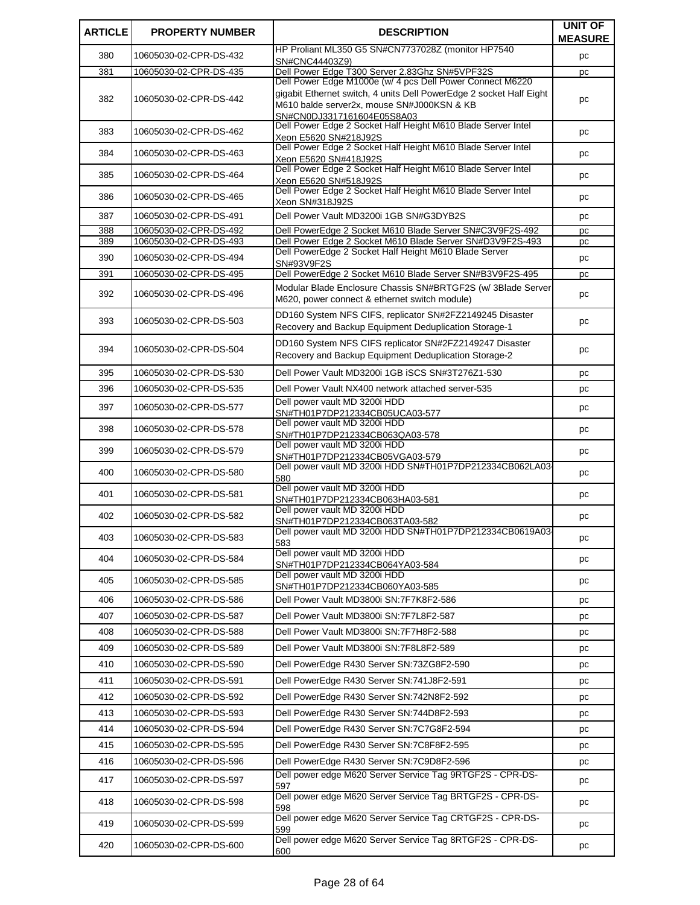| <b>ARTICLE</b> | <b>PROPERTY NUMBER</b> | <b>DESCRIPTION</b>                                                                                                               | <b>UNIT OF</b> |
|----------------|------------------------|----------------------------------------------------------------------------------------------------------------------------------|----------------|
|                |                        | HP Proliant ML350 G5 SN#CN7737028Z (monitor HP7540                                                                               | <b>MEASURE</b> |
| 380            | 10605030-02-CPR-DS-432 | SN#CNC44403Z9)                                                                                                                   | pc             |
| 381            | 10605030-02-CPR-DS-435 | Dell Power Edge T300 Server 2.83Ghz SN#5VPF32S                                                                                   | pc             |
|                |                        | Dell Power Edge M1000e (w/ 4 pcs Dell Power Connect M6220<br>gigabit Ethernet switch, 4 units Dell PowerEdge 2 socket Half Eight |                |
| 382            | 10605030-02-CPR-DS-442 | M610 balde server2x, mouse SN#J000KSN & KB                                                                                       | pc             |
|                |                        | SN#CN0DJ3317161604E05S8A03                                                                                                       |                |
| 383            | 10605030-02-CPR-DS-462 | Dell Power Edge 2 Socket Half Height M610 Blade Server Intel<br>Xeon E5620 SN#218J92S                                            | pc             |
| 384            | 10605030-02-CPR-DS-463 | Dell Power Edge 2 Socket Half Height M610 Blade Server Intel                                                                     | pc             |
|                |                        | Xeon E5620 SN#418J92S<br>Dell Power Edge 2 Socket Half Height M610 Blade Server Intel                                            |                |
| 385            | 10605030-02-CPR-DS-464 | Xeon E5620 SN#518J92S                                                                                                            | pc             |
| 386            | 10605030-02-CPR-DS-465 | Dell Power Edge 2 Socket Half Height M610 Blade Server Intel                                                                     | pc             |
| 387            | 10605030-02-CPR-DS-491 | Xeon SN#318J92S<br>Dell Power Vault MD3200i 1GB SN#G3DYB2S                                                                       | pc             |
| 388            | 10605030-02-CPR-DS-492 | Dell PowerEdge 2 Socket M610 Blade Server SN#C3V9F2S-492                                                                         | pc             |
| 389            | 10605030-02-CPR-DS-493 | Dell Power Edge 2 Socket M610 Blade Server SN#D3V9F2S-493                                                                        | pc             |
| 390            | 10605030-02-CPR-DS-494 | Dell PowerEdge 2 Socket Half Height M610 Blade Server                                                                            | pc             |
| 391            | 10605030-02-CPR-DS-495 | SN#93V9F2S<br>Dell PowerEdge 2 Socket M610 Blade Server SN#B3V9F2S-495                                                           | рc             |
|                |                        | Modular Blade Enclosure Chassis SN#BRTGF2S (w/ 3Blade Server                                                                     |                |
| 392            | 10605030-02-CPR-DS-496 | M620, power connect & ethernet switch module)                                                                                    | pc             |
| 393            | 10605030-02-CPR-DS-503 | DD160 System NFS CIFS, replicator SN#2FZ2149245 Disaster                                                                         | pc             |
|                |                        | Recovery and Backup Equipment Deduplication Storage-1                                                                            |                |
| 394            | 10605030-02-CPR-DS-504 | DD160 System NFS CIFS replicator SN#2FZ2149247 Disaster                                                                          | pc             |
|                |                        | Recovery and Backup Equipment Deduplication Storage-2                                                                            |                |
| 395            | 10605030-02-CPR-DS-530 | Dell Power Vault MD3200i 1GB iSCS SN#3T276Z1-530                                                                                 | рc             |
| 396            | 10605030-02-CPR-DS-535 | Dell Power Vault NX400 network attached server-535                                                                               | pc             |
| 397            | 10605030-02-CPR-DS-577 | Dell power vault MD 3200i HDD<br>SN#TH01P7DP212334CB05UCA03-577                                                                  | pc             |
|                |                        | Dell power vault MD 3200i HDD                                                                                                    |                |
| 398            | 10605030-02-CPR-DS-578 | SN#TH01P7DP212334CB063QA03-578                                                                                                   | pc             |
| 399            | 10605030-02-CPR-DS-579 | Dell power vault MD 3200i HDD<br>SN#TH01P7DP212334CB05VGA03-579                                                                  | pc             |
| 400            | 10605030-02-CPR-DS-580 | Dell power vault MD 3200i HDD SN#TH01P7DP212334CB062LA03-                                                                        | pc             |
|                |                        | 580<br>Dell power vault MD 3200i HDD                                                                                             |                |
| 401            | 10605030-02-CPR-DS-581 | SN#TH01P7DP212334CB063HA03-581                                                                                                   | pc             |
| 402            | 10605030-02-CPR-DS-582 | Dell power vault MD 3200i HDD<br>SN#TH01P7DP212334CB063TA03-582                                                                  | pc             |
|                |                        | Dell power vault MD 3200i HDD SN#TH01P7DP212334CB0619A03-                                                                        |                |
| 403            | 10605030-02-CPR-DS-583 | 583                                                                                                                              | pc             |
| 404            | 10605030-02-CPR-DS-584 | Dell power vault MD 3200i HDD<br>SN#TH01P7DP212334CB064YA03-584                                                                  | рc             |
| 405            | 10605030-02-CPR-DS-585 | Dell power vault MD 3200i HDD                                                                                                    | pc             |
|                |                        | SN#TH01P7DP212334CB060YA03-585                                                                                                   |                |
| 406            | 10605030-02-CPR-DS-586 | Dell Power Vault MD3800i SN:7F7K8F2-586                                                                                          | pc             |
| 407            | 10605030-02-CPR-DS-587 | Dell Power Vault MD3800i SN:7F7L8F2-587                                                                                          | pc             |
| 408            | 10605030-02-CPR-DS-588 | Dell Power Vault MD3800i SN:7F7H8F2-588                                                                                          | pc             |
| 409            | 10605030-02-CPR-DS-589 | Dell Power Vault MD3800i SN:7F8L8F2-589                                                                                          | pc             |
| 410            | 10605030-02-CPR-DS-590 | Dell PowerEdge R430 Server SN:73ZG8F2-590                                                                                        | pc             |
| 411            | 10605030-02-CPR-DS-591 | Dell PowerEdge R430 Server SN:741J8F2-591                                                                                        | pc             |
| 412            | 10605030-02-CPR-DS-592 | Dell PowerEdge R430 Server SN:742N8F2-592                                                                                        | pc             |
| 413            | 10605030-02-CPR-DS-593 | Dell PowerEdge R430 Server SN:744D8F2-593                                                                                        | pc             |
| 414            | 10605030-02-CPR-DS-594 | Dell PowerEdge R430 Server SN:7C7G8F2-594                                                                                        | pc             |
| 415            | 10605030-02-CPR-DS-595 | Dell PowerEdge R430 Server SN:7C8F8F2-595                                                                                        | pc             |
| 416            | 10605030-02-CPR-DS-596 | Dell PowerEdge R430 Server SN:7C9D8F2-596                                                                                        | рc             |
| 417            | 10605030-02-CPR-DS-597 | Dell power edge M620 Server Service Tag 9RTGF2S - CPR-DS-                                                                        | pc             |
|                |                        | 597<br>Dell power edge M620 Server Service Tag BRTGF2S - CPR-DS-                                                                 |                |
| 418            | 10605030-02-CPR-DS-598 | 598                                                                                                                              | pc             |
| 419            | 10605030-02-CPR-DS-599 | Dell power edge M620 Server Service Tag CRTGF2S - CPR-DS-                                                                        | рc             |
|                |                        | 599<br>Dell power edge M620 Server Service Tag 8RTGF2S - CPR-DS-                                                                 |                |
| 420            | 10605030-02-CPR-DS-600 | 600                                                                                                                              | рc             |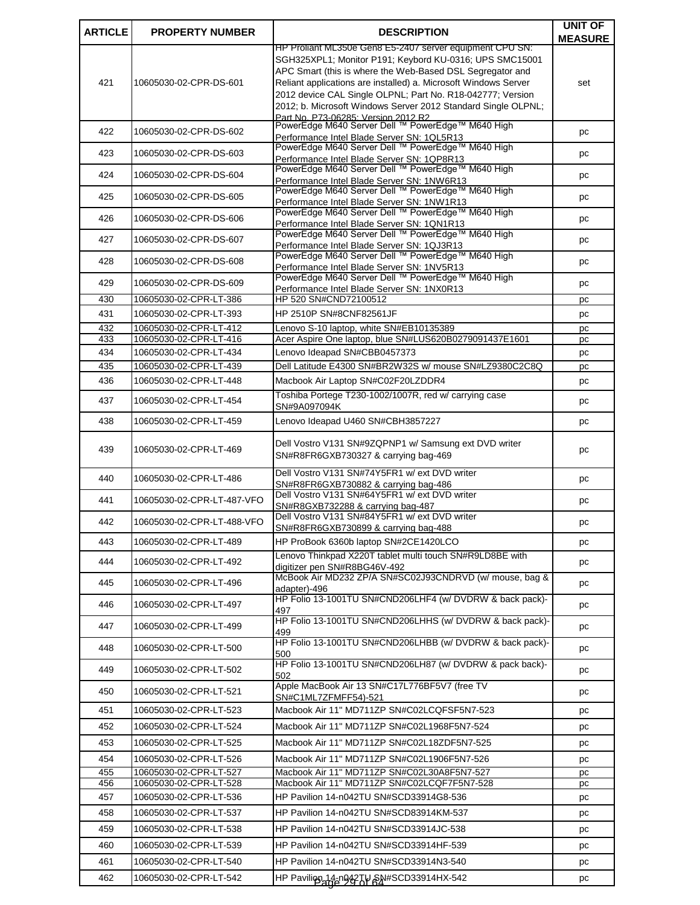| <b>ARTICLE</b> | <b>PROPERTY NUMBER</b>                           | <b>DESCRIPTION</b>                                                                                                            | <b>UNIT OF</b> |
|----------------|--------------------------------------------------|-------------------------------------------------------------------------------------------------------------------------------|----------------|
|                |                                                  | HP Prollant ML350e Gen8 E5-2407 server equipment CPU SN:                                                                      | <b>MEASURE</b> |
|                |                                                  | SGH325XPL1; Monitor P191; Keybord KU-0316; UPS SMC15001                                                                       |                |
|                |                                                  | APC Smart (this is where the Web-Based DSL Segregator and                                                                     |                |
| 421            | 10605030-02-CPR-DS-601                           | Reliant applications are installed) a. Microsoft Windows Server<br>2012 device CAL Single OLPNL; Part No. R18-042777; Version | set            |
|                |                                                  | 2012; b. Microsoft Windows Server 2012 Standard Single OLPNL;                                                                 |                |
|                |                                                  | Part No. P73-06285: Version 2012 R2                                                                                           |                |
| 422            | 10605030-02-CPR-DS-602                           | PowerEdge M640 Server Dell ™ PowerEdge™ M640 High<br>Performance Intel Blade Server SN: 1QL5R13                               | рc             |
| 423            | 10605030-02-CPR-DS-603                           | PowerEdge M640 Server Dell ™ PowerEdge™ M640 High                                                                             |                |
|                |                                                  | Performance Intel Blade Server SN: 1QP8R13<br>PowerEdge M640 Server Dell ™ PowerEdge™ M640 High                               | рc             |
| 424            | 10605030-02-CPR-DS-604                           | Performance Intel Blade Server SN: 1NW6R13                                                                                    | рc             |
| 425            | 10605030-02-CPR-DS-605                           | PowerEdge M640 Server Dell ™ PowerEdge™ M640 High                                                                             | рc             |
|                |                                                  | Performance Intel Blade Server SN: 1NW1R13<br>PowerEdge M640 Server Dell ™ PowerEdge™ M640 High                               |                |
| 426            | 10605030-02-CPR-DS-606                           | Performance Intel Blade Server SN: 1QN1R13                                                                                    | рc             |
| 427            | 10605030-02-CPR-DS-607                           | PowerEdge M640 Server Dell ™ PowerEdge™ M640 High                                                                             | рc             |
|                |                                                  | Performance Intel Blade Server SN: 1QJ3R13<br>PowerEdge M640 Server Dell ™ PowerEdge™ M640 High                               |                |
| 428            | 10605030-02-CPR-DS-608                           | Performance Intel Blade Server SN: 1NV5R13                                                                                    | рc             |
| 429            | 10605030-02-CPR-DS-609                           | PowerEdge M640 Server Dell ™ PowerEdge™ M640 High                                                                             | рc             |
| 430            |                                                  | Performance Intel Blade Server SN: 1NX0R13<br>HP 520 SN#CND72100512                                                           |                |
| 431            | 10605030-02-CPR-LT-386<br>10605030-02-CPR-LT-393 | HP 2510P SN#8CNF82561JF                                                                                                       | pс             |
| 432            | 10605030-02-CPR-LT-412                           | Lenovo S-10 laptop, white SN#EB10135389                                                                                       | pc             |
| 433            | 10605030-02-CPR-LT-416                           | Acer Aspire One laptop, blue SN#LUS620B0279091437E1601                                                                        | рc<br>pc       |
| 434            | 10605030-02-CPR-LT-434                           | Lenovo Ideapad SN#CBB0457373                                                                                                  | pc             |
| 435            | 10605030-02-CPR-LT-439                           | Dell Latitude E4300 SN#BR2W32S w/ mouse SN#LZ9380C2C8Q                                                                        | pc             |
| 436            | 10605030-02-CPR-LT-448                           | Macbook Air Laptop SN#C02F20LZDDR4                                                                                            | рc             |
| 437            | 10605030-02-CPR-LT-454                           | Toshiba Portege T230-1002/1007R, red w/ carrying case<br>SN#9A097094K                                                         | рc             |
| 438            | 10605030-02-CPR-LT-459                           | Lenovo Ideapad U460 SN#CBH3857227                                                                                             | рc             |
|                |                                                  |                                                                                                                               |                |
| 439            | 10605030-02-CPR-LT-469                           | Dell Vostro V131 SN#9ZQPNP1 w/ Samsung ext DVD writer<br>SN#R8FR6GXB730327 & carrying bag-469                                 | pс             |
| 440            | 10605030-02-CPR-LT-486                           | Dell Vostro V131 SN#74Y5FR1 w/ ext DVD writer<br>SN#R8FR6GXB730882 & carrying bag-486                                         | pc             |
| 441            | 10605030-02-CPR-LT-487-VFO                       | Dell Vostro V131 SN#64Y5FR1 w/ ext DVD writer<br>SN#R8GXB732288 & carrying bag-487                                            | рc             |
| 442            | 10605030-02-CPR-LT-488-VFO                       | Dell Vostro V131 SN#84Y5FR1 w/ ext DVD writer<br>SN#R8FR6GXB730899 & carrying bag-488                                         | рc             |
| 443            | 10605030-02-CPR-LT-489                           | HP ProBook 6360b laptop SN#2CE1420LCO                                                                                         | pc             |
|                |                                                  | Lenovo Thinkpad X220T tablet multi touch SN#R9LD8BE with                                                                      |                |
| 444            | 10605030-02-CPR-LT-492                           | digitizer pen SN#R8BG46V-492                                                                                                  | рc             |
| 445            | 10605030-02-CPR-LT-496                           | McBook Air MD232 ZP/A SN#SC02J93CNDRVD (w/ mouse, bag &<br>adapter)-496                                                       | pc             |
| 446            | 10605030-02-CPR-LT-497                           | HP Folio 13-1001TU SN#CND206LHF4 (w/ DVDRW & back pack)-                                                                      | рc             |
| 447            | 10605030-02-CPR-LT-499                           | 497<br>HP Folio 13-1001TU SN#CND206LHHS (w/ DVDRW & back pack)-                                                               | pc             |
| 448            | 10605030-02-CPR-LT-500                           | 499<br>HP Folio 13-1001TU SN#CND206LHBB (w/ DVDRW & back pack)-                                                               | рc             |
| 449            | 10605030-02-CPR-LT-502                           | 500<br>HP Folio 13-1001TU SN#CND206LH87 (w/ DVDRW & pack back)-                                                               | рc             |
| 450            | 10605030-02-CPR-LT-521                           | 502<br>Apple MacBook Air 13 SN#C17L776BF5V7 (free TV                                                                          | рc             |
| 451            | 10605030-02-CPR-LT-523                           | SN#C1ML7ZFMFF54)-521<br>Macbook Air 11" MD711ZP SN#C02LCQFSF5N7-523                                                           | рc             |
|                | 10605030-02-CPR-LT-524                           | Macbook Air 11" MD711ZP SN#C02L1968F5N7-524                                                                                   |                |
| 452            |                                                  |                                                                                                                               | рc             |
| 453            | 10605030-02-CPR-LT-525                           | Macbook Air 11" MD711ZP SN#C02L18ZDF5N7-525                                                                                   | рc             |
| 454            | 10605030-02-CPR-LT-526                           | Macbook Air 11" MD711ZP SN#C02L1906F5N7-526                                                                                   | рc             |
| 455<br>456     | 10605030-02-CPR-LT-527<br>10605030-02-CPR-LT-528 | Macbook Air 11" MD711ZP SN#C02L30A8F5N7-527<br>Macbook Air 11" MD711ZP SN#C02LCQF7F5N7-528                                    | рc             |
| 457            | 10605030-02-CPR-LT-536                           | HP Pavilion 14-n042TU SN#SCD33914G8-536                                                                                       | рc<br>рc       |
| 458            | 10605030-02-CPR-LT-537                           | HP Pavilion 14-n042TU SN#SCD83914KM-537                                                                                       |                |
|                |                                                  |                                                                                                                               | pc             |
| 459            | 10605030-02-CPR-LT-538                           | HP Pavilion 14-n042TU SN#SCD33914JC-538                                                                                       | рc             |
| 460            | 10605030-02-CPR-LT-539                           | HP Pavilion 14-n042TU SN#SCD33914HF-539                                                                                       | рc             |
| 461            | 10605030-02-CPR-LT-540                           | HP Pavilion 14-n042TU SN#SCD33914N3-540                                                                                       | рc             |
| 462            | 10605030-02-CPR-LT-542                           | HP Pavilion 14-n942TU SN#SCD33914HX-542                                                                                       | pc             |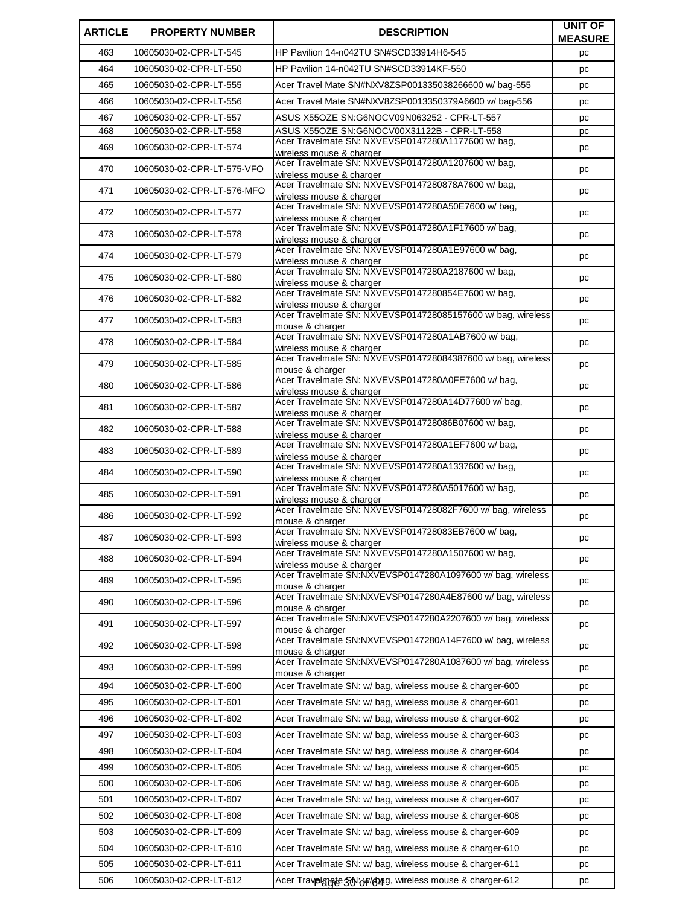| <b>ARTICLE</b> | <b>PROPERTY NUMBER</b>     | <b>DESCRIPTION</b>                                                                               | UNIT OF<br><b>MEASURE</b> |
|----------------|----------------------------|--------------------------------------------------------------------------------------------------|---------------------------|
| 463            | 10605030-02-CPR-LT-545     | HP Pavilion 14-n042TU SN#SCD33914H6-545                                                          | pc                        |
| 464            | 10605030-02-CPR-LT-550     | HP Pavilion 14-n042TU SN#SCD33914KF-550                                                          | pc                        |
| 465            | 10605030-02-CPR-LT-555     | Acer Travel Mate SN#NXV8ZSP001335038266600 w/baq-555                                             | pc                        |
| 466            | 10605030-02-CPR-LT-556     | Acer Travel Mate SN#NXV8ZSP0013350379A6600 w/ bag-556                                            | pc                        |
| 467            | 10605030-02-CPR-LT-557     |                                                                                                  | pc                        |
| 468            | 10605030-02-CPR-LT-558     | ASUS X55OZE SN:G6NOCV00X31122B - CPR-LT-558<br>Acer Travelmate SN: NXVEVSP0147280A1177600 w/bag, | pc                        |
| 469            | 10605030-02-CPR-LT-574     | wireless mouse & charger                                                                         | pc                        |
| 470            | 10605030-02-CPR-LT-575-VFO | Acer Travelmate SN: NXVEVSP0147280A1207600 w/bag,<br>wireless mouse & charger                    | pc                        |
| 471            | 10605030-02-CPR-LT-576-MFO | Acer Travelmate SN: NXVEVSP0147280878A7600 w/bag,<br>wireless mouse & charger                    | pc                        |
| 472            | 10605030-02-CPR-LT-577     | Acer Travelmate SN: NXVEVSP0147280A50E7600 w/bag,<br>wireless mouse & charger                    | pc                        |
| 473            | 10605030-02-CPR-LT-578     | Acer Travelmate SN: NXVEVSP0147280A1F17600 w/ bag,<br>wireless mouse & charger                   | pc                        |
| 474            | 10605030-02-CPR-LT-579     | Acer Travelmate SN: NXVEVSP0147280A1E97600 w/ bag,<br>wireless mouse & charger                   | pc                        |
| 475            | 10605030-02-CPR-LT-580     | Acer Travelmate SN: NXVEVSP0147280A2187600 w/ bag,                                               | pc                        |
| 476            | 10605030-02-CPR-LT-582     | wireless mouse & charger<br>Acer Travelmate SN: NXVEVSP0147280854E7600 w/bag,                    | pc                        |
|                |                            | wireless mouse & charger<br>Acer Travelmate SN: NXVEVSP014728085157600 w/ bag, wireless          |                           |
| 477            | 10605030-02-CPR-LT-583     | mouse & charger                                                                                  | pc                        |
| 478            | 10605030-02-CPR-LT-584     | Acer Travelmate SN: NXVEVSP0147280A1AB7600 w/ bag.<br>wireless mouse & charger                   | pc                        |
| 479            | 10605030-02-CPR-LT-585     | Acer Travelmate SN: NXVEVSP014728084387600 w/ bag, wireless<br>mouse & charger                   | pc                        |
| 480            | 10605030-02-CPR-LT-586     | Acer Travelmate SN: NXVEVSP0147280A0FE7600 w/ bag,<br>wireless mouse & charger                   | pc                        |
| 481            | 10605030-02-CPR-LT-587     | Acer Travelmate SN: NXVEVSP0147280A14D77600 w/bag,<br>wireless mouse & charger                   | pc                        |
| 482            | 10605030-02-CPR-LT-588     | Acer Travelmate SN: NXVEVSP014728086B07600 w/bag,                                                | pc                        |
| 483            | 10605030-02-CPR-LT-589     | wireless mouse & charger<br>Acer Travelmate SN: NXVEVSP0147280A1EF7600 w/bag,                    | pc                        |
| 484            | 10605030-02-CPR-LT-590     | wireless mouse & charger<br>Acer Travelmate SN: NXVEVSP0147280A1337600 w/bag,                    | pc                        |
| 485            | 10605030-02-CPR-LT-591     | wireless mouse & charger<br>Acer Travelmate SN: NXVEVSP0147280A5017600 w/bag,                    | pc                        |
| 486            | 10605030-02-CPR-LT-592     | wireless mouse & charger<br>Acer Travelmate SN: NXVEVSP014728082F7600 w/ bag, wireless           |                           |
|                |                            | mouse & charger<br>Acer Travelmate SN: NXVEVSP014728083EB7600 w/ bag                             | pc                        |
| 487            | 10605030-02-CPR-LT-593     | wireless mouse & charger<br>Acer Travelmate SN: NXVEVSP0147280A1507600 w/ bag,                   | pc                        |
| 488            | 10605030-02-CPR-LT-594     | wireless mouse & charger<br>Acer Travelmate SN:NXVEVSP0147280A1097600 w/ bag, wireless           | pc                        |
| 489            | 10605030-02-CPR-LT-595     | mouse & charger                                                                                  | pc                        |
| 490            | 10605030-02-CPR-LT-596     | Acer Travelmate SN:NXVEVSP0147280A4E87600 w/ bag, wireless<br>mouse & charger                    | рc                        |
| 491            | 10605030-02-CPR-LT-597     | Acer Travelmate SN:NXVEVSP0147280A2207600 w/ bag, wireless<br>mouse & charger                    | pc                        |
| 492            | 10605030-02-CPR-LT-598     | Acer Travelmate SN:NXVEVSP0147280A14F7600 w/ bag, wireless<br>mouse & charger                    | pc                        |
| 493            | 10605030-02-CPR-LT-599     | Acer Travelmate SN:NXVEVSP0147280A1087600 w/ bag, wireless<br>mouse & charger                    | pc                        |
| 494            | 10605030-02-CPR-LT-600     | Acer Travelmate SN: w/ bag, wireless mouse & charger-600                                         | pc                        |
| 495            | 10605030-02-CPR-LT-601     | Acer Travelmate SN: w/ bag, wireless mouse & charger-601                                         | pc                        |
| 496            | 10605030-02-CPR-LT-602     | Acer Travelmate SN: w/ bag, wireless mouse & charger-602                                         | рc                        |
| 497            | 10605030-02-CPR-LT-603     | Acer Travelmate SN: w/ bag, wireless mouse & charger-603                                         | pc                        |
| 498            | 10605030-02-CPR-LT-604     | Acer Travelmate SN: w/ bag, wireless mouse & charger-604                                         | pc                        |
| 499            | 10605030-02-CPR-LT-605     | Acer Travelmate SN: w/ bag, wireless mouse & charger-605                                         | pc                        |
| 500            | 10605030-02-CPR-LT-606     | Acer Travelmate SN: w/ bag, wireless mouse & charger-606                                         | pc                        |
| 501            | 10605030-02-CPR-LT-607     | Acer Travelmate SN: w/ bag, wireless mouse & charger-607                                         | pc                        |
| 502            | 10605030-02-CPR-LT-608     | Acer Travelmate SN: w/ bag, wireless mouse & charger-608                                         | pc                        |
| 503            | 10605030-02-CPR-LT-609     | Acer Travelmate SN: w/ bag, wireless mouse & charger-609                                         | pc                        |
| 504            | 10605030-02-CPR-LT-610     | Acer Travelmate SN: w/ bag, wireless mouse & charger-610                                         | pc                        |
| 505            | 10605030-02-CPR-LT-611     | Acer Travelmate SN: w/ bag, wireless mouse & charger-611                                         | pc                        |
| 506            | 10605030-02-CPR-LT-612     | Acer Travplarete SN ow base, wireless mouse & charger-612                                        | pc                        |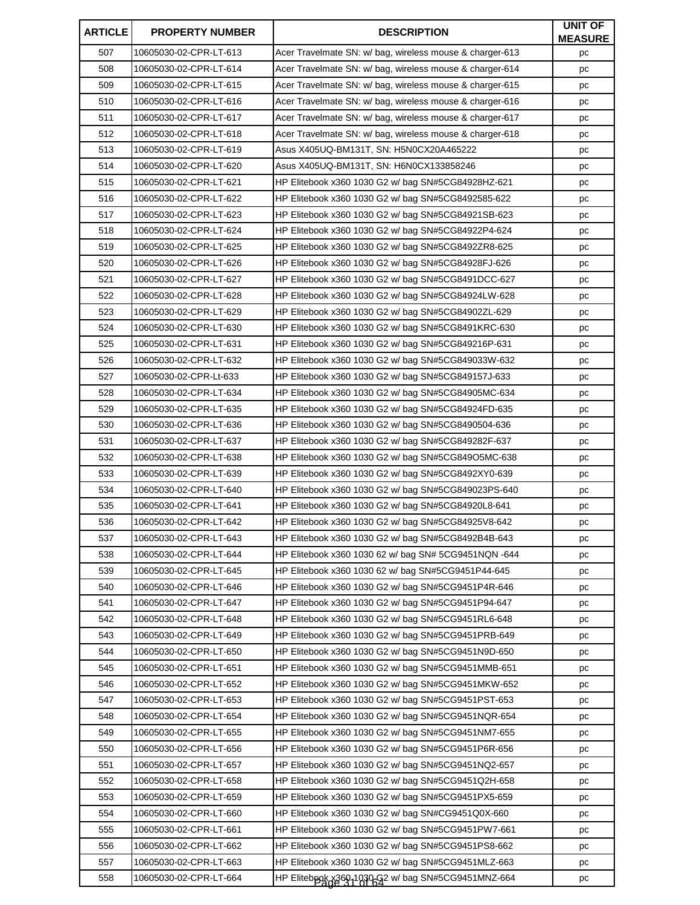| <b>ARTICLE</b> | <b>PROPERTY NUMBER</b> | <b>DESCRIPTION</b>                                       | <b>UNIT OF</b><br><b>MEASURE</b> |
|----------------|------------------------|----------------------------------------------------------|----------------------------------|
| 507            | 10605030-02-CPR-LT-613 | Acer Travelmate SN: w/ bag, wireless mouse & charger-613 | рc                               |
| 508            | 10605030-02-CPR-LT-614 | Acer Travelmate SN: w/ bag, wireless mouse & charger-614 | pc                               |
| 509            | 10605030-02-CPR-LT-615 | Acer Travelmate SN: w/ bag, wireless mouse & charger-615 | рc                               |
| 510            | 10605030-02-CPR-LT-616 | Acer Travelmate SN: w/ bag, wireless mouse & charger-616 | pс                               |
| 511            | 10605030-02-CPR-LT-617 | Acer Travelmate SN: w/ bag, wireless mouse & charger-617 | pс                               |
| 512            | 10605030-02-CPR-LT-618 | Acer Travelmate SN: w/ bag, wireless mouse & charger-618 | рc                               |
| 513            | 10605030-02-CPR-LT-619 | Asus X405UQ-BM131T, SN: H5N0CX20A465222                  | pс                               |
| 514            | 10605030-02-CPR-LT-620 | Asus X405UQ-BM131T, SN: H6N0CX133858246                  | рc                               |
| 515            | 10605030-02-CPR-LT-621 | HP Elitebook x360 1030 G2 w/ bag SN#5CG84928HZ-621       | pс                               |
| 516            | 10605030-02-CPR-LT-622 | HP Elitebook x360 1030 G2 w/ bag SN#5CG8492585-622       | pc                               |
| 517            | 10605030-02-CPR-LT-623 | HP Elitebook x360 1030 G2 w/ bag SN#5CG84921SB-623       | pс                               |
| 518            | 10605030-02-CPR-LT-624 | HP Elitebook x360 1030 G2 w/ bag SN#5CG84922P4-624       | pс                               |
| 519            | 10605030-02-CPR-LT-625 | HP Elitebook x360 1030 G2 w/ bag SN#5CG8492ZR8-625       | рc                               |
| 520            | 10605030-02-CPR-LT-626 | HP Elitebook x360 1030 G2 w/ bag SN#5CG84928FJ-626       | pc                               |
| 521            | 10605030-02-CPR-LT-627 | HP Elitebook x360 1030 G2 w/ bag SN#5CG8491DCC-627       | pс                               |
| 522            | 10605030-02-CPR-LT-628 | HP Elitebook x360 1030 G2 w/ bag SN#5CG84924LW-628       | pс                               |
| 523            | 10605030-02-CPR-LT-629 | HP Elitebook x360 1030 G2 w/ bag SN#5CG84902ZL-629       | рc                               |
| 524            | 10605030-02-CPR-LT-630 | HP Elitebook x360 1030 G2 w/ bag SN#5CG8491KRC-630       | pс                               |
| 525            | 10605030-02-CPR-LT-631 | HP Elitebook x360 1030 G2 w/ bag SN#5CG849216P-631       | рc                               |
| 526            | 10605030-02-CPR-LT-632 | HP Elitebook x360 1030 G2 w/ bag SN#5CG849033W-632       | рc                               |
| 527            | 10605030-02-CPR-Lt-633 | HP Elitebook x360 1030 G2 w/ bag SN#5CG849157J-633       | pс                               |
| 528            | 10605030-02-CPR-LT-634 | HP Elitebook x360 1030 G2 w/ bag SN#5CG84905MC-634       | рc                               |
| 529            | 10605030-02-CPR-LT-635 | HP Elitebook x360 1030 G2 w/ bag SN#5CG84924FD-635       | pс                               |
| 530            | 10605030-02-CPR-LT-636 | HP Elitebook x360 1030 G2 w/ bag SN#5CG8490504-636       | pc                               |
| 531            | 10605030-02-CPR-LT-637 | HP Elitebook x360 1030 G2 w/ bag SN#5CG849282F-637       | pс                               |
| 532            | 10605030-02-CPR-LT-638 | HP Elitebook x360 1030 G2 w/ bag SN#5CG849O5MC-638       | рc                               |
| 533            | 10605030-02-CPR-LT-639 | HP Elitebook x360 1030 G2 w/ bag SN#5CG8492XY0-639       | pс                               |
| 534            | 10605030-02-CPR-LT-640 | HP Elitebook x360 1030 G2 w/ bag SN#5CG849023PS-640      | рc                               |
| 535            | 10605030-02-CPR-LT-641 | HP Elitebook x360 1030 G2 w/ bag SN#5CG84920L8-641       | pс                               |
| 536            | 10605030-02-CPR-LT-642 | HP Elitebook x360 1030 G2 w/ bag SN#5CG84925V8-642       | pc                               |
| 537            | 10605030-02-CPR-LT-643 | HP Elitebook x360 1030 G2 w/ bag SN#5CG8492B4B-643       | рc                               |
| 538            | 10605030-02-CPR-LT-644 | HP Elitebook x360 1030 62 w/ bag SN# 5CG9451NQN -644     | рc                               |
| 539            | 10605030-02-CPR-LT-645 | HP Elitebook x360 1030 62 w/ bag SN#5CG9451P44-645       | рc                               |
| 540            | 10605030-02-CPR-LT-646 | HP Elitebook x360 1030 G2 w/ bag SN#5CG9451P4R-646       | рc                               |
| 541            | 10605030-02-CPR-LT-647 | HP Elitebook x360 1030 G2 w/ bag SN#5CG9451P94-647       | pс                               |
| 542            | 10605030-02-CPR-LT-648 | HP Elitebook x360 1030 G2 w/ bag SN#5CG9451RL6-648       | pс                               |
| 543            | 10605030-02-CPR-LT-649 | HP Elitebook x360 1030 G2 w/ bag SN#5CG9451PRB-649       | рc                               |
| 544            | 10605030-02-CPR-LT-650 | HP Elitebook x360 1030 G2 w/ bag SN#5CG9451N9D-650       | pс                               |
| 545            | 10605030-02-CPR-LT-651 | HP Elitebook x360 1030 G2 w/ bag SN#5CG9451MMB-651       | pс                               |
| 546            | 10605030-02-CPR-LT-652 | HP Elitebook x360 1030 G2 w/ bag SN#5CG9451MKW-652       | pс                               |
| 547            | 10605030-02-CPR-LT-653 | HP Elitebook x360 1030 G2 w/ bag SN#5CG9451PST-653       | pс                               |
| 548            | 10605030-02-CPR-LT-654 | HP Elitebook x360 1030 G2 w/ bag SN#5CG9451NQR-654       | рc                               |
| 549            | 10605030-02-CPR-LT-655 | HP Elitebook x360 1030 G2 w/ bag SN#5CG9451NM7-655       | pс                               |
| 550            | 10605030-02-CPR-LT-656 | HP Elitebook x360 1030 G2 w/ bag SN#5CG9451P6R-656       | рc                               |
| 551            | 10605030-02-CPR-LT-657 | HP Elitebook x360 1030 G2 w/ bag SN#5CG9451NQ2-657       | рc                               |
| 552            | 10605030-02-CPR-LT-658 | HP Elitebook x360 1030 G2 w/ bag SN#5CG9451Q2H-658       | pс                               |
| 553            | 10605030-02-CPR-LT-659 | HP Elitebook x360 1030 G2 w/ bag SN#5CG9451PX5-659       | рc                               |
| 554            | 10605030-02-CPR-LT-660 | HP Elitebook x360 1030 G2 w/ bag SN#CG9451Q0X-660        | pс                               |
| 555            | 10605030-02-CPR-LT-661 | HP Elitebook x360 1030 G2 w/ bag SN#5CG9451PW7-661       | рc                               |
| 556            | 10605030-02-CPR-LT-662 | HP Elitebook x360 1030 G2 w/ bag SN#5CG9451PS8-662       | pс                               |
| 557            | 10605030-02-CPR-LT-663 | HP Elitebook x360 1030 G2 w/ bag SN#5CG9451MLZ-663       | рc                               |
| 558            | 10605030-02-CPR-LT-664 | HP Elitebpok x369-1030-92 w/ bag SN#5CG9451MNZ-664       | pс                               |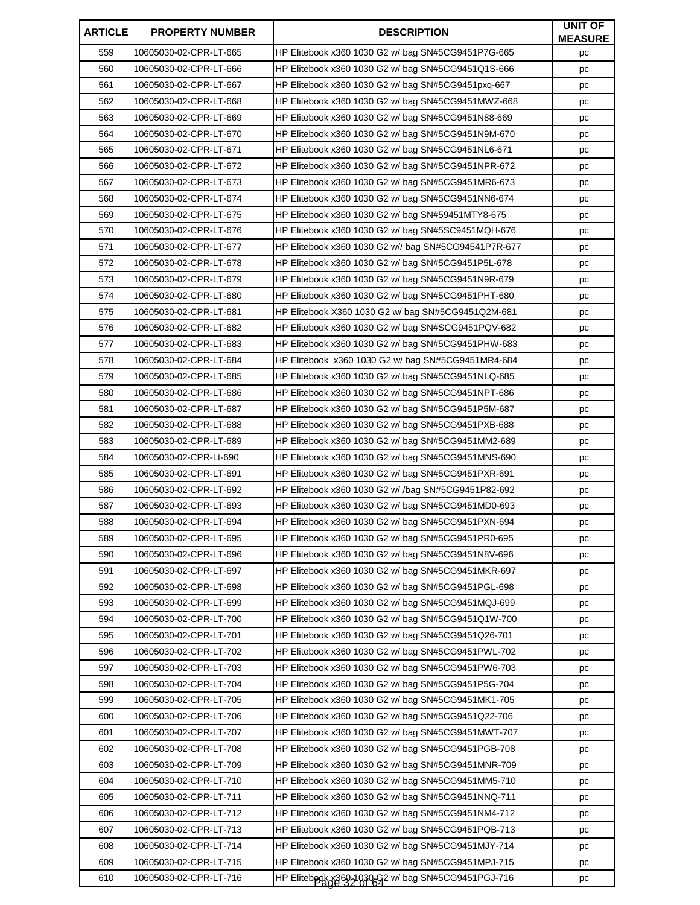| <b>ARTICLE</b> | <b>PROPERTY NUMBER</b> | <b>DESCRIPTION</b>                                   | <b>UNIT OF</b><br><b>MEASURE</b> |
|----------------|------------------------|------------------------------------------------------|----------------------------------|
| 559            | 10605030-02-CPR-LT-665 | HP Elitebook x360 1030 G2 w/ bag SN#5CG9451P7G-665   | рc                               |
| 560            | 10605030-02-CPR-LT-666 | HP Elitebook x360 1030 G2 w/ bag SN#5CG9451Q1S-666   | pc                               |
| 561            | 10605030-02-CPR-LT-667 | HP Elitebook x360 1030 G2 w/ bag SN#5CG9451pxq-667   | рc                               |
| 562            | 10605030-02-CPR-LT-668 | HP Elitebook x360 1030 G2 w/ bag SN#5CG9451MWZ-668   | pс                               |
| 563            | 10605030-02-CPR-LT-669 | HP Elitebook x360 1030 G2 w/ bag SN#5CG9451N88-669   | pс                               |
| 564            | 10605030-02-CPR-LT-670 | HP Elitebook x360 1030 G2 w/ bag SN#5CG9451N9M-670   | рc                               |
| 565            | 10605030-02-CPR-LT-671 | HP Elitebook x360 1030 G2 w/ bag SN#5CG9451NL6-671   | pс                               |
| 566            | 10605030-02-CPR-LT-672 | HP Elitebook x360 1030 G2 w/ bag SN#5CG9451NPR-672   | рc                               |
| 567            | 10605030-02-CPR-LT-673 | HP Elitebook x360 1030 G2 w/ bag SN#5CG9451MR6-673   | pс                               |
| 568            | 10605030-02-CPR-LT-674 | HP Elitebook x360 1030 G2 w/ bag SN#5CG9451NN6-674   | pc                               |
| 569            | 10605030-02-CPR-LT-675 | HP Elitebook x360 1030 G2 w/ bag SN#59451MTY8-675    | pс                               |
| 570            | 10605030-02-CPR-LT-676 | HP Elitebook x360 1030 G2 w/ bag SN#5SC9451MQH-676   | pс                               |
| 571            | 10605030-02-CPR-LT-677 | HP Elitebook x360 1030 G2 w// bag SN#5CG94541P7R-677 | рc                               |
| 572            | 10605030-02-CPR-LT-678 | HP Elitebook x360 1030 G2 w/ bag SN#5CG9451P5L-678   | pc                               |
| 573            | 10605030-02-CPR-LT-679 | HP Elitebook x360 1030 G2 w/ bag SN#5CG9451N9R-679   | pс                               |
| 574            | 10605030-02-CPR-LT-680 | HP Elitebook x360 1030 G2 w/ bag SN#5CG9451PHT-680   | pс                               |
| 575            | 10605030-02-CPR-LT-681 | HP Elitebook X360 1030 G2 w/ bag SN#5CG9451Q2M-681   | рc                               |
| 576            | 10605030-02-CPR-LT-682 | HP Elitebook x360 1030 G2 w/ bag SN#SCG9451PQV-682   | pс                               |
| 577            | 10605030-02-CPR-LT-683 | HP Elitebook x360 1030 G2 w/ bag SN#5CG9451PHW-683   | рc                               |
| 578            | 10605030-02-CPR-LT-684 | HP Elitebook x360 1030 G2 w/ bag SN#5CG9451MR4-684   | рc                               |
| 579            | 10605030-02-CPR-LT-685 | HP Elitebook x360 1030 G2 w/ bag SN#5CG9451NLQ-685   | pс                               |
| 580            | 10605030-02-CPR-LT-686 | HP Elitebook x360 1030 G2 w/ bag SN#5CG9451NPT-686   | pc                               |
| 581            | 10605030-02-CPR-LT-687 | HP Elitebook x360 1030 G2 w/ bag SN#5CG9451P5M-687   | pс                               |
| 582            | 10605030-02-CPR-LT-688 | HP Elitebook x360 1030 G2 w/ bag SN#5CG9451PXB-688   | pc                               |
| 583            | 10605030-02-CPR-LT-689 | HP Elitebook x360 1030 G2 w/ bag SN#5CG9451MM2-689   | pс                               |
| 584            | 10605030-02-CPR-Lt-690 | HP Elitebook x360 1030 G2 w/ bag SN#5CG9451MNS-690   | pс                               |
| 585            | 10605030-02-CPR-LT-691 | HP Elitebook x360 1030 G2 w/ bag SN#5CG9451PXR-691   | pс                               |
| 586            | 10605030-02-CPR-LT-692 | HP Elitebook x360 1030 G2 w/ /bag SN#5CG9451P82-692  | рc                               |
| 587            | 10605030-02-CPR-LT-693 | HP Elitebook x360 1030 G2 w/ bag SN#5CG9451MD0-693   | pс                               |
| 588            | 10605030-02-CPR-LT-694 | HP Elitebook x360 1030 G2 w/ bag SN#5CG9451PXN-694   | pc                               |
| 589            | 10605030-02-CPR-LT-695 | HP Elitebook x360 1030 G2 w/ bag SN#5CG9451PR0-695   | рc                               |
| 590            | 10605030-02-CPR-LT-696 | HP Elitebook x360 1030 G2 w/ bag SN#5CG9451N8V-696   | pc                               |
| 591            | 10605030-02-CPR-LT-697 | HP Elitebook x360 1030 G2 w/ bag SN#5CG9451MKR-697   | рc                               |
| 592            | 10605030-02-CPR-LT-698 | HP Elitebook x360 1030 G2 w/ bag SN#5CG9451PGL-698   | рc                               |
| 593            | 10605030-02-CPR-LT-699 | HP Elitebook x360 1030 G2 w/ bag SN#5CG9451MQJ-699   | pс                               |
| 594            | 10605030-02-CPR-LT-700 | HP Elitebook x360 1030 G2 w/ bag SN#5CG9451Q1W-700   | pс                               |
| 595            | 10605030-02-CPR-LT-701 | HP Elitebook x360 1030 G2 w/ bag SN#5CG9451Q26-701   | рc                               |
| 596            | 10605030-02-CPR-LT-702 | HP Elitebook x360 1030 G2 w/ bag SN#5CG9451PWL-702   | рc                               |
| 597            | 10605030-02-CPR-LT-703 | HP Elitebook x360 1030 G2 w/ bag SN#5CG9451PW6-703   | pс                               |
| 598            | 10605030-02-CPR-LT-704 | HP Elitebook x360 1030 G2 w/ bag SN#5CG9451P5G-704   | pс                               |
| 599            | 10605030-02-CPR-LT-705 | HP Elitebook x360 1030 G2 w/ bag SN#5CG9451MK1-705   | pс                               |
| 600            | 10605030-02-CPR-LT-706 | HP Elitebook x360 1030 G2 w/ bag SN#5CG9451Q22-706   | рc                               |
| 601            | 10605030-02-CPR-LT-707 | HP Elitebook x360 1030 G2 w/ bag SN#5CG9451MWT-707   | pс                               |
| 602            | 10605030-02-CPR-LT-708 | HP Elitebook x360 1030 G2 w/ bag SN#5CG9451PGB-708   | рc                               |
| 603            | 10605030-02-CPR-LT-709 | HP Elitebook x360 1030 G2 w/ bag SN#5CG9451MNR-709   | рc                               |
| 604            | 10605030-02-CPR-LT-710 | HP Elitebook x360 1030 G2 w/ bag SN#5CG9451MM5-710   | pс                               |
| 605            | 10605030-02-CPR-LT-711 | HP Elitebook x360 1030 G2 w/ bag SN#5CG9451NNQ-711   | рc                               |
| 606            | 10605030-02-CPR-LT-712 | HP Elitebook x360 1030 G2 w/ bag SN#5CG9451NM4-712   | рc                               |
| 607            | 10605030-02-CPR-LT-713 | HP Elitebook x360 1030 G2 w/ bag SN#5CG9451PQB-713   | рc                               |
| 608            | 10605030-02-CPR-LT-714 | HP Elitebook x360 1030 G2 w/ bag SN#5CG9451MJY-714   | pс                               |
| 609            | 10605030-02-CPR-LT-715 | HP Elitebook x360 1030 G2 w/ bag SN#5CG9451MPJ-715   | рc                               |
| 610            | 10605030-02-CPR-LT-716 | HP Elitebpok x360-1030-G2 w/ bag SN#5CG9451PGJ-716   | pс                               |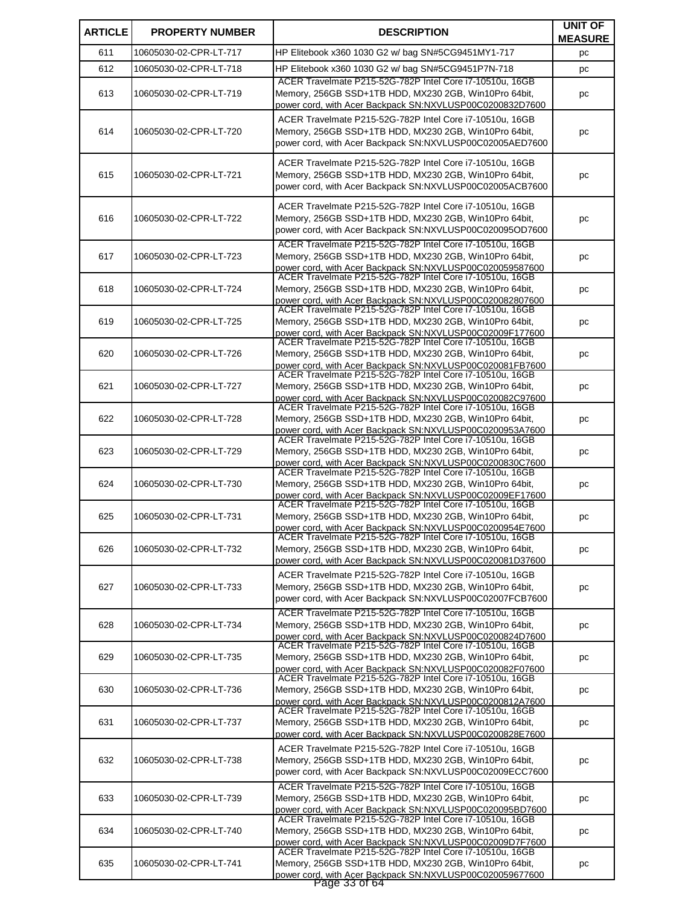| <b>ARTICLE</b> | <b>PROPERTY NUMBER</b> | <b>DESCRIPTION</b>                                                                                                                                                                             | <b>UNIT OF</b><br><b>MEASURE</b> |
|----------------|------------------------|------------------------------------------------------------------------------------------------------------------------------------------------------------------------------------------------|----------------------------------|
| 611            | 10605030-02-CPR-LT-717 | HP Elitebook x360 1030 G2 w/ bag SN#5CG9451MY1-717                                                                                                                                             | рc                               |
| 612            | 10605030-02-CPR-LT-718 | HP Elitebook x360 1030 G2 w/ bag SN#5CG9451P7N-718                                                                                                                                             | pc                               |
| 613            | 10605030-02-CPR-LT-719 | ACER Travelmate P215-52G-782P Intel Core i7-10510u, 16GB<br>Memory, 256GB SSD+1TB HDD, MX230 2GB, Win10Pro 64bit,<br>power cord, with Acer Backpack SN:NXVLUSP00C0200832D7600                  | рc                               |
| 614            | 10605030-02-CPR-LT-720 | ACER Travelmate P215-52G-782P Intel Core i7-10510u, 16GB<br>Memory, 256GB SSD+1TB HDD, MX230 2GB, Win10Pro 64bit,<br>power cord, with Acer Backpack SN:NXVLUSP00C02005AED7600                  | pc                               |
| 615            | 10605030-02-CPR-LT-721 | ACER Travelmate P215-52G-782P Intel Core i7-10510u, 16GB<br>Memory, 256GB SSD+1TB HDD, MX230 2GB, Win10Pro 64bit,<br>power cord, with Acer Backpack SN:NXVLUSP00C02005ACB7600                  | рc                               |
| 616            | 10605030-02-CPR-LT-722 | ACER Travelmate P215-52G-782P Intel Core i7-10510u, 16GB<br>Memory, 256GB SSD+1TB HDD, MX230 2GB, Win10Pro 64bit,<br>power cord, with Acer Backpack SN:NXVLUSP00C020095OD7600                  | pc                               |
| 617            | 10605030-02-CPR-LT-723 | ACER Travelmate P215-52G-782P Intel Core i7-10510u, 16GB<br>Memory, 256GB SSD+1TB HDD, MX230 2GB, Win10Pro 64bit,<br>power cord, with Acer Backpack SN:NXVLUSP00C020059587600                  | рc                               |
| 618            | 10605030-02-CPR-LT-724 | ACER Travelmate P215-52G-782P Intel Core i7-10510u, 16GB<br>Memory, 256GB SSD+1TB HDD, MX230 2GB, Win10Pro 64bit,<br>power cord, with Acer Backpack SN:NXVLUSP00C020082807600                  | рc                               |
| 619            | 10605030-02-CPR-LT-725 | ACER Travelmate P215-52G-782P Intel Core i7-10510u, 16GB<br>Memory, 256GB SSD+1TB HDD, MX230 2GB, Win10Pro 64bit,<br>power cord, with Acer Backpack SN:NXVLUSP00C02009F177600                  | рc                               |
| 620            | 10605030-02-CPR-LT-726 | ACER Travelmate P215-52G-782P Intel Core i7-10510u, 16GB<br>Memory, 256GB SSD+1TB HDD, MX230 2GB, Win10Pro 64bit,<br>power cord, with Acer Backpack SN:NXVLUSP00C020081FB7600                  | рc                               |
| 621            | 10605030-02-CPR-LT-727 | ACER Travelmate P215-52G-782P Intel Core i7-10510u, 16GB<br>Memory, 256GB SSD+1TB HDD, MX230 2GB, Win10Pro 64bit,<br>power cord, with Acer Backpack SN:NXVLUSP00C020082C97600                  | pc                               |
| 622            | 10605030-02-CPR-LT-728 | ACER Travelmate P215-52G-782P Intel Core i7-10510u, 16GB<br>Memory, 256GB SSD+1TB HDD, MX230 2GB, Win10Pro 64bit,<br>power cord, with Acer Backpack SN:NXVLUSP00C0200953A7600                  | рc                               |
| 623            | 10605030-02-CPR-LT-729 | ACER Travelmate P215-52G-782P Intel Core i7-10510u, 16GB<br>Memory, 256GB SSD+1TB HDD, MX230 2GB, Win10Pro 64bit,<br>power cord, with Acer Backpack SN:NXVLUSP00C0200830C7600                  | pc                               |
| 624            | 10605030-02-CPR-LT-730 | ACER Travelmate P215-52G-782P Intel Core i7-10510u, 16GB<br>Memory, 256GB SSD+1TB HDD, MX230 2GB, Win10Pro 64bit,<br>power cord. with Acer Backpack SN:NXVLUSP00C02009EF17600                  | рc                               |
| 625            | 10605030-02-CPR-LT-731 | ACER Travelmate P215-52G-782P Intel Core i7-10510u, 16GB<br>Memory, 256GB SSD+1TB HDD, MX230 2GB, Win10Pro 64bit,<br>power cord, with Acer Backpack SN:NXVLUSP00C0200954E7600                  | pc                               |
| 626            | 10605030-02-CPR-LT-732 | ACER Travelmate P215-52G-782P Intel Core i7-10510u, 16GB<br>Memory, 256GB SSD+1TB HDD, MX230 2GB, Win10Pro 64bit,<br>power cord, with Acer Backpack SN:NXVLUSP00C020081D37600                  | pc                               |
| 627            | 10605030-02-CPR-LT-733 | ACER Travelmate P215-52G-782P Intel Core i7-10510u, 16GB<br>Memory, 256GB SSD+1TB HDD, MX230 2GB, Win10Pro 64bit,<br>power cord, with Acer Backpack SN:NXVLUSP00C02007FCB7600                  | pс                               |
| 628            | 10605030-02-CPR-LT-734 | ACER Travelmate P215-52G-782P Intel Core i7-10510u, 16GB<br>Memory, 256GB SSD+1TB HDD, MX230 2GB, Win10Pro 64bit,<br>power cord, with Acer Backpack SN:NXVLUSP00C0200824D7600                  | рc                               |
| 629            | 10605030-02-CPR-LT-735 | ACER Travelmate P215-52G-782P Intel Core i7-10510u, 16GB<br>Memory, 256GB SSD+1TB HDD, MX230 2GB, Win10Pro 64bit,<br>power cord, with Acer Backpack SN:NXVLUSP00C020082F07600                  | рc                               |
| 630            | 10605030-02-CPR-LT-736 | ACER Travelmate P215-52G-782P Intel Core i7-10510u, 16GB<br>Memory, 256GB SSD+1TB HDD, MX230 2GB, Win10Pro 64bit,<br>power cord, with Acer Backpack SN:NXVLUSP00C0200812A7600                  | pс                               |
| 631            | 10605030-02-CPR-LT-737 | ACER Travelmate P215-52G-782P Intel Core i7-10510u, 16GB<br>Memory, 256GB SSD+1TB HDD, MX230 2GB, Win10Pro 64bit,<br>power cord, with Acer Backpack SN:NXVLUSP00C0200828E7600                  | pс                               |
| 632            | 10605030-02-CPR-LT-738 | ACER Travelmate P215-52G-782P Intel Core i7-10510u, 16GB<br>Memory, 256GB SSD+1TB HDD, MX230 2GB, Win10Pro 64bit,<br>power cord, with Acer Backpack SN:NXVLUSP00C02009ECC7600                  | рc                               |
| 633            | 10605030-02-CPR-LT-739 | ACER Travelmate P215-52G-782P Intel Core i7-10510u, 16GB<br>Memory, 256GB SSD+1TB HDD, MX230 2GB, Win10Pro 64bit,<br>power cord, with Acer Backpack SN:NXVLUSP00C020095BD7600                  | pc                               |
| 634            | 10605030-02-CPR-LT-740 | ACER Travelmate P215-52G-782P Intel Core i7-10510u, 16GB<br>Memory, 256GB SSD+1TB HDD, MX230 2GB, Win10Pro 64bit,<br>power cord, with Acer Backpack SN:NXVLUSP00C02009D7F7600                  | pс                               |
| 635            | 10605030-02-CPR-LT-741 | ACER Travelmate P215-52G-782P Intel Core i7-10510u, 16GB<br>Memory, 256GB SSD+1TB HDD, MX230 2GB, Win10Pro 64bit,<br>power cord, with Acer Backpack SN:NXVLUSP00C020059677600<br>Page 33 of 64 | pс                               |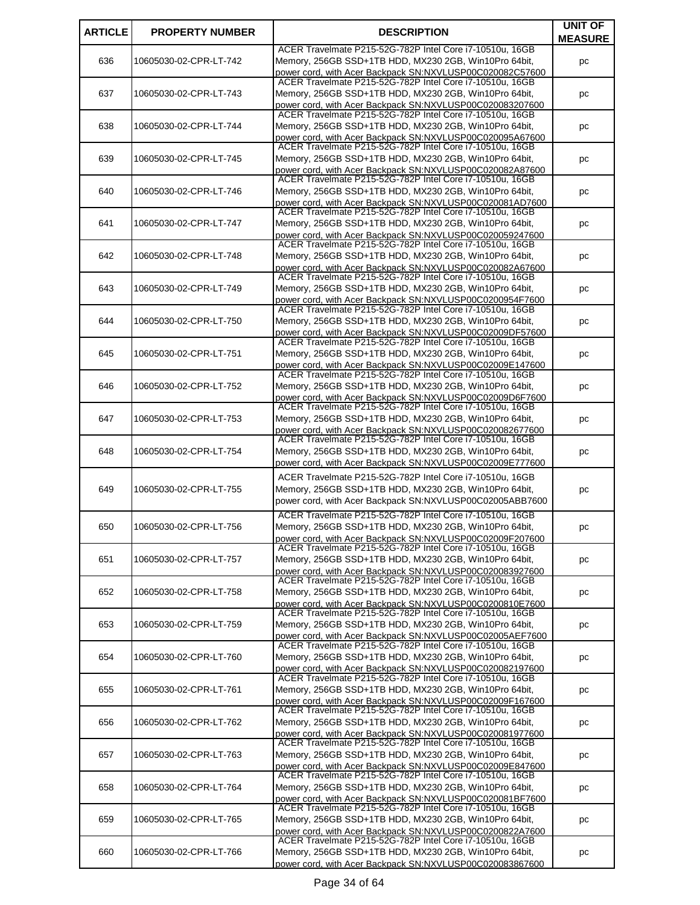| <b>ARTICLE</b> | <b>PROPERTY NUMBER</b> | <b>DESCRIPTION</b>                                                                                                                                                            | <b>UNIT OF</b>       |
|----------------|------------------------|-------------------------------------------------------------------------------------------------------------------------------------------------------------------------------|----------------------|
| 636            | 10605030-02-CPR-LT-742 | ACER Travelmate P215-52G-782P Intel Core i7-10510u, 16GB<br>Memory, 256GB SSD+1TB HDD, MX230 2GB, Win10Pro 64bit,<br>power cord, with Acer Backpack SN:NXVLUSP00C020082C57600 | <b>MEASURE</b><br>pc |
| 637            | 10605030-02-CPR-LT-743 | ACER Travelmate P215-52G-782P Intel Core i7-10510u, 16GB<br>Memory, 256GB SSD+1TB HDD, MX230 2GB, Win10Pro 64bit,<br>power cord, with Acer Backpack SN:NXVLUSP00C020083207600 | pc                   |
| 638            | 10605030-02-CPR-LT-744 | ACER Travelmate P215-52G-782P Intel Core i7-10510u, 16GB<br>Memory, 256GB SSD+1TB HDD, MX230 2GB, Win10Pro 64bit,<br>power cord, with Acer Backpack SN:NXVLUSP00C020095A67600 | pс                   |
| 639            | 10605030-02-CPR-LT-745 | ACER Travelmate P215-52G-782P Intel Core i7-10510u, 16GB<br>Memory, 256GB SSD+1TB HDD, MX230 2GB, Win10Pro 64bit,<br>power cord, with Acer Backpack SN:NXVLUSP00C020082A87600 | рc                   |
| 640            | 10605030-02-CPR-LT-746 | ACER Travelmate P215-52G-782P Intel Core i7-10510u, 16GB<br>Memory, 256GB SSD+1TB HDD, MX230 2GB, Win10Pro 64bit,<br>power cord, with Acer Backpack SN:NXVLUSP00C020081AD7600 | рc                   |
| 641            | 10605030-02-CPR-LT-747 | ACER Travelmate P215-52G-782P Intel Core i7-10510u, 16GB<br>Memory, 256GB SSD+1TB HDD, MX230 2GB, Win10Pro 64bit,<br>power cord, with Acer Backpack SN:NXVLUSP00C020059247600 | рc                   |
| 642            | 10605030-02-CPR-LT-748 | ACER Travelmate P215-52G-782P Intel Core i7-10510u, 16GB<br>Memory, 256GB SSD+1TB HDD, MX230 2GB, Win10Pro 64bit,<br>power cord, with Acer Backpack SN:NXVLUSP00C020082A67600 | рc                   |
| 643            | 10605030-02-CPR-LT-749 | ACER Travelmate P215-52G-782P Intel Core i7-10510u, 16GB<br>Memory, 256GB SSD+1TB HDD, MX230 2GB, Win10Pro 64bit,<br>power cord, with Acer Backpack SN:NXVLUSP00C0200954F7600 | рc                   |
| 644            | 10605030-02-CPR-LT-750 | ACER Travelmate P215-52G-782P Intel Core i7-10510u, 16GB<br>Memory, 256GB SSD+1TB HDD, MX230 2GB, Win10Pro 64bit,<br>power cord, with Acer Backpack SN:NXVLUSP00C02009DF57600 | рc                   |
| 645            | 10605030-02-CPR-LT-751 | ACER Travelmate P215-52G-782P Intel Core i7-10510u, 16GB<br>Memory, 256GB SSD+1TB HDD, MX230 2GB, Win10Pro 64bit,<br>power cord, with Acer Backpack SN:NXVLUSP00C02009E147600 | рc                   |
| 646            | 10605030-02-CPR-LT-752 | ACER Travelmate P215-52G-782P Intel Core i7-10510u, 16GB<br>Memory, 256GB SSD+1TB HDD, MX230 2GB, Win10Pro 64bit,<br>power cord, with Acer Backpack SN:NXVLUSP00C02009D6F7600 | рc                   |
| 647            | 10605030-02-CPR-LT-753 | ACER Travelmate P215-52G-782P Intel Core i7-10510u, 16GB<br>Memory, 256GB SSD+1TB HDD, MX230 2GB, Win10Pro 64bit,<br>power cord, with Acer Backpack SN:NXVLUSP00C020082677600 | рc                   |
| 648            | 10605030-02-CPR-LT-754 | ACER Travelmate P215-52G-782P Intel Core i7-10510u, 16GB<br>Memory, 256GB SSD+1TB HDD, MX230 2GB, Win10Pro 64bit,<br>power cord, with Acer Backpack SN:NXVLUSP00C02009E777600 | pс                   |
| 649            | 10605030-02-CPR-LT-755 | ACER Travelmate P215-52G-782P Intel Core i7-10510u, 16GB<br>Memory, 256GB SSD+1TB HDD, MX230 2GB, Win10Pro 64bit,<br>power cord, with Acer Backpack SN:NXVLUSP00C02005ABB7600 | pc                   |
| 650            | 10605030-02-CPR-LT-756 | ACER Travelmate P215-52G-782P Intel Core i7-10510u, 16GB<br>Memory, 256GB SSD+1TB HDD, MX230 2GB, Win10Pro 64bit,<br>power cord, with Acer Backpack SN:NXVLUSP00C02009F207600 | рc                   |
| 651            | 10605030-02-CPR-LT-757 | ACER Travelmate P215-52G-782P Intel Core i7-10510u, 16GB<br>Memory, 256GB SSD+1TB HDD, MX230 2GB, Win10Pro 64bit,<br>power cord, with Acer Backpack SN:NXVLUSP00C020083927600 | рc                   |
| 652            | 10605030-02-CPR-LT-758 | ACER Travelmate P215-52G-782P Intel Core i7-10510u, 16GB<br>Memory, 256GB SSD+1TB HDD, MX230 2GB, Win10Pro 64bit,<br>power cord, with Acer Backpack SN:NXVLUSP00C0200810E7600 | рc                   |
| 653            | 10605030-02-CPR-LT-759 | ACER Travelmate P215-52G-782P Intel Core i7-10510u, 16GB<br>Memory, 256GB SSD+1TB HDD, MX230 2GB, Win10Pro 64bit,<br>power cord, with Acer Backpack SN:NXVLUSP00C02005AEF7600 | рc                   |
| 654            | 10605030-02-CPR-LT-760 | ACER Travelmate P215-52G-782P Intel Core i7-10510u, 16GB<br>Memory, 256GB SSD+1TB HDD, MX230 2GB, Win10Pro 64bit,<br>power cord. with Acer Backpack SN:NXVLUSP00C020082197600 | pс                   |
| 655            | 10605030-02-CPR-LT-761 | ACER Travelmate P215-52G-782P Intel Core i7-10510u, 16GB<br>Memory, 256GB SSD+1TB HDD, MX230 2GB, Win10Pro 64bit,<br>power cord, with Acer Backpack SN:NXVLUSP00C02009F167600 | рc                   |
| 656            | 10605030-02-CPR-LT-762 | ACER Travelmate P215-52G-782P Intel Core i7-10510u, 16GB<br>Memory, 256GB SSD+1TB HDD, MX230 2GB, Win10Pro 64bit,<br>power cord, with Acer Backpack SN:NXVLUSP00C020081977600 | рc                   |
| 657            | 10605030-02-CPR-LT-763 | ACER Travelmate P215-52G-782P Intel Core i7-10510u, 16GB<br>Memory, 256GB SSD+1TB HDD, MX230 2GB, Win10Pro 64bit,<br>power cord, with Acer Backpack SN:NXVLUSP00C02009E847600 | pc                   |
| 658            | 10605030-02-CPR-LT-764 | ACER Travelmate P215-52G-782P Intel Core i7-10510u, 16GB<br>Memory, 256GB SSD+1TB HDD, MX230 2GB, Win10Pro 64bit,<br>power cord, with Acer Backpack SN:NXVLUSP00C020081BF7600 | pс                   |
| 659            | 10605030-02-CPR-LT-765 | ACER Travelmate P215-52G-782P Intel Core i7-10510u, 16GB<br>Memory, 256GB SSD+1TB HDD, MX230 2GB, Win10Pro 64bit,<br>power cord, with Acer Backpack SN:NXVLUSP00C0200822A7600 | pс                   |
| 660            | 10605030-02-CPR-LT-766 | ACER Travelmate P215-52G-782P Intel Core i7-10510u, 16GB<br>Memory, 256GB SSD+1TB HDD, MX230 2GB, Win10Pro 64bit,<br>power cord, with Acer Backpack SN:NXVLUSP00C020083867600 | pс                   |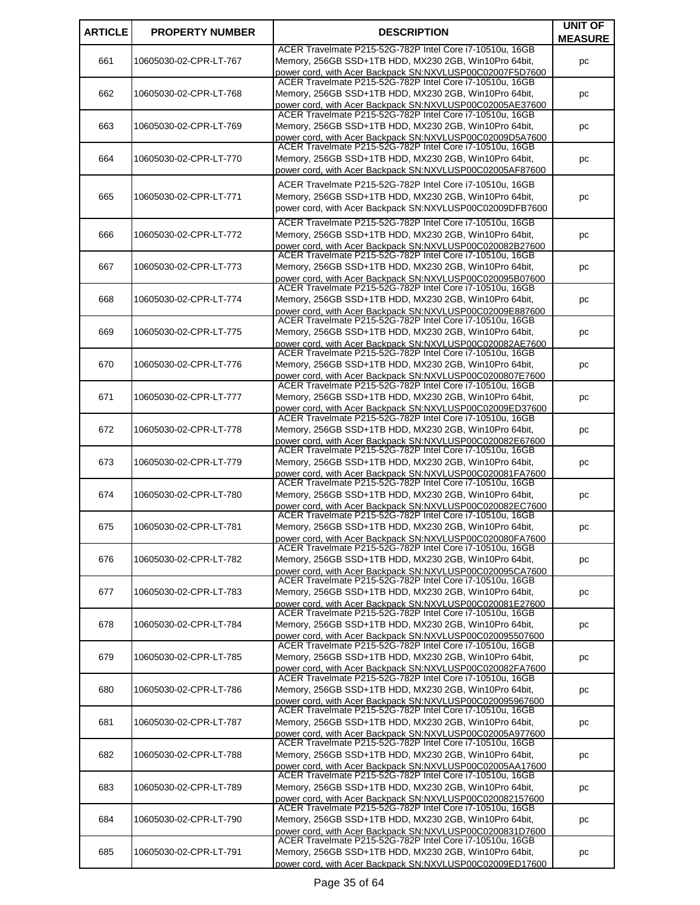| <b>ARTICLE</b> | <b>PROPERTY NUMBER</b> | <b>DESCRIPTION</b>                                                                                                   | <b>UNIT OF</b> |
|----------------|------------------------|----------------------------------------------------------------------------------------------------------------------|----------------|
|                |                        | ACER Travelmate P215-52G-782P Intel Core i7-10510u, 16GB                                                             | <b>MEASURE</b> |
| 661            | 10605030-02-CPR-LT-767 | Memory, 256GB SSD+1TB HDD, MX230 2GB, Win10Pro 64bit,                                                                | pc             |
|                |                        | power cord, with Acer Backpack SN:NXVLUSP00C02007F5D7600                                                             |                |
| 662            | 10605030-02-CPR-LT-768 | ACER Travelmate P215-52G-782P Intel Core i7-10510u, 16GB<br>Memory, 256GB SSD+1TB HDD, MX230 2GB, Win10Pro 64bit,    |                |
|                |                        | power cord, with Acer Backpack SN:NXVLUSP00C02005AE37600                                                             | pc             |
|                |                        | ACER Travelmate P215-52G-782P Intel Core i7-10510u, 16GB                                                             |                |
| 663            | 10605030-02-CPR-LT-769 | Memory, 256GB SSD+1TB HDD, MX230 2GB, Win10Pro 64bit,                                                                | pс             |
|                |                        | power cord, with Acer Backpack SN:NXVLUSP00C02009D5A7600                                                             |                |
|                |                        | ACER Travelmate P215-52G-782P Intel Core i7-10510u, 16GB                                                             |                |
| 664            | 10605030-02-CPR-LT-770 | Memory, 256GB SSD+1TB HDD, MX230 2GB, Win10Pro 64bit,                                                                | рc             |
|                |                        | power cord, with Acer Backpack SN:NXVLUSP00C02005AF87600                                                             |                |
|                |                        | ACER Travelmate P215-52G-782P Intel Core i7-10510u, 16GB                                                             |                |
| 665            | 10605030-02-CPR-LT-771 | Memory, 256GB SSD+1TB HDD, MX230 2GB, Win10Pro 64bit,                                                                | pc             |
|                |                        | power cord, with Acer Backpack SN:NXVLUSP00C02009DFB7600                                                             |                |
|                |                        | ACER Travelmate P215-52G-782P Intel Core i7-10510u, 16GB                                                             |                |
| 666            | 10605030-02-CPR-LT-772 | Memory, 256GB SSD+1TB HDD, MX230 2GB, Win10Pro 64bit,                                                                | рc             |
|                |                        | power cord, with Acer Backpack SN:NXVLUSP00C020082B27600<br>ACER Travelmate P215-52G-782P Intel Core i7-10510u, 16GB |                |
| 667            | 10605030-02-CPR-LT-773 | Memory, 256GB SSD+1TB HDD, MX230 2GB, Win10Pro 64bit,                                                                | pc             |
|                |                        | power cord, with Acer Backpack SN:NXVLUSP00C020095B07600                                                             |                |
|                |                        | ACER Travelmate P215-52G-782P Intel Core i7-10510u, 16GB                                                             |                |
| 668            | 10605030-02-CPR-LT-774 | Memory, 256GB SSD+1TB HDD, MX230 2GB, Win10Pro 64bit,                                                                | рc             |
|                |                        | power cord, with Acer Backpack SN:NXVLUSP00C02009E887600                                                             |                |
|                |                        | ACER Travelmate P215-52G-782P Intel Core i7-10510u, 16GB                                                             |                |
| 669            | 10605030-02-CPR-LT-775 | Memory, 256GB SSD+1TB HDD, MX230 2GB, Win10Pro 64bit,                                                                | pс             |
|                |                        | power cord, with Acer Backpack SN:NXVLUSP00C020082AE7600<br>ACER Travelmate P215-52G-782P Intel Core i7-10510u, 16GB |                |
| 670            | 10605030-02-CPR-LT-776 | Memory, 256GB SSD+1TB HDD, MX230 2GB, Win10Pro 64bit,                                                                |                |
|                |                        | power cord, with Acer Backpack SN:NXVLUSP00C0200807E7600                                                             | pс             |
|                |                        | ACER Travelmate P215-52G-782P Intel Core i7-10510u, 16GB                                                             |                |
| 671            | 10605030-02-CPR-LT-777 | Memory, 256GB SSD+1TB HDD, MX230 2GB, Win10Pro 64bit,                                                                | pc             |
|                |                        | power cord, with Acer Backpack SN:NXVLUSP00C02009ED37600                                                             |                |
|                |                        | ACER Travelmate P215-52G-782P Intel Core i7-10510u, 16GB                                                             |                |
| 672            | 10605030-02-CPR-LT-778 | Memory, 256GB SSD+1TB HDD, MX230 2GB, Win10Pro 64bit,                                                                | pс             |
|                |                        | power cord, with Acer Backpack SN:NXVLUSP00C020082E67600<br>ACER Travelmate P215-52G-782P Intel Core i7-10510u, 16GB |                |
| 673            | 10605030-02-CPR-LT-779 | Memory, 256GB SSD+1TB HDD, MX230 2GB, Win10Pro 64bit,                                                                |                |
|                |                        | power cord, with Acer Backpack SN:NXVLUSP00C020081FA7600                                                             | pc             |
|                |                        | ACER Travelmate P215-52G-782P Intel Core i7-10510u, 16GB                                                             |                |
| 674            | 10605030-02-CPR-LT-780 | Memory, 256GB SSD+1TB HDD, MX230 2GB, Win10Pro 64bit,                                                                | рc             |
|                |                        | power cord, with Acer Backpack SN:NXVLUSP00C020082EC7600                                                             |                |
|                |                        | ACER Travelmate P215-52G-782P Intel Core i7-10510u, 16GB                                                             |                |
| 675            | 10605030-02-CPR-LT-781 | Memory, 256GB SSD+1TB HDD, MX230 2GB, Win10Pro 64bit,                                                                | pс             |
|                |                        | power cord, with Acer Backpack SN:NXVLUSP00C020080FA7600<br>ACER Travelmate P215-52G-782P Intel Core i7-10510u, 16GB |                |
| 676            | 10605030-02-CPR-LT-782 | Memory, 256GB SSD+1TB HDD, MX230 2GB, Win10Pro 64bit,                                                                | рc             |
|                |                        | power cord, with Acer Backpack SN:NXVLUSP00C020095CA7600                                                             |                |
|                |                        | ACER Travelmate P215-52G-782P Intel Core i7-10510u, 16GB                                                             |                |
| 677            | 10605030-02-CPR-LT-783 | Memory, 256GB SSD+1TB HDD, MX230 2GB, Win10Pro 64bit,                                                                | рc             |
|                |                        | power cord, with Acer Backpack SN:NXVLUSP00C020081E27600                                                             |                |
|                |                        | ACER Travelmate P215-52G-782P Intel Core i7-10510u, 16GB                                                             |                |
| 678            | 10605030-02-CPR-LT-784 | Memory, 256GB SSD+1TB HDD, MX230 2GB, Win10Pro 64bit,                                                                | рc             |
|                |                        | power cord, with Acer Backpack SN:NXVLUSP00C020095507600<br>ACER Travelmate P215-52G-782P Intel Core i7-10510u, 16GB |                |
| 679            | 10605030-02-CPR-LT-785 | Memory, 256GB SSD+1TB HDD, MX230 2GB, Win10Pro 64bit,                                                                | рc             |
|                |                        | power cord, with Acer Backpack SN:NXVLUSP00C020082FA7600                                                             |                |
|                |                        | ACER Travelmate P215-52G-782P Intel Core i7-10510u, 16GB                                                             |                |
| 680            | 10605030-02-CPR-LT-786 | Memory, 256GB SSD+1TB HDD, MX230 2GB, Win10Pro 64bit,                                                                | рc             |
|                |                        | power cord, with Acer Backpack SN:NXVLUSP00C020095967600                                                             |                |
|                |                        | ACER Travelmate P215-52G-782P Intel Core i7-10510u, 16GB                                                             |                |
| 681            | 10605030-02-CPR-LT-787 | Memory, 256GB SSD+1TB HDD, MX230 2GB, Win10Pro 64bit,                                                                | рc             |
|                |                        | power cord, with Acer Backpack SN:NXVLUSP00C02005A977600<br>ACER Travelmate P215-52G-782P Intel Core i7-10510u, 16GB |                |
|                |                        |                                                                                                                      |                |
| 682            | 10605030-02-CPR-LT-788 | Memory, 256GB SSD+1TB HDD, MX230 2GB, Win10Pro 64bit,<br>power cord, with Acer Backpack SN:NXVLUSP00C02005AA17600    | pc             |
|                |                        | ACER Travelmate P215-52G-782P Intel Core i7-10510u, 16GB                                                             |                |
| 683            | 10605030-02-CPR-LT-789 | Memory, 256GB SSD+1TB HDD, MX230 2GB, Win10Pro 64bit,                                                                | pс             |
|                |                        | power cord, with Acer Backpack SN:NXVLUSP00C020082157600                                                             |                |
|                |                        | ACER Travelmate P215-52G-782P Intel Core i7-10510u, 16GB                                                             |                |
| 684            | 10605030-02-CPR-LT-790 | Memory, 256GB SSD+1TB HDD, MX230 2GB, Win10Pro 64bit,                                                                | pс             |
|                |                        | power cord, with Acer Backpack SN:NXVLUSP00C0200831D7600                                                             |                |
|                |                        | ACER Travelmate P215-52G-782P Intel Core i7-10510u, 16GB                                                             |                |
| 685            | 10605030-02-CPR-LT-791 | Memory, 256GB SSD+1TB HDD, MX230 2GB, Win10Pro 64bit,                                                                | pс             |
|                |                        | power cord, with Acer Backpack SN:NXVLUSP00C02009ED17600                                                             |                |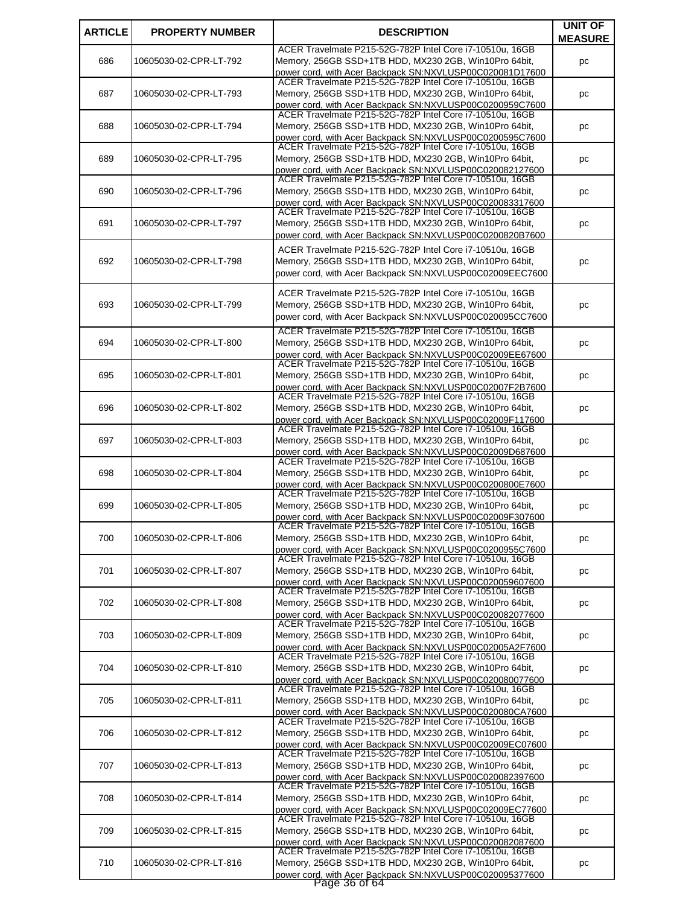| <b>ARTICLE</b> | <b>PROPERTY NUMBER</b> | <b>DESCRIPTION</b>                                                                                                   | <b>UNIT OF</b> |
|----------------|------------------------|----------------------------------------------------------------------------------------------------------------------|----------------|
|                |                        |                                                                                                                      | <b>MEASURE</b> |
| 686            | 10605030-02-CPR-LT-792 | ACER Travelmate P215-52G-782P Intel Core i7-10510u, 16GB<br>Memory, 256GB SSD+1TB HDD, MX230 2GB, Win10Pro 64bit,    |                |
|                |                        | power cord, with Acer Backpack SN:NXVLUSP00C020081D17600                                                             | pc             |
|                |                        | ACER Travelmate P215-52G-782P Intel Core i7-10510u, 16GB                                                             |                |
| 687            | 10605030-02-CPR-LT-793 | Memory, 256GB SSD+1TB HDD, MX230 2GB, Win10Pro 64bit,                                                                | pc             |
|                |                        | power cord, with Acer Backpack SN:NXVLUSP00C0200959C7600<br>ACER Travelmate P215-52G-782P Intel Core i7-10510u, 16GB |                |
| 688            | 10605030-02-CPR-LT-794 | Memory, 256GB SSD+1TB HDD, MX230 2GB, Win10Pro 64bit,                                                                | pc             |
|                |                        | power cord, with Acer Backpack SN:NXVLUSP00C0200595C7600                                                             |                |
|                |                        | ACER Travelmate P215-52G-782P Intel Core i7-10510u, 16GB                                                             |                |
| 689            | 10605030-02-CPR-LT-795 | Memory, 256GB SSD+1TB HDD, MX230 2GB, Win10Pro 64bit,<br>power cord, with Acer Backpack SN:NXVLUSP00C020082127600    | pc             |
|                |                        | ACER Travelmate P215-52G-782P Intel Core i7-10510u, 16GB                                                             |                |
| 690            | 10605030-02-CPR-LT-796 | Memory, 256GB SSD+1TB HDD, MX230 2GB, Win10Pro 64bit,                                                                | pc             |
|                |                        | power cord, with Acer Backpack SN:NXVLUSP00C020083317600                                                             |                |
| 691            |                        | ACER Travelmate P215-52G-782P Intel Core i7-10510u, 16GB<br>Memory, 256GB SSD+1TB HDD, MX230 2GB, Win10Pro 64bit,    |                |
|                | 10605030-02-CPR-LT-797 | power cord, with Acer Backpack SN:NXVLUSP00C0200820B7600                                                             | pc             |
|                |                        | ACER Travelmate P215-52G-782P Intel Core i7-10510u, 16GB                                                             |                |
| 692            | 10605030-02-CPR-LT-798 | Memory, 256GB SSD+1TB HDD, MX230 2GB, Win10Pro 64bit,                                                                | pc             |
|                |                        | power cord, with Acer Backpack SN:NXVLUSP00C02009EEC7600                                                             |                |
|                |                        |                                                                                                                      |                |
| 693            |                        | ACER Travelmate P215-52G-782P Intel Core i7-10510u, 16GB<br>Memory, 256GB SSD+1TB HDD, MX230 2GB, Win10Pro 64bit,    |                |
|                | 10605030-02-CPR-LT-799 | power cord, with Acer Backpack SN:NXVLUSP00C020095CC7600                                                             | pc             |
|                |                        | ACER Travelmate P215-52G-782P Intel Core i7-10510u, 16GB                                                             |                |
| 694            | 10605030-02-CPR-LT-800 | Memory, 256GB SSD+1TB HDD, MX230 2GB, Win10Pro 64bit,                                                                | pc             |
|                |                        | power cord, with Acer Backpack SN:NXVLUSP00C02009EE67600                                                             |                |
|                |                        | ACER Travelmate P215-52G-782P Intel Core i7-10510u, 16GB                                                             |                |
| 695            | 10605030-02-CPR-LT-801 | Memory, 256GB SSD+1TB HDD, MX230 2GB, Win10Pro 64bit,                                                                | pc             |
|                |                        | power cord, with Acer Backpack SN:NXVLUSP00C02007F2B7600<br>ACER Travelmate P215-52G-782P Intel Core i7-10510u, 16GB |                |
| 696            | 10605030-02-CPR-LT-802 | Memory, 256GB SSD+1TB HDD, MX230 2GB, Win10Pro 64bit,                                                                | pc             |
|                |                        | power cord, with Acer Backpack SN:NXVLUSP00C02009F117600                                                             |                |
|                |                        | ACER Travelmate P215-52G-782P Intel Core i7-10510u, 16GB                                                             |                |
| 697            | 10605030-02-CPR-LT-803 | Memory, 256GB SSD+1TB HDD, MX230 2GB, Win10Pro 64bit,                                                                | pc             |
|                |                        | power cord, with Acer Backpack SN:NXVLUSP00C02009D687600<br>ACER Travelmate P215-52G-782P Intel Core i7-10510u, 16GB |                |
| 698            | 10605030-02-CPR-LT-804 | Memory, 256GB SSD+1TB HDD, MX230 2GB, Win10Pro 64bit,                                                                | pc             |
|                |                        | power cord, with Acer Backpack SN:NXVLUSP00C0200800E7600                                                             |                |
| 699            | 10605030-02-CPR-LT-805 | ACER Travelmate P215-52G-782P Intel Core i7-10510u, 16GB<br>Memory, 256GB SSD+1TB HDD, MX230 2GB, Win10Pro 64bit,    |                |
|                |                        | power cord, with Acer Backpack SN:NXVLUSP00C02009F307600                                                             | pc             |
|                |                        | ACER Travelmate P215-52G-782P Intel Core i7-10510u, 16GB                                                             |                |
| 700            | 10605030-02-CPR-LT-806 | Memory, 256GB SSD+1TB HDD, MX230 2GB, Win10Pro 64bit,                                                                | pc             |
|                |                        | power cord, with Acer Backpack SN:NXVLUSP00C0200955C7600<br>ACER Travelmate P215-52G-782P Intel Core i7-10510u, 16GB |                |
| 701            | 10605030-02-CPR-LT-807 | Memory, 256GB SSD+1TB HDD, MX230 2GB, Win10Pro 64bit,                                                                | pc             |
|                |                        | power cord, with Acer Backpack SN:NXVLUSP00C020059607600                                                             |                |
|                |                        | ACER Travelmate P215-52G-782P Intel Core i7-10510u, 16GB                                                             |                |
| 702            | 10605030-02-CPR-LT-808 | Memory, 256GB SSD+1TB HDD, MX230 2GB, Win10Pro 64bit,                                                                | pc             |
|                |                        | power cord, with Acer Backpack SN:NXVLUSP00C020082077600<br>ACER Travelmate P215-52G-782P Intel Core i7-10510u, 16GB |                |
| 703            | 10605030-02-CPR-LT-809 | Memory, 256GB SSD+1TB HDD, MX230 2GB, Win10Pro 64bit,                                                                | pc             |
|                |                        | power cord, with Acer Backpack SN:NXVLUSP00C02005A2F7600                                                             |                |
|                |                        | ACER Travelmate P215-52G-782P Intel Core i7-10510u, 16GB<br>Memory, 256GB SSD+1TB HDD, MX230 2GB, Win10Pro 64bit,    |                |
| 704            | 10605030-02-CPR-LT-810 | power cord, with Acer Backpack SN:NXVLUSP00C020080077600                                                             | pc             |
|                |                        | ACER Travelmate P215-52G-782P Intel Core i7-10510u, 16GB                                                             |                |
| 705            | 10605030-02-CPR-LT-811 | Memory, 256GB SSD+1TB HDD, MX230 2GB, Win10Pro 64bit,                                                                | pc             |
|                |                        | power cord, with Acer Backpack SN:NXVLUSP00C020080CA7600<br>ACER Travelmate P215-52G-782P Intel Core i7-10510u, 16GB |                |
| 706            | 10605030-02-CPR-LT-812 | Memory, 256GB SSD+1TB HDD, MX230 2GB, Win10Pro 64bit,                                                                | pc             |
|                |                        | power cord, with Acer Backpack SN:NXVLUSP00C02009EC07600                                                             |                |
|                |                        | ACER Travelmate P215-52G-782P Intel Core i7-10510u, 16GB                                                             |                |
| 707            | 10605030-02-CPR-LT-813 | Memory, 256GB SSD+1TB HDD, MX230 2GB, Win10Pro 64bit,                                                                | pc             |
|                |                        | power cord, with Acer Backpack SN:NXVLUSP00C020082397600<br>ACER Travelmate P215-52G-782P Intel Core i7-10510u, 16GB |                |
| 708            | 10605030-02-CPR-LT-814 | Memory, 256GB SSD+1TB HDD, MX230 2GB, Win10Pro 64bit,                                                                | pc             |
|                |                        | power cord, with Acer Backpack SN:NXVLUSP00C02009EC77600                                                             |                |
|                |                        | ACER Travelmate P215-52G-782P Intel Core i7-10510u, 16GB                                                             |                |
| 709            | 10605030-02-CPR-LT-815 | Memory, 256GB SSD+1TB HDD, MX230 2GB, Win10Pro 64bit,                                                                | pc             |
|                |                        | power cord, with Acer Backpack SN:NXVLUSP00C020082087600<br>ACER Travelmate P215-52G-782P Intel Core i7-10510u, 16GB |                |
| 710            | 10605030-02-CPR-LT-816 | Memory, 256GB SSD+1TB HDD, MX230 2GB, Win10Pro 64bit,                                                                | pc             |
|                |                        | power cord, with Acer Backpack SN:NXVLUSP00C020095377600                                                             |                |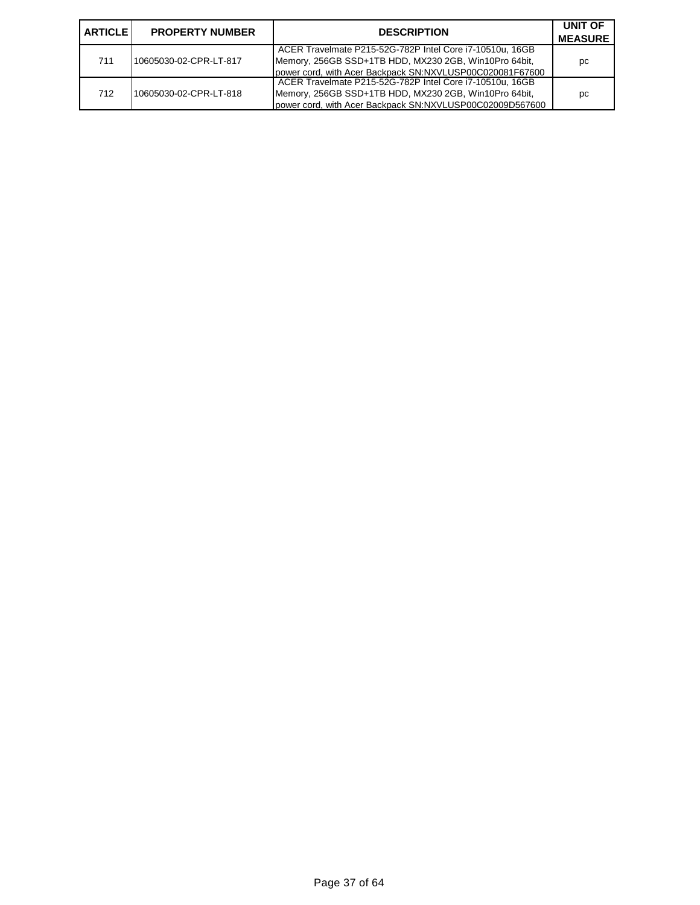| <b>ARTICLE</b> | <b>PROPERTY NUMBER</b> | <b>DESCRIPTION</b>                                                                                                                                                            | UNIT OF<br><b>MEASURE</b> |
|----------------|------------------------|-------------------------------------------------------------------------------------------------------------------------------------------------------------------------------|---------------------------|
| 711            | 10605030-02-CPR-LT-817 | ACER Travelmate P215-52G-782P Intel Core i7-10510u, 16GB<br>Memory, 256GB SSD+1TB HDD, MX230 2GB, Win10Pro 64bit,<br>power cord, with Acer Backpack SN:NXVLUSP00C020081F67600 | pc                        |
| 712            | 10605030-02-CPR-LT-818 | ACER Travelmate P215-52G-782P Intel Core i7-10510u, 16GB<br>Memory, 256GB SSD+1TB HDD, MX230 2GB, Win10Pro 64bit,<br>power cord, with Acer Backpack SN:NXVLUSP00C02009D567600 | рc                        |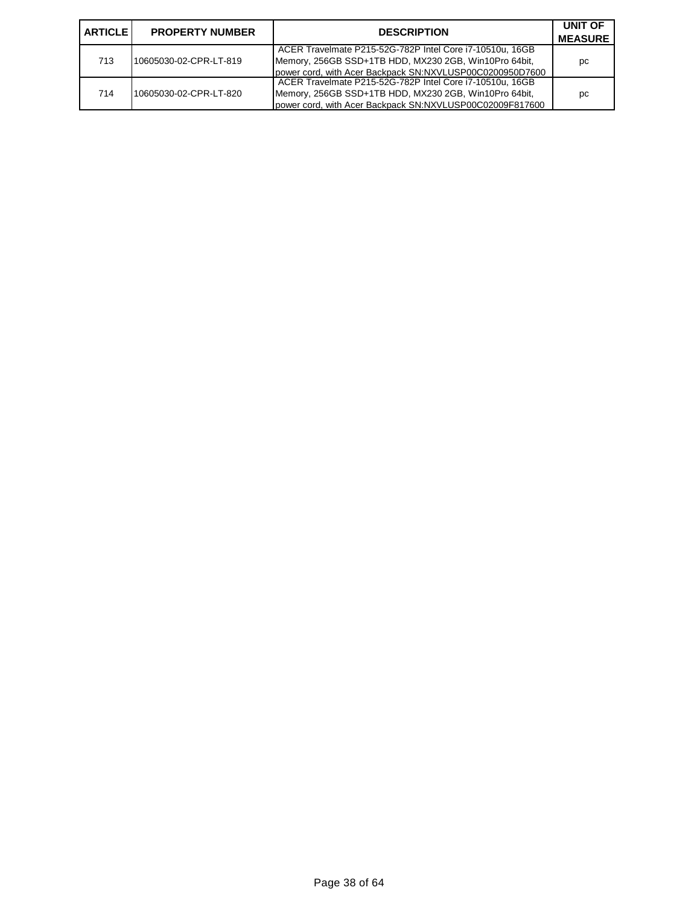| <b>LARTICLE L</b> | <b>PROPERTY NUMBER</b> | <b>DESCRIPTION</b>                                                                                                                                                            | UNIT OF<br><b>MEASURE</b> |
|-------------------|------------------------|-------------------------------------------------------------------------------------------------------------------------------------------------------------------------------|---------------------------|
| 713               | 10605030-02-CPR-LT-819 | ACER Travelmate P215-52G-782P Intel Core i7-10510u, 16GB<br>Memory, 256GB SSD+1TB HDD, MX230 2GB, Win10Pro 64bit,<br>power cord, with Acer Backpack SN:NXVLUSP00C0200950D7600 | рc                        |
| 714               | 10605030-02-CPR-LT-820 | ACER Travelmate P215-52G-782P Intel Core i7-10510u, 16GB<br>Memory, 256GB SSD+1TB HDD, MX230 2GB, Win10Pro 64bit,<br>power cord, with Acer Backpack SN:NXVLUSP00C02009F817600 | рc                        |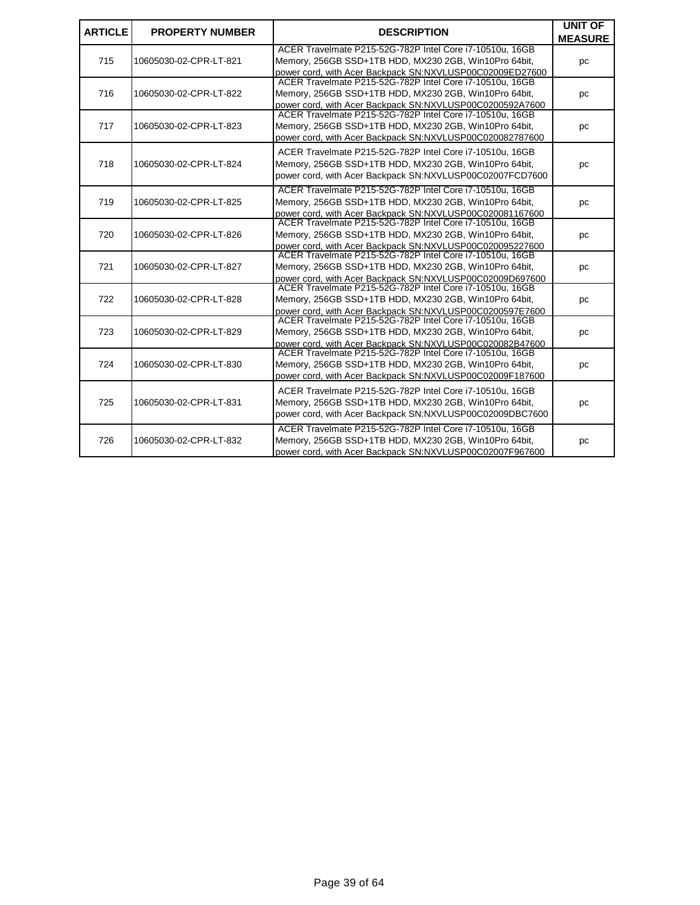| <b>ARTICLE</b> | <b>PROPERTY NUMBER</b> | <b>DESCRIPTION</b>                                                                                                                                                            | <b>UNIT OF</b><br><b>MEASURE</b> |
|----------------|------------------------|-------------------------------------------------------------------------------------------------------------------------------------------------------------------------------|----------------------------------|
| 715            | 10605030-02-CPR-LT-821 | ACER Travelmate P215-52G-782P Intel Core i7-10510u, 16GB<br>Memory, 256GB SSD+1TB HDD, MX230 2GB, Win10Pro 64bit,<br>power cord, with Acer Backpack SN:NXVLUSP00C02009ED27600 | pc                               |
| 716            | 10605030-02-CPR-LT-822 | ACER Travelmate P215-52G-782P Intel Core i7-10510u, 16GB<br>Memory, 256GB SSD+1TB HDD, MX230 2GB, Win10Pro 64bit,<br>power cord, with Acer Backpack SN:NXVLUSP00C0200592A7600 | pc                               |
| 717            | 10605030-02-CPR-LT-823 | ACER Travelmate P215-52G-782P Intel Core i7-10510u, 16GB<br>Memory, 256GB SSD+1TB HDD, MX230 2GB, Win10Pro 64bit,<br>power cord, with Acer Backpack SN:NXVLUSP00C020082787600 | pc                               |
| 718            | 10605030-02-CPR-LT-824 | ACER Travelmate P215-52G-782P Intel Core i7-10510u, 16GB<br>Memory, 256GB SSD+1TB HDD, MX230 2GB, Win10Pro 64bit,<br>power cord, with Acer Backpack SN:NXVLUSP00C02007FCD7600 | pc                               |
| 719            | 10605030-02-CPR-LT-825 | ACER Travelmate P215-52G-782P Intel Core i7-10510u, 16GB<br>Memory, 256GB SSD+1TB HDD, MX230 2GB, Win10Pro 64bit,<br>power cord, with Acer Backpack SN:NXVLUSP00C020081167600 | pc                               |
| 720            | 10605030-02-CPR-LT-826 | ACER Travelmate P215-52G-782P Intel Core i7-10510u, 16GB<br>Memory, 256GB SSD+1TB HDD, MX230 2GB, Win10Pro 64bit,<br>power cord, with Acer Backpack SN:NXVLUSP00C020095227600 | pc                               |
| 721            | 10605030-02-CPR-LT-827 | ACER Travelmate P215-52G-782P Intel Core i7-10510u, 16GB<br>Memory, 256GB SSD+1TB HDD, MX230 2GB, Win10Pro 64bit,<br>power cord, with Acer Backpack SN:NXVLUSP00C02009D697600 | pc                               |
| 722            | 10605030-02-CPR-LT-828 | ACER Travelmate P215-52G-782P Intel Core i7-10510u, 16GB<br>Memory, 256GB SSD+1TB HDD, MX230 2GB, Win10Pro 64bit,<br>power cord. with Acer Backpack SN:NXVLUSP00C0200597E7600 | pc                               |
| 723            | 10605030-02-CPR-LT-829 | ACER Travelmate P215-52G-782P Intel Core i7-10510u, 16GB<br>Memory, 256GB SSD+1TB HDD, MX230 2GB, Win10Pro 64bit,<br>power cord, with Acer Backpack SN:NXVLUSP00C020082B47600 | pc                               |
| 724            | 10605030-02-CPR-LT-830 | ACER Travelmate P215-52G-782P Intel Core i7-10510u, 16GB<br>Memory, 256GB SSD+1TB HDD, MX230 2GB, Win10Pro 64bit,<br>power cord, with Acer Backpack SN:NXVLUSP00C02009F187600 | pc                               |
| 725            | 10605030-02-CPR-LT-831 | ACER Travelmate P215-52G-782P Intel Core i7-10510u, 16GB<br>Memory, 256GB SSD+1TB HDD, MX230 2GB, Win10Pro 64bit,<br>power cord, with Acer Backpack SN:NXVLUSP00C02009DBC7600 | pc                               |
| 726            | 10605030-02-CPR-LT-832 | ACER Travelmate P215-52G-782P Intel Core i7-10510u, 16GB<br>Memory, 256GB SSD+1TB HDD, MX230 2GB, Win10Pro 64bit,<br>power cord, with Acer Backpack SN:NXVLUSP00C02007F967600 | pc                               |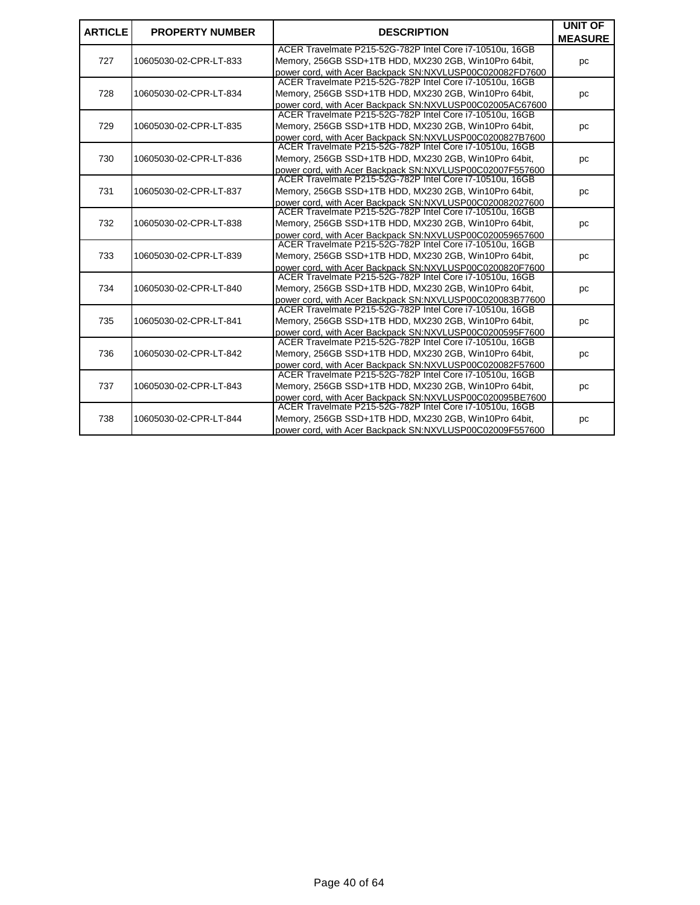| <b>ARTICLE</b> | <b>PROPERTY NUMBER</b> | <b>DESCRIPTION</b>                                                                                                   | <b>UNIT OF</b><br><b>MEASURE</b> |
|----------------|------------------------|----------------------------------------------------------------------------------------------------------------------|----------------------------------|
|                |                        | ACER Travelmate P215-52G-782P Intel Core i7-10510u, 16GB                                                             |                                  |
| 727            | 10605030-02-CPR-LT-833 | Memory, 256GB SSD+1TB HDD, MX230 2GB, Win10Pro 64bit,                                                                | pc                               |
|                |                        | power cord, with Acer Backpack SN:NXVLUSP00C020082FD7600<br>ACER Travelmate P215-52G-782P Intel Core i7-10510u, 16GB |                                  |
| 728            | 10605030-02-CPR-LT-834 | Memory, 256GB SSD+1TB HDD, MX230 2GB, Win10Pro 64bit,                                                                | pc                               |
|                |                        | power cord, with Acer Backpack SN:NXVLUSP00C02005AC67600                                                             |                                  |
|                |                        | ACER Travelmate P215-52G-782P Intel Core i7-10510u, 16GB                                                             |                                  |
| 729            | 10605030-02-CPR-LT-835 | Memory, 256GB SSD+1TB HDD, MX230 2GB, Win10Pro 64bit,                                                                | pc                               |
|                |                        | power cord, with Acer Backpack SN:NXVLUSP00C0200827B7600                                                             |                                  |
|                |                        | ACER Travelmate P215-52G-782P Intel Core i7-10510u, 16GB                                                             |                                  |
| 730            | 10605030-02-CPR-LT-836 | Memory, 256GB SSD+1TB HDD, MX230 2GB, Win10Pro 64bit,                                                                | pc                               |
|                |                        | power cord, with Acer Backpack SN:NXVLUSP00C02007F557600                                                             |                                  |
|                |                        | ACER Travelmate P215-52G-782P Intel Core i7-10510u, 16GB                                                             |                                  |
| 731            | 10605030-02-CPR-LT-837 | Memory, 256GB SSD+1TB HDD, MX230 2GB, Win10Pro 64bit,                                                                | pc                               |
|                |                        | power cord. with Acer Backpack SN:NXVLUSP00C020082027600<br>ACER Travelmate P215-52G-782P Intel Core i7-10510u, 16GB |                                  |
| 732            | 10605030-02-CPR-LT-838 | Memory, 256GB SSD+1TB HDD, MX230 2GB, Win10Pro 64bit,                                                                | pc                               |
|                |                        | power cord, with Acer Backpack SN:NXVLUSP00C020059657600                                                             |                                  |
|                |                        | ACER Travelmate P215-52G-782P Intel Core i7-10510u, 16GB                                                             |                                  |
| 733            | 10605030-02-CPR-LT-839 | Memory, 256GB SSD+1TB HDD, MX230 2GB, Win10Pro 64bit,                                                                | pc                               |
|                |                        | power cord, with Acer Backpack SN:NXVLUSP00C0200820F7600                                                             |                                  |
|                |                        | ACER Travelmate P215-52G-782P Intel Core i7-10510u, 16GB                                                             |                                  |
| 734            | 10605030-02-CPR-LT-840 | Memory, 256GB SSD+1TB HDD, MX230 2GB, Win10Pro 64bit,                                                                | pc                               |
|                |                        | power cord, with Acer Backpack SN:NXVLUSP00C020083B77600                                                             |                                  |
|                |                        | ACER Travelmate P215-52G-782P Intel Core i7-10510u, 16GB                                                             |                                  |
| 735            | 10605030-02-CPR-LT-841 | Memory, 256GB SSD+1TB HDD, MX230 2GB, Win10Pro 64bit,                                                                | pc                               |
|                |                        | power cord, with Acer Backpack SN:NXVLUSP00C0200595F7600                                                             |                                  |
|                |                        | ACER Travelmate P215-52G-782P Intel Core i7-10510u, 16GB                                                             |                                  |
| 736            | 10605030-02-CPR-LT-842 | Memory, 256GB SSD+1TB HDD, MX230 2GB, Win10Pro 64bit,                                                                | pc                               |
|                |                        | power cord, with Acer Backpack SN:NXVLUSP00C020082F57600<br>ACER Travelmate P215-52G-782P Intel Core i7-10510u, 16GB |                                  |
| 737            | 10605030-02-CPR-LT-843 | Memory, 256GB SSD+1TB HDD, MX230 2GB, Win10Pro 64bit,                                                                | pc                               |
|                |                        | power cord, with Acer Backpack SN:NXVLUSP00C020095BE7600                                                             |                                  |
|                |                        | ACER Travelmate P215-52G-782P Intel Core i7-10510u, 16GB                                                             |                                  |
| 738            | 10605030-02-CPR-LT-844 | Memory, 256GB SSD+1TB HDD, MX230 2GB, Win10Pro 64bit,                                                                | pc                               |
|                |                        | power cord, with Acer Backpack SN:NXVLUSP00C02009F557600                                                             |                                  |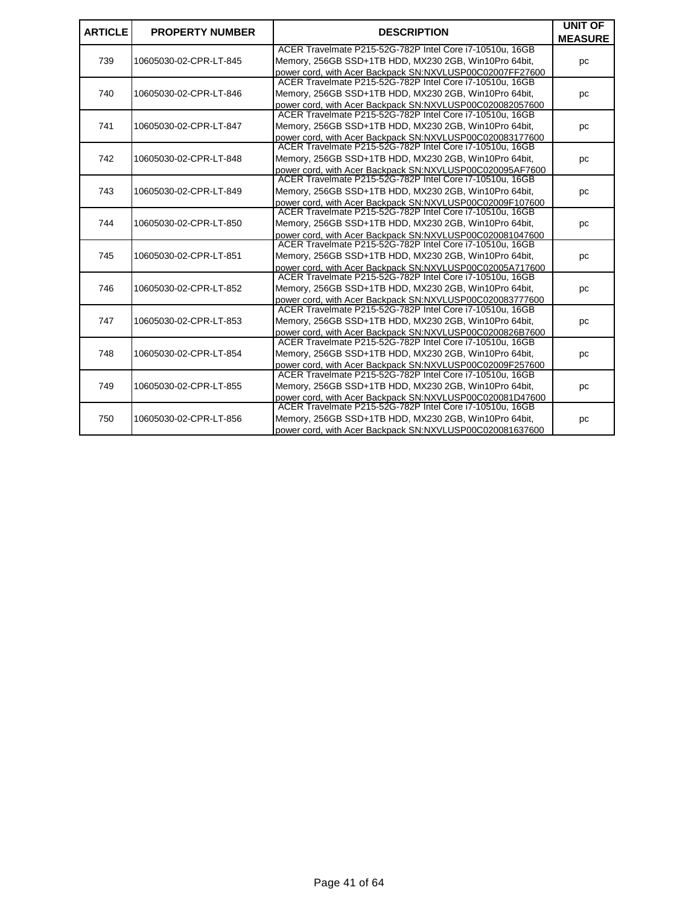| <b>ARTICLE</b> | <b>PROPERTY NUMBER</b> | <b>DESCRIPTION</b>                                       | <b>UNIT OF</b> |
|----------------|------------------------|----------------------------------------------------------|----------------|
|                |                        |                                                          | <b>MEASURE</b> |
|                |                        | ACER Travelmate P215-52G-782P Intel Core i7-10510u, 16GB |                |
| 739            | 10605030-02-CPR-LT-845 | Memory, 256GB SSD+1TB HDD, MX230 2GB, Win10Pro 64bit,    | pc             |
|                |                        | power cord, with Acer Backpack SN:NXVLUSP00C02007FF27600 |                |
|                |                        | ACER Travelmate P215-52G-782P Intel Core i7-10510u, 16GB |                |
| 740            | 10605030-02-CPR-LT-846 | Memory, 256GB SSD+1TB HDD, MX230 2GB, Win10Pro 64bit,    | pc             |
|                |                        | power cord, with Acer Backpack SN:NXVLUSP00C020082057600 |                |
|                |                        | ACER Travelmate P215-52G-782P Intel Core i7-10510u, 16GB |                |
| 741            | 10605030-02-CPR-LT-847 | Memory, 256GB SSD+1TB HDD, MX230 2GB, Win10Pro 64bit,    | pc             |
|                |                        | power cord, with Acer Backpack SN:NXVLUSP00C020083177600 |                |
|                |                        | ACER Travelmate P215-52G-782P Intel Core i7-10510u, 16GB |                |
| 742            | 10605030-02-CPR-LT-848 | Memory, 256GB SSD+1TB HDD, MX230 2GB, Win10Pro 64bit,    | pc             |
|                |                        | power cord, with Acer Backpack SN:NXVLUSP00C020095AF7600 |                |
|                |                        | ACER Travelmate P215-52G-782P Intel Core i7-10510u, 16GB |                |
| 743            | 10605030-02-CPR-LT-849 | Memory, 256GB SSD+1TB HDD, MX230 2GB, Win10Pro 64bit,    | pc             |
|                |                        | power cord, with Acer Backpack SN:NXVLUSP00C02009F107600 |                |
|                |                        | ACER Travelmate P215-52G-782P Intel Core i7-10510u, 16GB |                |
| 744            | 10605030-02-CPR-LT-850 | Memory, 256GB SSD+1TB HDD, MX230 2GB, Win10Pro 64bit,    | pc             |
|                |                        | power cord, with Acer Backpack SN:NXVLUSP00C020081047600 |                |
|                |                        | ACER Travelmate P215-52G-782P Intel Core i7-10510u, 16GB |                |
| 745            | 10605030-02-CPR-LT-851 | Memory, 256GB SSD+1TB HDD, MX230 2GB, Win10Pro 64bit,    | pc             |
|                |                        | power cord, with Acer Backpack SN:NXVLUSP00C02005A717600 |                |
|                |                        | ACER Travelmate P215-52G-782P Intel Core i7-10510u, 16GB |                |
| 746            | 10605030-02-CPR-LT-852 | Memory, 256GB SSD+1TB HDD, MX230 2GB, Win10Pro 64bit,    | pc             |
|                |                        | power cord, with Acer Backpack SN:NXVLUSP00C020083777600 |                |
|                |                        | ACER Travelmate P215-52G-782P Intel Core i7-10510u, 16GB |                |
| 747            | 10605030-02-CPR-LT-853 | Memory, 256GB SSD+1TB HDD, MX230 2GB, Win10Pro 64bit,    | pc             |
|                |                        | power cord, with Acer Backpack SN:NXVLUSP00C0200826B7600 |                |
|                |                        | ACER Travelmate P215-52G-782P Intel Core i7-10510u, 16GB |                |
| 748            | 10605030-02-CPR-LT-854 | Memory, 256GB SSD+1TB HDD, MX230 2GB, Win10Pro 64bit,    | pc             |
|                |                        | power cord, with Acer Backpack SN:NXVLUSP00C02009F257600 |                |
| 749            |                        | ACER Travelmate P215-52G-782P Intel Core i7-10510u, 16GB |                |
|                | 10605030-02-CPR-LT-855 | Memory, 256GB SSD+1TB HDD, MX230 2GB, Win10Pro 64bit,    | pc             |
|                |                        | power cord, with Acer Backpack SN:NXVLUSP00C020081D47600 |                |
|                |                        | ACER Travelmate P215-52G-782P Intel Core i7-10510u, 16GB |                |
| 750            | 10605030-02-CPR-LT-856 | Memory, 256GB SSD+1TB HDD, MX230 2GB, Win10Pro 64bit,    | pc             |
|                |                        | power cord, with Acer Backpack SN:NXVLUSP00C020081637600 |                |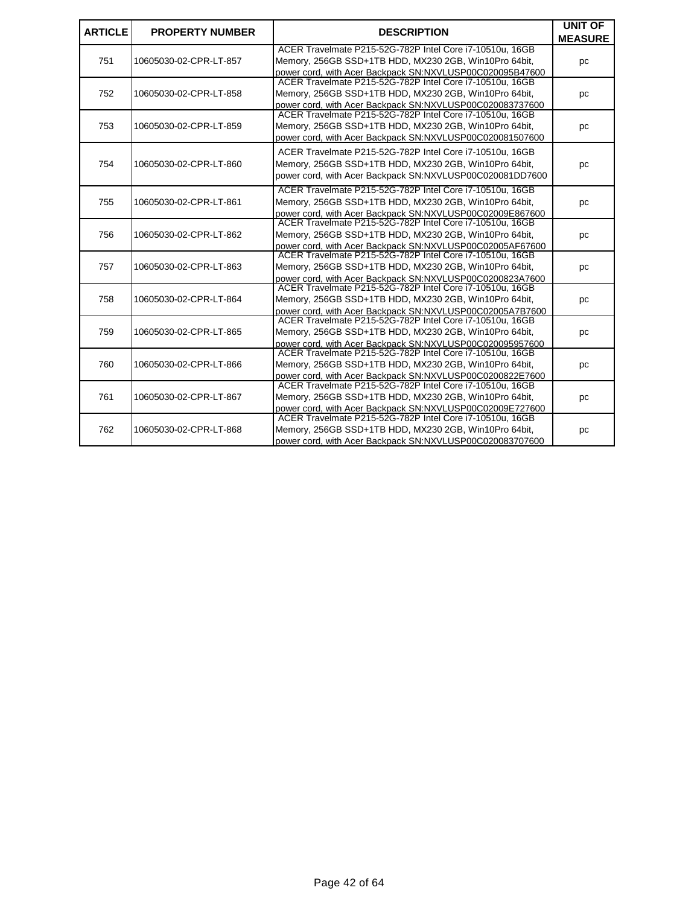| <b>ARTICLE</b> | <b>PROPERTY NUMBER</b> | <b>DESCRIPTION</b>                                                                                                   | <b>UNIT OF</b> |
|----------------|------------------------|----------------------------------------------------------------------------------------------------------------------|----------------|
|                |                        | ACER Travelmate P215-52G-782P Intel Core i7-10510u, 16GB                                                             | <b>MEASURE</b> |
| 751            |                        | Memory, 256GB SSD+1TB HDD, MX230 2GB, Win10Pro 64bit,                                                                |                |
|                | 10605030-02-CPR-LT-857 | power cord, with Acer Backpack SN:NXVLUSP00C020095B47600                                                             | pc             |
|                |                        | ACER Travelmate P215-52G-782P Intel Core i7-10510u, 16GB                                                             |                |
| 752            | 10605030-02-CPR-LT-858 | Memory, 256GB SSD+1TB HDD, MX230 2GB, Win10Pro 64bit,                                                                | pc             |
|                |                        | power cord, with Acer Backpack SN:NXVLUSP00C020083737600                                                             |                |
|                |                        | ACER Travelmate P215-52G-782P Intel Core i7-10510u, 16GB                                                             |                |
| 753            | 10605030-02-CPR-LT-859 | Memory, 256GB SSD+1TB HDD, MX230 2GB, Win10Pro 64bit,                                                                | pc             |
|                |                        | power cord, with Acer Backpack SN:NXVLUSP00C020081507600                                                             |                |
|                |                        | ACER Travelmate P215-52G-782P Intel Core i7-10510u, 16GB                                                             |                |
| 754            | 10605030-02-CPR-LT-860 | Memory, 256GB SSD+1TB HDD, MX230 2GB, Win10Pro 64bit,                                                                |                |
|                |                        | power cord, with Acer Backpack SN:NXVLUSP00C020081DD7600                                                             | pc             |
|                |                        |                                                                                                                      |                |
|                |                        | ACER Travelmate P215-52G-782P Intel Core i7-10510u, 16GB                                                             |                |
| 755            | 10605030-02-CPR-LT-861 | Memory, 256GB SSD+1TB HDD, MX230 2GB, Win10Pro 64bit,                                                                | pc             |
|                |                        | power cord, with Acer Backpack SN:NXVLUSP00C02009E867600                                                             |                |
|                |                        | ACER Travelmate P215-52G-782P Intel Core i7-10510u, 16GB                                                             |                |
| 756            | 10605030-02-CPR-LT-862 | Memory, 256GB SSD+1TB HDD, MX230 2GB, Win10Pro 64bit,                                                                | рc             |
|                |                        | power cord, with Acer Backpack SN:NXVLUSP00C02005AF67600                                                             |                |
|                |                        | ACER Travelmate P215-52G-782P Intel Core i7-10510u, 16GB                                                             |                |
| 757            | 10605030-02-CPR-LT-863 | Memory, 256GB SSD+1TB HDD, MX230 2GB, Win10Pro 64bit,                                                                | pc             |
|                |                        | power cord, with Acer Backpack SN:NXVLUSP00C0200823A7600<br>ACER Travelmate P215-52G-782P Intel Core i7-10510u, 16GB |                |
|                |                        |                                                                                                                      |                |
| 758            | 10605030-02-CPR-LT-864 | Memory, 256GB SSD+1TB HDD, MX230 2GB, Win10Pro 64bit,                                                                | pc             |
|                |                        | power cord, with Acer Backpack SN:NXVLUSP00C02005A7B7600<br>ACER Travelmate P215-52G-782P Intel Core i7-10510u, 16GB |                |
| 759            | 10605030-02-CPR-LT-865 | Memory, 256GB SSD+1TB HDD, MX230 2GB, Win10Pro 64bit,                                                                |                |
|                |                        | power cord, with Acer Backpack SN:NXVLUSP00C020095957600                                                             | pc             |
|                |                        | ACER Travelmate P215-52G-782P Intel Core i7-10510u, 16GB                                                             |                |
| 760            | 10605030-02-CPR-LT-866 | Memory, 256GB SSD+1TB HDD, MX230 2GB, Win10Pro 64bit,                                                                | pc             |
|                |                        | power cord. with Acer Backpack SN:NXVLUSP00C0200822E7600                                                             |                |
|                |                        | ACER Travelmate P215-52G-782P Intel Core i7-10510u, 16GB                                                             |                |
| 761            | 10605030-02-CPR-LT-867 | Memory, 256GB SSD+1TB HDD, MX230 2GB, Win10Pro 64bit,                                                                | pc             |
|                |                        | power cord, with Acer Backpack SN:NXVLUSP00C02009E727600                                                             |                |
|                |                        | ACER Travelmate P215-52G-782P Intel Core i7-10510u, 16GB                                                             |                |
| 762            | 10605030-02-CPR-LT-868 | Memory, 256GB SSD+1TB HDD, MX230 2GB, Win10Pro 64bit,                                                                | pc             |
|                |                        | power cord. with Acer Backpack SN:NXVLUSP00C020083707600                                                             |                |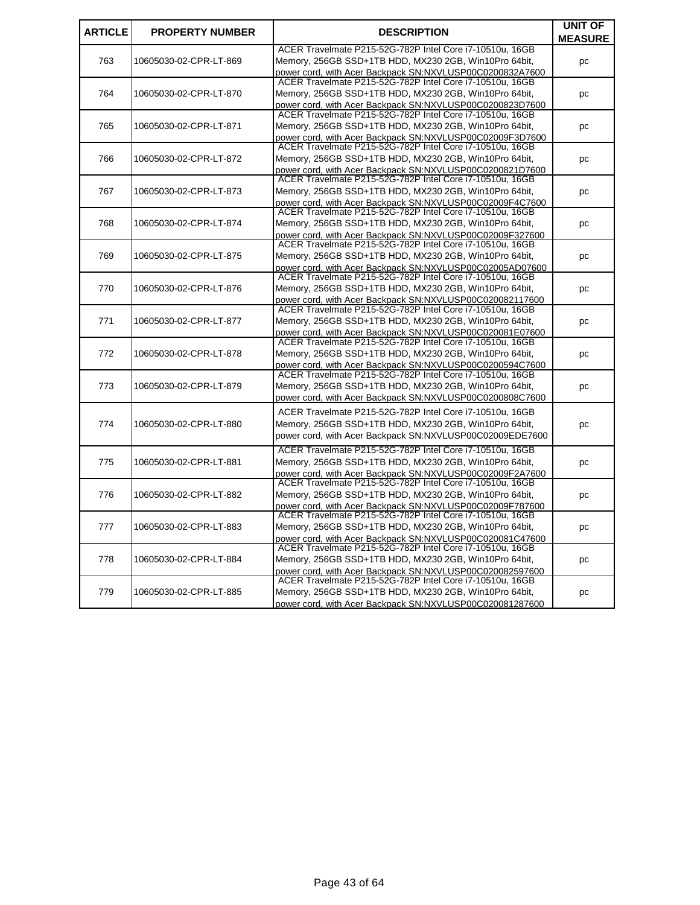| <b>ARTICLE</b> | <b>PROPERTY NUMBER</b> | <b>DESCRIPTION</b>                                                                                                   | <b>UNIT OF</b> |
|----------------|------------------------|----------------------------------------------------------------------------------------------------------------------|----------------|
|                |                        |                                                                                                                      | <b>MEASURE</b> |
|                |                        | ACER Travelmate P215-52G-782P Intel Core i7-10510u, 16GB                                                             |                |
| 763            | 10605030-02-CPR-LT-869 | Memory, 256GB SSD+1TB HDD, MX230 2GB, Win10Pro 64bit,                                                                | pc             |
|                |                        | power cord. with Acer Backpack SN:NXVLUSP00C0200832A7600                                                             |                |
|                |                        | ACER Travelmate P215-52G-782P Intel Core i7-10510u, 16GB                                                             |                |
| 764            | 10605030-02-CPR-LT-870 | Memory, 256GB SSD+1TB HDD, MX230 2GB, Win10Pro 64bit,                                                                | рc             |
|                |                        | power cord, with Acer Backpack SN:NXVLUSP00C0200823D7600<br>ACER Travelmate P215-52G-782P Intel Core i7-10510u, 16GB |                |
| 765            | 10605030-02-CPR-LT-871 | Memory, 256GB SSD+1TB HDD, MX230 2GB, Win10Pro 64bit,                                                                | pc             |
|                |                        | power cord, with Acer Backpack SN:NXVLUSP00C02009F3D7600                                                             |                |
|                |                        | ACER Travelmate P215-52G-782P Intel Core i7-10510u, 16GB                                                             |                |
| 766            | 10605030-02-CPR-LT-872 | Memory, 256GB SSD+1TB HDD, MX230 2GB, Win10Pro 64bit,                                                                | рc             |
|                |                        | power cord, with Acer Backpack SN:NXVLUSP00C0200821D7600                                                             |                |
|                |                        | ACER Travelmate P215-52G-782P Intel Core i7-10510u, 16GB                                                             |                |
| 767            | 10605030-02-CPR-LT-873 | Memory, 256GB SSD+1TB HDD, MX230 2GB, Win10Pro 64bit,                                                                | рc             |
|                |                        | power cord, with Acer Backpack SN:NXVLUSP00C02009F4C7600                                                             |                |
|                |                        | ACER Travelmate P215-52G-782P Intel Core i7-10510u, 16GB                                                             |                |
| 768            | 10605030-02-CPR-LT-874 | Memory, 256GB SSD+1TB HDD, MX230 2GB, Win10Pro 64bit,                                                                | рc             |
|                |                        | power cord, with Acer Backpack SN:NXVLUSP00C02009F327600<br>ACER Travelmate P215-52G-782P Intel Core i7-10510u, 16GB |                |
|                |                        | Memory, 256GB SSD+1TB HDD, MX230 2GB, Win10Pro 64bit,                                                                |                |
| 769            | 10605030-02-CPR-LT-875 | power cord, with Acer Backpack SN:NXVLUSP00C02005AD07600                                                             | рc             |
|                |                        | ACER Travelmate P215-52G-782P Intel Core i7-10510u, 16GB                                                             |                |
| 770            | 10605030-02-CPR-LT-876 | Memory, 256GB SSD+1TB HDD, MX230 2GB, Win10Pro 64bit,                                                                | рc             |
|                |                        | power cord, with Acer Backpack SN:NXVLUSP00C020082117600                                                             |                |
|                |                        | ACER Travelmate P215-52G-782P Intel Core i7-10510u, 16GB                                                             |                |
| 771            | 10605030-02-CPR-LT-877 | Memory, 256GB SSD+1TB HDD, MX230 2GB, Win10Pro 64bit,                                                                | pc             |
|                |                        | power cord, with Acer Backpack SN:NXVLUSP00C020081E07600                                                             |                |
|                |                        | ACER Travelmate P215-52G-782P Intel Core i7-10510u, 16GB                                                             |                |
| 772            | 10605030-02-CPR-LT-878 | Memory, 256GB SSD+1TB HDD, MX230 2GB, Win10Pro 64bit,                                                                | рc             |
|                |                        | power cord, with Acer Backpack SN:NXVLUSP00C0200594C7600                                                             |                |
|                |                        | ACER Travelmate P215-52G-782P Intel Core i7-10510u, 16GB                                                             |                |
| 773            | 10605030-02-CPR-LT-879 | Memory, 256GB SSD+1TB HDD, MX230 2GB, Win10Pro 64bit,                                                                | рc             |
|                |                        | power cord, with Acer Backpack SN:NXVLUSP00C0200808C7600                                                             |                |
|                |                        | ACER Travelmate P215-52G-782P Intel Core i7-10510u, 16GB                                                             |                |
| 774            | 10605030-02-CPR-LT-880 | Memory, 256GB SSD+1TB HDD, MX230 2GB, Win10Pro 64bit,                                                                | рc             |
|                |                        | power cord, with Acer Backpack SN:NXVLUSP00C02009EDE7600                                                             |                |
|                |                        | ACER Travelmate P215-52G-782P Intel Core i7-10510u, 16GB                                                             |                |
| 775            | 10605030-02-CPR-LT-881 | Memory, 256GB SSD+1TB HDD, MX230 2GB, Win10Pro 64bit,                                                                | рc             |
|                |                        | power cord, with Acer Backpack SN:NXVLUSP00C02009F2A7600                                                             |                |
|                |                        | ACER Travelmate P215-52G-782P Intel Core i7-10510u, 16GB                                                             |                |
| 776            | 10605030-02-CPR-LT-882 | Memory, 256GB SSD+1TB HDD, MX230 2GB, Win10Pro 64bit,                                                                | pc             |
|                |                        | power cord, with Acer Backpack SN:NXVLUSP00C02009F787600                                                             |                |
|                |                        | ACER Travelmate P215-52G-782P Intel Core i7-10510u, 16GB                                                             |                |
| 777            | 10605030-02-CPR-LT-883 | Memory, 256GB SSD+1TB HDD, MX230 2GB, Win10Pro 64bit,                                                                | рc             |
|                |                        | power cord, with Acer Backpack SN:NXVLUSP00C020081C47600                                                             |                |
|                |                        | ACER Travelmate P215-52G-782P Intel Core i7-10510u, 16GB                                                             |                |
| 778            | 10605030-02-CPR-LT-884 | Memory, 256GB SSD+1TB HDD, MX230 2GB, Win10Pro 64bit,                                                                | рc             |
|                |                        | power cord, with Acer Backpack SN:NXVLUSP00C020082597600<br>ACER Travelmate P215-52G-782P Intel Core i7-10510u, 16GB |                |
| 779            | 10605030-02-CPR-LT-885 | Memory, 256GB SSD+1TB HDD, MX230 2GB, Win10Pro 64bit,                                                                | рc             |
|                |                        | power cord, with Acer Backpack SN:NXVLUSP00C020081287600                                                             |                |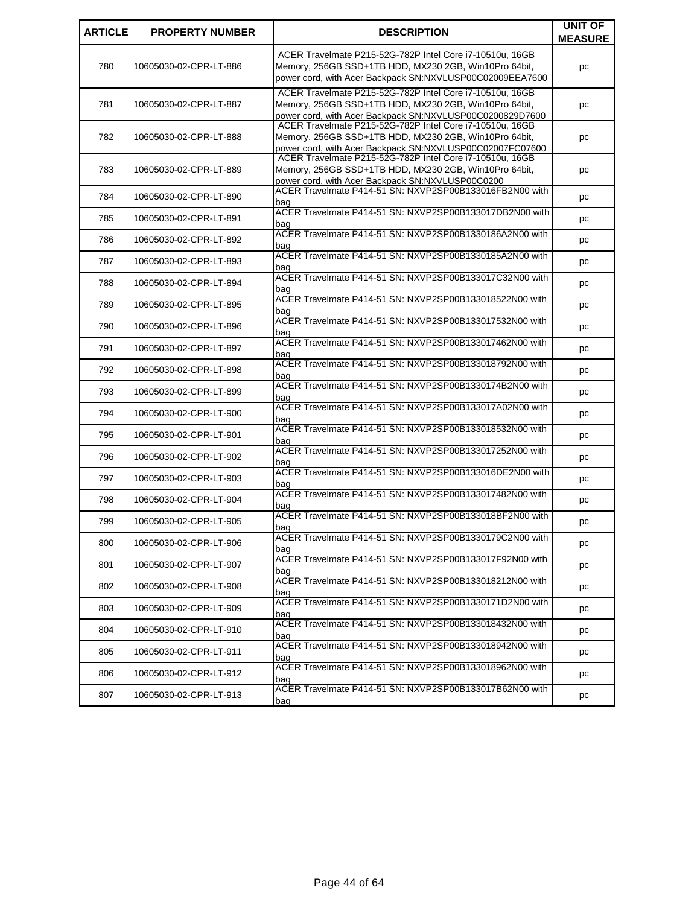| <b>ARTICLE</b> | <b>PROPERTY NUMBER</b> | <b>DESCRIPTION</b>                                                                                                                                                            | <b>UNIT OF</b><br><b>MEASURE</b> |
|----------------|------------------------|-------------------------------------------------------------------------------------------------------------------------------------------------------------------------------|----------------------------------|
| 780            | 10605030-02-CPR-LT-886 | ACER Travelmate P215-52G-782P Intel Core i7-10510u, 16GB<br>Memory, 256GB SSD+1TB HDD, MX230 2GB, Win10Pro 64bit,<br>power cord, with Acer Backpack SN:NXVLUSP00C02009EEA7600 | pc                               |
| 781            | 10605030-02-CPR-LT-887 | ACER Travelmate P215-52G-782P Intel Core i7-10510u, 16GB<br>Memory, 256GB SSD+1TB HDD, MX230 2GB, Win10Pro 64bit,<br>power cord, with Acer Backpack SN:NXVLUSP00C0200829D7600 | pc                               |
| 782            | 10605030-02-CPR-LT-888 | ACER Travelmate P215-52G-782P Intel Core i7-10510u, 16GB<br>Memory, 256GB SSD+1TB HDD, MX230 2GB, Win10Pro 64bit,<br>power cord, with Acer Backpack SN:NXVLUSP00C02007FC07600 | рc                               |
| 783            | 10605030-02-CPR-LT-889 | ACER Travelmate P215-52G-782P Intel Core i7-10510u, 16GB<br>Memory, 256GB SSD+1TB HDD, MX230 2GB, Win10Pro 64bit,<br>power cord, with Acer Backpack SN:NXVLUSP00C0200         | рc                               |
| 784            | 10605030-02-CPR-LT-890 | ACER Travelmate P414-51 SN: NXVP2SP00B133016FB2N00 with<br>baɑ                                                                                                                | рc                               |
| 785            | 10605030-02-CPR-LT-891 | ACER Travelmate P414-51 SN: NXVP2SP00B133017DB2N00 with<br>bag                                                                                                                | рc                               |
| 786            | 10605030-02-CPR-LT-892 | ACER Travelmate P414-51 SN: NXVP2SP00B1330186A2N00 with<br>bag                                                                                                                | рc                               |
| 787            | 10605030-02-CPR-LT-893 | ACER Travelmate P414-51 SN: NXVP2SP00B1330185A2N00 with<br>baɑ                                                                                                                | pc                               |
| 788            | 10605030-02-CPR-LT-894 | ACER Travelmate P414-51 SN: NXVP2SP00B133017C32N00 with<br>baq                                                                                                                | рc                               |
| 789            | 10605030-02-CPR-LT-895 | ACER Travelmate P414-51 SN: NXVP2SP00B133018522N00 with<br>bag                                                                                                                | рc                               |
| 790            | 10605030-02-CPR-LT-896 | ACER Travelmate P414-51 SN: NXVP2SP00B133017532N00 with<br>baɑ                                                                                                                | рc                               |
| 791            | 10605030-02-CPR-LT-897 | ACER Travelmate P414-51 SN: NXVP2SP00B133017462N00 with<br>bag                                                                                                                | pc                               |
| 792            | 10605030-02-CPR-LT-898 | ACER Travelmate P414-51 SN: NXVP2SP00B133018792N00 with<br>bag                                                                                                                | рc                               |
| 793            | 10605030-02-CPR-LT-899 | ACER Travelmate P414-51 SN: NXVP2SP00B1330174B2N00 with<br>baɑ                                                                                                                | рc                               |
| 794            | 10605030-02-CPR-LT-900 | ACER Travelmate P414-51 SN: NXVP2SP00B133017A02N00 with<br>bag                                                                                                                | pc                               |
| 795            | 10605030-02-CPR-LT-901 | ACER Travelmate P414-51 SN: NXVP2SP00B133018532N00 with<br>baɑ                                                                                                                | рc                               |
| 796            | 10605030-02-CPR-LT-902 | ACER Travelmate P414-51 SN: NXVP2SP00B133017252N00 with<br>bag                                                                                                                | рc                               |
| 797            | 10605030-02-CPR-LT-903 | ACER Travelmate P414-51 SN: NXVP2SP00B133016DE2N00 with<br>baɑ                                                                                                                | pc                               |
| 798            | 10605030-02-CPR-LT-904 | ACER Travelmate P414-51 SN: NXVP2SP00B133017482N00 with<br>bag                                                                                                                | рc                               |
| 799            | 10605030-02-CPR-LT-905 | ACER Travelmate P414-51 SN: NXVP2SP00B133018BF2N00 with<br>bag                                                                                                                | pc                               |
| 800            | 10605030-02-CPR-LT-906 | ACER Travelmate P414-51 SN: NXVP2SP00B1330179C2N00 with<br>bag                                                                                                                | рc                               |
| 801            | 10605030-02-CPR-LT-907 | ACER Travelmate P414-51 SN: NXVP2SP00B133017F92N00 with<br>bag                                                                                                                | рc                               |
| 802            | 10605030-02-CPR-LT-908 | ACER Travelmate P414-51 SN: NXVP2SP00B133018212N00 with<br>bag                                                                                                                | рc                               |
| 803            | 10605030-02-CPR-LT-909 | ACER Travelmate P414-51 SN: NXVP2SP00B1330171D2N00 with<br>bag                                                                                                                | рc                               |
| 804            | 10605030-02-CPR-LT-910 | ACER Travelmate P414-51 SN: NXVP2SP00B133018432N00 with<br>bag                                                                                                                | рc                               |
| 805            | 10605030-02-CPR-LT-911 | ACER Travelmate P414-51 SN: NXVP2SP00B133018942N00 with<br>bag                                                                                                                | рc                               |
| 806            | 10605030-02-CPR-LT-912 | ACER Travelmate P414-51 SN: NXVP2SP00B133018962N00 with<br>bag                                                                                                                | рc                               |
| 807            | 10605030-02-CPR-LT-913 | ACER Travelmate P414-51 SN: NXVP2SP00B133017B62N00 with<br><u>bag</u>                                                                                                         | рc                               |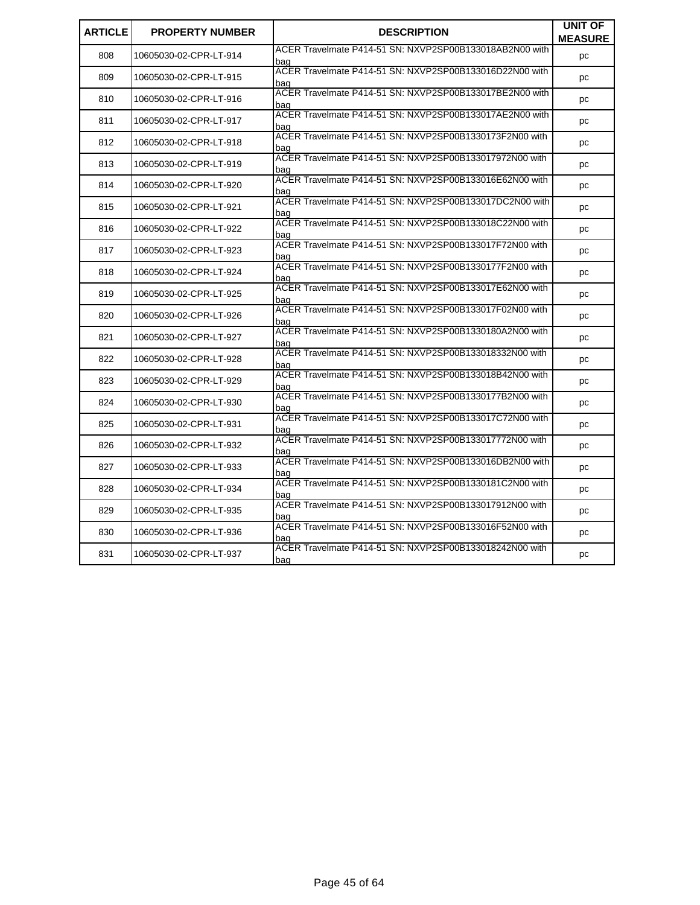| <b>ARTICLE</b> | <b>PROPERTY NUMBER</b> | <b>DESCRIPTION</b>                                             | UNIT OF        |
|----------------|------------------------|----------------------------------------------------------------|----------------|
|                |                        |                                                                | <b>MEASURE</b> |
| 808            | 10605030-02-CPR-LT-914 | ACER Travelmate P414-51 SN: NXVP2SP00B133018AB2N00 with<br>bag | pc             |
| 809            | 10605030-02-CPR-LT-915 | ACER Travelmate P414-51 SN: NXVP2SP00B133016D22N00 with<br>bag | pc             |
| 810            | 10605030-02-CPR-LT-916 | ACER Travelmate P414-51 SN: NXVP2SP00B133017BE2N00 with<br>bag | pc             |
| 811            | 10605030-02-CPR-LT-917 | ACER Travelmate P414-51 SN: NXVP2SP00B133017AE2N00 with<br>bag | pc             |
| 812            | 10605030-02-CPR-LT-918 | ACER Travelmate P414-51 SN: NXVP2SP00B1330173F2N00 with<br>bag | pc             |
| 813            | 10605030-02-CPR-LT-919 | ACER Travelmate P414-51 SN: NXVP2SP00B133017972N00 with<br>bag | pc             |
| 814            | 10605030-02-CPR-LT-920 | ACER Travelmate P414-51 SN: NXVP2SP00B133016E62N00 with<br>bag | pc             |
| 815            | 10605030-02-CPR-LT-921 | ACER Travelmate P414-51 SN: NXVP2SP00B133017DC2N00 with<br>bag | pc             |
| 816            | 10605030-02-CPR-LT-922 | ACER Travelmate P414-51 SN: NXVP2SP00B133018C22N00 with<br>bag | pc             |
| 817            | 10605030-02-CPR-LT-923 | ACER Travelmate P414-51 SN: NXVP2SP00B133017F72N00 with<br>bag | pc             |
| 818            | 10605030-02-CPR-LT-924 | ACER Travelmate P414-51 SN: NXVP2SP00B1330177F2N00 with<br>bag | рc             |
| 819            | 10605030-02-CPR-LT-925 | ACER Travelmate P414-51 SN: NXVP2SP00B133017E62N00 with<br>bag | рc             |
| 820            | 10605030-02-CPR-LT-926 | ACER Travelmate P414-51 SN: NXVP2SP00B133017F02N00 with<br>bag | pc             |
| 821            | 10605030-02-CPR-LT-927 | ACER Travelmate P414-51 SN: NXVP2SP00B1330180A2N00 with<br>bag | рc             |
| 822            | 10605030-02-CPR-LT-928 | ACER Travelmate P414-51 SN: NXVP2SP00B133018332N00 with<br>bag | рc             |
| 823            | 10605030-02-CPR-LT-929 | ACER Travelmate P414-51 SN: NXVP2SP00B133018B42N00 with<br>bag | рc             |
| 824            | 10605030-02-CPR-LT-930 | ACER Travelmate P414-51 SN: NXVP2SP00B1330177B2N00 with<br>bag | рc             |
| 825            | 10605030-02-CPR-LT-931 | ACER Travelmate P414-51 SN: NXVP2SP00B133017C72N00 with<br>bag | рc             |
| 826            | 10605030-02-CPR-LT-932 | ACER Travelmate P414-51 SN: NXVP2SP00B133017772N00 with<br>bag | рc             |
| 827            | 10605030-02-CPR-LT-933 | ACER Travelmate P414-51 SN: NXVP2SP00B133016DB2N00 with<br>baɑ | pc             |
| 828            | 10605030-02-CPR-LT-934 | ACER Travelmate P414-51 SN: NXVP2SP00B1330181C2N00 with<br>baɑ | pc             |
| 829            | 10605030-02-CPR-LT-935 | ACER Travelmate P414-51 SN: NXVP2SP00B133017912N00 with<br>baɑ | pc             |
| 830            | 10605030-02-CPR-LT-936 | ACER Travelmate P414-51 SN: NXVP2SP00B133016F52N00 with<br>baɑ | pc             |
| 831            | 10605030-02-CPR-LT-937 | ACER Travelmate P414-51 SN: NXVP2SP00B133018242N00 with<br>bag | pc             |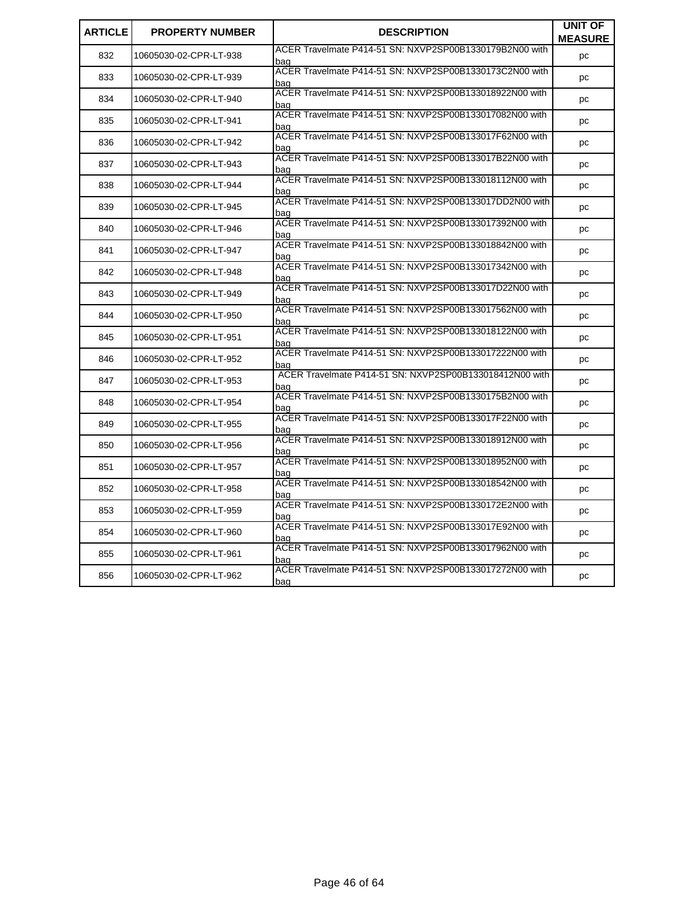| <b>ARTICLE</b> | <b>PROPERTY NUMBER</b> | <b>DESCRIPTION</b>                                             | UNIT OF<br><b>MEASURE</b> |
|----------------|------------------------|----------------------------------------------------------------|---------------------------|
| 832            | 10605030-02-CPR-LT-938 | ACER Travelmate P414-51 SN: NXVP2SP00B1330179B2N00 with<br>bag | pc                        |
| 833            | 10605030-02-CPR-LT-939 | ACER Travelmate P414-51 SN: NXVP2SP00B1330173C2N00 with<br>bag | pc                        |
| 834            | 10605030-02-CPR-LT-940 | ACER Travelmate P414-51 SN: NXVP2SP00B133018922N00 with<br>bag | рc                        |
| 835            | 10605030-02-CPR-LT-941 | ACER Travelmate P414-51 SN: NXVP2SP00B133017082N00 with<br>baq | pc                        |
| 836            | 10605030-02-CPR-LT-942 | ACER Travelmate P414-51 SN: NXVP2SP00B133017F62N00 with<br>baɑ | pc                        |
| 837            | 10605030-02-CPR-LT-943 | ACER Travelmate P414-51 SN: NXVP2SP00B133017B22N00 with<br>bag | pc                        |
| 838            | 10605030-02-CPR-LT-944 | ACER Travelmate P414-51 SN: NXVP2SP00B133018112N00 with<br>bag | рc                        |
| 839            | 10605030-02-CPR-LT-945 | ACER Travelmate P414-51 SN: NXVP2SP00B133017DD2N00 with<br>bag | рc                        |
| 840            | 10605030-02-CPR-LT-946 | ACER Travelmate P414-51 SN: NXVP2SP00B133017392N00 with<br>bag | рc                        |
| 841            | 10605030-02-CPR-LT-947 | ACER Travelmate P414-51 SN: NXVP2SP00B133018842N00 with<br>bag | pc                        |
| 842            | 10605030-02-CPR-LT-948 | ACER Travelmate P414-51 SN: NXVP2SP00B133017342N00 with<br>baq | pc                        |
| 843            | 10605030-02-CPR-LT-949 | ACER Travelmate P414-51 SN: NXVP2SP00B133017D22N00 with<br>bag | pc                        |
| 844            | 10605030-02-CPR-LT-950 | ACER Travelmate P414-51 SN: NXVP2SP00B133017562N00 with<br>baq | pc                        |
| 845            | 10605030-02-CPR-LT-951 | ACER Travelmate P414-51 SN: NXVP2SP00B133018122N00 with<br>baɑ | рc                        |
| 846            | 10605030-02-CPR-LT-952 | ACER Travelmate P414-51 SN: NXVP2SP00B133017222N00 with<br>baq | pc                        |
| 847            | 10605030-02-CPR-LT-953 | ACER Travelmate P414-51 SN: NXVP2SP00B133018412N00 with<br>bag | pc                        |
| 848            | 10605030-02-CPR-LT-954 | ACER Travelmate P414-51 SN: NXVP2SP00B1330175B2N00 with<br>bag | pc                        |
| 849            | 10605030-02-CPR-LT-955 | ACER Travelmate P414-51 SN: NXVP2SP00B133017F22N00 with<br>baq | pc                        |
| 850            | 10605030-02-CPR-LT-956 | ACER Travelmate P414-51 SN: NXVP2SP00B133018912N00 with<br>baɑ | pc                        |
| 851            | 10605030-02-CPR-LT-957 | ACER Travelmate P414-51 SN: NXVP2SP00B133018952N00 with<br>baɑ | рc                        |
| 852            | 10605030-02-CPR-LT-958 | ACER Travelmate P414-51 SN: NXVP2SP00B133018542N00 with<br>bag | pc                        |
| 853            | 10605030-02-CPR-LT-959 | ACER Travelmate P414-51 SN: NXVP2SP00B1330172E2N00 with<br>bag | pc                        |
| 854            | 10605030-02-CPR-LT-960 | ACER Travelmate P414-51 SN: NXVP2SP00B133017E92N00 with<br>bag | рc                        |
| 855            | 10605030-02-CPR-LT-961 | ACER Travelmate P414-51 SN: NXVP2SP00B133017962N00 with<br>bag | рc                        |
| 856            | 10605030-02-CPR-LT-962 | ACER Travelmate P414-51 SN: NXVP2SP00B133017272N00 with<br>bag | pc                        |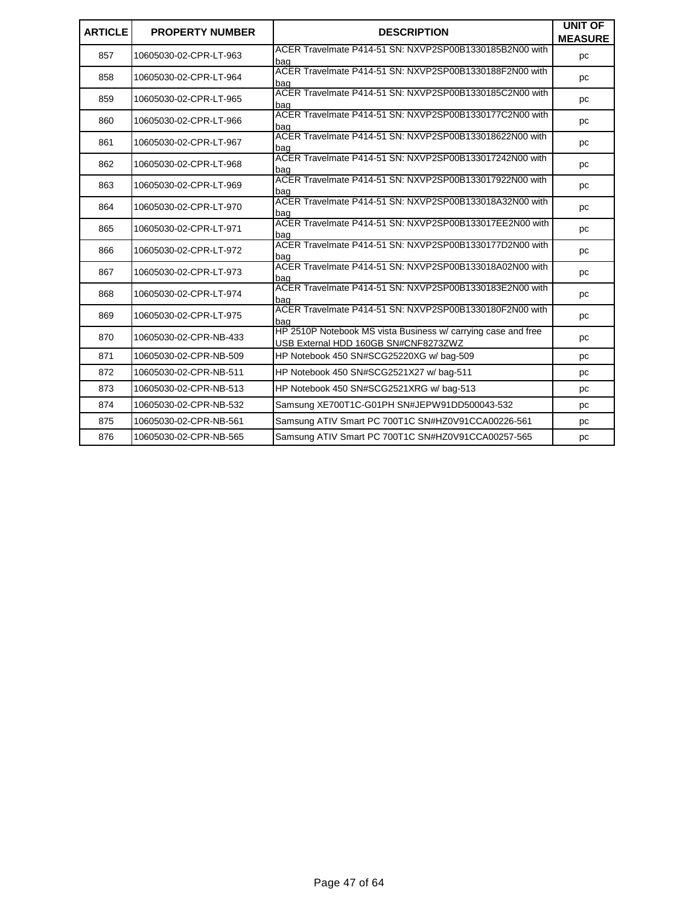| <b>ARTICLE</b> | <b>PROPERTY NUMBER</b> | <b>DESCRIPTION</b>                                                                                    | <b>UNIT OF</b><br><b>MEASURE</b> |
|----------------|------------------------|-------------------------------------------------------------------------------------------------------|----------------------------------|
| 857            | 10605030-02-CPR-LT-963 | ACER Travelmate P414-51 SN: NXVP2SP00B1330185B2N00 with<br>baɑ                                        | pc                               |
| 858            | 10605030-02-CPR-LT-964 | ACER Travelmate P414-51 SN: NXVP2SP00B1330188F2N00 with<br>baɑ                                        | pc                               |
| 859            | 10605030-02-CPR-LT-965 | ACER Travelmate P414-51 SN: NXVP2SP00B1330185C2N00 with<br>baɑ                                        | pc                               |
| 860            | 10605030-02-CPR-LT-966 | ACER Travelmate P414-51 SN: NXVP2SP00B1330177C2N00 with<br>bag                                        | pc                               |
| 861            | 10605030-02-CPR-LT-967 | ACER Travelmate P414-51 SN: NXVP2SP00B133018622N00 with<br>bag                                        | pc                               |
| 862            | 10605030-02-CPR-LT-968 | ACER Travelmate P414-51 SN: NXVP2SP00B133017242N00 with<br>baɑ                                        | pc                               |
| 863            | 10605030-02-CPR-LT-969 | ACER Travelmate P414-51 SN: NXVP2SP00B133017922N00 with<br>bag                                        | pc                               |
| 864            | 10605030-02-CPR-LT-970 | ACER Travelmate P414-51 SN: NXVP2SP00B133018A32N00 with<br>bag                                        | pc                               |
| 865            | 10605030-02-CPR-LT-971 | ACER Travelmate P414-51 SN: NXVP2SP00B133017EE2N00 with<br>baq                                        | pc                               |
| 866            | 10605030-02-CPR-LT-972 | ACER Travelmate P414-51 SN: NXVP2SP00B1330177D2N00 with<br>bag                                        | pc                               |
| 867            | 10605030-02-CPR-LT-973 | ACER Travelmate P414-51 SN: NXVP2SP00B133018A02N00 with<br>bag                                        | pc                               |
| 868            | 10605030-02-CPR-LT-974 | ACER Travelmate P414-51 SN: NXVP2SP00B1330183E2N00 with<br>bag                                        | pc                               |
| 869            | 10605030-02-CPR-LT-975 | ACER Travelmate P414-51 SN: NXVP2SP00B1330180F2N00 with<br>baɑ                                        | pc                               |
| 870            | 10605030-02-CPR-NB-433 | HP 2510P Notebook MS vista Business w/ carrying case and free<br>USB External HDD 160GB SN#CNF8273ZWZ | pc                               |
| 871            | 10605030-02-CPR-NB-509 | HP Notebook 450 SN#SCG25220XG w/ bag-509                                                              | pc                               |
| 872            | 10605030-02-CPR-NB-511 | HP Notebook 450 SN#SCG2521X27 w/ bag-511                                                              | pc                               |
| 873            | 10605030-02-CPR-NB-513 | HP Notebook 450 SN#SCG2521XRG w/baq-513                                                               | pc                               |
| 874            | 10605030-02-CPR-NB-532 | Samsung XE700T1C-G01PH SN#JEPW91DD500043-532                                                          | pc                               |
| 875            | 10605030-02-CPR-NB-561 | Samsung ATIV Smart PC 700T1C SN#HZ0V91CCA00226-561                                                    | pc                               |
| 876            | 10605030-02-CPR-NB-565 | Samsung ATIV Smart PC 700T1C SN#HZ0V91CCA00257-565                                                    | pc                               |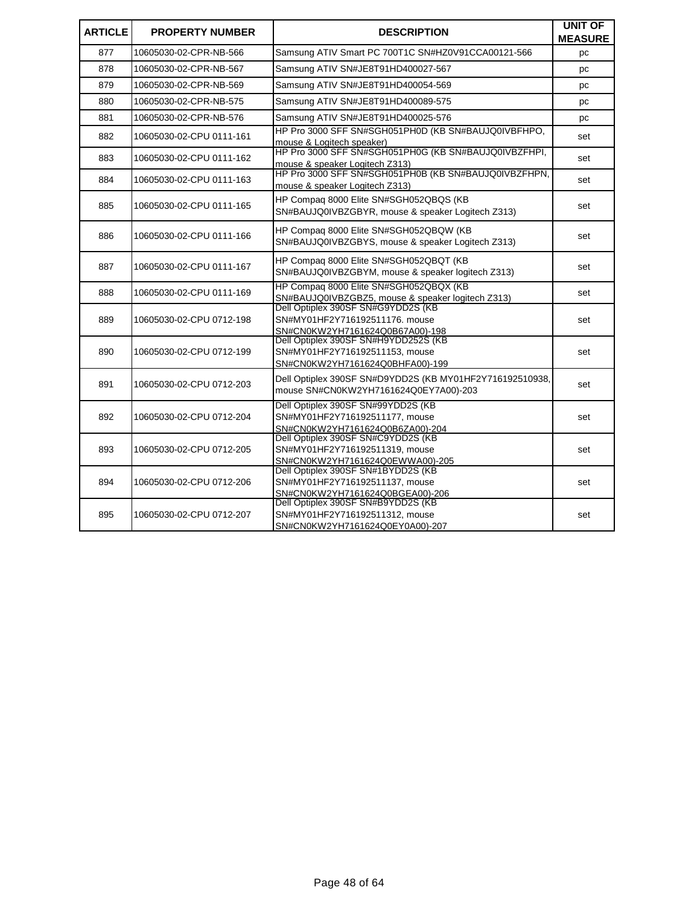| <b>ARTICLE</b> | <b>PROPERTY NUMBER</b>   | <b>DESCRIPTION</b>                                                                                        | <b>UNIT OF</b><br><b>MEASURE</b> |
|----------------|--------------------------|-----------------------------------------------------------------------------------------------------------|----------------------------------|
| 877            | 10605030-02-CPR-NB-566   | Samsung ATIV Smart PC 700T1C SN#HZ0V91CCA00121-566                                                        | рc                               |
| 878            | 10605030-02-CPR-NB-567   | Samsung ATIV SN#JE8T91HD400027-567                                                                        | рc                               |
| 879            | 10605030-02-CPR-NB-569   | Samsung ATIV SN#JE8T91HD400054-569                                                                        | рc                               |
| 880            | 10605030-02-CPR-NB-575   | Samsung ATIV SN#JE8T91HD400089-575                                                                        | рc                               |
| 881            | 10605030-02-CPR-NB-576   | Samsung ATIV SN#JE8T91HD400025-576                                                                        | pc                               |
| 882            | 10605030-02-CPU 0111-161 | HP Pro 3000 SFF SN#SGH051PH0D (KB SN#BAUJQ0IVBFHPO,<br>mouse & Logitech speaker)                          | set                              |
| 883            | 10605030-02-CPU 0111-162 | HP Pro 3000 SFF SN#SGH051PH0G (KB SN#BAUJQ0IVBZFHPI,<br>mouse & speaker Logitech Z313)                    | set                              |
| 884            | 10605030-02-CPU 0111-163 | HP Pro 3000 SFF SN#SGH051PH0B (KB SN#BAUJQ0IVBZFHPN,<br>mouse & speaker Logitech Z313)                    | set                              |
| 885            | 10605030-02-CPU 0111-165 | HP Compaq 8000 Elite SN#SGH052QBQS (KB<br>SN#BAUJQ0IVBZGBYR, mouse & speaker Logitech Z313)               | set                              |
| 886            | 10605030-02-CPU 0111-166 | HP Compaq 8000 Elite SN#SGH052QBQW (KB<br>SN#BAUJQ0IVBZGBYS, mouse & speaker Logitech Z313)               | set                              |
| 887            | 10605030-02-CPU 0111-167 | HP Compag 8000 Elite SN#SGH052QBQT (KB<br>SN#BAUJQ0IVBZGBYM, mouse & speaker logitech Z313)               | set                              |
| 888            | 10605030-02-CPU 0111-169 | HP Compaq 8000 Elite SN#SGH052QBQX (KB<br>SN#BAUJQ0IVBZGBZ5, mouse & speaker logitech Z313)               | set                              |
| 889            | 10605030-02-CPU 0712-198 | Dell Optiplex 390SF SN#G9YDD2S (KB<br>SN#MY01HF2Y716192511176. mouse<br>SN#CN0KW2YH7161624Q0B67A00)-198   | set                              |
| 890            | 10605030-02-CPU 0712-199 | Dell Optiplex 390SF SN#H9YDD252S (KB<br>SN#MY01HF2Y716192511153, mouse<br>SN#CN0KW2YH7161624Q0BHFA00)-199 | set                              |
| 891            | 10605030-02-CPU 0712-203 | Dell Optiplex 390SF SN#D9YDD2S (KB MY01HF2Y716192510938,<br>mouse SN#CN0KW2YH7161624Q0EY7A00)-203         | set                              |
| 892            | 10605030-02-CPU 0712-204 | Dell Optiplex 390SF SN#99YDD2S (KB<br>SN#MY01HF2Y716192511177, mouse<br>SN#CN0KW2YH7161624Q0B6ZA00)-204   | set                              |
| 893            | 10605030-02-CPU 0712-205 | Dell Optiplex 390SF SN#C9YDD2S (KB<br>SN#MY01HF2Y716192511319, mouse<br>SN#CN0KW2YH7161624Q0EWWA00)-205   | set                              |
| 894            | 10605030-02-CPU 0712-206 | Dell Optiplex 390SF SN#1BYDD2S (KB<br>SN#MY01HF2Y716192511137, mouse<br>SN#CN0KW2YH7161624Q0BGEA00)-206   | set                              |
| 895            | 10605030-02-CPU 0712-207 | Dell Optiplex 390SF SN#B9YDD2S (KB<br>SN#MY01HF2Y716192511312, mouse<br>SN#CN0KW2YH7161624Q0EY0A00)-207   | set                              |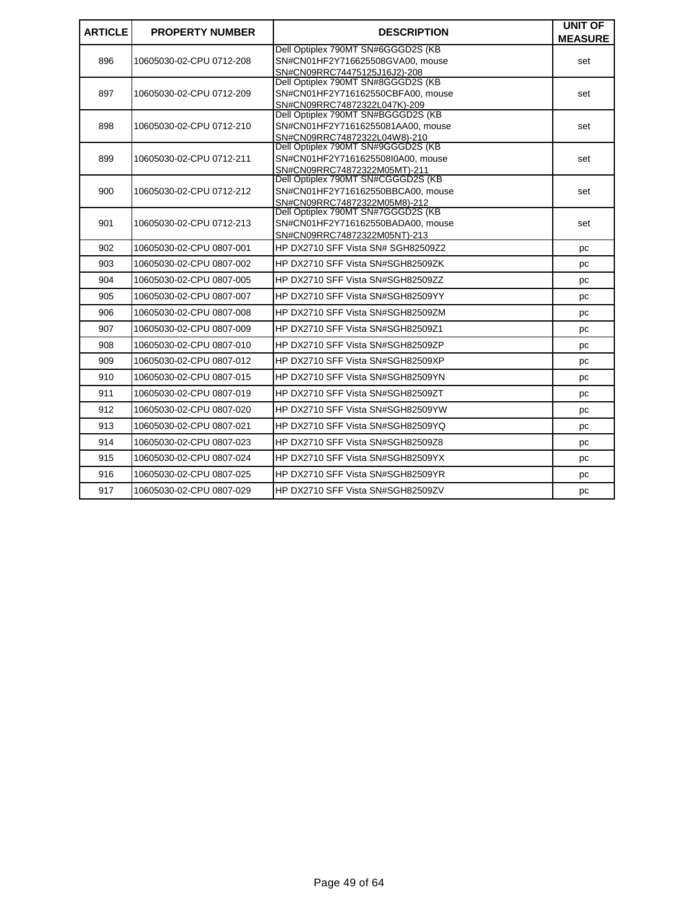| <b>ARTICLE</b> | <b>PROPERTY NUMBER</b>   | <b>DESCRIPTION</b>                                                     | <b>UNIT OF</b> |
|----------------|--------------------------|------------------------------------------------------------------------|----------------|
|                |                          |                                                                        | <b>MEASURE</b> |
| 896            | 10605030-02-CPU 0712-208 | Dell Optiplex 790MT SN#6GGGD2S (KB<br>SN#CN01HF2Y716625508GVA00, mouse |                |
|                |                          | SN#CN09RRC74475125J16J2)-208                                           | set            |
|                |                          | Dell Optiplex 790MT SN#8GGGD2S (KB                                     |                |
| 897            | 10605030-02-CPU 0712-209 | SN#CN01HF2Y716162550CBFA00, mouse                                      | set            |
|                |                          | SN#CN09RRC74872322L047K)-209                                           |                |
|                |                          | Dell Optiplex 790MT SN#BGGGD2S (KB                                     |                |
| 898            | 10605030-02-CPU 0712-210 | SN#CN01HF2Y71616255081AA00, mouse<br>SN#CN09RRC74872322L04W8)-210      | set            |
|                |                          | Dell Optiplex 790MT SN#9GGGD2S (KB                                     |                |
| 899            | 10605030-02-CPU 0712-211 | SN#CN01HF2Y7161625508I0A00, mouse                                      | set            |
|                |                          | SN#CN09RRC74872322M05MT)-211                                           |                |
|                |                          | Dell Optiplex 790MT SN#CGGGD2S (KB                                     |                |
| 900            | 10605030-02-CPU 0712-212 | SN#CN01HF2Y716162550BBCA00, mouse                                      | set            |
|                |                          | SN#CN09RRC74872322M05M8)-212<br>Dell Optiplex 790MT SN#7GGGD2S (KB     |                |
| 901            | 10605030-02-CPU 0712-213 | SN#CN01HF2Y716162550BADA00, mouse                                      | set            |
|                |                          | SN#CN09RRC74872322M05NT)-213                                           |                |
| 902            | 10605030-02-CPU 0807-001 | HP DX2710 SFF Vista SN# SGH82509Z2                                     | pc             |
| 903            | 10605030-02-CPU 0807-002 | HP DX2710 SFF Vista SN#SGH82509ZK                                      | pc             |
| 904            | 10605030-02-CPU 0807-005 | HP DX2710 SFF Vista SN#SGH82509ZZ                                      | pc             |
| 905            | 10605030-02-CPU 0807-007 | HP DX2710 SFF Vista SN#SGH82509YY                                      | pc             |
| 906            | 10605030-02-CPU 0807-008 | HP DX2710 SFF Vista SN#SGH82509ZM                                      | рc             |
| 907            | 10605030-02-CPU 0807-009 | HP DX2710 SFF Vista SN#SGH82509Z1                                      | pc             |
| 908            | 10605030-02-CPU 0807-010 | HP DX2710 SFF Vista SN#SGH82509ZP                                      | рc             |
| 909            | 10605030-02-CPU 0807-012 | HP DX2710 SFF Vista SN#SGH82509XP                                      | pc             |
| 910            | 10605030-02-CPU 0807-015 | HP DX2710 SFF Vista SN#SGH82509YN                                      | pc             |
| 911            | 10605030-02-CPU 0807-019 | HP DX2710 SFF Vista SN#SGH82509ZT                                      | рc             |
| 912            | 10605030-02-CPU 0807-020 | HP DX2710 SFF Vista SN#SGH82509YW                                      | рc             |
| 913            | 10605030-02-CPU 0807-021 | HP DX2710 SFF Vista SN#SGH82509YQ                                      | рc             |
| 914            | 10605030-02-CPU 0807-023 | HP DX2710 SFF Vista SN#SGH82509Z8                                      | pc             |
| 915            | 10605030-02-CPU 0807-024 | HP DX2710 SFF Vista SN#SGH82509YX                                      | pc             |
| 916            | 10605030-02-CPU 0807-025 | HP DX2710 SFF Vista SN#SGH82509YR                                      | рc             |
| 917            | 10605030-02-CPU 0807-029 | HP DX2710 SFF Vista SN#SGH82509ZV                                      | pc             |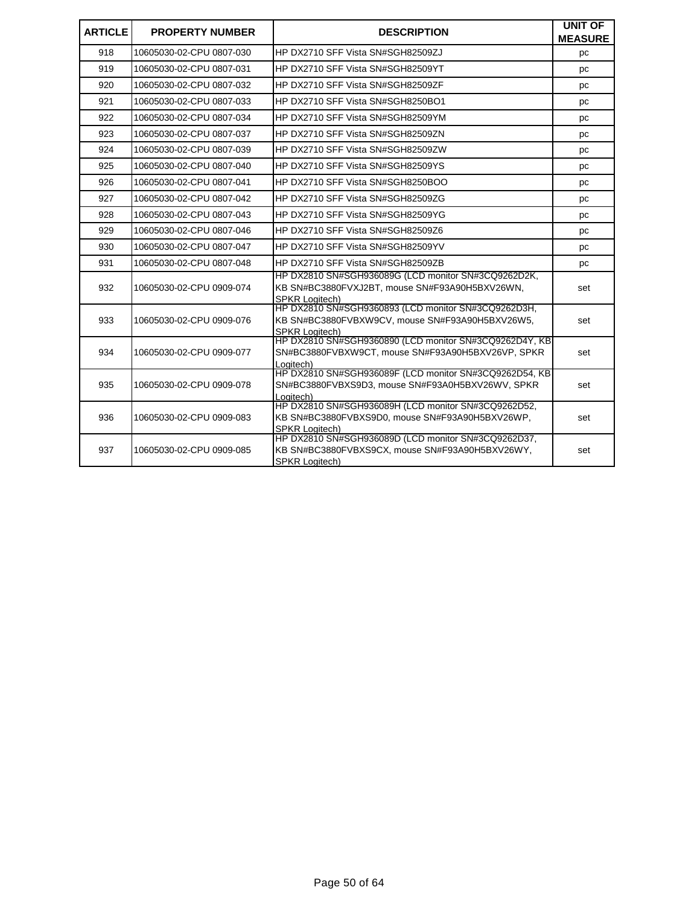| <b>ARTICLE</b> | <b>PROPERTY NUMBER</b>   | <b>DESCRIPTION</b>                                                                                                              | <b>UNIT OF</b><br><b>MEASURE</b> |
|----------------|--------------------------|---------------------------------------------------------------------------------------------------------------------------------|----------------------------------|
| 918            | 10605030-02-CPU 0807-030 | HP DX2710 SFF Vista SN#SGH82509ZJ                                                                                               | рc                               |
| 919            | 10605030-02-CPU 0807-031 | HP DX2710 SFF Vista SN#SGH82509YT                                                                                               | pc                               |
| 920            | 10605030-02-CPU 0807-032 | HP DX2710 SFF Vista SN#SGH82509ZF                                                                                               | рc                               |
| 921            | 10605030-02-CPU 0807-033 | HP DX2710 SFF Vista SN#SGH8250BO1                                                                                               | рc                               |
| 922            | 10605030-02-CPU 0807-034 | HP DX2710 SFF Vista SN#SGH82509YM                                                                                               | pc                               |
| 923            | 10605030-02-CPU 0807-037 | HP DX2710 SFF Vista SN#SGH82509ZN                                                                                               | pc                               |
| 924            | 10605030-02-CPU 0807-039 | HP DX2710 SFF Vista SN#SGH82509ZW                                                                                               | pc                               |
| 925            | 10605030-02-CPU 0807-040 | HP DX2710 SFF Vista SN#SGH82509YS                                                                                               | рc                               |
| 926            | 10605030-02-CPU 0807-041 | HP DX2710 SFF Vista SN#SGH8250BOO                                                                                               | pc                               |
| 927            | 10605030-02-CPU 0807-042 | HP DX2710 SFF Vista SN#SGH82509ZG                                                                                               | рc                               |
| 928            | 10605030-02-CPU 0807-043 | HP DX2710 SFF Vista SN#SGH82509YG                                                                                               | pc                               |
| 929            | 10605030-02-CPU 0807-046 | HP DX2710 SFF Vista SN#SGH82509Z6                                                                                               | pc                               |
| 930            | 10605030-02-CPU 0807-047 | HP DX2710 SFF Vista SN#SGH82509YV                                                                                               | рc                               |
| 931            | 10605030-02-CPU 0807-048 | HP DX2710 SFF Vista SN#SGH82509ZB                                                                                               | рc                               |
| 932            | 10605030-02-CPU 0909-074 | HP DX2810 SN#SGH936089G (LCD monitor SN#3CQ9262D2K,<br>KB SN#BC3880FVXJ2BT, mouse SN#F93A90H5BXV26WN,<br><b>SPKR Logitech)</b>  | set                              |
| 933            | 10605030-02-CPU 0909-076 | HP DX2810 SN#SGH9360893 (LCD monitor SN#3CQ9262D3H,<br>KB SN#BC3880FVBXW9CV, mouse SN#F93A90H5BXV26W5,<br><b>SPKR Loaitech)</b> | set                              |
| 934            | 10605030-02-CPU 0909-077 | HP DX2810 SN#SGH9360890 (LCD monitor SN#3CQ9262D4Y, KB<br>SN#BC3880FVBXW9CT, mouse SN#F93A90H5BXV26VP, SPKR<br>Logitech)        | set                              |
| 935            | 10605030-02-CPU 0909-078 | HP DX2810 SN#SGH936089F (LCD monitor SN#3CQ9262D54, KB)<br>SN#BC3880FVBXS9D3, mouse SN#F93A0H5BXV26WV, SPKR<br>Loaitech)        | set                              |
| 936            | 10605030-02-CPU 0909-083 | HP DX2810 SN#SGH936089H (LCD monitor SN#3CQ9262D52,<br>KB SN#BC3880FVBXS9D0, mouse SN#F93A90H5BXV26WP,<br><b>SPKR Loaitech)</b> | set                              |
| 937            | 10605030-02-CPU 0909-085 | HP DX2810 SN#SGH936089D (LCD monitor SN#3CQ9262D37,<br>KB SN#BC3880FVBXS9CX, mouse SN#F93A90H5BXV26WY,<br><b>SPKR Loaitech)</b> | set                              |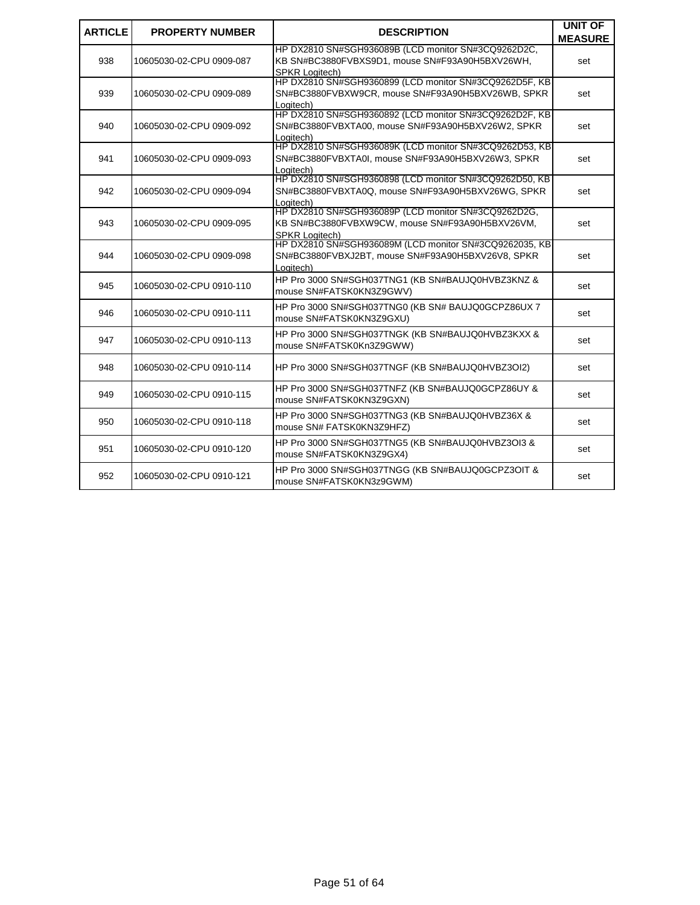| <b>ARTICLE</b> | <b>PROPERTY NUMBER</b>   | <b>DESCRIPTION</b>                                                                                                              | <b>UNIT OF</b><br><b>MEASURE</b> |
|----------------|--------------------------|---------------------------------------------------------------------------------------------------------------------------------|----------------------------------|
| 938            | 10605030-02-CPU 0909-087 | HP DX2810 SN#SGH936089B (LCD monitor SN#3CQ9262D2C,<br>KB SN#BC3880FVBXS9D1, mouse SN#F93A90H5BXV26WH,<br><b>SPKR Loaitech)</b> | set                              |
| 939            | 10605030-02-CPU 0909-089 | HP DX2810 SN#SGH9360899 (LCD monitor SN#3CQ9262D5F, KB<br>SN#BC3880FVBXW9CR, mouse SN#F93A90H5BXV26WB, SPKR<br>Logitech)        | set                              |
| 940            | 10605030-02-CPU 0909-092 | HP DX2810 SN#SGH9360892 (LCD monitor SN#3CQ9262D2F, KB<br>SN#BC3880FVBXTA00, mouse SN#F93A90H5BXV26W2, SPKR<br>Logitech)        | set                              |
| 941            | 10605030-02-CPU 0909-093 | HP DX2810 SN#SGH936089K (LCD monitor SN#3CQ9262D53, KB<br>SN#BC3880FVBXTA0I, mouse SN#F93A90H5BXV26W3, SPKR<br>Logitech)        | set                              |
| 942            | 10605030-02-CPU 0909-094 | HP DX2810 SN#SGH9360898 (LCD monitor SN#3CQ9262D50, KB<br>SN#BC3880FVBXTA0Q, mouse SN#F93A90H5BXV26WG, SPKR<br>Logitech)        | set                              |
| 943            | 10605030-02-CPU 0909-095 | HP DX2810 SN#SGH936089P (LCD monitor SN#3CQ9262D2G,<br>KB SN#BC3880FVBXW9CW, mouse SN#F93A90H5BXV26VM,<br><b>SPKR Logitech)</b> | set                              |
| 944            | 10605030-02-CPU 0909-098 | HP DX2810 SN#SGH936089M (LCD monitor SN#3CQ9262035, KB<br>SN#BC3880FVBXJ2BT, mouse SN#F93A90H5BXV26V8, SPKR<br>Logitech)        | set                              |
| 945            | 10605030-02-CPU 0910-110 | HP Pro 3000 SN#SGH037TNG1 (KB SN#BAUJQ0HVBZ3KNZ &<br>mouse SN#FATSK0KN3Z9GWV)                                                   | set                              |
| 946            | 10605030-02-CPU 0910-111 | HP Pro 3000 SN#SGH037TNG0 (KB SN# BAUJQ0GCPZ86UX 7<br>mouse SN#FATSK0KN3Z9GXU)                                                  | set                              |
| 947            | 10605030-02-CPU 0910-113 | HP Pro 3000 SN#SGH037TNGK (KB SN#BAUJQ0HVBZ3KXX &<br>mouse SN#FATSK0Kn3Z9GWW)                                                   | set                              |
| 948            | 10605030-02-CPU 0910-114 | HP Pro 3000 SN#SGH037TNGF (KB SN#BAUJQ0HVBZ3OI2)                                                                                | set                              |
| 949            | 10605030-02-CPU 0910-115 | HP Pro 3000 SN#SGH037TNFZ (KB SN#BAUJQ0GCPZ86UY &<br>mouse SN#FATSK0KN3Z9GXN)                                                   | set                              |
| 950            | 10605030-02-CPU 0910-118 | HP Pro 3000 SN#SGH037TNG3 (KB SN#BAUJQ0HVBZ36X &<br>mouse SN# FATSK0KN3Z9HFZ)                                                   | set                              |
| 951            | 10605030-02-CPU 0910-120 | HP Pro 3000 SN#SGH037TNG5 (KB SN#BAUJQ0HVBZ3OI3 &<br>mouse SN#FATSK0KN3Z9GX4)                                                   | set                              |
| 952            | 10605030-02-CPU 0910-121 | HP Pro 3000 SN#SGH037TNGG (KB SN#BAUJQ0GCPZ3OIT &<br>mouse SN#FATSK0KN3z9GWM)                                                   | set                              |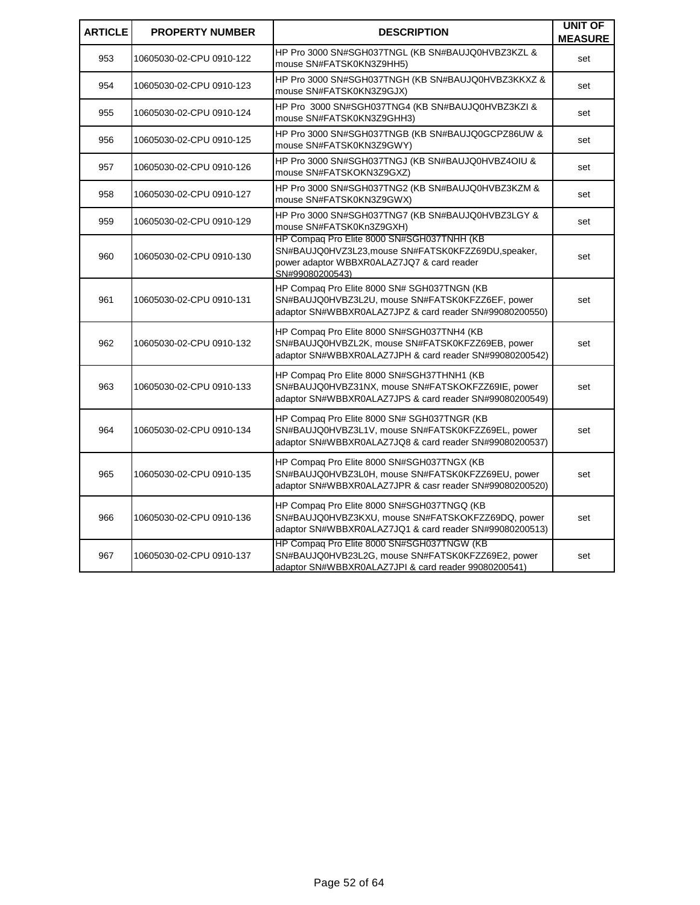| <b>ARTICLE</b> | <b>PROPERTY NUMBER</b>   | <b>DESCRIPTION</b>                                                                                                                                                 | <b>UNIT OF</b><br><b>MEASURE</b> |
|----------------|--------------------------|--------------------------------------------------------------------------------------------------------------------------------------------------------------------|----------------------------------|
| 953            | 10605030-02-CPU 0910-122 | HP Pro 3000 SN#SGH037TNGL (KB SN#BAUJQ0HVBZ3KZL &<br>mouse SN#FATSK0KN3Z9HH5)                                                                                      | set                              |
| 954            | 10605030-02-CPU 0910-123 | HP Pro 3000 SN#SGH037TNGH (KB SN#BAUJQ0HVBZ3KKXZ &<br>mouse SN#FATSK0KN3Z9GJX)                                                                                     | set                              |
| 955            | 10605030-02-CPU 0910-124 | HP Pro 3000 SN#SGH037TNG4 (KB SN#BAUJQ0HVBZ3KZI &<br>mouse SN#FATSK0KN3Z9GHH3)                                                                                     | set                              |
| 956            | 10605030-02-CPU 0910-125 | HP Pro 3000 SN#SGH037TNGB (KB SN#BAUJQ0GCPZ86UW &<br>mouse SN#FATSK0KN3Z9GWY)                                                                                      | set                              |
| 957            | 10605030-02-CPU 0910-126 | HP Pro 3000 SN#SGH037TNGJ (KB SN#BAUJQ0HVBZ4OIU &<br>mouse SN#FATSKOKN3Z9GXZ)                                                                                      | set                              |
| 958            | 10605030-02-CPU 0910-127 | HP Pro 3000 SN#SGH037TNG2 (KB SN#BAUJQ0HVBZ3KZM &<br>mouse SN#FATSK0KN3Z9GWX)                                                                                      | set                              |
| 959            | 10605030-02-CPU 0910-129 | HP Pro 3000 SN#SGH037TNG7 (KB SN#BAUJQ0HVBZ3LGY &<br>mouse SN#FATSK0Kn3Z9GXH)                                                                                      | set                              |
| 960            | 10605030-02-CPU 0910-130 | HP Compaq Pro Elite 8000 SN#SGH037TNHH (KB<br>SN#BAUJQ0HVZ3L23, mouse SN#FATSK0KFZZ69DU, speaker,<br>power adaptor WBBXR0ALAZ7JQ7 & card reader<br>SN#99080200543) | set                              |
| 961            | 10605030-02-CPU 0910-131 | HP Compaq Pro Elite 8000 SN# SGH037TNGN (KB<br>SN#BAUJQ0HVBZ3L2U, mouse SN#FATSK0KFZZ6EF, power<br>adaptor SN#WBBXR0ALAZ7JPZ & card reader SN#99080200550)         | set                              |
| 962            | 10605030-02-CPU 0910-132 | HP Compag Pro Elite 8000 SN#SGH037TNH4 (KB<br>SN#BAUJQ0HVBZL2K, mouse SN#FATSK0KFZZ69EB, power<br>adaptor SN#WBBXR0ALAZ7JPH & card reader SN#99080200542)          | set                              |
| 963            | 10605030-02-CPU 0910-133 | HP Compaq Pro Elite 8000 SN#SGH37THNH1 (KB<br>SN#BAUJQ0HVBZ31NX, mouse SN#FATSKOKFZZ69IE, power<br>adaptor SN#WBBXR0ALAZ7JPS & card reader SN#99080200549)         | set                              |
| 964            | 10605030-02-CPU 0910-134 | HP Compaq Pro Elite 8000 SN# SGH037TNGR (KB<br>SN#BAUJQ0HVBZ3L1V, mouse SN#FATSK0KFZZ69EL, power<br>adaptor SN#WBBXR0ALAZ7JQ8 & card reader SN#99080200537)        | set                              |
| 965            | 10605030-02-CPU 0910-135 | HP Compaq Pro Elite 8000 SN#SGH037TNGX (KB<br>SN#BAUJQ0HVBZ3L0H, mouse SN#FATSK0KFZZ69EU, power<br>adaptor SN#WBBXR0ALAZ7JPR & casr reader SN#99080200520)         | set                              |
| 966            | 10605030-02-CPU 0910-136 | HP Compaq Pro Elite 8000 SN#SGH037TNGQ (KB<br>SN#BAUJQ0HVBZ3KXU, mouse SN#FATSKOKFZZ69DQ, power<br>adaptor SN#WBBXR0ALAZ7JQ1 & card reader SN#99080200513)         | set                              |
| 967            | 10605030-02-CPU 0910-137 | HP Compag Pro Elite 8000 SN#SGH037TNGW (KB<br>SN#BAUJQ0HVB23L2G, mouse SN#FATSK0KFZZ69E2, power<br>adaptor SN#WBBXR0ALAZ7JPI & card reader 99080200541)            | set                              |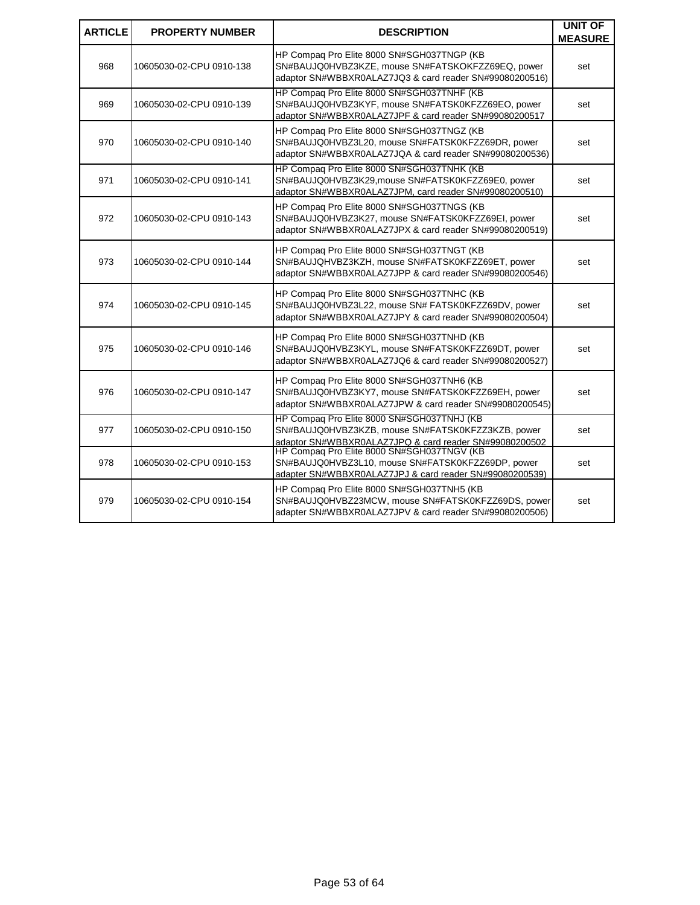| <b>ARTICLE</b> | <b>PROPERTY NUMBER</b>   | <b>DESCRIPTION</b>                                                                                                                                                                                      | <b>UNIT OF</b><br><b>MEASURE</b> |
|----------------|--------------------------|---------------------------------------------------------------------------------------------------------------------------------------------------------------------------------------------------------|----------------------------------|
| 968            | 10605030-02-CPU 0910-138 | HP Compag Pro Elite 8000 SN#SGH037TNGP (KB<br>SN#BAUJQ0HVBZ3KZE, mouse SN#FATSKOKFZZ69EQ, power<br>adaptor SN#WBBXR0ALAZ7JQ3 & card reader SN#99080200516)                                              | set                              |
| 969            | 10605030-02-CPU 0910-139 | HP Compaq Pro Elite 8000 SN#SGH037TNHF (KB<br>SN#BAUJQ0HVBZ3KYF, mouse SN#FATSK0KFZZ69EO, power<br>adaptor SN#WBBXR0ALAZ7JPF & card reader SN#99080200517                                               | set                              |
| 970            | 10605030-02-CPU 0910-140 | HP Compaq Pro Elite 8000 SN#SGH037TNGZ (KB<br>SN#BAUJQ0HVBZ3L20, mouse SN#FATSK0KFZZ69DR, power<br>adaptor SN#WBBXR0ALAZ7JQA & card reader SN#99080200536)                                              | set                              |
| 971            | 10605030-02-CPU 0910-141 | HP Compaq Pro Elite 8000 SN#SGH037TNHK (KB<br>SN#BAUJQ0HVBZ3K29, mouse SN#FATSK0KFZZ69E0, power<br>adaptor SN#WBBXR0ALAZ7JPM, card reader SN#99080200510)                                               | set                              |
| 972            | 10605030-02-CPU 0910-143 | HP Compaq Pro Elite 8000 SN#SGH037TNGS (KB<br>SN#BAUJQ0HVBZ3K27, mouse SN#FATSK0KFZZ69EI, power<br>adaptor SN#WBBXR0ALAZ7JPX & card reader SN#99080200519)                                              | set                              |
| 973            | 10605030-02-CPU 0910-144 | HP Compag Pro Elite 8000 SN#SGH037TNGT (KB<br>SN#BAUJQHVBZ3KZH, mouse SN#FATSK0KFZZ69ET, power<br>adaptor SN#WBBXR0ALAZ7JPP & card reader SN#99080200546)                                               | set                              |
| 974            | 10605030-02-CPU 0910-145 | HP Compag Pro Elite 8000 SN#SGH037TNHC (KB<br>SN#BAUJQ0HVBZ3L22, mouse SN# FATSK0KFZZ69DV, power<br>adaptor SN#WBBXR0ALAZ7JPY & card reader SN#99080200504)                                             | set                              |
| 975            | 10605030-02-CPU 0910-146 | HP Compaq Pro Elite 8000 SN#SGH037TNHD (KB<br>SN#BAUJQ0HVBZ3KYL, mouse SN#FATSK0KFZZ69DT, power<br>adaptor SN#WBBXR0ALAZ7JQ6 & card reader SN#99080200527)                                              | set                              |
| 976            | 10605030-02-CPU 0910-147 | HP Compaq Pro Elite 8000 SN#SGH037TNH6 (KB<br>SN#BAUJQ0HVBZ3KY7, mouse SN#FATSK0KFZZ69EH, power<br>adaptor SN#WBBXR0ALAZ7JPW & card reader SN#99080200545)                                              | set                              |
| 977            | 10605030-02-CPU 0910-150 | HP Compaq Pro Elite 8000 SN#SGH037TNHJ (KB<br>SN#BAUJQ0HVBZ3KZB, mouse SN#FATSK0KFZZ3KZB, power<br>adaptor SN#WBBXR0ALAZ7JPQ & card reader SN#99080200502<br>HP Compaq Pro Elite 8000 SN#SGH037TNGV (KB | set                              |
| 978            | 10605030-02-CPU 0910-153 | SN#BAUJQ0HVBZ3L10, mouse SN#FATSK0KFZZ69DP, power<br>adapter SN#WBBXR0ALAZ7JPJ & card reader SN#99080200539)                                                                                            | set                              |
| 979            | 10605030-02-CPU 0910-154 | HP Compaq Pro Elite 8000 SN#SGH037TNH5 (KB<br>SN#BAUJQ0HVBZ23MCW, mouse SN#FATSK0KFZZ69DS, power<br>adapter SN#WBBXR0ALAZ7JPV & card reader SN#99080200506)                                             | set                              |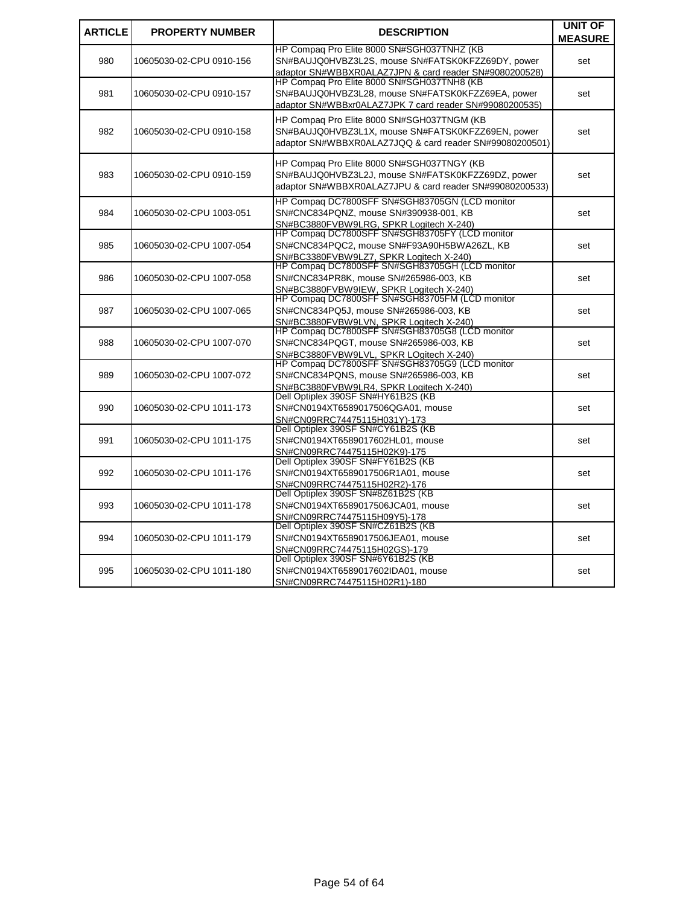| <b>ARTICLE</b> | <b>PROPERTY NUMBER</b>   | <b>DESCRIPTION</b>                                                                                                                                         | <b>UNIT OF</b> |
|----------------|--------------------------|------------------------------------------------------------------------------------------------------------------------------------------------------------|----------------|
|                |                          |                                                                                                                                                            | <b>MEASURE</b> |
| 980            | 10605030-02-CPU 0910-156 | HP Compag Pro Elite 8000 SN#SGH037TNHZ (KB<br>SN#BAUJQ0HVBZ3L2S, mouse SN#FATSK0KFZZ69DY, power<br>adaptor SN#WBBXR0ALAZ7JPN & card reader SN#9080200528)  | set            |
| 981            | 10605030-02-CPU 0910-157 | HP Compag Pro Elite 8000 SN#SGH037TNH8 (KB<br>SN#BAUJQ0HVBZ3L28, mouse SN#FATSK0KFZZ69EA, power<br>adaptor SN#WBBxr0ALAZ7JPK 7 card reader SN#99080200535) | set            |
| 982            | 10605030-02-CPU 0910-158 | HP Compag Pro Elite 8000 SN#SGH037TNGM (KB<br>SN#BAUJQ0HVBZ3L1X, mouse SN#FATSK0KFZZ69EN, power<br>adaptor SN#WBBXR0ALAZ7JQQ & card reader SN#99080200501) | set            |
| 983            | 10605030-02-CPU 0910-159 | HP Compag Pro Elite 8000 SN#SGH037TNGY (KB<br>SN#BAUJQ0HVBZ3L2J, mouse SN#FATSK0KFZZ69DZ, power<br>adaptor SN#WBBXR0ALAZ7JPU & card reader SN#99080200533) | set            |
| 984            | 10605030-02-CPU 1003-051 | HP Compaq DC7800SFF SN#SGH83705GN (LCD monitor<br>SN#CNC834PQNZ, mouse SN#390938-001, KB<br>SN#BC3880FVBW9LRG, SPKR Logitech X-240)                        | set            |
| 985            | 10605030-02-CPU 1007-054 | HP Compag DC7800SFF SN#SGH83705FY (LCD monitor<br>SN#CNC834PQC2, mouse SN#F93A90H5BWA26ZL, KB<br>SN#BC3380FVBW9LZ7, SPKR Logitech X-240)                   | set            |
| 986            | 10605030-02-CPU 1007-058 | HP Compag DC7800SFF SN#SGH83705GH (LCD monitor<br>SN#CNC834PR8K, mouse SN#265986-003, KB<br>SN#BC3880FVBW9IEW, SPKR Logitech X-240)                        | set            |
| 987            | 10605030-02-CPU 1007-065 | HP Compaq DC7800SFF SN#SGH83705FM (LCD monitor<br>SN#CNC834PQ5J, mouse SN#265986-003, KB<br>SN#BC3880FVBW9LVN, SPKR Logitech X-240)                        | set            |
| 988            | 10605030-02-CPU 1007-070 | HP Compag DC7800SFF SN#SGH83705G8 (LCD monitor<br>SN#CNC834PQGT, mouse SN#265986-003, KB<br>SN#BC3880FVBW9LVL, SPKR LOgitech X-240)                        | set            |
| 989            | 10605030-02-CPU 1007-072 | HP Compaq DC7800SFF SN#SGH83705G9 (LCD monitor<br>SN#CNC834PQNS, mouse SN#265986-003, KB<br>SN#BC3880FVBW9LR4, SPKR Logitech X-240)                        | set            |
| 990            | 10605030-02-CPU 1011-173 | Dell Optiplex 390SF SN#HY61B2S (KB<br>SN#CN0194XT6589017506QGA01, mouse<br>SN#CN09RRC74475115H031Y)-173                                                    | set            |
| 991            | 10605030-02-CPU 1011-175 | Dell Optiplex 390SF SN#CY61B2S (KB<br>SN#CN0194XT6589017602HL01, mouse<br>SN#CN09RRC74475115H02K9)-175                                                     | set            |
| 992            | 10605030-02-CPU 1011-176 | Dell Optiplex 390SF SN#FY61B2S (KB<br>SN#CN0194XT6589017506R1A01, mouse<br>SN#CN09RRC74475115H02R2)-176                                                    | set            |
| 993            | 10605030-02-CPU 1011-178 | Dell Optiplex 390SF SN#8Z61B2S (KB<br>SN#CN0194XT6589017506JCA01, mouse<br>SN#CN09RRC74475115H09Y5)-178                                                    | set            |
| 994            | 10605030-02-CPU 1011-179 | Dell Optiplex 390SF SN#CZ61B2S (KB<br>SN#CN0194XT6589017506JEA01, mouse<br>SN#CN09RRC74475115H02GS)-179                                                    | set            |
| 995            | 10605030-02-CPU 1011-180 | Dell Optiplex 390SF SN#6Y61B2S (KB<br>SN#CN0194XT6589017602IDA01, mouse<br>SN#CN09RRC74475115H02R1)-180                                                    | set            |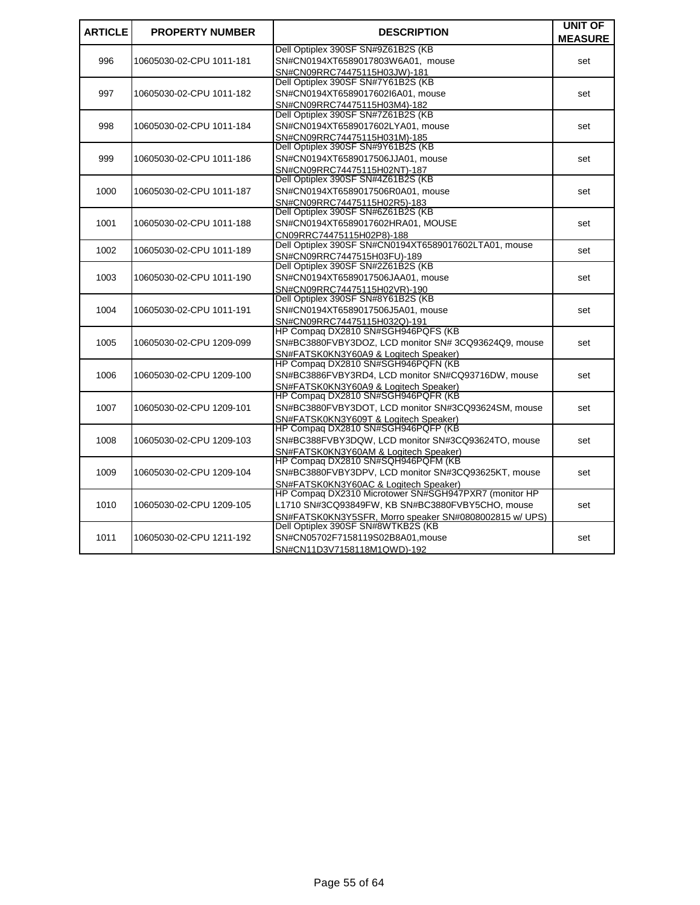| <b>ARTICLE</b> | <b>PROPERTY NUMBER</b>   | <b>DESCRIPTION</b>                                                                 | <b>UNIT OF</b> |
|----------------|--------------------------|------------------------------------------------------------------------------------|----------------|
|                |                          | Dell Optiplex 390SF SN#9Z61B2S (KB                                                 | <b>MEASURE</b> |
| 996            | 10605030-02-CPU 1011-181 | SN#CN0194XT6589017803W6A01. mouse                                                  |                |
|                |                          |                                                                                    | set            |
|                |                          | SN#CN09RRC74475115H03JW)-181<br>Dell Optiplex 390SF SN#7Y61B2S (KB                 |                |
| 997            | 10605030-02-CPU 1011-182 | SN#CN0194XT6589017602l6A01, mouse                                                  |                |
|                |                          |                                                                                    | set            |
|                |                          | SN#CN09RRC74475115H03M4)-182<br>Dell Optiplex 390SF SN#7Z61B2S (KB                 |                |
| 998            | 10605030-02-CPU 1011-184 | SN#CN0194XT6589017602LYA01, mouse                                                  | set            |
|                |                          | SN#CN09RRC74475115H031M)-185                                                       |                |
|                |                          | Dell Optiplex 390SF SN#9Y61B2S (KB                                                 |                |
| 999            | 10605030-02-CPU 1011-186 | SN#CN0194XT6589017506JJA01, mouse                                                  |                |
|                |                          | SN#CN09RRC74475115H02NT)-187                                                       | set            |
|                |                          | Dell Optiplex 390SF SN#4Z61B2S (KB                                                 |                |
| 1000           | 10605030-02-CPU 1011-187 | SN#CN0194XT6589017506R0A01, mouse                                                  | set            |
|                |                          |                                                                                    |                |
|                |                          | SN#CN09RRC74475115H02R5)-183<br>Dell Optiplex 390SF SN#6Z61B2S (KB                 |                |
| 1001           | 10605030-02-CPU 1011-188 | SN#CN0194XT6589017602HRA01, MOUSE                                                  |                |
|                |                          |                                                                                    | set            |
|                |                          | CN09RRC74475115H02P8)-188<br>Dell Optiplex 390SF SN#CN0194XT6589017602LTA01, mouse |                |
| 1002           | 10605030-02-CPU 1011-189 |                                                                                    | set            |
|                |                          | SN#CN09RRC7447515H03FU)-189<br>Dell Optiplex 390SF SN#2Z61B2S (KB                  |                |
| 1003           | 10605030-02-CPU 1011-190 | SN#CN0194XT6589017506JAA01, mouse                                                  |                |
|                |                          |                                                                                    | set            |
|                |                          | SN#CN09RRC74475115H02VR)-190<br>Dell Optiplex 390SF SN#8Y61B2S (KB                 |                |
| 1004           | 10605030-02-CPU 1011-191 | SN#CN0194XT6589017506J5A01, mouse                                                  | set            |
|                |                          | SN#CN09RRC74475115H032Q)-191                                                       |                |
|                |                          | HP Compag DX2810 SN#SGH946PQFS (KB                                                 |                |
| 1005           | 10605030-02-CPU 1209-099 | SN#BC3880FVBY3DOZ, LCD monitor SN# 3CQ93624Q9, mouse                               | set            |
|                |                          | SN#FATSK0KN3Y60A9 & Logitech Speaker)                                              |                |
|                |                          | HP Compaq DX2810 SN#SGH946PQFN (KB                                                 |                |
| 1006           | 10605030-02-CPU 1209-100 | SN#BC3886FVBY3RD4, LCD monitor SN#CQ93716DW, mouse                                 | set            |
|                |                          | SN#FATSK0KN3Y60A9 & Logitech Speaker)                                              |                |
|                |                          | HP Compag DX2810 SN#SGH946PQFR (KB                                                 |                |
| 1007           | 10605030-02-CPU 1209-101 | SN#BC3880FVBY3DOT, LCD monitor SN#3CQ93624SM, mouse                                | set            |
|                |                          | SN#FATSK0KN3Y609T & Logitech Speaker)                                              |                |
|                |                          | HP Compag DX2810 SN#SGH946PQFP (KB                                                 |                |
| 1008           | 10605030-02-CPU 1209-103 | SN#BC388FVBY3DQW, LCD monitor SN#3CQ93624TO, mouse                                 | set            |
|                |                          | SN#FATSK0KN3Y60AM & Logitech Speaker)                                              |                |
|                |                          | HP Compaq DX2810 SN#SQH946PQFM (KB                                                 |                |
| 1009           | 10605030-02-CPU 1209-104 | SN#BC3880FVBY3DPV, LCD monitor SN#3CQ93625KT, mouse                                | set            |
|                |                          | SN#FATSK0KN3Y60AC & Logitech Speaker)                                              |                |
|                |                          | HP Compaq DX2310 Microtower SN#SGH947PXR7 (monitor HP                              |                |
| 1010           | 10605030-02-CPU 1209-105 | L1710 SN#3CQ93849FW, KB SN#BC3880FVBY5CHO, mouse                                   | set            |
|                |                          | SN#FATSK0KN3Y5SFR, Morro speaker SN#0808002815 w/ UPS)                             |                |
|                |                          | Dell Optiplex 390SF SN#8WTKB2S (KB                                                 |                |
| 1011           | 10605030-02-CPU 1211-192 | SN#CN05702F7158119S02B8A01, mouse                                                  | set            |
|                |                          | SN#CN11D3V7158118M1QWD)-192                                                        |                |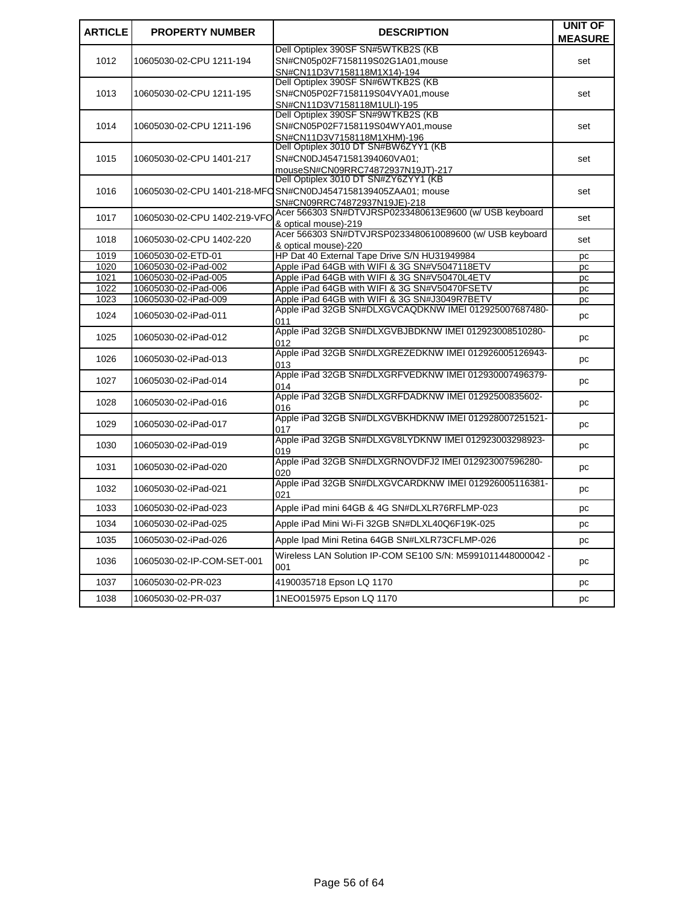| <b>ARTICLE</b> | <b>PROPERTY NUMBER</b>       | <b>DESCRIPTION</b>                                                        | UNIT OF<br><b>MEASURE</b> |
|----------------|------------------------------|---------------------------------------------------------------------------|---------------------------|
|                |                              | Dell Optiplex 390SF SN#5WTKB2S (KB                                        |                           |
| 1012           | 10605030-02-CPU 1211-194     | SN#CN05p02F7158119S02G1A01, mouse                                         | set                       |
|                |                              | SN#CN11D3V7158118M1X14)-194                                               |                           |
|                |                              | Dell Optiplex 390SF SN#6WTKB2S (KB                                        |                           |
| 1013           | 10605030-02-CPU 1211-195     | SN#CN05P02F7158119S04VYA01, mouse                                         | set                       |
|                |                              | SN#CN11D3V7158118M1ULI)-195                                               |                           |
|                |                              | Dell Optiplex 390SF SN#9WTKB2S (KB                                        |                           |
| 1014           | 10605030-02-CPU 1211-196     | SN#CN05P02F7158119S04WYA01,mouse                                          | set                       |
|                |                              | SN#CN11D3V7158118M1XHM)-196                                               |                           |
|                |                              | Dell Optiplex 3010 DT SN#BW6ZYY1 (KB                                      |                           |
| 1015           | 10605030-02-CPU 1401-217     | SN#CN0DJ45471581394060VA01;                                               | set                       |
|                |                              | mouseSN#CN09RRC74872937N19JT)-217<br>Dell Optiplex 3010 DT SN#ZY6ZYY1 (KB |                           |
| 1016           |                              | 10605030-02-CPU 1401-218-MFQ SN#CN0DJ4547158139405ZAA01: mouse            | set                       |
|                |                              | SN#CN09RRC74872937N19JE)-218                                              |                           |
|                |                              | Acer 566303 SN#DTVJRSP0233480613E9600 (w/ USB keyboard                    |                           |
| 1017           | 10605030-02-CPU 1402-219-VFO | & optical mouse)-219                                                      | set                       |
|                |                              | Acer 566303 SN#DTVJRSP0233480610089600 (w/ USB keyboard                   |                           |
| 1018           | 10605030-02-CPU 1402-220     | & optical mouse)-220                                                      | set                       |
| 1019           | 10605030-02-ETD-01           | HP Dat 40 External Tape Drive S/N HU31949984                              | pc                        |
| 1020           | 10605030-02-iPad-002         | Apple iPad 64GB with WIFI & 3G SN#V5047118ETV                             | pc                        |
| 1021           | 10605030-02-iPad-005         | Apple iPad 64GB with WIFI & 3G SN#V50470L4ETV                             | pc                        |
| 1022           | 10605030-02-iPad-006         | Apple iPad 64GB with WIFI & 3G SN#V50470FSETV                             | pc                        |
| 1023           | 10605030-02-iPad-009         | Apple iPad 64GB with WIFI & 3G SN#J3049R7BETV                             | pc                        |
| 1024           | 10605030-02-iPad-011         | Apple iPad 32GB SN#DLXGVCAQDKNW IMEI 012925007687480-<br>011              | pc                        |
| 1025           | 10605030-02-iPad-012         | Apple iPad 32GB SN#DLXGVBJBDKNW IMEI 012923008510280-<br>012              | pc                        |
| 1026           | 10605030-02-iPad-013         | Apple iPad 32GB SN#DLXGREZEDKNW IMEI 012926005126943-<br>013              | pc                        |
| 1027           | 10605030-02-iPad-014         | Apple iPad 32GB SN#DLXGRFVEDKNW IMEI 012930007496379-                     | pc                        |
| 1028           | 10605030-02-iPad-016         | 014<br>Apple iPad 32GB SN#DLXGRFDADKNW IMEI 01292500835602-               | pc                        |
|                |                              | 016                                                                       |                           |
| 1029           | 10605030-02-iPad-017         | Apple iPad 32GB SN#DLXGVBKHDKNW IMEI 012928007251521-<br>017              | pc                        |
| 1030           | 10605030-02-iPad-019         | Apple iPad 32GB SN#DLXGV8LYDKNW IMEI 012923003298923-<br>019              | pc                        |
| 1031           | 10605030-02-iPad-020         | Apple iPad 32GB SN#DLXGRNOVDFJ2 IMEI 012923007596280-<br>020              | pc                        |
| 1032           | 10605030-02-iPad-021         | Apple iPad 32GB SN#DLXGVCARDKNW IMEI 012926005116381-<br>021              | pc                        |
| 1033           | 10605030-02-iPad-023         | Apple iPad mini 64GB & 4G SN#DLXLR76RFLMP-023                             | pc                        |
| 1034           | 10605030-02-iPad-025         | Apple iPad Mini Wi-Fi 32GB SN#DLXL40Q6F19K-025                            | pc                        |
| 1035           | 10605030-02-iPad-026         | Apple Ipad Mini Retina 64GB SN#LXLR73CFLMP-026                            | pc                        |
| 1036           | 10605030-02-IP-COM-SET-001   | Wireless LAN Solution IP-COM SE100 S/N: M5991011448000042 -<br>001        | pc                        |
| 1037           | 10605030-02-PR-023           | 4190035718 Epson LQ 1170                                                  | pc                        |
| 1038           | 10605030-02-PR-037           | 1NEO015975 Epson LQ 1170                                                  | pc                        |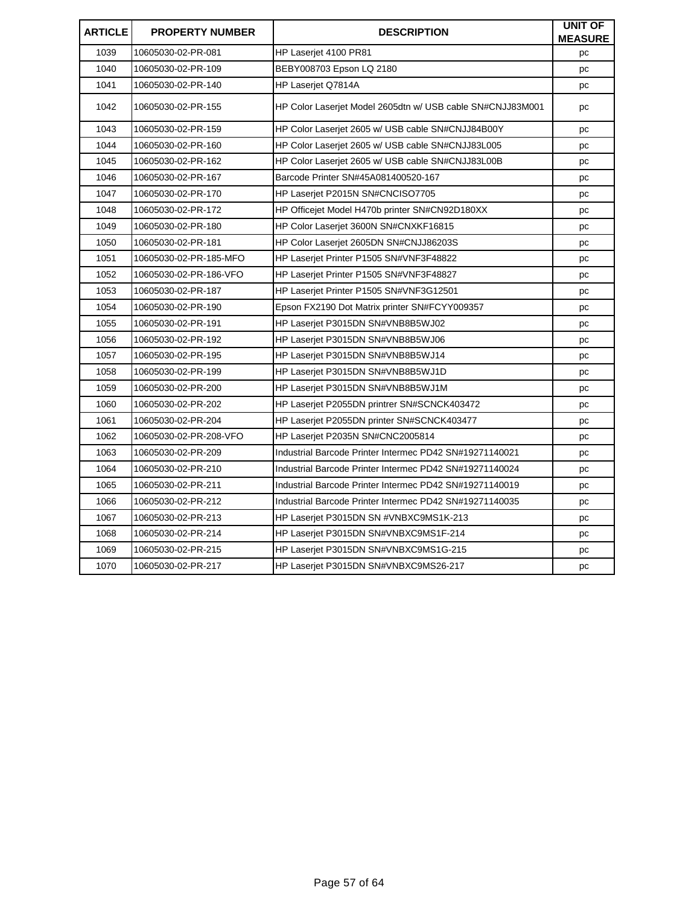| <b>ARTICLE</b> | <b>PROPERTY NUMBER</b> | <b>DESCRIPTION</b>                                         | <b>UNIT OF</b><br><b>MEASURE</b> |
|----------------|------------------------|------------------------------------------------------------|----------------------------------|
| 1039           | 10605030-02-PR-081     | HP Laserjet 4100 PR81                                      | pc                               |
| 1040           | 10605030-02-PR-109     | BEBY008703 Epson LQ 2180                                   | pc                               |
| 1041           | 10605030-02-PR-140     | HP Laserjet Q7814A                                         | pc                               |
| 1042           | 10605030-02-PR-155     | HP Color Laserjet Model 2605dtn w/ USB cable SN#CNJJ83M001 | pc                               |
| 1043           | 10605030-02-PR-159     | HP Color Laserjet 2605 w/ USB cable SN#CNJJ84B00Y          | pc                               |
| 1044           | 10605030-02-PR-160     | HP Color Laserjet 2605 w/ USB cable SN#CNJJ83L005          | pc                               |
| 1045           | 10605030-02-PR-162     | HP Color Laserjet 2605 w/ USB cable SN#CNJJ83L00B          | pc                               |
| 1046           | 10605030-02-PR-167     | Barcode Printer SN#45A081400520-167                        | pc                               |
| 1047           | 10605030-02-PR-170     | HP Laserjet P2015N SN#CNCISO7705                           | pc                               |
| 1048           | 10605030-02-PR-172     | HP Officejet Model H470b printer SN#CN92D180XX             | pc                               |
| 1049           | 10605030-02-PR-180     | HP Color Laserjet 3600N SN#CNXKF16815                      | pc                               |
| 1050           | 10605030-02-PR-181     | HP Color Laserjet 2605DN SN#CNJJ86203S                     | pc                               |
| 1051           | 10605030-02-PR-185-MFO | HP Laserjet Printer P1505 SN#VNF3F48822                    | pc                               |
| 1052           | 10605030-02-PR-186-VFO | HP Laserjet Printer P1505 SN#VNF3F48827                    | pc                               |
| 1053           | 10605030-02-PR-187     | HP Laserjet Printer P1505 SN#VNF3G12501                    | pc                               |
| 1054           | 10605030-02-PR-190     | Epson FX2190 Dot Matrix printer SN#FCYY009357              | pc                               |
| 1055           | 10605030-02-PR-191     | HP Laserjet P3015DN SN#VNB8B5WJ02                          | pc                               |
| 1056           | 10605030-02-PR-192     | HP Laserjet P3015DN SN#VNB8B5WJ06                          | pc                               |
| 1057           | 10605030-02-PR-195     | HP Laserjet P3015DN SN#VNB8B5WJ14                          | pc                               |
| 1058           | 10605030-02-PR-199     | HP Laserjet P3015DN SN#VNB8B5WJ1D                          | pc                               |
| 1059           | 10605030-02-PR-200     | HP Laserjet P3015DN SN#VNB8B5WJ1M                          | pc                               |
| 1060           | 10605030-02-PR-202     | HP Laserjet P2055DN printrer SN#SCNCK403472                | pc                               |
| 1061           | 10605030-02-PR-204     | HP Laserjet P2055DN printer SN#SCNCK403477                 | pc                               |
| 1062           | 10605030-02-PR-208-VFO | HP Laserjet P2035N SN#CNC2005814                           | pc                               |
| 1063           | 10605030-02-PR-209     | Industrial Barcode Printer Intermec PD42 SN#19271140021    | pc                               |
| 1064           | 10605030-02-PR-210     | Industrial Barcode Printer Intermec PD42 SN#19271140024    | pc                               |
| 1065           | 10605030-02-PR-211     | Industrial Barcode Printer Intermec PD42 SN#19271140019    | pc                               |
| 1066           | 10605030-02-PR-212     | Industrial Barcode Printer Intermec PD42 SN#19271140035    | pc                               |
| 1067           | 10605030-02-PR-213     | HP Laserjet P3015DN SN #VNBXC9MS1K-213                     | pc                               |
| 1068           | 10605030-02-PR-214     | HP Laserjet P3015DN SN#VNBXC9MS1F-214                      | pc                               |
| 1069           | 10605030-02-PR-215     | HP Laserjet P3015DN SN#VNBXC9MS1G-215                      | pc                               |
| 1070           | 10605030-02-PR-217     | HP Laserjet P3015DN SN#VNBXC9MS26-217                      | pc                               |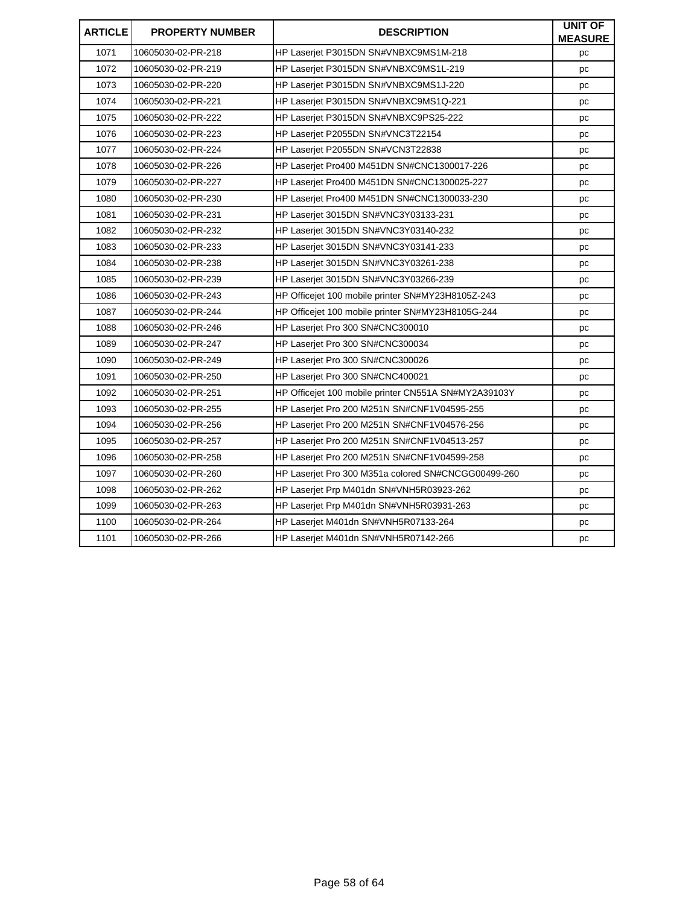| <b>ARTICLE</b> | <b>PROPERTY NUMBER</b> | <b>DESCRIPTION</b>                                   | <b>UNIT OF</b><br><b>MEASURE</b> |
|----------------|------------------------|------------------------------------------------------|----------------------------------|
| 1071           | 10605030-02-PR-218     | HP Laserjet P3015DN SN#VNBXC9MS1M-218                | рc                               |
| 1072           | 10605030-02-PR-219     | HP Laserjet P3015DN SN#VNBXC9MS1L-219                | pc                               |
| 1073           | 10605030-02-PR-220     | HP Laserjet P3015DN SN#VNBXC9MS1J-220                | pc                               |
| 1074           | 10605030-02-PR-221     | HP Laserjet P3015DN SN#VNBXC9MS1Q-221                | pc                               |
| 1075           | 10605030-02-PR-222     | HP Laserjet P3015DN SN#VNBXC9PS25-222                | рc                               |
| 1076           | 10605030-02-PR-223     | HP Laserjet P2055DN SN#VNC3T22154                    | pc                               |
| 1077           | 10605030-02-PR-224     | HP Laserjet P2055DN SN#VCN3T22838                    | pc                               |
| 1078           | 10605030-02-PR-226     | HP Laserjet Pro400 M451DN SN#CNC1300017-226          | pc                               |
| 1079           | 10605030-02-PR-227     | HP Laserjet Pro400 M451DN SN#CNC1300025-227          | pc                               |
| 1080           | 10605030-02-PR-230     | HP Laserjet Pro400 M451DN SN#CNC1300033-230          | pc                               |
| 1081           | 10605030-02-PR-231     | HP Laseriet 3015DN SN#VNC3Y03133-231                 | pc                               |
| 1082           | 10605030-02-PR-232     | HP Laserjet 3015DN SN#VNC3Y03140-232                 | pc                               |
| 1083           | 10605030-02-PR-233     | HP Laserjet 3015DN SN#VNC3Y03141-233                 | pc                               |
| 1084           | 10605030-02-PR-238     | HP Laserjet 3015DN SN#VNC3Y03261-238                 | pc                               |
| 1085           | 10605030-02-PR-239     | HP Laserjet 3015DN SN#VNC3Y03266-239                 | pc                               |
| 1086           | 10605030-02-PR-243     | HP Officejet 100 mobile printer SN#MY23H8105Z-243    | pc                               |
| 1087           | 10605030-02-PR-244     | HP Officejet 100 mobile printer SN#MY23H8105G-244    | рc                               |
| 1088           | 10605030-02-PR-246     | HP Laserjet Pro 300 SN#CNC300010                     | pc                               |
| 1089           | 10605030-02-PR-247     | HP Laserjet Pro 300 SN#CNC300034                     | pc                               |
| 1090           | 10605030-02-PR-249     | HP Laserjet Pro 300 SN#CNC300026                     | pc                               |
| 1091           | 10605030-02-PR-250     | HP Laserjet Pro 300 SN#CNC400021                     | pc                               |
| 1092           | 10605030-02-PR-251     | HP Officejet 100 mobile printer CN551A SN#MY2A39103Y | pc                               |
| 1093           | 10605030-02-PR-255     | HP Laserjet Pro 200 M251N SN#CNF1V04595-255          | pc                               |
| 1094           | 10605030-02-PR-256     | HP Laserjet Pro 200 M251N SN#CNF1V04576-256          | pc                               |
| 1095           | 10605030-02-PR-257     | HP Laserjet Pro 200 M251N SN#CNF1V04513-257          | pc                               |
| 1096           | 10605030-02-PR-258     | HP Laserjet Pro 200 M251N SN#CNF1V04599-258          | рc                               |
| 1097           | 10605030-02-PR-260     | HP Laserjet Pro 300 M351a colored SN#CNCGG00499-260  | pc                               |
| 1098           | 10605030-02-PR-262     | HP Laserjet Prp M401dn SN#VNH5R03923-262             | pc                               |
| 1099           | 10605030-02-PR-263     | HP Laserjet Prp M401dn SN#VNH5R03931-263             | pc                               |
| 1100           | 10605030-02-PR-264     | HP Laserjet M401dn SN#VNH5R07133-264                 | pc                               |
| 1101           | 10605030-02-PR-266     | HP Laserjet M401dn SN#VNH5R07142-266                 | pc                               |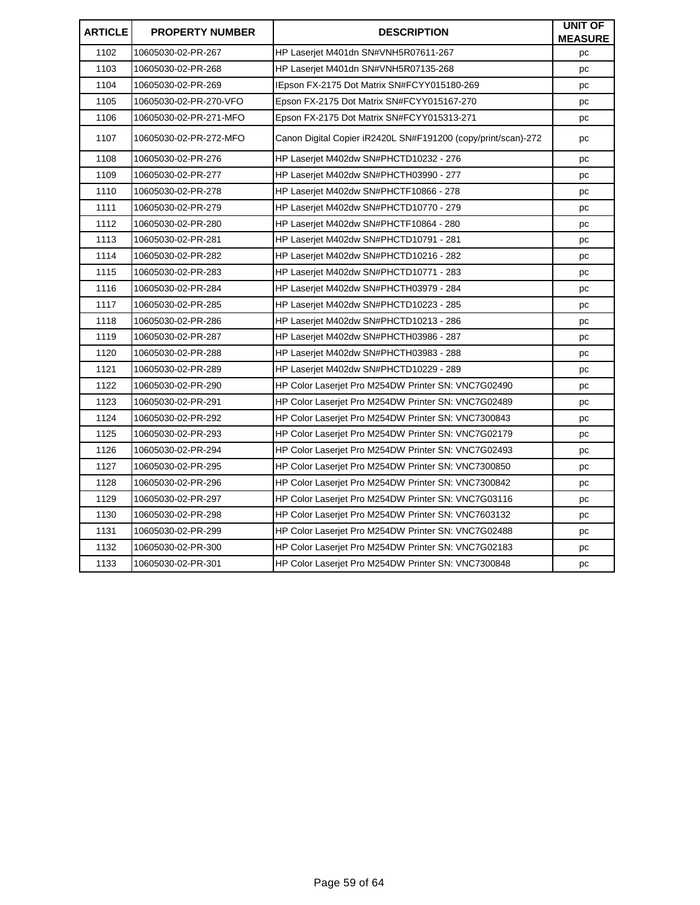| <b>ARTICLE</b> | <b>PROPERTY NUMBER</b> | <b>DESCRIPTION</b>                                            | <b>UNIT OF</b><br><b>MEASURE</b> |
|----------------|------------------------|---------------------------------------------------------------|----------------------------------|
| 1102           | 10605030-02-PR-267     | HP Laserjet M401dn SN#VNH5R07611-267                          | pc                               |
| 1103           | 10605030-02-PR-268     | HP Laserjet M401dn SN#VNH5R07135-268                          | pc                               |
| 1104           | 10605030-02-PR-269     | IEpson FX-2175 Dot Matrix SN#FCYY015180-269                   | pc                               |
| 1105           | 10605030-02-PR-270-VFO | Epson FX-2175 Dot Matrix SN#FCYY015167-270                    | рc                               |
| 1106           | 10605030-02-PR-271-MFO | Epson FX-2175 Dot Matrix SN#FCYY015313-271                    | pc                               |
| 1107           | 10605030-02-PR-272-MFO | Canon Digital Copier iR2420L SN#F191200 (copy/print/scan)-272 | pc                               |
| 1108           | 10605030-02-PR-276     | HP Laserjet M402dw SN#PHCTD10232 - 276                        | pc                               |
| 1109           | 10605030-02-PR-277     | HP Laserjet M402dw SN#PHCTH03990 - 277                        | pc                               |
| 1110           | 10605030-02-PR-278     | HP Laserjet M402dw SN#PHCTF10866 - 278                        | pc                               |
| 1111           | 10605030-02-PR-279     | HP Laseriet M402dw SN#PHCTD10770 - 279                        | pc                               |
| 1112           | 10605030-02-PR-280     | HP Laserjet M402dw SN#PHCTF10864 - 280                        | pc                               |
| 1113           | 10605030-02-PR-281     | HP Laserjet M402dw SN#PHCTD10791 - 281                        | pc                               |
| 1114           | 10605030-02-PR-282     | HP Laserjet M402dw SN#PHCTD10216 - 282                        | рc                               |
| 1115           | 10605030-02-PR-283     | HP Laseriet M402dw SN#PHCTD10771 - 283                        | pc                               |
| 1116           | 10605030-02-PR-284     | HP Laserjet M402dw SN#PHCTH03979 - 284                        | pc                               |
| 1117           | 10605030-02-PR-285     | HP Laserjet M402dw SN#PHCTD10223 - 285                        | pc                               |
| 1118           | 10605030-02-PR-286     | HP Laserjet M402dw SN#PHCTD10213 - 286                        | рc                               |
| 1119           | 10605030-02-PR-287     | HP Laserjet M402dw SN#PHCTH03986 - 287                        | pc                               |
| 1120           | 10605030-02-PR-288     | HP Laserjet M402dw SN#PHCTH03983 - 288                        | pc                               |
| 1121           | 10605030-02-PR-289     | HP Laserjet M402dw SN#PHCTD10229 - 289                        | pc                               |
| 1122           | 10605030-02-PR-290     | HP Color Laserjet Pro M254DW Printer SN: VNC7G02490           | pc                               |
| 1123           | 10605030-02-PR-291     | HP Color Laserjet Pro M254DW Printer SN: VNC7G02489           | pc                               |
| 1124           | 10605030-02-PR-292     | HP Color Laserjet Pro M254DW Printer SN: VNC7300843           | pc                               |
| 1125           | 10605030-02-PR-293     | HP Color Laserjet Pro M254DW Printer SN: VNC7G02179           | рc                               |
| 1126           | 10605030-02-PR-294     | HP Color Laserjet Pro M254DW Printer SN: VNC7G02493           | pc                               |
| 1127           | 10605030-02-PR-295     | HP Color Laserjet Pro M254DW Printer SN: VNC7300850           | pc                               |
| 1128           | 10605030-02-PR-296     | HP Color Laserjet Pro M254DW Printer SN: VNC7300842           | pc                               |
| 1129           | 10605030-02-PR-297     | HP Color Laserjet Pro M254DW Printer SN: VNC7G03116           | рc                               |
| 1130           | 10605030-02-PR-298     | HP Color Laserjet Pro M254DW Printer SN: VNC7603132           | рc                               |
| 1131           | 10605030-02-PR-299     | HP Color Laserjet Pro M254DW Printer SN: VNC7G02488           | pc                               |
| 1132           | 10605030-02-PR-300     | HP Color Laserjet Pro M254DW Printer SN: VNC7G02183           | pc                               |
| 1133           | 10605030-02-PR-301     | HP Color Laserjet Pro M254DW Printer SN: VNC7300848           | рc                               |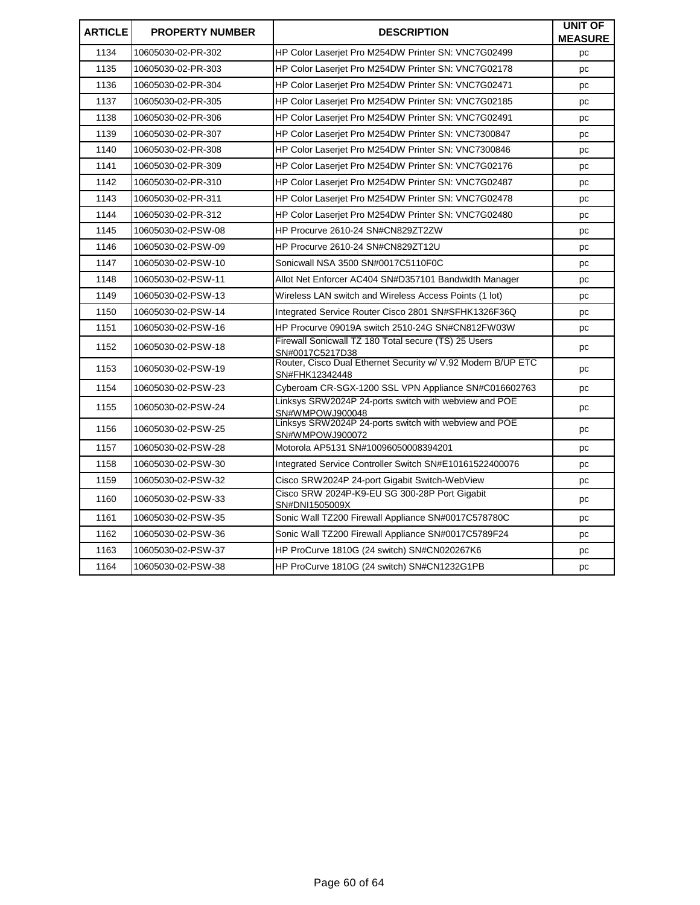| <b>ARTICLE</b> | <b>PROPERTY NUMBER</b> | <b>DESCRIPTION</b>                                                            | <b>UNIT OF</b><br><b>MEASURE</b> |
|----------------|------------------------|-------------------------------------------------------------------------------|----------------------------------|
| 1134           | 10605030-02-PR-302     | HP Color Laserjet Pro M254DW Printer SN: VNC7G02499                           | pc                               |
| 1135           | 10605030-02-PR-303     | HP Color Laserjet Pro M254DW Printer SN: VNC7G02178                           | pc                               |
| 1136           | 10605030-02-PR-304     | HP Color Laserjet Pro M254DW Printer SN: VNC7G02471                           | pc                               |
| 1137           | 10605030-02-PR-305     | HP Color Laseriet Pro M254DW Printer SN: VNC7G02185                           | pc                               |
| 1138           | 10605030-02-PR-306     | HP Color Laseriet Pro M254DW Printer SN: VNC7G02491                           | pc                               |
| 1139           | 10605030-02-PR-307     | HP Color Laseriet Pro M254DW Printer SN: VNC7300847                           | pc                               |
| 1140           | 10605030-02-PR-308     | HP Color Laserjet Pro M254DW Printer SN: VNC7300846                           | pc                               |
| 1141           | 10605030-02-PR-309     | HP Color Laserjet Pro M254DW Printer SN: VNC7G02176                           | pc                               |
| 1142           | 10605030-02-PR-310     | HP Color Laserjet Pro M254DW Printer SN: VNC7G02487                           | pc                               |
| 1143           | 10605030-02-PR-311     | HP Color Laserjet Pro M254DW Printer SN: VNC7G02478                           | pc                               |
| 1144           | 10605030-02-PR-312     | HP Color Laserjet Pro M254DW Printer SN: VNC7G02480                           | pc                               |
| 1145           | 10605030-02-PSW-08     | HP Procurve 2610-24 SN#CN829ZT2ZW                                             | pc                               |
| 1146           | 10605030-02-PSW-09     | HP Procurve 2610-24 SN#CN829ZT12U                                             | pc                               |
| 1147           | 10605030-02-PSW-10     | Sonicwall NSA 3500 SN#0017C5110F0C                                            | pc                               |
| 1148           | 10605030-02-PSW-11     | Allot Net Enforcer AC404 SN#D357101 Bandwidth Manager                         | рc                               |
| 1149           | 10605030-02-PSW-13     | Wireless LAN switch and Wireless Access Points (1 lot)                        | pc                               |
| 1150           | 10605030-02-PSW-14     | Integrated Service Router Cisco 2801 SN#SFHK1326F36Q                          | рc                               |
| 1151           | 10605030-02-PSW-16     | HP Procurve 09019A switch 2510-24G SN#CN812FW03W                              | pc                               |
| 1152           | 10605030-02-PSW-18     | Firewall Sonicwall TZ 180 Total secure (TS) 25 Users<br>SN#0017C5217D38       | pc                               |
| 1153           | 10605030-02-PSW-19     | Router, Cisco Dual Ethernet Security w/ V.92 Modem B/UP ETC<br>SN#FHK12342448 | pc                               |
| 1154           | 10605030-02-PSW-23     | Cyberoam CR-SGX-1200 SSL VPN Appliance SN#C016602763                          | pc                               |
| 1155           | 10605030-02-PSW-24     | Linksys SRW2024P 24-ports switch with webview and POE<br>SN#WMPOWJ900048      | pc                               |
| 1156           | 10605030-02-PSW-25     | Linksys SRW2024P 24-ports switch with webview and POE<br>SN#WMPOWJ900072      | рc                               |
| 1157           | 10605030-02-PSW-28     | Motorola AP5131 SN#10096050008394201                                          | pc                               |
| 1158           | 10605030-02-PSW-30     | Integrated Service Controller Switch SN#E10161522400076                       | рc                               |
| 1159           | 10605030-02-PSW-32     | Cisco SRW2024P 24-port Gigabit Switch-WebView                                 | pc                               |
| 1160           | 10605030-02-PSW-33     | Cisco SRW 2024P-K9-EU SG 300-28P Port Gigabit<br>SN#DNI1505009X               | pc                               |
| 1161           | 10605030-02-PSW-35     | Sonic Wall TZ200 Firewall Appliance SN#0017C578780C                           | pc                               |
| 1162           | 10605030-02-PSW-36     | Sonic Wall TZ200 Firewall Appliance SN#0017C5789F24                           | pc                               |
| 1163           | 10605030-02-PSW-37     | HP ProCurve 1810G (24 switch) SN#CN020267K6                                   | pc                               |
| 1164           | 10605030-02-PSW-38     | HP ProCurve 1810G (24 switch) SN#CN1232G1PB                                   | pc                               |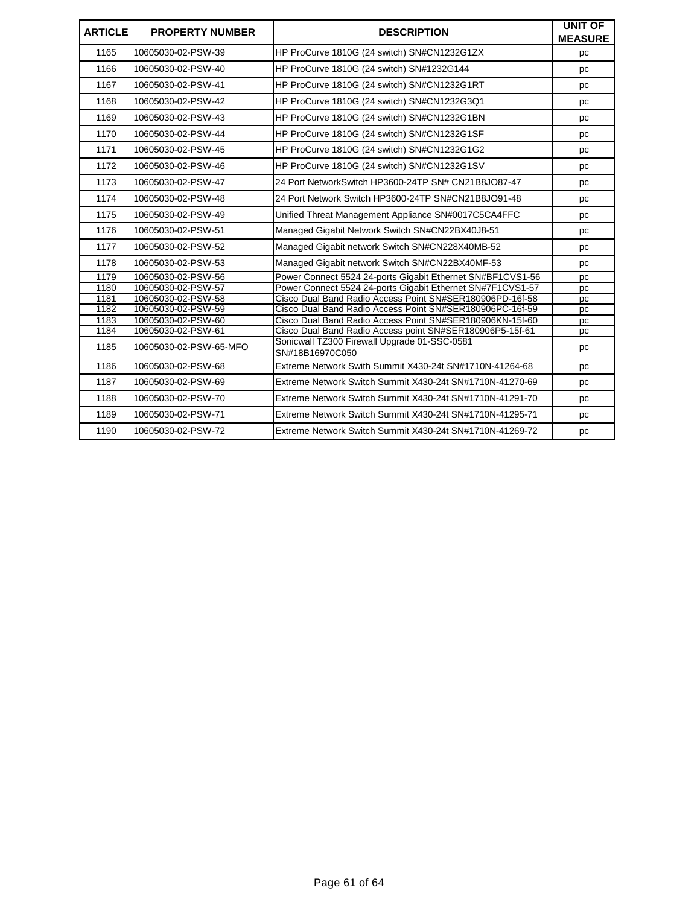| <b>ARTICLE</b> | <b>PROPERTY NUMBER</b> | <b>DESCRIPTION</b>                                              | <b>UNIT OF</b><br><b>MEASURE</b> |
|----------------|------------------------|-----------------------------------------------------------------|----------------------------------|
| 1165           | 10605030-02-PSW-39     | HP ProCurve 1810G (24 switch) SN#CN1232G1ZX                     | pc                               |
| 1166           | 10605030-02-PSW-40     | HP ProCurve 1810G (24 switch) SN#1232G144                       | pc                               |
| 1167           | 10605030-02-PSW-41     | HP ProCurve 1810G (24 switch) SN#CN1232G1RT                     | pc                               |
| 1168           | 10605030-02-PSW-42     | HP ProCurve 1810G (24 switch) SN#CN1232G3Q1                     | pc                               |
| 1169           | 10605030-02-PSW-43     | HP ProCurve 1810G (24 switch) SN#CN1232G1BN                     | рc                               |
| 1170           | 10605030-02-PSW-44     | HP ProCurve 1810G (24 switch) SN#CN1232G1SF                     | pc                               |
| 1171           | 10605030-02-PSW-45     | HP ProCurve 1810G (24 switch) SN#CN1232G1G2                     | pc                               |
| 1172           | 10605030-02-PSW-46     | HP ProCurve 1810G (24 switch) SN#CN1232G1SV                     | pc                               |
| 1173           | 10605030-02-PSW-47     | 24 Port NetworkSwitch HP3600-24TP SN# CN21B8JO87-47             | pc                               |
| 1174           | 10605030-02-PSW-48     | 24 Port Network Switch HP3600-24TP SN#CN21B8JO91-48             | pc                               |
| 1175           | 10605030-02-PSW-49     | Unified Threat Management Appliance SN#0017C5CA4FFC             | pc                               |
| 1176           | 10605030-02-PSW-51     | Managed Gigabit Network Switch SN#CN22BX40J8-51                 | рc                               |
| 1177           | 10605030-02-PSW-52     | Managed Gigabit network Switch SN#CN228X40MB-52                 | pc                               |
| 1178           | 10605030-02-PSW-53     | Managed Gigabit network Switch SN#CN22BX40MF-53                 | pc                               |
| 1179           | 10605030-02-PSW-56     | Power Connect 5524 24-ports Gigabit Ethernet SN#BF1CVS1-56      | pc                               |
| 1180           | 10605030-02-PSW-57     | Power Connect 5524 24-ports Gigabit Ethernet SN#7F1CVS1-57      | pc                               |
| 1181           | 10605030-02-PSW-58     | Cisco Dual Band Radio Access Point SN#SER180906PD-16f-58        | pc                               |
| 1182           | 10605030-02-PSW-59     | Cisco Dual Band Radio Access Point SN#SER180906PC-16f-59        | pc                               |
| 1183           | 10605030-02-PSW-60     | Cisco Dual Band Radio Access Point SN#SER180906KN-15f-60        | pc                               |
| 1184           | 10605030-02-PSW-61     | Cisco Dual Band Radio Access point SN#SER180906P5-15f-61        | pc                               |
| 1185           | 10605030-02-PSW-65-MFO | Sonicwall TZ300 Firewall Upgrade 01-SSC-0581<br>SN#18B16970C050 | pc                               |
| 1186           | 10605030-02-PSW-68     | Extreme Network Swith Summit X430-24t SN#1710N-41264-68         | pc                               |
| 1187           | 10605030-02-PSW-69     | Extreme Network Switch Summit X430-24t SN#1710N-41270-69        | pc                               |
| 1188           | 10605030-02-PSW-70     | Extreme Network Switch Summit X430-24t SN#1710N-41291-70        | pc                               |
| 1189           | 10605030-02-PSW-71     | Extreme Network Switch Summit X430-24t SN#1710N-41295-71        | pc                               |
| 1190           | 10605030-02-PSW-72     | Extreme Network Switch Summit X430-24t SN#1710N-41269-72        | pc                               |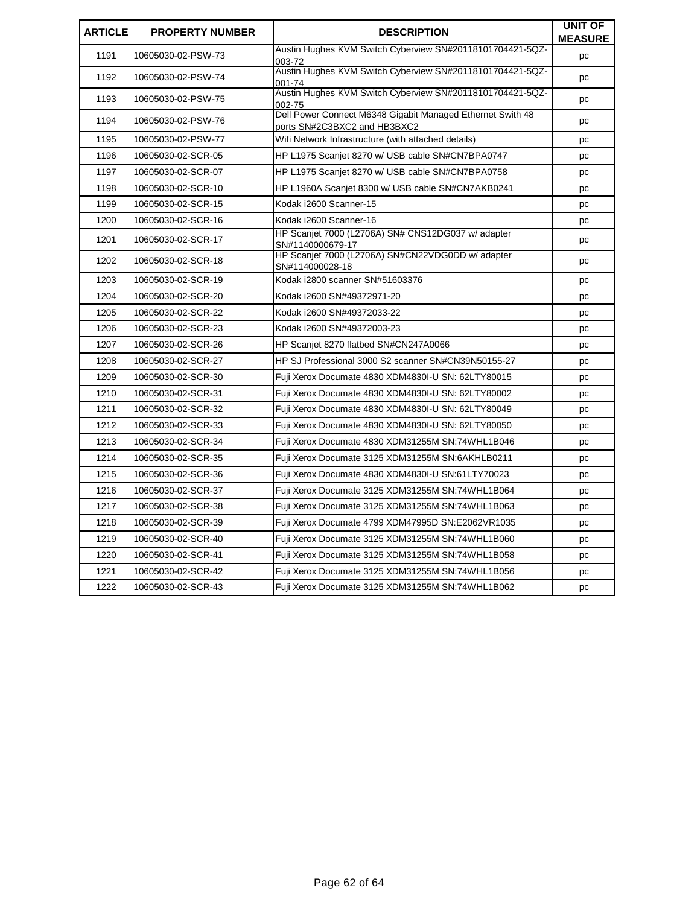| <b>ARTICLE</b> | <b>PROPERTY NUMBER</b> | <b>DESCRIPTION</b>                                                                         | <b>UNIT OF</b><br><b>MEASURE</b> |
|----------------|------------------------|--------------------------------------------------------------------------------------------|----------------------------------|
| 1191           | 10605030-02-PSW-73     | Austin Hughes KVM Switch Cyberview SN#20118101704421-5QZ-<br>003-72                        | pc                               |
| 1192           | 10605030-02-PSW-74     | Austin Hughes KVM Switch Cyberview SN#20118101704421-5QZ-<br>001-74                        | pc                               |
| 1193           | 10605030-02-PSW-75     | Austin Hughes KVM Switch Cyberview SN#20118101704421-5QZ-<br>002-75                        | pc                               |
| 1194           | 10605030-02-PSW-76     | Dell Power Connect M6348 Gigabit Managed Ethernet Swith 48<br>ports SN#2C3BXC2 and HB3BXC2 | pc                               |
| 1195           | 10605030-02-PSW-77     | Wifi Network Infrastructure (with attached details)                                        | pc                               |
| 1196           | 10605030-02-SCR-05     | HP L1975 Scanjet 8270 w/ USB cable SN#CN7BPA0747                                           | pc                               |
| 1197           | 10605030-02-SCR-07     | HP L1975 Scanjet 8270 w/ USB cable SN#CN7BPA0758                                           | pc                               |
| 1198           | 10605030-02-SCR-10     | HP L1960A Scanjet 8300 w/ USB cable SN#CN7AKB0241                                          | pc                               |
| 1199           | 10605030-02-SCR-15     | Kodak i2600 Scanner-15                                                                     | pc                               |
| 1200           | 10605030-02-SCR-16     | Kodak i2600 Scanner-16                                                                     | pc                               |
| 1201           | 10605030-02-SCR-17     | HP Scanjet 7000 (L2706A) SN# CNS12DG037 w/ adapter<br>SN#1140000679-17                     | pc                               |
| 1202           | 10605030-02-SCR-18     | HP Scanjet 7000 (L2706A) SN#CN22VDG0DD w/adapter<br>SN#114000028-18                        | pc                               |
| 1203           | 10605030-02-SCR-19     | Kodak i2800 scanner SN#51603376                                                            | pc                               |
| 1204           | 10605030-02-SCR-20     | Kodak i2600 SN#49372971-20                                                                 | pc                               |
| 1205           | 10605030-02-SCR-22     | Kodak i2600 SN#49372033-22                                                                 | pc                               |
| 1206           | 10605030-02-SCR-23     | Kodak i2600 SN#49372003-23                                                                 | pc                               |
| 1207           | 10605030-02-SCR-26     | HP Scanjet 8270 flatbed SN#CN247A0066                                                      | pc                               |
| 1208           | 10605030-02-SCR-27     | HP SJ Professional 3000 S2 scanner SN#CN39N50155-27                                        | pc                               |
| 1209           | 10605030-02-SCR-30     | Fuji Xerox Documate 4830 XDM4830I-U SN: 62LTY80015                                         | pc                               |
| 1210           | 10605030-02-SCR-31     | Fuji Xerox Documate 4830 XDM4830I-U SN: 62LTY80002                                         | pc                               |
| 1211           | 10605030-02-SCR-32     | Fuji Xerox Documate 4830 XDM4830I-U SN: 62LTY80049                                         | pc                               |
| 1212           | 10605030-02-SCR-33     | Fuji Xerox Documate 4830 XDM4830I-U SN: 62LTY80050                                         | pc                               |
| 1213           | 10605030-02-SCR-34     | Fuji Xerox Documate 4830 XDM31255M SN:74WHL1B046                                           | pc                               |
| 1214           | 10605030-02-SCR-35     | Fuji Xerox Documate 3125 XDM31255M SN:6AKHLB0211                                           | pc                               |
| 1215           | 10605030-02-SCR-36     | Fuji Xerox Documate 4830 XDM4830I-U SN:61LTY70023                                          | pc                               |
| 1216           | 10605030-02-SCR-37     | Fuji Xerox Documate 3125 XDM31255M SN:74WHL1B064                                           | pc                               |
| 1217           | 10605030-02-SCR-38     | Fuji Xerox Documate 3125 XDM31255M SN:74WHL1B063                                           | pc                               |
| 1218           | 10605030-02-SCR-39     | Fuji Xerox Documate 4799 XDM47995D SN:E2062VR1035                                          | pc                               |
| 1219           | 10605030-02-SCR-40     | Fuji Xerox Documate 3125 XDM31255M SN:74WHL1B060                                           | pc                               |
| 1220           | 10605030-02-SCR-41     | Fuji Xerox Documate 3125 XDM31255M SN:74WHL1B058                                           | pc                               |
| 1221           | 10605030-02-SCR-42     | Fuji Xerox Documate 3125 XDM31255M SN:74WHL1B056                                           | pc                               |
| 1222           | 10605030-02-SCR-43     | Fuji Xerox Documate 3125 XDM31255M SN:74WHL1B062                                           | pc                               |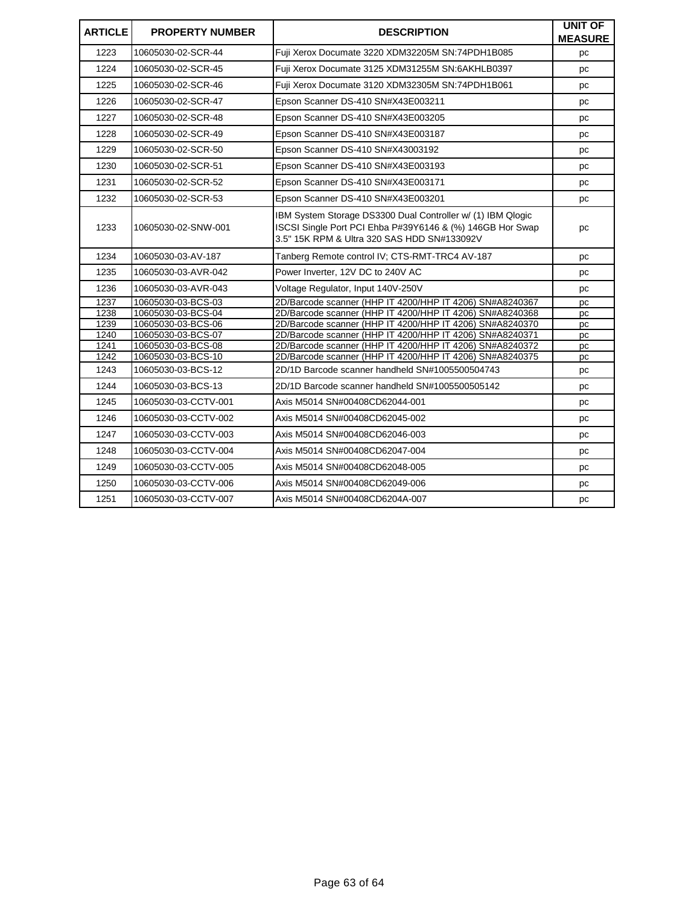| <b>ARTICLE</b> | <b>PROPERTY NUMBER</b>                   | <b>DESCRIPTION</b>                                                                                                                                                      | <b>UNIT OF</b><br><b>MEASURE</b> |
|----------------|------------------------------------------|-------------------------------------------------------------------------------------------------------------------------------------------------------------------------|----------------------------------|
| 1223           | 10605030-02-SCR-44                       | Fuji Xerox Documate 3220 XDM32205M SN:74PDH1B085                                                                                                                        | pc                               |
| 1224           | 10605030-02-SCR-45                       | Fuji Xerox Documate 3125 XDM31255M SN:6AKHLB0397                                                                                                                        | pc                               |
| 1225           | 10605030-02-SCR-46                       | Fuji Xerox Documate 3120 XDM32305M SN:74PDH1B061                                                                                                                        | pc                               |
| 1226           | 10605030-02-SCR-47                       | Epson Scanner DS-410 SN#X43E003211                                                                                                                                      | рc                               |
| 1227           | 10605030-02-SCR-48                       | Epson Scanner DS-410 SN#X43E003205                                                                                                                                      | pc                               |
| 1228           | 10605030-02-SCR-49                       | Epson Scanner DS-410 SN#X43E003187                                                                                                                                      | pc                               |
| 1229           | 10605030-02-SCR-50                       | Epson Scanner DS-410 SN#X43003192                                                                                                                                       | pc                               |
| 1230           | 10605030-02-SCR-51                       | Epson Scanner DS-410 SN#X43E003193                                                                                                                                      | pc                               |
| 1231           | 10605030-02-SCR-52                       | Epson Scanner DS-410 SN#X43E003171                                                                                                                                      | рc                               |
| 1232           | 10605030-02-SCR-53                       | Epson Scanner DS-410 SN#X43E003201                                                                                                                                      | рc                               |
| 1233           | 10605030-02-SNW-001                      | IBM System Storage DS3300 Dual Controller w/ (1) IBM Qlogic<br>ISCSI Single Port PCI Ehba P#39Y6146 & (%) 146GB Hor Swap<br>3.5" 15K RPM & Ultra 320 SAS HDD SN#133092V | рc                               |
| 1234           | 10605030-03-AV-187                       | Tanberg Remote control IV; CTS-RMT-TRC4 AV-187                                                                                                                          | pc                               |
| 1235           | 10605030-03-AVR-042                      | Power Inverter, 12V DC to 240V AC                                                                                                                                       | pc                               |
| 1236           | 10605030-03-AVR-043                      | Voltage Regulator, Input 140V-250V                                                                                                                                      | pc                               |
| 1237           | 10605030-03-BCS-03                       | 2D/Barcode scanner (HHP IT 4200/HHP IT 4206) SN#A8240367                                                                                                                | pc                               |
| 1238           | 10605030-03-BCS-04                       | 2D/Barcode scanner (HHP IT 4200/HHP IT 4206) SN#A8240368                                                                                                                | pc                               |
| 1239           | 10605030-03-BCS-06                       | 2D/Barcode scanner (HHP IT 4200/HHP IT 4206) SN#A8240370                                                                                                                | pc                               |
| 1240           | 10605030-03-BCS-07                       | 2D/Barcode scanner (HHP IT 4200/HHP IT 4206) SN#A8240371                                                                                                                | рc                               |
| 1241<br>1242   | 10605030-03-BCS-08<br>10605030-03-BCS-10 | 2D/Barcode scanner (HHP IT 4200/HHP IT 4206) SN#A8240372<br>2D/Barcode scanner (HHP IT 4200/HHP IT 4206) SN#A8240375                                                    | рc                               |
| 1243           | 10605030-03-BCS-12                       | 2D/1D Barcode scanner handheld SN#1005500504743                                                                                                                         | pc<br>pc                         |
| 1244           | 10605030-03-BCS-13                       | 2D/1D Barcode scanner handheld SN#1005500505142                                                                                                                         | pc                               |
| 1245           | 10605030-03-CCTV-001                     | Axis M5014 SN#00408CD62044-001                                                                                                                                          | pc                               |
| 1246           | 10605030-03-CCTV-002                     | Axis M5014 SN#00408CD62045-002                                                                                                                                          | рc                               |
| 1247           | 10605030-03-CCTV-003                     | Axis M5014 SN#00408CD62046-003                                                                                                                                          | pc                               |
| 1248           | 10605030-03-CCTV-004                     | Axis M5014 SN#00408CD62047-004                                                                                                                                          | pc                               |
| 1249           | 10605030-03-CCTV-005                     | Axis M5014 SN#00408CD62048-005                                                                                                                                          | pc                               |
| 1250           | 10605030-03-CCTV-006                     | Axis M5014 SN#00408CD62049-006                                                                                                                                          | рc                               |
| 1251           | 10605030-03-CCTV-007                     | Axis M5014 SN#00408CD6204A-007                                                                                                                                          | pc                               |